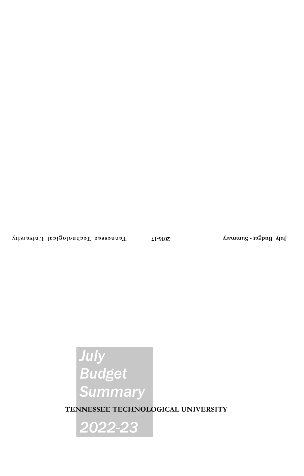# *July Budget Summary*

**TENNESSEE TECHNOLOGICAL UNIVERSITY**

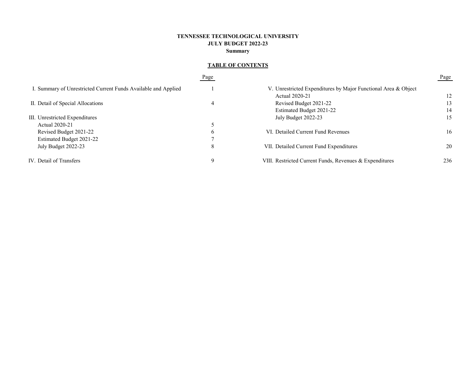# **TENNESSEE TECHNOLOGICAL UNIVERSITY JULY BUDGET 2022-23 Summary**

# **TABLE OF CONTENTS**

|                                                                | Page |                                                                | Page |
|----------------------------------------------------------------|------|----------------------------------------------------------------|------|
| I. Summary of Unrestricted Current Funds Available and Applied |      | V. Unrestricted Expenditures by Major Functional Area & Object |      |
|                                                                |      | Actual 2020-21                                                 | 12   |
| II. Detail of Special Allocations                              | 4    | Revised Budget 2021-22                                         | 13   |
|                                                                |      | Estimated Budget 2021-22                                       | 14   |
| III. Unrestricted Expenditures                                 |      | July Budget 2022-23                                            | 15   |
| Actual 2020-21                                                 |      |                                                                |      |
| Revised Budget 2021-22                                         | b    | VI. Detailed Current Fund Revenues                             | 16   |
| Estimated Budget 2021-22                                       |      |                                                                |      |
| July Budget 2022-23                                            | 8    | VII. Detailed Current Fund Expenditures                        | 20   |
| IV. Detail of Transfers                                        | 9    | VIII. Restricted Current Funds, Revenues & Expenditures        | 236  |
|                                                                |      |                                                                |      |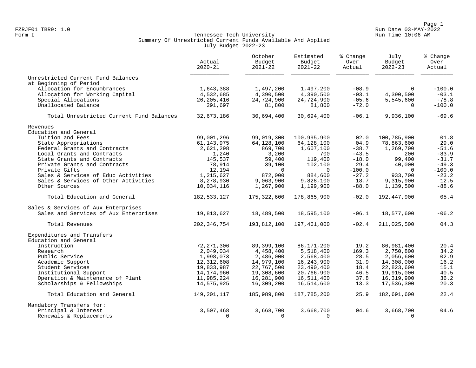Page 1<br>Run Date 03-MAY-2022 Run Date 03-MAY-2022 FZRJF01 TBR9: 1.0 Run Date 03-MAY-2022

#### Form I Georgian Communication of the Communication of Tennessee Tech University Communication Run Time 10:06 AM Summary Of Unrestricted Current Funds Available And Applied July Budget 2022-23

|                                          | Actual<br>$2020 - 21$ | October<br>Budget<br>$2021 - 22$ | Estimated<br>Budget<br>$2021 - 22$ | % Change<br>Over<br>Actual | July<br>Budget<br>$2022 - 23$ | % Change<br>Over<br>Actual |
|------------------------------------------|-----------------------|----------------------------------|------------------------------------|----------------------------|-------------------------------|----------------------------|
| Unrestricted Current Fund Balances       |                       |                                  |                                    |                            |                               |                            |
| at Beginning of Period                   |                       |                                  |                                    |                            |                               |                            |
| Allocation for Encumbrances              | 1,643,388             | 1,497,200                        | 1,497,200                          | $-08.9$                    | $\Omega$                      | $-100.0$                   |
| Allocation for Working Capital           | 4,532,685             | 4,390,500                        | 4,390,500                          | $-03.1$                    | 4,390,500                     | $-03.1$                    |
| Special Allocations                      | 26, 205, 416          | 24,724,900                       | 24,724,900                         | $-05.6$                    | 5,545,600                     | $-78.8$                    |
| Unallocated Balance                      | 291,697               | 81,800                           | 81,800                             | $-72.0$                    | $\Omega$                      | $-100.0$                   |
| Total Unrestricted Current Fund Balances | 32,673,186            | 30,694,400                       | 30,694,400                         | $-06.1$                    | 9,936,100                     | $-69.6$                    |
| Revenues                                 |                       |                                  |                                    |                            |                               |                            |
| Education and General                    |                       |                                  |                                    |                            |                               |                            |
| Tuition and Fees                         | 99,001,296            | 99,019,300                       | 100,995,900                        | 02.0                       | 100,785,900                   | 01.8                       |
| State Appropriations                     | 61,143,975            | 64,128,100                       | 64,128,100                         | 04.9                       | 78,863,600                    | 29.0                       |
| Federal Grants and Contracts             | 2,621,298             | 869,700                          | 1,607,100                          | $-38.7$                    | 1,269,700                     | $-51.6$                    |
| Local Grants and Contracts               | 1,240                 | 3,200                            | 700                                | $-43.5$                    | 200                           | $-83.9$                    |
| State Grants and Contracts               | 145,537               | 59,400                           | 119,400                            | $-18.0$                    | 99,400                        | $-31.7$                    |
| Private Grants and Contracts             | 78,914                | 39,100                           | 102,100                            | 29.4                       | 40,000                        | $-49.3$                    |
| Private Gifts                            | 12,194                | $\Omega$                         | $\Omega$                           | $-100.0$                   | $\Omega$                      | $-100.0$                   |
| Sales & Services of Educ Activities      | 1,215,627             | 872,000                          | 884,600                            | $-27.2$                    | 933,700                       | $-23.2$                    |
| Sales & Services of Other Activities     | 8,278,930             | 9,063,900                        | 9,828,100                          | 18.7                       | 9,315,900                     | 12.5                       |
| Other Sources                            | 10,034,116            | 1,267,900                        | 1,199,900                          | $-88.0$                    | 1,139,500                     | $-88.6$                    |
| Total Education and General              | 182, 533, 127         | 175,322,600                      | 178,865,900                        | $-02.0$                    | 192,447,900                   | 05.4                       |
| Sales & Services of Aux Enterprises      |                       |                                  |                                    |                            |                               |                            |
| Sales and Services of Aux Enterprises    | 19,813,627            | 18,489,500                       | 18,595,100                         | $-06.1$                    | 18,577,600                    | $-06.2$                    |
| Total Revenues                           | 202, 346, 754         | 193,812,100                      | 197,461,000                        | $-02.4$                    | 211,025,500                   | 04.3                       |
| Expenditures and Transfers               |                       |                                  |                                    |                            |                               |                            |
| Education and General                    |                       |                                  |                                    |                            |                               |                            |
| Instruction                              | 72, 271, 306          | 89,399,100                       | 86, 171, 200                       | 19.2                       | 86,981,400                    | 20.4                       |
| Research                                 | 2,049,034             | 4,458,400                        | 5,518,400                          | 169.3                      | 2,750,800                     | 34.2                       |
| Public Service                           | 1,998,073             | 2,486,000                        | 2,568,400                          | 28.5                       | 2,056,600                     | 02.9                       |
| Academic Support                         | 12,312,608            | 14,979,100                       | 16, 243, 900                       | 31.9                       | 14,308,000                    | 16.2                       |
| Student Services                         | 19,833,987            | 22,767,500                       | 23,490,400                         | 18.4                       | 22,823,600                    | 15.1                       |
| Institutional Support                    | 14, 174, 960          | 19,308,600                       | 20,766,900                         | 46.5                       | 19,915,000                    | 40.5                       |
| Operation & Maintenance of Plant         | 11,985,224            | 16,281,900                       | 16,511,400                         | 37.8                       | 16,319,900                    | 36.2                       |
| Scholarships & Fellowships               | 14,575,925            | 16,309,200                       | 16,514,600                         | 13.3                       | 17,536,300                    | 20.3                       |
| Total Education and General              | 149,201,117           | 185,989,800                      | 187,785,200                        | 25.9                       | 182,691,600                   | 22.4                       |
| Mandatory Transfers for:                 |                       |                                  |                                    |                            |                               |                            |
| Principal & Interest                     | 3,507,468             | 3,668,700                        | 3,668,700                          | 04.6                       | 3,668,700                     | 04.6                       |
| Renewals & Replacements                  | $\Omega$              | $\Omega$                         | $\Omega$                           |                            | $\Omega$                      |                            |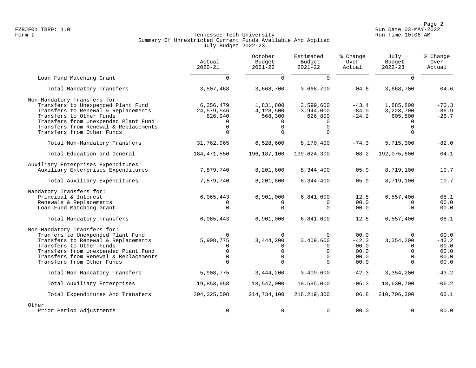Page 2<br>Run Date 03-MAY-2022 Run Date 03-MAY-2022 FZRJF01 TBR9: 1.0 Run Date 03-MAY-2022

### Form I Georgian Communication of the Communication of Tennessee Tech University Communication Run Time 10:06 AM Summary Of Unrestricted Current Funds Available And Applied July Budget 2022-23

|                                                                                                                                                                                                                                                      | Actual<br>$2020 - 21$                          | October<br>Budget<br>$2021 - 22$                                           | Estimated<br>Budget<br>$2021 - 22$                                   | % Change<br>Over<br>Actual                      | July<br>Budget<br>$2022 - 23$                                         | % Change<br>Over<br>Actual                      |
|------------------------------------------------------------------------------------------------------------------------------------------------------------------------------------------------------------------------------------------------------|------------------------------------------------|----------------------------------------------------------------------------|----------------------------------------------------------------------|-------------------------------------------------|-----------------------------------------------------------------------|-------------------------------------------------|
| Loan Fund Matching Grant                                                                                                                                                                                                                             | $\Omega$                                       | $\Omega$                                                                   | $\Omega$                                                             |                                                 | $\Omega$                                                              |                                                 |
| Total Mandatory Transfers                                                                                                                                                                                                                            | 3,507,468                                      | 3,668,700                                                                  | 3,668,700                                                            | 04.6                                            | 3,668,700                                                             | 04.6                                            |
| Non-Mandatory Transfers for:<br>Transfers to Unexpended Plant Fund<br>Transfers to Renewal & Replacements<br>Transfers to Other Funds<br>Transfers from Unexpended Plant Fund<br>Transfers from Renewal & Replacements<br>Transfers from Other Funds | 6,356,479<br>24,579,546<br>826,940<br>$\Omega$ | 1,831,800<br>4,128,500<br>568,300<br>$\mathbf 0$<br>$\Omega$               | 3,599,600<br>3,944,000<br>626,800<br>$\mathbf 0$<br>$\Omega$         | $-43.4$<br>$-84.0$<br>$-24.2$                   | 1,885,800<br>3,223,700<br>605,800<br>$\Omega$                         | $-70.3$<br>$-86.9$<br>$-26.7$                   |
| Total Non-Mandatory Transfers                                                                                                                                                                                                                        | 31,762,965                                     | 6,528,600                                                                  | 8,170,400                                                            | $-74.3$                                         | 5,715,300                                                             | $-82.0$                                         |
| Total Education and General                                                                                                                                                                                                                          | 184, 471, 550                                  | 196,187,100                                                                | 199,624,300                                                          | 08.2                                            | 192,075,600                                                           | 04.1                                            |
| Auxiliary Enterprises Expenditures<br>Auxiliary Enterprises Expenditures                                                                                                                                                                             | 7,879,740                                      | 8,201,800                                                                  | 8,344,400                                                            | 05.9                                            | 8,719,100                                                             | 10.7                                            |
| Total Auxiliary Expenditures                                                                                                                                                                                                                         | 7,879,740                                      | 8,201,800                                                                  | 8,344,400                                                            | 05.9                                            | 8,719,100                                                             | 10.7                                            |
| Mandatory Transfers for:<br>Principal & Interest<br>Renewals & Replacements<br>Loan Fund Matching Grant                                                                                                                                              | 6,065,443<br>$\Omega$                          | 6,901,000<br>$\Omega$<br>$\Omega$                                          | 6,841,000<br>$\Omega$<br>$\Omega$                                    | 12.8<br>00.0<br>00.0                            | 6,557,400<br>$\Omega$<br>$\Omega$                                     | 08.1<br>00.0<br>00.0                            |
| Total Mandatory Transfers                                                                                                                                                                                                                            | 6,065,443                                      | 6,901,000                                                                  | 6,841,000                                                            | 12.8                                            | 6,557,400                                                             | 08.1                                            |
| Non-Mandatory Transfers for:<br>Tranfers to Unexpended Plant Fund<br>Transfers to Renewal & Replacements<br>Transfers to Other Funds<br>Transfers from Unexpended Plant Fund<br>Transfers from Renewal & Replacements<br>Transfers from Other Funds  | 5,908,775<br>$\Omega$<br>$\Omega$<br>$\Omega$  | $\Omega$<br>3, 444, 200<br>$\Omega$<br>$\mathbf 0$<br>$\Omega$<br>$\Omega$ | $\mathbf 0$<br>3,409,600<br>0<br>$\mathbf 0$<br>$\Omega$<br>$\Omega$ | 00.0<br>$-42.3$<br>00.0<br>00.0<br>00.0<br>00.0 | $\Omega$<br>3,354,200<br>$\Omega$<br>$\Omega$<br>$\Omega$<br>$\Omega$ | 00.0<br>$-43.2$<br>00.0<br>00.0<br>00.0<br>00.0 |
| Total Non-Mandatory Transfers                                                                                                                                                                                                                        | 5,908,775                                      | 3, 444, 200                                                                | 3,409,600                                                            | $-42.3$                                         | 3,354,200                                                             | $-43.2$                                         |
| Total Auxiliary Enterprises                                                                                                                                                                                                                          | 19,853,958                                     | 18,547,000                                                                 | 18,595,000                                                           | $-06.3$                                         | 18,630,700                                                            | $-06.2$                                         |
| Total Expenditures And Transfers                                                                                                                                                                                                                     | 204, 325, 508                                  | 214,734,100                                                                | 218, 219, 300                                                        | 06.8                                            | 210,706,300                                                           | 03.1                                            |
| Other<br>Prior Period Adjustments                                                                                                                                                                                                                    | 0                                              | $\mathbf 0$                                                                | $\mathbf 0$                                                          | 00.0                                            | $\Omega$                                                              | 00.0                                            |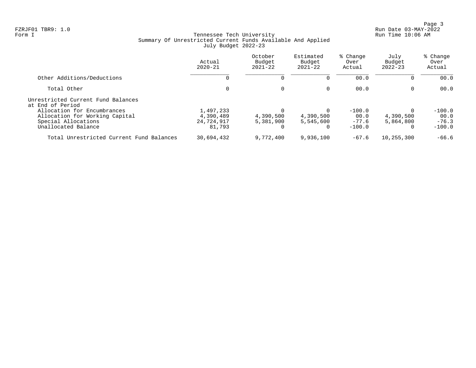Page 3<br>Run Date 03-MAY-2022 Run Date 03-MAY-2022 FZRJF01 TBR9: 1.0 Run Date 03-MAY-2022

## Form I Georgian Communication of the Communication of Tennessee Tech University Communication Run Time 10:06 AM Summary Of Unrestricted Current Funds Available And Applied July Budget 2022-23

|                                                                                                             | Actual<br>$2020 - 21$                          | October<br>Budget<br>$2021 - 22$ | Estimated<br>Budget<br>$2021 - 22$ | % Change<br>Over<br>Actual              | July<br>Budget<br>$2022 - 23$                  | % Change<br>Over<br>Actual              |
|-------------------------------------------------------------------------------------------------------------|------------------------------------------------|----------------------------------|------------------------------------|-----------------------------------------|------------------------------------------------|-----------------------------------------|
| Other Additions/Deductions                                                                                  | U                                              |                                  |                                    | 00.0                                    | $\Omega$                                       | 00.0                                    |
| Total Other                                                                                                 | 0                                              | $\Omega$                         | $\Omega$                           | 00.0                                    | $\Omega$                                       | 00.0                                    |
| Unrestricted Current Fund Balances<br>at End of Period                                                      |                                                |                                  |                                    |                                         |                                                |                                         |
| Allocation for Encumbrances<br>Allocation for Working Capital<br>Special Allocations<br>Unallocated Balance | 1,497,233<br>4,390,489<br>24,724,917<br>81,793 | 4,390,500<br>5,381,900           | 4,390,500<br>5,545,600<br>0        | $-100.0$<br>00.0<br>$-77.6$<br>$-100.0$ | $\Omega$<br>4,390,500<br>5,864,800<br>$\Omega$ | $-100.0$<br>00.0<br>$-76.3$<br>$-100.0$ |
| Total Unrestricted Current Fund Balances                                                                    | 30,694,432                                     | 9,772,400                        | 9,936,100                          | $-67.6$                                 | 10,255,300                                     | $-66.6$                                 |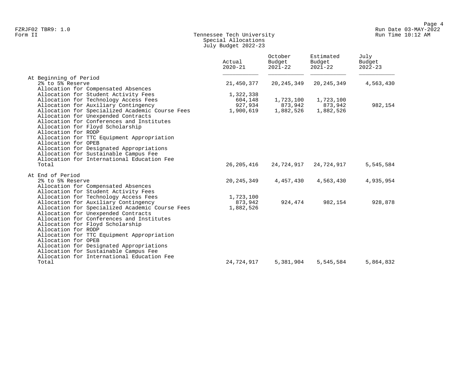## Form II Tennessee Tech University Run Time 10:12 AM Special Allocations July Budget 2022-23

|                                                 | Actual<br>$2020 - 21$ | October<br>Budget<br>$2021 - 22$ | Estimated<br>Budget<br>$2021 - 22$ | July<br>Budget<br>$2022 - 23$ |
|-------------------------------------------------|-----------------------|----------------------------------|------------------------------------|-------------------------------|
| At Beginning of Period                          |                       |                                  |                                    |                               |
| 2% to 5% Reserve                                | 21,450,377            | 20, 245, 349                     | 20, 245, 349                       | 4,563,430                     |
| Allocation for Compensated Absences             |                       |                                  |                                    |                               |
| Allocation for Student Activity Fees            | 1,322,338             |                                  |                                    |                               |
| Allocation for Technology Access Fees           | 604,148               | 1,723,100                        | 1,723,100                          |                               |
| Allocation for Auxiliary Contingency            | 927,934               | 873,942                          | 873,942                            | 982,154                       |
| Allocation for Specialized Academic Course Fees | 1,900,619             | 1,882,526                        | 1,882,526                          |                               |
| Allocation for Unexpended Contracts             |                       |                                  |                                    |                               |
| Allocation for Conferences and Institutes       |                       |                                  |                                    |                               |
| Allocation for Floyd Scholarship                |                       |                                  |                                    |                               |
| Allocation for RODP                             |                       |                                  |                                    |                               |
| Allocation for TTC Equipment Appropriation      |                       |                                  |                                    |                               |
| Allocation for OPEB                             |                       |                                  |                                    |                               |
| Allocation for Designated Appropriations        |                       |                                  |                                    |                               |
| Allocation for Sustainable Campus Fee           |                       |                                  |                                    |                               |
| Allocation for International Education Fee      |                       |                                  |                                    |                               |
| Total                                           | 26,205,416            | 24,724,917                       | 24,724,917                         | 5,545,584                     |
| At End of Period                                |                       |                                  |                                    |                               |
| 2% to 5% Reserve                                | 20, 245, 349          | 4,457,430                        | 4,563,430                          | 4,935,954                     |
| Allocation for Compensated Absences             |                       |                                  |                                    |                               |
| Allocation for Student Activity Fees            |                       |                                  |                                    |                               |
| Allocation for Technology Access Fees           | 1,723,100             |                                  |                                    |                               |
| Allocation for Auxiliary Contingency            | 873,942               | 924,474                          | 982,154                            | 928,878                       |
| Allocation for Specialized Academic Course Fees | 1,882,526             |                                  |                                    |                               |
| Allocation for Unexpended Contracts             |                       |                                  |                                    |                               |
| Allocation for Conferences and Institutes       |                       |                                  |                                    |                               |
| Allocation for Floyd Scholarship                |                       |                                  |                                    |                               |
| Allocation for RODP                             |                       |                                  |                                    |                               |
| Allocation for TTC Equipment Appropriation      |                       |                                  |                                    |                               |
| Allocation for OPEB                             |                       |                                  |                                    |                               |
| Allocation for Designated Appropriations        |                       |                                  |                                    |                               |
| Allocation for Sustainable Campus Fee           |                       |                                  |                                    |                               |
| Allocation for International Education Fee      |                       |                                  |                                    |                               |
| Total                                           | 24,724,917            | 5,381,904                        | 5,545,584                          | 5,864,832                     |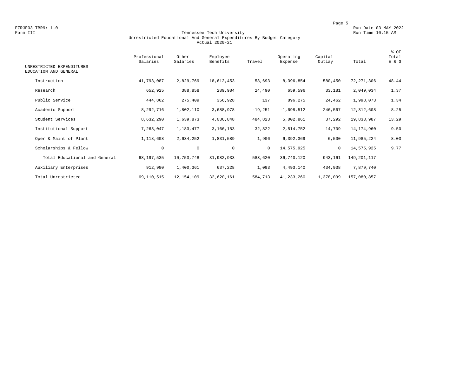#### Form III Tennessee Tech University Run Time 10:15 AM Unrestricted Educational And General Expenditures By Budget Category Actual 2020-21

| UNRESTRICTED EXPENDITURES<br>EDUCATION AND GENERAL | Professional<br>Salaries | Other<br>Salaries | Employee<br>Benefits | Travel       | Operating<br>Expense | Capital<br>Outlay | Total        | % OF<br>Total<br>E & G |
|----------------------------------------------------|--------------------------|-------------------|----------------------|--------------|----------------------|-------------------|--------------|------------------------|
|                                                    |                          |                   |                      |              |                      |                   |              |                        |
| Instruction                                        | 41,793,087               | 2,829,769         | 18,612,453           | 58,693       | 8,396,854            | 580,450           | 72, 271, 306 | 48.44                  |
| Research                                           | 652,925                  | 388,858           | 289,984              | 24,490       | 659,596              | 33,181            | 2,049,034    | 1.37                   |
| Public Service                                     | 444,862                  | 275,409           | 356,928              | 137          | 896,275              | 24,462            | 1,998,073    | 1.34                   |
| Academic Support                                   | 8,292,716                | 1,802,110         | 3,688,978            | $-19,251$    | $-1,698,512$         | 246,567           | 12,312,608   | 8.25                   |
| Student Services                                   | 8,632,290                | 1,639,873         | 4,036,848            | 484,823      | 5,002,861            | 37,292            | 19,833,987   | 13.29                  |
| Institutional Support                              | 7,263,047                | 1,183,477         | 3,166,153            | 32,822       | 2,514,752            | 14,709            | 14,174,960   | 9.50                   |
| Oper & Maint of Plant                              | 1,118,608                | 2,634,252         | 1,831,589            | 1,906        | 6,392,369            | 6,500             | 11,985,224   | 8.03                   |
| Scholarships & Fellow                              | 0                        | $\mathbf 0$       | $\mathbf 0$          | $\mathbf{0}$ | 14,575,925           | $\circ$           | 14,575,925   | 9.77                   |
| Total Educational and General                      | 68,197,535               | 10,753,748        | 31,982,933           | 583,620      | 36,740,120           | 943,161           | 149,201,117  |                        |
| Auxiliary Enterprises                              | 912,980                  | 1,400,361         | 637,228              | 1,093        | 4,493,140            | 434,938           | 7,879,740    |                        |
| Total Unrestricted                                 | 69,110,515               | 12, 154, 109      | 32,620,161           | 584,713      | 41, 233, 260         | 1,378,099         | 157,080,857  |                        |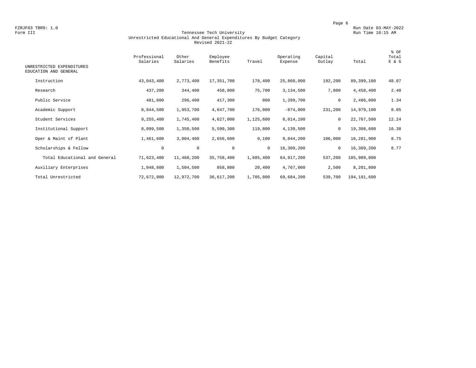#### Form III Tennessee Tech University Run Time 10:15 AM Unrestricted Educational And General Expenditures By Budget Category Revised 2021-22

| UNRESTRICTED EXPENDITURES     | Professional<br>Salaries | Other<br>Salaries | Employee<br>Benefits | Travel    | Operating<br>Expense | Capital<br>Outlay | Total       | % OF<br>Total<br>E & G |
|-------------------------------|--------------------------|-------------------|----------------------|-----------|----------------------|-------------------|-------------|------------------------|
| EDUCATION AND GENERAL         |                          |                   |                      |           |                      |                   |             |                        |
| Instruction                   | 43,043,400               | 2,773,400         | 17,351,700           | 178,400   | 25,860,000           | 192,200           | 89,399,100  | 48.07                  |
| Research                      | 437,200                  | 344,400           | 458,800              | 75,700    | 3,134,500            | 7,800             | 4,458,400   | 2.40                   |
| Public Service                | 481,800                  | 296,400           | 417,300              | 800       | 1,289,700            | 0                 | 2,486,000   | 1.34                   |
| Academic Support              | 8,844,500                | 1,953,700         | 4,647,700            | 176,000   | $-874,000$           | 231,200           | 14,979,100  | 8.05                   |
| Student Services              | 9,255,400                | 1,745,400         | 4,627,000            | 1,125,600 | 6,014,100            | $\mathbf 0$       | 22,767,500  | 12.24                  |
| Institutional Support         | 8,099,500                | 1,350,500         | 5,599,300            | 119,800   | 4,139,500            | 0                 | 19,308,600  | 10.38                  |
| Oper & Maint of Plant         | 1,461,600                | 3,004,400         | 2,656,600            | 9,100     | 9,044,200            | 106,000           | 16,281,900  | 8.75                   |
| Scholarships & Fellow         | $\circ$                  | $\mathbf 0$       | $\mathbf 0$          | $\circ$   | 16,309,200           | $\mathbf 0$       | 16,309,200  | 8.77                   |
| Total Educational and General | 71,623,400               | 11,468,200        | 35,758,400           | 1,685,400 | 64, 917, 200         | 537,200           | 185,989,800 |                        |
| Auxiliary Enterprises         | 1,048,600                | 1,504,500         | 858,800              | 20,400    | 4,767,000            | 2,500             | 8,201,800   |                        |
| Total Unrestricted            | 72,672,000               | 12,972,700        | 36,617,200           | 1,705,800 | 69,684,200           | 539,700           | 194,191,600 |                        |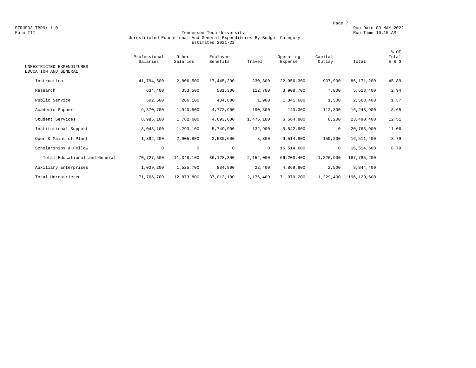#### Form III Tennessee Tech University Run Time 10:15 AM Unrestricted Educational And General Expenditures By Budget Category Estimated 2021-22

| UNRESTRICTED EXPENDITURES<br>EDUCATION AND GENERAL | Professional<br>Salaries | Other<br>Salaries | Employee<br>Benefits | Travel       | Operating<br>Expense | Capital<br>Outlay | Total         | % OF<br>Total<br>E & G |
|----------------------------------------------------|--------------------------|-------------------|----------------------|--------------|----------------------|-------------------|---------------|------------------------|
| Instruction                                        | 41,794,500               | 2,806,500         | 17,445,200           | 230,800      | 22,956,300           | 937,900           | 86,171,200    | 45.89                  |
| Research                                           | 634,400                  | 353,500           | 501,300              | 112,700      | 3,908,700            | 7,800             | 5,518,400     | 2.94                   |
| Public Service                                     | 502,500                  | 286,100           | 434,800              | 1,900        | 1,341,600            | 1,500             | 2,568,400     | 1.37                   |
| Academic Support                                   | 9,370,700                | 1,940,500         | 4,772,900            | 190,800      | $-143,300$           | 112,300           | 16,243,900    | 8.65                   |
| Student Services                                   | 8,985,100                | 1,762,600         | 4,693,600            | 1,476,100    | 6,564,800            | 8,200             | 23,490,400    | 12.51                  |
| Institutional Support                              | 8,048,100                | 1,293,100         | 5,749,900            | 132,900      | 5,542,900            | $\mathbf 0$       | 20,766,900    | 11.06                  |
| Oper & Maint of Plant                              | 1,392,200                | 2,905,800         | 2,530,600            | 8,800        | 9,514,800            | 159,200           | 16,511,400    | 8.79                   |
| Scholarships & Fellow                              | 0                        | $\mathbf 0$       | $\mathbf 0$          | $\mathbf{0}$ | 16,514,600           | $\mathbf 0$       | 16,514,600    | 8.79                   |
| Total Educational and General                      | 70,727,500               | 11,348,100        | 36,128,300           | 2,154,000    | 66,200,400           | 1,226,900         | 187,785,200   |                        |
| Auxiliary Enterprises                              | 1,039,200                | 1,525,700         | 884,800              | 22,400       | 4,869,800            | 2,500             | 8,344,400     |                        |
| Total Unrestricted                                 | 71,766,700               | 12,873,800        | 37,013,100           | 2,176,400    | 71,070,200           | 1,229,400         | 196, 129, 600 |                        |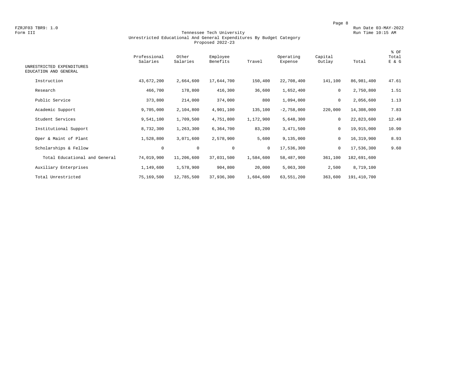#### Tennessee Tech University Unrestricted Educational And General Expenditures By Budget Category Proposed 2022-23

| UNRESTRICTED EXPENDITURES<br>EDUCATION AND GENERAL | Professional<br>Salaries | Other<br>Salaries | Employee<br>Benefits | Travel    | Operating<br>Expense | Capital<br>Outlay | Total       | % OF<br>Total<br>E & G |
|----------------------------------------------------|--------------------------|-------------------|----------------------|-----------|----------------------|-------------------|-------------|------------------------|
| Instruction                                        | 43,672,200               | 2,664,600         | 17,644,700           | 150,400   | 22,708,400           | 141,100           | 86,981,400  | 47.61                  |
| Research                                           | 466,700                  | 178,800           | 416,300              | 36,600    | 1,652,400            | $\mathbf 0$       | 2,750,800   | 1.51                   |
| Public Service                                     | 373,800                  | 214,000           | 374,000              | 800       | 1,094,000            | $\mathbf 0$       | 2,056,600   | 1.13                   |
| Academic Support                                   | 9,705,000                | 2,104,800         | 4,901,100            | 135,100   | $-2,758,000$         | 220,000           | 14,308,000  | 7.83                   |
| Student Services                                   | 9,541,100                | 1,709,500         | 4,751,800            | 1,172,900 | 5,648,300            | 0                 | 22,823,600  | 12.49                  |
| Institutional Support                              | 8,732,300                | 1,263,300         | 6,364,700            | 83,200    | 3,471,500            | $\mathbf 0$       | 19,915,000  | 10.90                  |
| Oper & Maint of Plant                              | 1,528,800                | 3,071,600         | 2,578,900            | 5,600     | 9,135,000            | 0                 | 16,319,900  | 8.93                   |
| Scholarships & Fellow                              | 0                        | $\mathbf 0$       | $\mathbf{0}$         | $\circ$   | 17,536,300           | $\mathbf 0$       | 17,536,300  | 9.60                   |
| Total Educational and General                      | 74,019,900               | 11,206,600        | 37,031,500           | 1,584,600 | 58,487,900           | 361,100           | 182,691,600 |                        |
| Auxiliary Enterprises                              | 1,149,600                | 1,578,900         | 904,800              | 20,000    | 5,063,300            | 2,500             | 8,719,100   |                        |
| Total Unrestricted                                 | 75,169,500               | 12,785,500        | 37,936,300           | 1,604,600 | 63,551,200           | 363,600           | 191,410,700 |                        |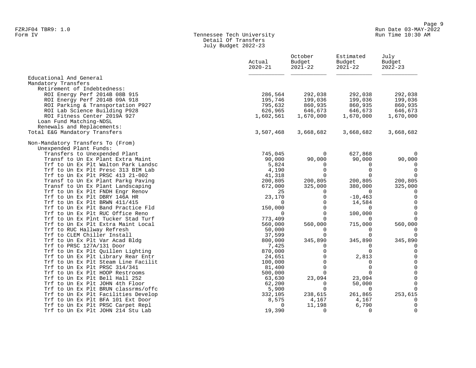#### Form IV Tennessee Tech University Run Time 10:30 AM Detail Of Transfers July Budget 2022-23

| Educational And General<br>Mandatory Transfers<br>Retirement of Indebtedness:<br>286,564<br>292,038<br>ROI Energy Perf 2014B 08B 915<br>292,038<br>292,038<br>ROI Energy Perf 2014B 09A 918<br>195,746<br>199,036<br>199,036<br>199,036<br>ROI Parking & Transportation P927<br>795,632<br>860,935<br>860,935<br>860,935<br>ROI Lab Science Building P928<br>626,965<br>646,673<br>646,673<br>646,673<br>ROI Fitness Center 2019A 927<br>1,670,000<br>1,602,561<br>1,670,000<br>1,670,000<br>Loan Fund Matching-NDSL<br>Renewals and Replacements:<br>Total E&G Mandatory Transfers<br>3,507,468<br>3,668,682<br>3,668,682<br>Non-Mandatory Transfers To (From)<br>Unexpended Plant Funds:<br>745,045<br>627,868<br>Transfers to Unexpended Plant<br>$\mathbf 0$<br>90,000<br>Transf to Un Ex Plant Extra Maint<br>90,000<br>90,000<br>90,000<br>Trf to Un Ex Plt Walton Park Landsc<br>5,824<br>0<br>$\Omega$<br>0<br>Trf to Un Ex Plt Presc 313 BIM Lab<br>4,190<br>$\Omega$<br>$\mathbf 0$<br>$\Omega$<br>Trf to Un Ex Plt PRSC 413 21-002<br>41,318<br>$\Omega$<br>$\Omega$<br>$\Omega$<br>Transf to Un Ex Plant Parkg Paving<br>200,805<br>200,805<br>200,805<br>200,805<br>672,000<br>325,000<br>380,000<br>325,000<br>Transf to Un Ex Plant Landscaping<br>Trf to Un Ex Plt FNDH Engr Renov<br>25<br>$\Omega$<br>$\Omega$<br>$\Omega$<br>Trf to Un Ex Plt DBRY 146A HR<br>23,170<br>$\Omega$<br>$-10, 463$<br>$\Omega$<br>$\Omega$<br>Trf to Un Ex Plt BRWN 411/415<br>$\Omega$<br>14,584<br>$\Omega$<br>$\mathbf 0$<br>Trf to Un Ex Plt Band Practice Fld<br>150,000<br>$\Omega$<br>$\Omega$<br>$\Omega$<br>$\Omega$<br>100,000<br>Trf to Un Ex Plt RUC Office Reno<br>$\Omega$<br>Trf to Un Ex Plnt Tucker Stad Turf<br>773,409<br>$\Omega$<br>$\Omega$<br>$\Omega$<br>560,000<br>715,000<br>560,000<br>Trf to Un Ex Plt Extra Maint Local<br>560,000<br>Trf to RUC Hallway Refresh<br>50,000<br>$\Omega$<br>$\Omega$<br>$\Omega$<br>Trf to CLEM Chiller Install<br>37,599<br>$\Omega$<br>$\cap$<br>0<br>345,890<br>345,890<br>Trf to Un Ex Plt Var Acad Bldg<br>800,000<br>Trf to PRSC 127A/131 Door<br>7,425<br>0<br>$\Omega$<br>$\Omega$<br>$\Omega$<br>Trf to Un Ex Plt Quillen Lighting<br>870,000<br>Trf to Un Ex Plt Library Rear Entr<br>2,813<br>24,651<br>$\Omega$<br>0<br>$\Omega$<br>Trf to Un Ex Plt Steam Line Facilit<br>100,000<br>$\Omega$<br>0<br>$\Omega$<br>Trf to Un Ex Plt PRSC 314/341<br>81,400<br>$\Omega$<br>0<br>$\Omega$<br>$\cap$<br>Trf to Un Ex Plt HOOP Restrooms<br>500,000<br>0<br>23,094<br>23,094<br>Trf to Un Ex Plt Bell Hall 252<br>63,630<br>$\Omega$<br>Trf to Un Ex Plt JOHN 4th Floor<br>62,200<br>50,000<br>$\Omega$<br>$\Omega$<br>Trf to Un Ex Plt BRUN classrms/offc<br>5,900<br>$\Omega$<br>$\Omega$<br>253,615<br>Trf to Un Ex Plt Facilities Develop<br>332,105<br>238,615<br>261,865<br>Trf to Un Ex Plt BFA 101 Ext Door<br>8,575<br>4,167<br>$\mathbf 0$<br>4,167<br>0<br>Trf to Un Ex Plt PRSC Carpet Repl<br>11,198<br>6,790<br>$\Omega$<br>0<br>19,390<br>Trf to Un Ex Plt JOHN 214 Stu Lab<br>$\Omega$<br>$\Omega$ | Actual<br>$2020 - 21$ | October<br>Budget<br>$2021 - 22$ | Estimated<br>Budget<br>$2021 - 22$ | July<br>Budget<br>$2022 - 23$ |
|--------------------------------------------------------------------------------------------------------------------------------------------------------------------------------------------------------------------------------------------------------------------------------------------------------------------------------------------------------------------------------------------------------------------------------------------------------------------------------------------------------------------------------------------------------------------------------------------------------------------------------------------------------------------------------------------------------------------------------------------------------------------------------------------------------------------------------------------------------------------------------------------------------------------------------------------------------------------------------------------------------------------------------------------------------------------------------------------------------------------------------------------------------------------------------------------------------------------------------------------------------------------------------------------------------------------------------------------------------------------------------------------------------------------------------------------------------------------------------------------------------------------------------------------------------------------------------------------------------------------------------------------------------------------------------------------------------------------------------------------------------------------------------------------------------------------------------------------------------------------------------------------------------------------------------------------------------------------------------------------------------------------------------------------------------------------------------------------------------------------------------------------------------------------------------------------------------------------------------------------------------------------------------------------------------------------------------------------------------------------------------------------------------------------------------------------------------------------------------------------------------------------------------------------------------------------------------------------------------------------------------------------------------------------------------------------------------------------------------------------------------------------------------------------------------------------------------------------------------------------------------------------------------------------------------------------------------------------------------------------------------------------------------------------------------------------------------------|-----------------------|----------------------------------|------------------------------------|-------------------------------|
|                                                                                                                                                                                                                                                                                                                                                                                                                                                                                                                                                                                                                                                                                                                                                                                                                                                                                                                                                                                                                                                                                                                                                                                                                                                                                                                                                                                                                                                                                                                                                                                                                                                                                                                                                                                                                                                                                                                                                                                                                                                                                                                                                                                                                                                                                                                                                                                                                                                                                                                                                                                                                                                                                                                                                                                                                                                                                                                                                                                                                                                                                      |                       |                                  |                                    |                               |
|                                                                                                                                                                                                                                                                                                                                                                                                                                                                                                                                                                                                                                                                                                                                                                                                                                                                                                                                                                                                                                                                                                                                                                                                                                                                                                                                                                                                                                                                                                                                                                                                                                                                                                                                                                                                                                                                                                                                                                                                                                                                                                                                                                                                                                                                                                                                                                                                                                                                                                                                                                                                                                                                                                                                                                                                                                                                                                                                                                                                                                                                                      |                       |                                  |                                    |                               |
|                                                                                                                                                                                                                                                                                                                                                                                                                                                                                                                                                                                                                                                                                                                                                                                                                                                                                                                                                                                                                                                                                                                                                                                                                                                                                                                                                                                                                                                                                                                                                                                                                                                                                                                                                                                                                                                                                                                                                                                                                                                                                                                                                                                                                                                                                                                                                                                                                                                                                                                                                                                                                                                                                                                                                                                                                                                                                                                                                                                                                                                                                      |                       |                                  |                                    |                               |
|                                                                                                                                                                                                                                                                                                                                                                                                                                                                                                                                                                                                                                                                                                                                                                                                                                                                                                                                                                                                                                                                                                                                                                                                                                                                                                                                                                                                                                                                                                                                                                                                                                                                                                                                                                                                                                                                                                                                                                                                                                                                                                                                                                                                                                                                                                                                                                                                                                                                                                                                                                                                                                                                                                                                                                                                                                                                                                                                                                                                                                                                                      |                       |                                  |                                    |                               |
|                                                                                                                                                                                                                                                                                                                                                                                                                                                                                                                                                                                                                                                                                                                                                                                                                                                                                                                                                                                                                                                                                                                                                                                                                                                                                                                                                                                                                                                                                                                                                                                                                                                                                                                                                                                                                                                                                                                                                                                                                                                                                                                                                                                                                                                                                                                                                                                                                                                                                                                                                                                                                                                                                                                                                                                                                                                                                                                                                                                                                                                                                      |                       |                                  |                                    |                               |
|                                                                                                                                                                                                                                                                                                                                                                                                                                                                                                                                                                                                                                                                                                                                                                                                                                                                                                                                                                                                                                                                                                                                                                                                                                                                                                                                                                                                                                                                                                                                                                                                                                                                                                                                                                                                                                                                                                                                                                                                                                                                                                                                                                                                                                                                                                                                                                                                                                                                                                                                                                                                                                                                                                                                                                                                                                                                                                                                                                                                                                                                                      |                       |                                  |                                    |                               |
|                                                                                                                                                                                                                                                                                                                                                                                                                                                                                                                                                                                                                                                                                                                                                                                                                                                                                                                                                                                                                                                                                                                                                                                                                                                                                                                                                                                                                                                                                                                                                                                                                                                                                                                                                                                                                                                                                                                                                                                                                                                                                                                                                                                                                                                                                                                                                                                                                                                                                                                                                                                                                                                                                                                                                                                                                                                                                                                                                                                                                                                                                      |                       |                                  |                                    |                               |
|                                                                                                                                                                                                                                                                                                                                                                                                                                                                                                                                                                                                                                                                                                                                                                                                                                                                                                                                                                                                                                                                                                                                                                                                                                                                                                                                                                                                                                                                                                                                                                                                                                                                                                                                                                                                                                                                                                                                                                                                                                                                                                                                                                                                                                                                                                                                                                                                                                                                                                                                                                                                                                                                                                                                                                                                                                                                                                                                                                                                                                                                                      |                       |                                  |                                    |                               |
|                                                                                                                                                                                                                                                                                                                                                                                                                                                                                                                                                                                                                                                                                                                                                                                                                                                                                                                                                                                                                                                                                                                                                                                                                                                                                                                                                                                                                                                                                                                                                                                                                                                                                                                                                                                                                                                                                                                                                                                                                                                                                                                                                                                                                                                                                                                                                                                                                                                                                                                                                                                                                                                                                                                                                                                                                                                                                                                                                                                                                                                                                      |                       |                                  |                                    |                               |
|                                                                                                                                                                                                                                                                                                                                                                                                                                                                                                                                                                                                                                                                                                                                                                                                                                                                                                                                                                                                                                                                                                                                                                                                                                                                                                                                                                                                                                                                                                                                                                                                                                                                                                                                                                                                                                                                                                                                                                                                                                                                                                                                                                                                                                                                                                                                                                                                                                                                                                                                                                                                                                                                                                                                                                                                                                                                                                                                                                                                                                                                                      |                       |                                  |                                    | 3,668,682                     |
|                                                                                                                                                                                                                                                                                                                                                                                                                                                                                                                                                                                                                                                                                                                                                                                                                                                                                                                                                                                                                                                                                                                                                                                                                                                                                                                                                                                                                                                                                                                                                                                                                                                                                                                                                                                                                                                                                                                                                                                                                                                                                                                                                                                                                                                                                                                                                                                                                                                                                                                                                                                                                                                                                                                                                                                                                                                                                                                                                                                                                                                                                      |                       |                                  |                                    |                               |
|                                                                                                                                                                                                                                                                                                                                                                                                                                                                                                                                                                                                                                                                                                                                                                                                                                                                                                                                                                                                                                                                                                                                                                                                                                                                                                                                                                                                                                                                                                                                                                                                                                                                                                                                                                                                                                                                                                                                                                                                                                                                                                                                                                                                                                                                                                                                                                                                                                                                                                                                                                                                                                                                                                                                                                                                                                                                                                                                                                                                                                                                                      |                       |                                  |                                    |                               |
|                                                                                                                                                                                                                                                                                                                                                                                                                                                                                                                                                                                                                                                                                                                                                                                                                                                                                                                                                                                                                                                                                                                                                                                                                                                                                                                                                                                                                                                                                                                                                                                                                                                                                                                                                                                                                                                                                                                                                                                                                                                                                                                                                                                                                                                                                                                                                                                                                                                                                                                                                                                                                                                                                                                                                                                                                                                                                                                                                                                                                                                                                      |                       |                                  |                                    | $\Omega$                      |
|                                                                                                                                                                                                                                                                                                                                                                                                                                                                                                                                                                                                                                                                                                                                                                                                                                                                                                                                                                                                                                                                                                                                                                                                                                                                                                                                                                                                                                                                                                                                                                                                                                                                                                                                                                                                                                                                                                                                                                                                                                                                                                                                                                                                                                                                                                                                                                                                                                                                                                                                                                                                                                                                                                                                                                                                                                                                                                                                                                                                                                                                                      |                       |                                  |                                    |                               |
|                                                                                                                                                                                                                                                                                                                                                                                                                                                                                                                                                                                                                                                                                                                                                                                                                                                                                                                                                                                                                                                                                                                                                                                                                                                                                                                                                                                                                                                                                                                                                                                                                                                                                                                                                                                                                                                                                                                                                                                                                                                                                                                                                                                                                                                                                                                                                                                                                                                                                                                                                                                                                                                                                                                                                                                                                                                                                                                                                                                                                                                                                      |                       |                                  |                                    |                               |
|                                                                                                                                                                                                                                                                                                                                                                                                                                                                                                                                                                                                                                                                                                                                                                                                                                                                                                                                                                                                                                                                                                                                                                                                                                                                                                                                                                                                                                                                                                                                                                                                                                                                                                                                                                                                                                                                                                                                                                                                                                                                                                                                                                                                                                                                                                                                                                                                                                                                                                                                                                                                                                                                                                                                                                                                                                                                                                                                                                                                                                                                                      |                       |                                  |                                    |                               |
|                                                                                                                                                                                                                                                                                                                                                                                                                                                                                                                                                                                                                                                                                                                                                                                                                                                                                                                                                                                                                                                                                                                                                                                                                                                                                                                                                                                                                                                                                                                                                                                                                                                                                                                                                                                                                                                                                                                                                                                                                                                                                                                                                                                                                                                                                                                                                                                                                                                                                                                                                                                                                                                                                                                                                                                                                                                                                                                                                                                                                                                                                      |                       |                                  |                                    |                               |
|                                                                                                                                                                                                                                                                                                                                                                                                                                                                                                                                                                                                                                                                                                                                                                                                                                                                                                                                                                                                                                                                                                                                                                                                                                                                                                                                                                                                                                                                                                                                                                                                                                                                                                                                                                                                                                                                                                                                                                                                                                                                                                                                                                                                                                                                                                                                                                                                                                                                                                                                                                                                                                                                                                                                                                                                                                                                                                                                                                                                                                                                                      |                       |                                  |                                    |                               |
|                                                                                                                                                                                                                                                                                                                                                                                                                                                                                                                                                                                                                                                                                                                                                                                                                                                                                                                                                                                                                                                                                                                                                                                                                                                                                                                                                                                                                                                                                                                                                                                                                                                                                                                                                                                                                                                                                                                                                                                                                                                                                                                                                                                                                                                                                                                                                                                                                                                                                                                                                                                                                                                                                                                                                                                                                                                                                                                                                                                                                                                                                      |                       |                                  |                                    |                               |
|                                                                                                                                                                                                                                                                                                                                                                                                                                                                                                                                                                                                                                                                                                                                                                                                                                                                                                                                                                                                                                                                                                                                                                                                                                                                                                                                                                                                                                                                                                                                                                                                                                                                                                                                                                                                                                                                                                                                                                                                                                                                                                                                                                                                                                                                                                                                                                                                                                                                                                                                                                                                                                                                                                                                                                                                                                                                                                                                                                                                                                                                                      |                       |                                  |                                    |                               |
|                                                                                                                                                                                                                                                                                                                                                                                                                                                                                                                                                                                                                                                                                                                                                                                                                                                                                                                                                                                                                                                                                                                                                                                                                                                                                                                                                                                                                                                                                                                                                                                                                                                                                                                                                                                                                                                                                                                                                                                                                                                                                                                                                                                                                                                                                                                                                                                                                                                                                                                                                                                                                                                                                                                                                                                                                                                                                                                                                                                                                                                                                      |                       |                                  |                                    |                               |
|                                                                                                                                                                                                                                                                                                                                                                                                                                                                                                                                                                                                                                                                                                                                                                                                                                                                                                                                                                                                                                                                                                                                                                                                                                                                                                                                                                                                                                                                                                                                                                                                                                                                                                                                                                                                                                                                                                                                                                                                                                                                                                                                                                                                                                                                                                                                                                                                                                                                                                                                                                                                                                                                                                                                                                                                                                                                                                                                                                                                                                                                                      |                       |                                  |                                    |                               |
|                                                                                                                                                                                                                                                                                                                                                                                                                                                                                                                                                                                                                                                                                                                                                                                                                                                                                                                                                                                                                                                                                                                                                                                                                                                                                                                                                                                                                                                                                                                                                                                                                                                                                                                                                                                                                                                                                                                                                                                                                                                                                                                                                                                                                                                                                                                                                                                                                                                                                                                                                                                                                                                                                                                                                                                                                                                                                                                                                                                                                                                                                      |                       |                                  |                                    |                               |
|                                                                                                                                                                                                                                                                                                                                                                                                                                                                                                                                                                                                                                                                                                                                                                                                                                                                                                                                                                                                                                                                                                                                                                                                                                                                                                                                                                                                                                                                                                                                                                                                                                                                                                                                                                                                                                                                                                                                                                                                                                                                                                                                                                                                                                                                                                                                                                                                                                                                                                                                                                                                                                                                                                                                                                                                                                                                                                                                                                                                                                                                                      |                       |                                  |                                    |                               |
|                                                                                                                                                                                                                                                                                                                                                                                                                                                                                                                                                                                                                                                                                                                                                                                                                                                                                                                                                                                                                                                                                                                                                                                                                                                                                                                                                                                                                                                                                                                                                                                                                                                                                                                                                                                                                                                                                                                                                                                                                                                                                                                                                                                                                                                                                                                                                                                                                                                                                                                                                                                                                                                                                                                                                                                                                                                                                                                                                                                                                                                                                      |                       |                                  |                                    |                               |
|                                                                                                                                                                                                                                                                                                                                                                                                                                                                                                                                                                                                                                                                                                                                                                                                                                                                                                                                                                                                                                                                                                                                                                                                                                                                                                                                                                                                                                                                                                                                                                                                                                                                                                                                                                                                                                                                                                                                                                                                                                                                                                                                                                                                                                                                                                                                                                                                                                                                                                                                                                                                                                                                                                                                                                                                                                                                                                                                                                                                                                                                                      |                       |                                  |                                    |                               |
|                                                                                                                                                                                                                                                                                                                                                                                                                                                                                                                                                                                                                                                                                                                                                                                                                                                                                                                                                                                                                                                                                                                                                                                                                                                                                                                                                                                                                                                                                                                                                                                                                                                                                                                                                                                                                                                                                                                                                                                                                                                                                                                                                                                                                                                                                                                                                                                                                                                                                                                                                                                                                                                                                                                                                                                                                                                                                                                                                                                                                                                                                      |                       |                                  |                                    |                               |
|                                                                                                                                                                                                                                                                                                                                                                                                                                                                                                                                                                                                                                                                                                                                                                                                                                                                                                                                                                                                                                                                                                                                                                                                                                                                                                                                                                                                                                                                                                                                                                                                                                                                                                                                                                                                                                                                                                                                                                                                                                                                                                                                                                                                                                                                                                                                                                                                                                                                                                                                                                                                                                                                                                                                                                                                                                                                                                                                                                                                                                                                                      |                       |                                  |                                    | 345,890                       |
|                                                                                                                                                                                                                                                                                                                                                                                                                                                                                                                                                                                                                                                                                                                                                                                                                                                                                                                                                                                                                                                                                                                                                                                                                                                                                                                                                                                                                                                                                                                                                                                                                                                                                                                                                                                                                                                                                                                                                                                                                                                                                                                                                                                                                                                                                                                                                                                                                                                                                                                                                                                                                                                                                                                                                                                                                                                                                                                                                                                                                                                                                      |                       |                                  |                                    |                               |
|                                                                                                                                                                                                                                                                                                                                                                                                                                                                                                                                                                                                                                                                                                                                                                                                                                                                                                                                                                                                                                                                                                                                                                                                                                                                                                                                                                                                                                                                                                                                                                                                                                                                                                                                                                                                                                                                                                                                                                                                                                                                                                                                                                                                                                                                                                                                                                                                                                                                                                                                                                                                                                                                                                                                                                                                                                                                                                                                                                                                                                                                                      |                       |                                  |                                    | 0                             |
|                                                                                                                                                                                                                                                                                                                                                                                                                                                                                                                                                                                                                                                                                                                                                                                                                                                                                                                                                                                                                                                                                                                                                                                                                                                                                                                                                                                                                                                                                                                                                                                                                                                                                                                                                                                                                                                                                                                                                                                                                                                                                                                                                                                                                                                                                                                                                                                                                                                                                                                                                                                                                                                                                                                                                                                                                                                                                                                                                                                                                                                                                      |                       |                                  |                                    | 0                             |
|                                                                                                                                                                                                                                                                                                                                                                                                                                                                                                                                                                                                                                                                                                                                                                                                                                                                                                                                                                                                                                                                                                                                                                                                                                                                                                                                                                                                                                                                                                                                                                                                                                                                                                                                                                                                                                                                                                                                                                                                                                                                                                                                                                                                                                                                                                                                                                                                                                                                                                                                                                                                                                                                                                                                                                                                                                                                                                                                                                                                                                                                                      |                       |                                  |                                    |                               |
|                                                                                                                                                                                                                                                                                                                                                                                                                                                                                                                                                                                                                                                                                                                                                                                                                                                                                                                                                                                                                                                                                                                                                                                                                                                                                                                                                                                                                                                                                                                                                                                                                                                                                                                                                                                                                                                                                                                                                                                                                                                                                                                                                                                                                                                                                                                                                                                                                                                                                                                                                                                                                                                                                                                                                                                                                                                                                                                                                                                                                                                                                      |                       |                                  |                                    |                               |
|                                                                                                                                                                                                                                                                                                                                                                                                                                                                                                                                                                                                                                                                                                                                                                                                                                                                                                                                                                                                                                                                                                                                                                                                                                                                                                                                                                                                                                                                                                                                                                                                                                                                                                                                                                                                                                                                                                                                                                                                                                                                                                                                                                                                                                                                                                                                                                                                                                                                                                                                                                                                                                                                                                                                                                                                                                                                                                                                                                                                                                                                                      |                       |                                  |                                    |                               |
|                                                                                                                                                                                                                                                                                                                                                                                                                                                                                                                                                                                                                                                                                                                                                                                                                                                                                                                                                                                                                                                                                                                                                                                                                                                                                                                                                                                                                                                                                                                                                                                                                                                                                                                                                                                                                                                                                                                                                                                                                                                                                                                                                                                                                                                                                                                                                                                                                                                                                                                                                                                                                                                                                                                                                                                                                                                                                                                                                                                                                                                                                      |                       |                                  |                                    |                               |
|                                                                                                                                                                                                                                                                                                                                                                                                                                                                                                                                                                                                                                                                                                                                                                                                                                                                                                                                                                                                                                                                                                                                                                                                                                                                                                                                                                                                                                                                                                                                                                                                                                                                                                                                                                                                                                                                                                                                                                                                                                                                                                                                                                                                                                                                                                                                                                                                                                                                                                                                                                                                                                                                                                                                                                                                                                                                                                                                                                                                                                                                                      |                       |                                  |                                    |                               |
|                                                                                                                                                                                                                                                                                                                                                                                                                                                                                                                                                                                                                                                                                                                                                                                                                                                                                                                                                                                                                                                                                                                                                                                                                                                                                                                                                                                                                                                                                                                                                                                                                                                                                                                                                                                                                                                                                                                                                                                                                                                                                                                                                                                                                                                                                                                                                                                                                                                                                                                                                                                                                                                                                                                                                                                                                                                                                                                                                                                                                                                                                      |                       |                                  |                                    |                               |
|                                                                                                                                                                                                                                                                                                                                                                                                                                                                                                                                                                                                                                                                                                                                                                                                                                                                                                                                                                                                                                                                                                                                                                                                                                                                                                                                                                                                                                                                                                                                                                                                                                                                                                                                                                                                                                                                                                                                                                                                                                                                                                                                                                                                                                                                                                                                                                                                                                                                                                                                                                                                                                                                                                                                                                                                                                                                                                                                                                                                                                                                                      |                       |                                  |                                    |                               |
|                                                                                                                                                                                                                                                                                                                                                                                                                                                                                                                                                                                                                                                                                                                                                                                                                                                                                                                                                                                                                                                                                                                                                                                                                                                                                                                                                                                                                                                                                                                                                                                                                                                                                                                                                                                                                                                                                                                                                                                                                                                                                                                                                                                                                                                                                                                                                                                                                                                                                                                                                                                                                                                                                                                                                                                                                                                                                                                                                                                                                                                                                      |                       |                                  |                                    |                               |
|                                                                                                                                                                                                                                                                                                                                                                                                                                                                                                                                                                                                                                                                                                                                                                                                                                                                                                                                                                                                                                                                                                                                                                                                                                                                                                                                                                                                                                                                                                                                                                                                                                                                                                                                                                                                                                                                                                                                                                                                                                                                                                                                                                                                                                                                                                                                                                                                                                                                                                                                                                                                                                                                                                                                                                                                                                                                                                                                                                                                                                                                                      |                       |                                  |                                    |                               |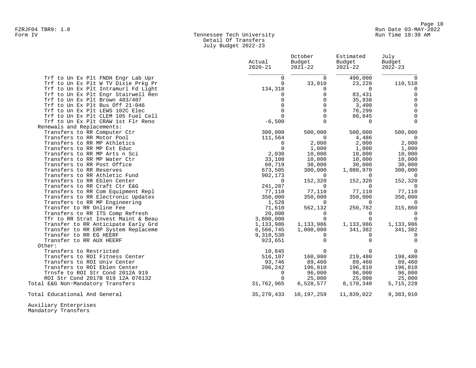#### Form IV Tennessee Tech University Run Time 10:30 AM Detail Of Transfers July Budget 2022-23

|                                                                                                                  | Actual<br>$2020 - 21$           | October<br>Budget<br>$2021 - 22$ | Estimated<br>Budget<br>$2021 - 22$ | July<br>Budget<br>$2022 - 23$   |
|------------------------------------------------------------------------------------------------------------------|---------------------------------|----------------------------------|------------------------------------|---------------------------------|
| Trf to Un Ex Plt FNDH Engr Lab Upr<br>Trf to Un Ex Plt W TV Dixie Prkg Pr<br>Trf to Un Ex Plt Intramurl Fd Light | $\Omega$<br>$\Omega$<br>134,318 | $\Omega$<br>33,010<br>$\Omega$   | 490,000<br>23,228<br>$\Omega$      | $\Omega$<br>110,510<br>$\Omega$ |
| Trf to Un Ex Plt Engr Stairwell Ren                                                                              | 0                               | $\Omega$                         | 83,431                             | $\mathbf 0$                     |
| Trf to Un Ex Plt Brown 403/407                                                                                   | $\Omega$<br>$\overline{0}$      | $\Omega$<br>$\mathbf 0$          | 35,938<br>3,400                    | $\Omega$<br>$\mathbf 0$         |
| Trf to Un Ex Plt Bus Off 21-046<br>Trf to Un Ex Plt LEWS 102C Elec                                               | $\Omega$                        | $\Omega$                         | 70,299                             | $\Omega$                        |
| Trf to Un Ex Plt CLEM 105 Fuel Cell                                                                              | $\Omega$                        | $\Omega$                         | 80,845                             | $\Omega$                        |
| Trf to Un Ex Plt CRAW 1st Flr Reno                                                                               | $-6,500$                        | $\Omega$                         | $\Omega$                           | $\Omega$                        |
| Renewals and Replacements:                                                                                       |                                 |                                  |                                    |                                 |
| Transfers to RR Computer Ctr                                                                                     | 300,000                         | 500,000                          | 500,000                            | 500,000                         |
| Transfers to RR Motor Pool                                                                                       | 111,564                         | $\Omega$                         | 4,486                              |                                 |
| Transfers to RR MP Athletics                                                                                     | 0                               | 2,000                            | 2,000                              | 2,000                           |
| Transfers to RR MP Ext Educ                                                                                      | $\mathbf 0$                     | 1,000                            | 1,000                              | 1,000                           |
| Transfers to RR MP Arts n Sci                                                                                    | 2,030                           | 10,000                           | 10,000                             | 10,000                          |
| Transfers to RR MP Water Ctr                                                                                     | 33,108                          | 10,000                           | 10,000                             | 10,000                          |
| Transfers to RR Post Office                                                                                      | 60,719                          | 30,000                           | 30,000                             | 30,000                          |
| Transfers to RR Reserves                                                                                         | 673,505                         | 300,000                          | 1,080,970                          | 300,000                         |
| Transfers to RR Athletic Fund                                                                                    | 902,173                         | $\Omega$                         | $\Omega$                           | $\Omega$                        |
| Transfers to RR Eblen Center                                                                                     | $\mathbf{0}$                    | 152,320                          | 152,320                            | 152,320                         |
| Transfers to RR Craft Ctr E&G                                                                                    | 241,287                         | $\Omega$                         | $\Omega$                           | $\Omega$                        |
| Transfers to RR Com Equipment Repl                                                                               | 77,110                          | 77,110                           | 77,110                             | 77,110                          |
| Transfers to RR Electronic Updates                                                                               | 350,000                         | 350,000                          | 350,000                            | 350,000                         |
| Transfers to RR MP Engineering                                                                                   | 1,528                           | $\Omega$                         | $\Omega$                           | $\Omega$                        |
| Transfer to RR Online Fee                                                                                        | 71,610                          | 562,132                          | 250,782                            | 315,860                         |
| Transfers to RR ITS Comp Refresh                                                                                 | 20,000                          | $\Omega$                         | $\Omega$                           | $\Omega$                        |
| Tfr to RR Strat Invest Maint & Beau                                                                              | 3,800,000                       | $\Omega$                         | $\mathbf 0$                        | $\Omega$                        |
| Transfer to RR Anticipate Early Grd                                                                              | 1,133,986                       | 1,133,986                        | 1,133,986                          | 1,133,986                       |
| Transfer to RR ERP System Replaceme                                                                              | 6,566,745                       | 1,000,000                        | 341,382                            | 341,382                         |
| Transfer to RR EG HEERF                                                                                          | 9,310,530                       | $\Omega$                         | $\Omega$                           | $\Omega$<br>$\cap$              |
| Transfer to RR AUX HEERF<br>Other:                                                                               | 923,651                         | $\Omega$                         | $\Omega$                           |                                 |
| Transfers to Restricted                                                                                          |                                 | $\Omega$                         | $\Omega$                           | $\Omega$                        |
| Transfers to ROI Fitness Center                                                                                  | 10,845<br>516,107               | 160,980                          | 219,480                            | 198,480                         |
| Transfers to ROI Univ Center                                                                                     | 93,746                          | 89,460                           | 89,460                             | 89,460                          |
| Transfers to ROI Eblen Center                                                                                    | 206,242                         | 196,810                          | 196,810                            | 196,810                         |
| Trnsfe to ROI Str Cond 2012A 919                                                                                 | $\mathbf{0}$                    | 96,000                           | 96,000                             | 96,000                          |
| ROI Str Cond 2017B 919 12A 076132                                                                                | $\Omega$                        | 25,000                           | 25,000                             | 25,000                          |
| Total E&G Non-Mandatory Transfers                                                                                | 31,762,965                      | 6,528,577                        | 8,170,340                          | 5,715,228                       |
| Total Educational And General                                                                                    | 35,270,433                      | 10,197,259                       | 11,839,022                         | 9,383,910                       |
| Auxiliary Enterprises                                                                                            |                                 |                                  |                                    |                                 |

Mandatory Transfers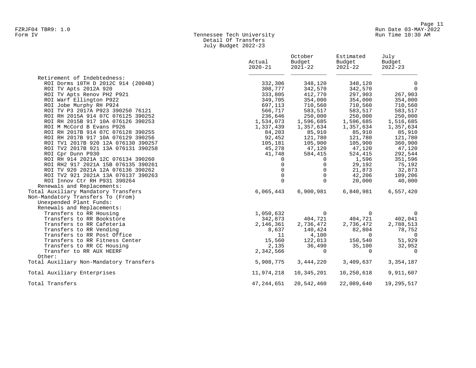#### Form IV Tennessee Tech University Run Time 10:30 AM Detail Of Transfers July Budget 2022-23

|                                         | Actual<br>$2020 - 21$ | October<br>Budget<br>$2021 - 22$ | Estimated<br>Budget<br>$2021 - 22$ | July<br>Budget<br>$2022 - 23$ |
|-----------------------------------------|-----------------------|----------------------------------|------------------------------------|-------------------------------|
| Retirement of Indebtedness:             |                       |                                  |                                    |                               |
| ROI Dorms 10TH D 2012C 914 (2004B)      | 332,306               | 348,120                          | 348,120                            | 0                             |
| ROI TV Apts 2012A 920                   | 308,777               | 342,570                          | 342,570                            | $\overline{0}$                |
| ROI TV Apts Renov PH2 P921              | 333,805               | 412,770                          | 297,903                            | 267,903                       |
| ROI Warf Ellington P922                 | 349,705               | 354,000                          | 354,000                            | 354,000                       |
| ROI Jobe Murphy RH P924                 | 697,113               | 710,560                          | 710,560                            | 710,560                       |
| ROI TV P3 2017A P923 390250 76121       | 566,717               | 583,517                          | 583,517                            | 583,517                       |
| ROI RH 2015A 914 07C 076125 390252      | 236,646               | 250,000                          | 250,000                            | 250,000                       |
| ROI RH 2015B 917 10A 076126 390253      | 1,534,073             | 1,596,685                        | 1,596,685                          | 1,516,685                     |
| ROI M McCord B Evans P926               | 1,337,439             | 1,357,634                        | 1,357,634                          | 1,357,634                     |
| ROI RH 2017B 914 07C 076128 390255      | 84,203                | 85,910                           | 85,910                             | 85,910                        |
| ROI RH 2017B 917 10A 076129 390256      | 92,452                | 121,780                          | 121,780                            | 121,780                       |
| ROI TV1 2017B 920 12A 076130 390257     | 105,181               | 105,900                          | 105,900                            | 360,900                       |
| ROI TV2 2017B 921 13A 076131 390258     | 45,278                | 47,120                           | 47,120                             | 47,120                        |
| ROI Cpr Dunn P930                       | 41,748                | 584,415                          | 524,415                            | 292,544                       |
| ROI RH 914 2021A 12C 076134 390260      | $\Omega$              | $\Omega$                         | 1,596                              | 351,596                       |
| ROI RH2 917 2021A 15B 076135 390261     | $\Omega$              | $\mathbf 0$                      | 29,192                             | 75,192                        |
| ROI TV 920 2021A 12A 076136 390262      | $\mathbf 0$           | $\mathbf 0$                      | 21,873                             | 32,873                        |
| ROI TV2 921 2021A 13A 076137 390263     | $\mathbf 0$           | $\Omega$                         | 42,206                             | 109,206                       |
| ROI Innov Ctr RH P931 390264            | $\Omega$              | $\Omega$                         | 20,000                             | 40,000                        |
| Renewals and Replacements:              |                       |                                  |                                    |                               |
| Total Auxiliary Mandatory Transfers     | 6,065,443             | 6,900,981                        | 6,840,981                          | 6,557,420                     |
| Non-Mandatory Transfers To (From)       |                       |                                  |                                    |                               |
| Unexpended Plant Funds:                 |                       |                                  |                                    |                               |
| Renewals and Replacements:              |                       |                                  |                                    |                               |
| Transfers to RR Housing                 | 1,050,632             | $\overline{0}$                   | $\Omega$                           | $\Omega$                      |
| Transfers to RR Bookstore               | 342,873               | 404,721                          | 404,721                            | 402,041                       |
| Transfers to RR Cafeteria               | 2,146,361             | 2,736,472                        | 2,736,472                          | 2,788,513                     |
| Transfers to RR Vending                 | 8,637                 | 140,424                          | 82,804                             | 78,752                        |
| Transfers to RR Post Office             | 11                    | 4,100                            | $\Omega$                           | $\overline{0}$                |
| Transfers to RR Fitness Center          | 15,560                | 122,013                          | 150,540                            | 51,929                        |
| Transfers to RR CC Housing              | 2,135                 | 36,490                           | 35,100                             | 32,952                        |
| Transfer to RR AUX HEERF                | 2,342,566             | $\mathbf 0$                      | $\mathbf 0$                        | $\overline{0}$                |
| Other:                                  |                       |                                  |                                    |                               |
| Total Auxiliary Non-Mandatory Transfers | 5,908,775             | 3,444,220                        | 3,409,637                          | 3, 354, 187                   |
| Total Auxiliary Enterprises             | 11,974,218            | 10,345,201                       | 10,250,618                         | 9,911,607                     |
| Total Transfers                         | 47, 244, 651          | 20,542,460                       | 22,089,640                         | 19,295,517                    |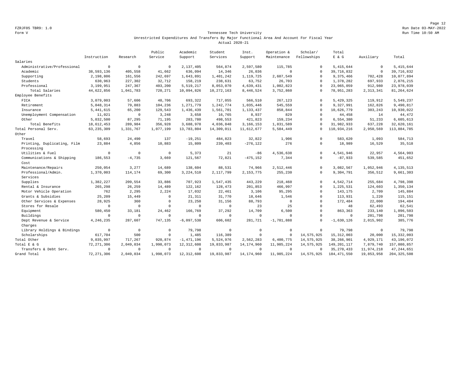Page 12 FZRJF05 TBR9: 1.0 Run Date 03-MAY-2022

#### Form V Tennessee Tech University **Tennessee Tech University** Run Time 10:50 AM Unrestricted Expenditures And Transfers By Major Functional Area And Account For Fiscal Year Actual 2020-21

|                                   |              |             | Public      | Academic       | Student      | Inst.        | Operation &  | Scholar/     | Total          |             |               |
|-----------------------------------|--------------|-------------|-------------|----------------|--------------|--------------|--------------|--------------|----------------|-------------|---------------|
|                                   | Instruction  | Research    | Service     | Support        | Services     | Support      | Maintenance  | Fellowships  | $E$ & $G$      | Auxiliary   | Total         |
| Salaries                          |              |             |             |                |              |              |              |              |                |             |               |
| Administrative/Professional       | $\mathbf 0$  | $\mathbf 0$ | $\mathbf 0$ | 2,137,405      | 564,874      | 2,597,580    | 115,785      | $\mathbf{0}$ | 5, 415, 644    | $\mathbf 0$ | 5, 415, 644   |
| Academic                          | 38,593,136   | 405,558     | 41,662      | 636,094        | 14,346       | 26,036       | $\mathbf{0}$ | $\circ$      | 39, 716, 832   | $\mathbb O$ | 39,716,832    |
| Supporting                        | 2,198,806    | 161,556     | 242,697     | 1,643,891      | 1,401,242    | 1,119,725    | 2,607,549    | $\circ$      | 9,375,466      | 702,428     | 10,077,894    |
| Students                          | 630,963      | 227,302     | 32,712      | 158,219        | 238,631      | 63,752       | 26,703       | $\Omega$     | 1,378,282      | 697,933     | 2,076,215     |
| Professional                      | 3,199,951    | 247,367     | 403,200     | 5,519,217      | 8,053,070    | 4,639,431    | 1,002,823    | $\Omega$     | 23,065,059     | 912,980     | 23,978,039    |
| Total Salaries                    | 44,622,856   | 1,041,783   | 720,271     | 10,094,826     | 10, 272, 163 | 8,446,524    | 3,752,860    | $\Omega$     | 78, 951, 283   | 2, 313, 341 | 81, 264, 624  |
| Employee Benefits                 |              |             |             |                |              |              |              |              |                |             |               |
| FICA                              | 3,079,003    | 57,606      | 48,706      | 693,322        | 717,055      | 566,510      | 267,123      | $\Omega$     | 5,429,325      | 119,912     | 5,549,237     |
| Retirement                        | 5,048,314    | 79,883      | 104,236     | 1,271,779      | 1,242,774    | 1,035,446    | 545,559      | $\Omega$     | 9,327,991      | 162,826     | 9,490,817     |
| Insurance                         | 5, 441, 615  | 65,200      | 129,543     | 1,436,439      | 1,561,701    | 1,133,437    | 858,844      | $\circ$      | 10,626,779     | 303,243     | 10,930,022    |
| Unemployment Compensation         | 11,021       | $\circ$     | 3,248       | 3,658          | 16,765       | 8,937        | 829          | $\Omega$     | 44,458         | 14          | 44,472        |
| Other                             | 5,032,500    | 87,295      | 71,195      | 283,780        | 498,553      | 421,823      | 159,234      | $\cap$       | 6,554,380      | 51,233      | 6,605,613     |
| Total Benefits                    | 18,612,453   | 289,984     | 356,928     | 3,688,978      | 4,036,848    | 3, 166, 153  | 1,831,589    | $\Omega$     | 31,982,933     | 637,228     | 32,620,161    |
| Total Personal Serv.              | 63, 235, 309 | 1,331,767   | 1.077.199   | 13,783,804     | 14,309,011   | 11,612,677   | 5,584,449    | $\circ$      | 110,934,216    | 2,950,569   | 113,884,785   |
| Other                             |              |             |             |                |              |              |              |              |                |             |               |
| Travel                            | 58,693       | 24,490      | 137         | $-19,251$      | 484,823      | 32,822       | 1,906        | $\Omega$     | 583,620        | 1,093       | 584,713       |
| Printing, Duplicating, Film       | 23,884       | 4,856       | 10,883      | 15,809         | 239,403      | $-276, 122$  | 276          | $\mathbf{0}$ | 18,989         | 16,529      | 35,518        |
| Processing                        |              |             |             |                |              |              |              |              |                |             |               |
| Utilities & Fuel                  | $\Omega$     | $\mathbf 0$ | $\Omega$    | 5,373          | 21           | $-86$        | 4,536,638    | $\Omega$     | 4,541,946      | 22,957      | 4,564,903     |
| Communications & Shipping         | 186,553      | $-4,735$    | 3,669       | 121,567        | 72,821       | $-475, 152$  | 7,344        | $\circ$      | $-87,933$      | 539,585     | 451,652       |
| Cost                              |              |             |             |                |              |              |              |              |                |             |               |
| Maintenance/Repairs               | 250.054      | 3,277       | 14,689      | 138,604        | 88,531       | 74,966       | 2,512,446    | $\circ$      | 3.082.567      | 1,052,946   | 4, 135, 513   |
| Professional/Admin.               | 1,370,003    | 114,174     | 69,300      | 3,224,510      | 2,117,799    | 2, 153, 775  | 255,230      | $\cap$       | 9,304,791      | 356,512     | 9,661,303     |
| Services                          |              |             |             |                |              |              |              |              |                |             |               |
| Supplies                          | 1,382,227    | 209,554     | 33,886      | 707,923        | 1,547,435    | 443,229      | 218,460      | $\circ$      | 4,542,714      | 255,684     | 4,798,398     |
| Rental & Insurance                | 265,298      | 26,259      | 14,489      | 122,162        | 128,473      | 201,853      | 466,997      | $\Omega$     | 1,225,531      | 124,603     | 1,350,134     |
| Motor Vehicle Operation           | 762          | 2,295       | 2,224       | 17,032         | 22,461       | 3,106        | 95,295       | $\cap$       | 143,175        | 2,709       | 145,884       |
| Grants & Subsidies                | 25,209       | 15,449      | $\circ$     | 21,311         | 31,770       | 18,646       | 1,546        | $\Omega$     | 113,931        | 1,220       | 115,151       |
| Other Services & Expenses         | 28,925       | 360         | $\mathbb O$ | 23,250         | 31,156       | 88,793       | $\mathbf{0}$ | $\circ$      | 172,484        | 22,000      | 194,484       |
| Stores for Resale                 | $\mathbf 0$  | $\mathbf 0$ | $\mathbf 0$ | $^{\circ}$     | $\circ$      | 23           | 25           | $\Omega$     | 48             | 62,493      | 62,541        |
| Equipment                         | 580,450      | 33,181      | 24,462      | 166,769        | 37,292       | 14,709       | 6,500        | $\Omega$     | 863,363        | 233,140     | 1,096,503     |
| Buildings                         | $^{\circ}$   | $\mathbf 0$ | $\mathbf 0$ | $\overline{0}$ | $\Omega$     | $\circ$      | $\Omega$     | $\Omega$     | $\overline{0}$ | 201,798     | 201,798       |
| Dept Revenue & Service<br>Charges | 4,246,235    | 287,607     | 747.135     | $-6,097,538$   | 606,602      | 281,721      | $-1,701,888$ | $\Omega$     | $-1,630,126$   | 2,015,902   | 385,776       |
| Library Holdings & Bindings       | $\mathbf 0$  | $\mathbf 0$ | $\mathbf 0$ | 79,798         | $\Omega$     | $\circ$      | $\mathbf{0}$ | $\circ$      | 79.798         | $\mathbf 0$ | 79.798        |
| Scholarships                      | 617,704      | 500         | $\mathbf 0$ | 1,485          | 116,389      | $\circ$      | $^{\circ}$   | 14,575,925   | 15, 312, 003   | 20,000      | 15, 332, 003  |
| Total Other                       | 9,035,997    | 717,267     | 920,874     | $-1,471,196$   | 5,524,976    | 2,562,283    | 6,400,775    | 14,575,925   | 38,266,901     | 4,929,171   | 43,196,072    |
| Total E & G                       | 72, 271, 306 | 2,049,034   | 1,998,073   | 12, 312, 608   | 19,833,987   | 14, 174, 960 | 11,985,224   | 14,575,925   | 149, 201, 117  | 7,879,740   | 157,080,857   |
| Transfers & Debt Serv.            | $\mathbf 0$  | $\mathbf 0$ | $^{\circ}$  | $\overline{0}$ | $\Omega$     | $^{\circ}$   | $^{\circ}$   | $\Omega$     | 35, 270, 433   | 11,974,218  | 47, 244, 651  |
| Grand Total                       | 72, 271, 306 | 2,049,034   | 1,998,073   | 12, 312, 608   | 19,833,987   | 14, 174, 960 | 11,985,224   | 14,575,925   | 184, 471, 550  | 19,853,958  | 204, 325, 508 |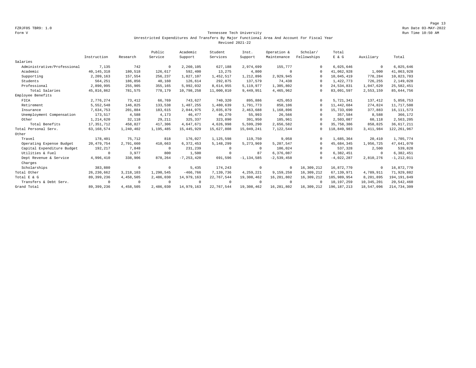Page 13 FZRJF05 TBR9: 1.0 Run Date 03-MAY-2022

#### Form V Tennessee Tech University Run Time 10:50 AM Unrestricted Expenditures And Transfers By Major Functional Area And Account For Fiscal Year Revised 2021-22

|                             |              |            | Public    | Academic       | Student    | Inst.          | Operation &  | Scholar/    | Total        |             |                |
|-----------------------------|--------------|------------|-----------|----------------|------------|----------------|--------------|-------------|--------------|-------------|----------------|
|                             | Instruction  | Research   | Service   | Support        | Services   | Support        | Maintenance  | Fellowships | E & G        | Auxiliary   | Total          |
| Salaries                    |              |            |           |                |            |                |              |             |              |             |                |
| Administrative/Professional | 7,135        | 742        | $\Omega$  | 2,260,105      | 627,188    | 2,974,699      | 155,777      | $\Omega$    | 6,025,646    | $\mathbf 0$ | 6,025,646      |
| Academic                    | 40.145.318   | 180,518    | 126,617   | 592,400        | 13,275     | 4,800          |              | $\cap$      | 41,062,928   | 1,000       | 41,063,928     |
| Supporting                  | 2,209,163    | 157,554    | 256,237   | 1,827,107      | 1,452,517  | 1,212,896      | 2,929,945    | $\cap$      | 10,045,419   | 778,284     | 10,823,703     |
| Students                    | 564,251      | 186,856    | 40,160    | 126,614        | 292,875    | 137,579        | 74,438       | $\Omega$    | 1,422,773    | 726,255     | 2,149,028      |
| Professional                | 2,890,995    | 255,905    | 355,165   | 5,992,032      | 8,614,955  | 5,119,977      | 1,305,802    | $\cap$      | 24,534,831   | 1,047,620   | 25,582,451     |
| Total Salaries              | 45,816,862   | 781,575    | 778,179   | 10,798,258     | 11,000,810 | 9,449,951      | 4,465,962    | $\Omega$    | 83,091,597   | 2,553,159   | 85,644,756     |
| Employee Benefits           |              |            |           |                |            |                |              |             |              |             |                |
| FICA                        | 2,776,274    | 73,412     | 66,769    | 743,627        | 740,320    | 895,886        | 425,053      | $\Omega$    | 5,721,341    | 137,412     | 5,858,753      |
| Retirement                  | 5,552,548    | 146,825    | 133,538   | 1,487,255      | 1,480,639  | 1,791,773      | 850,106      | $\Omega$    | 11, 442, 684 | 274,824     | 11,717,508     |
| Insurance                   | 7,634,753    | 201,884    | 183,615   | 2,044,975      | 2,035,879  | 2,463,688      | 1,168,896    | $\Omega$    | 15,733,690   | 377,883     | 16, 111, 573   |
| Unemployment Compensation   | 173,517      | 4,588      | 4,173     | 46,477         | 46,270     | 55,993         | 26,566       | $\Omega$    | 357,584      | 8,588       | 366,172        |
| Other                       | 1,214,620    | 32,118     | 29,211    | 325,337        | 323,890    | 391,950        | 185,961      | $\Omega$    | 2,503,087    | 60,118      | 2,563,205      |
| Total Benefits              | 17, 351, 712 | 458,827    | 417,306   | 4,647,671      | 4,626,998  | 5,599,290      | 2,656,582    | $\Omega$    | 35,758,386   | 858,825     | 36,617,211     |
| Total Personal Serv.        | 63, 168, 574 | 1,240,402  | 1,195,485 | 15, 445, 929   | 15,627,808 | 15,049,241     | 7,122,544    | $^{\circ}$  | 118,849,983  | 3, 411, 984 | 122, 261, 967  |
| Other                       |              |            |           |                |            |                |              |             |              |             |                |
| Travel                      | 178,401      | 75,712     | 818       | 176,027        | 1,125,598  | 119,750        | 9,058        | $\Omega$    | 1,685,364    | 20,410      | 1,705,774      |
| Operating Expense Budget    | 20, 479, 754 | 2,791,660  | 410,663   | 6,372,453      | 5,148,299  | 5,273,969      | 5,207,547    | $\Omega$    | 45,684,345   | 1,956,725   | 47,641,070     |
| Capital Expenditure Budget  | 192,217      | 7,848      | $\Omega$  | 231,239        | $\Omega$   | $\Omega$       | 106,024      |             | 537,328      | 2,500       | 539,828        |
| Utilities & Fuel            |              | 3,977      | 800       | 1,500          | $\Omega$   | 87             | 6,376,087    | $\Omega$    | 6,382,451    | $^{\circ}$  | 6,382,451      |
| Dept Revenue & Service      | 4,996,410    | 338,906    | 878,264   | $-7, 253, 420$ | 691,596    | $-1, 134, 585$ | $-2,539,458$ | $\Omega$    | $-4,022,287$ | 2,810,276   | $-1, 212, 011$ |
| Charges                     |              |            |           |                |            |                |              |             |              |             |                |
| Scholarships                | 383,880      | $^{\circ}$ | $\Omega$  | 5,435          | 174,243    | $^{\circ}$     | $^{\circ}$   | 16,309,212  | 16,872,770   | 0           | 16,872,770     |
| Total Other                 | 26, 230, 662 | 3,218,103  | 1,290,545 | $-466,766$     | 7,139,736  | 4.259.221      | 9,159,258    | 16,309,212  | 67,139,971   | 4,789,911   | 71,929,882     |
| Total E & G                 | 89, 399, 236 | 4,458,505  | 2,486,030 | 14,979,163     | 22,767,544 | 19,308,462     | 16, 281, 802 | 16,309,212  | 185,989,954  | 8,201,895   | 194, 191, 849  |
| Transfers & Debt Serv.      | $\Omega$     | $^{\circ}$ |           | $^{\circ}$     | $\Omega$   | $\Omega$       | $\Omega$     | $\Omega$    | 10,197,259   | 10,345,201  | 20,542,460     |
| Grand Total                 | 89, 399, 236 | 4,458,505  | 2,486,030 | 14,979,163     | 22,767,544 | 19,308,462     | 16,281,802   | 16,309,212  | 196.187.213  | 18,547,096  | 214,734,309    |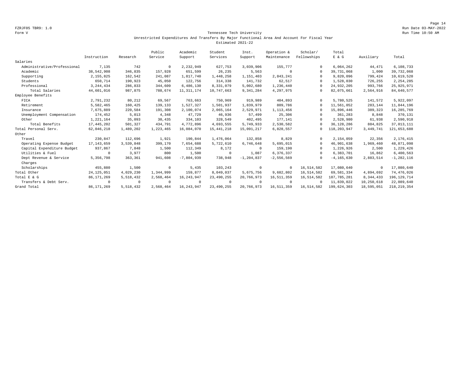Page 14 FZRJF05 TBR9: 1.0 Run Date 03-MAY-2022

#### Form V Tennessee Tech University Run Time 10:50 AM Unrestricted Expenditures And Transfers By Major Functional Area And Account For Fiscal Year Estimated 2021-22

|                             |              |            | Public    | Academic     | Student      | Inst.          | Operation &  | Scholar/    | Total          |            |                |
|-----------------------------|--------------|------------|-----------|--------------|--------------|----------------|--------------|-------------|----------------|------------|----------------|
|                             | Instruction  | Research   | Service   | Support      | Services     | Support        | Maintenance  | Fellowships | $E$ & $G$      | Auxiliary  | Total          |
| Salaries                    |              |            |           |              |              |                |              |             |                |            |                |
| Administrative/Professional | 7,135        | 742        | $\Omega$  | 2,232,949    | 627,753      | 3,039,906      | 155,777      | 0           | 6,064,262      | 44,471     | 6,108,733      |
| Academic                    | 38,542,908   | 346,835    | 157,928   | 651,599      | 26,235       | 5,563          | $^{\circ}$   | $\Omega$    | 39,731,068     | 1,000      | 39,732,068     |
| Supporting                  | 2,155,825    | 162,542    | 241,087   | 1,817,740    | 1,448,258    | 1,151,403      | 2,843,241    | $\Omega$    | 9,820,096      | 799,424    | 10,619,520     |
| Students                    | 650,714      | 190,923    | 45,050    | 122,756      | 314,338      | 141,732        | 62,517       | $\Omega$    | 1,528,030      | 726,255    | 2, 254, 285    |
| Professional                | 3, 244, 434  | 286,833    | 344,609   | 6,486,130    | 8,331,079    | 5,002,680      | 1,236,440    | $\Omega$    | 24,932,205     | 993,766    | 25, 925, 971   |
| Total Salaries              | 44,601,016   | 987,875    | 788,674   | 11, 311, 174 | 10,747,663   | 9,341,284      | 4,297,975    |             | 82,075,661     | 2,564,916  | 84,640,577     |
| Employee Benefits           |              |            |           |              |              |                |              |             |                |            |                |
| FICA                        | 2,791,232    | 80,212     | 69,567    | 763,663      | 750,969      | 919,989        | 404,893      | $\Omega$    | 5,780,525      | 141,572    | 5,922,097      |
| Retirement                  | 5,582,465    | 160,425    | 139,133   | 1,527,327    | 1,501,937    | 1,839,979      | 809,786      | $\cap$      | 11,561,052     | 283,144    | 11,844,196     |
| Insurance                   | 7,675,889    | 220,584    | 191,308   | 2,100,074    | 2,065,164    | 2,529,971      | 1,113,456    |             | 15,896,446     | 389,323    | 16,285,769     |
| Unemployment Compensation   | 174,452      | 5,013      | 4,348     | 47,729       | 46,936       | 57,499         | 25,306       |             | 361,283        | 8,848      | 370,131        |
| Other                       | 1,221,164    | 35,093     | 30,435    | 334,103      | 328,549      | 402,495        | 177,141      | $\cap$      | 2,528,980      | 61,938     | 2,590,918      |
| Total Benefits              | 17, 445, 202 | 501,327    | 434,791   | 4,772,896    | 4,693,555    | 5,749,933      | 2,530,582    |             | 36, 128, 286   | 884,825    | 37,013,111     |
| Total Personal Serv.        | 62,046,218   | 1,489,202  | 1,223,465 | 16,084,070   | 15, 441, 218 | 15,091,217     | 6,828,557    | $\Omega$    | 118,203,947    | 3,449,741  | 121,653,688    |
| Other                       |              |            |           |              |              |                |              |             |                |            |                |
| Travel                      | 230,847      | 112,696    | 1,921     | 190,844      | 1,476,064    | 132,858        | 8,829        |             | 2,154,059      | 22,356     | 2, 176, 415    |
| Operating Expense Budget    | 17.143.659   | 3,539,848  | 399,170   | 7.654.688    | 5,722,610    | 6,746,648      | 5,695,015    | $\Omega$    | 46,901,638     | 1,969,460  | 48,871,098     |
| Capital Expenditure Budget  | 937,867      | 7,848      | 1,500     | 112,349      | 8,172        | $\overline{0}$ | 159,190      | $\Omega$    | 1,226,926      | 2,500      | 1,229,426      |
| Utilities & Fuel            | $\Omega$     | 3,977      | 800       | 1,500        | $\mathbf 0$  | 1,087          | 6,376,337    | $\Omega$    | 6,383,701      | 16,862     | 6,400,563      |
| Dept Revenue & Service      | 5,356,798    | 363,361    | 941,608   | $-7,804,939$ | 738,948      | $-1, 204, 837$ | $-2,556,569$ | $\cap$      | $-4, 165, 630$ | 2,883,514  | $-1, 282, 116$ |
| Charges                     |              |            |           |              |              |                |              |             |                |            |                |
| Scholarships                | 455,880      | 1,500      | $\Omega$  | 5,435        | 103,243      | $^{\circ}$     | $^{\circ}$   | 16,514,582  | 17,080,640     | 0          | 17,080,640     |
| Total Other                 | 24, 125, 051 | 4,029,230  | 1,344,999 | 159,877      | 8,049,037    | 5.675.756      | 9,682,802    | 16,514,582  | 69,581,334     | 4,894,692  | 74,476,026     |
| Total E & G                 | 86, 171, 269 | 5,518,432  | 2,568,464 | 16, 243, 947 | 23, 490, 255 | 20,766,973     | 16,511,359   | 16,514,582  | 187, 785, 281  | 8,344,433  | 196, 129, 714  |
| Transfers & Debt Serv.      | $\Omega$     | $^{\circ}$ |           | $^{\circ}$   | $\Omega$     | $\Omega$       | $^{\circ}$   | $\cap$      | 11,839,022     | 10,250,618 | 22,089,640     |
| Grand Total                 | 86, 171, 269 | 5,518,432  | 2,568,464 | 16, 243, 947 | 23, 490, 255 | 20,766,973     | 16,511,359   | 16,514,582  | 199,624,303    | 18,595,051 | 218, 219, 354  |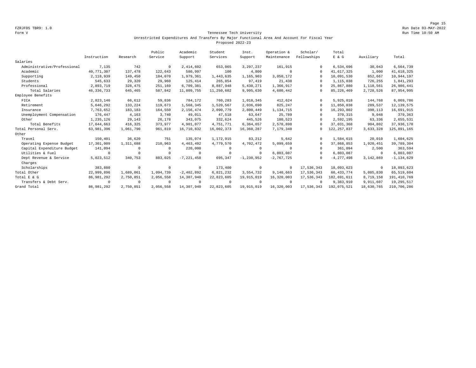Page 15 FZRJF05 TBR9: 1.0 Run Date 03-MAY-2022

#### Form V Tennessee Tech University Run Time 10:50 AM Unrestricted Expenditures And Transfers By Major Functional Area And Account For Fiscal Year Proposed 2022-23

|                             |              |            | Public    | Academic       | Student    | Inst.          | Operation &    | Scholar/    | Total          |            |                |
|-----------------------------|--------------|------------|-----------|----------------|------------|----------------|----------------|-------------|----------------|------------|----------------|
|                             | Instruction  | Research   | Service   | Support        | Services   | Support        | Maintenance    | Fellowships | E & G          | Auxiliary  | Total          |
| Salaries                    |              |            |           |                |            |                |                |             |                |            |                |
| Administrative/Professional | 7,135        | 742        | $\Omega$  | 2,414,602      | 653,065    | 3, 297, 237    | 161,915        |             | 6,534,696      | 30,043     | 6,564,739      |
| Academic                    | 40.771.307   | 137,478    | 122,643   | 580,997        | 100        | 4,800          | $\Omega$       | $\cap$      | 41,617,325     | 1,000      | 41,618,325     |
| Supporting                  | 2,118,939    | 149,450    | 184,070   | 1,979,361      | 1,443,635  | 1,165,903      | 3,050,172      | $\Omega$    | 10,091,530     | 852,667    | 10,944,197     |
| Students                    | 545,633      | 29,320     | 29,960    | 125,414        | 265,854    | 97,419         | 21,438         | $\Omega$    | 1,115,038      | 726,255    | 1,841,293      |
| Professional                | 2.893.719    | 328,475    | 251,169   | 6.709.381      | 8.887.948  | 5,430,271      | 1,366,917      | $\Omega$    | 25,867,880     | 1,118,561  | 26,986,441     |
| Total Salaries              | 46, 336, 733 | 645,465    | 587,842   | 11,809,755     | 11,250,602 | 9,995,630      | 4,600,442      | $\Omega$    | 85, 226, 469   | 2,728,526  | 87,954,995     |
| Employee Benefits           |              |            |           |                |            |                |                |             |                |            |                |
| FICA                        | 2,823,146    | 66,612     | 59,836    | 784,172        | 760,283    | 1,018,345      | 412,624        | $\Omega$    | 5,925,018      | 144,768    | 6,069,786      |
| Retirement                  | 5,646,292    | 133,224    | 119,673   | 1,568,345      | 1,520,567  | 2,036,690      | 825,247        | $\Omega$    | 11,850,038     | 289,537    | 12, 139, 575   |
| Insurance                   | 7,763,652    | 183,183    | 164,550   | 2,156,474      | 2,090,779  | 2,800,449      | 1,134,715      | $\Omega$    | 16,293,802     | 398,113    | 16,691,915     |
| Unemployment Compensation   | 176,447      | 4,163      | 3,740     | 49,011         | 47,518     | 63,647         | 25,789         | $\Omega$    | 370, 315       | 9,048      | 379,363        |
| Other                       | 1,235,126    | 29,143     | 26,178    | 343,075        | 332,624    | 445,526        | 180,523        | $\Omega$    | 2,592,195      | 63,336     | 2,655,531      |
| Total Benefits              | 17,644,663   | 416,325    | 373,977   | 4,901,077      | 4,751,771  | 6,364,657      | 2,578,898      | $\Omega$    | 37,031,368     | 904,802    | 37,936,170     |
| Total Personal Serv.        | 63,981,396   | 1,061,790  | 961,819   | 16,710,832     | 16,002,373 | 16,360,287     | 7,179,340      | 0           | 122, 257, 837  | 3,633,328  | 125,891,165    |
| Other                       |              |            |           |                |            |                |                |             |                |            |                |
| Travel                      | 150,401      | 36,620     | 751       | 135,074        | 1,172,915  | 83,212         | 5,642          | $\Omega$    | 1,584,615      | 20,010     | 1,604,625      |
| Operating Expense Budget    | 17,301,009   | 1,311,688  | 210,963   | 4,463,492      | 4,779,570  | 4,702,472      | 5,099,659      | $\Omega$    | 37,868,853     | 1,920,451  | 39,789,304     |
| Capital Expenditure Budget  | 141,094      | $\Omega$   |           | 220,000        | $\Omega$   | $\Omega$       | $\Omega$       |             | 361,094        | 2,500      | 363,594        |
| Utilities & Fuel            | $\Omega$     | $\Omega$   |           | $^{\circ}$     | $\cup$     | $\Omega$       | 6,803,087      | $\cap$      | 6,803,087      | 0          | 6,803,087      |
| Dept Revenue & Service      | 5,023,512    | 340,753    | 883,025   | $-7, 221, 458$ | 695,347    | $-1, 230, 952$ | $-2, 767, 725$ |             | $-4, 277, 498$ | 3,142,869  | $-1, 134, 629$ |
| Charges                     |              |            |           |                |            |                |                |             |                |            |                |
| Scholarships                | 383,880      | $^{\circ}$ | $\cup$    | $^{\circ}$     | 173,400    | $^{\circ}$     | $^{\circ}$     | 17,536,343  | 18,093,623     | $\circ$    | 18,093,623     |
| Total Other                 | 22,999,896   | 1,689,061  | 1,094,739 | $-2,402,892$   | 6,821,232  | 3.554.732      | 9,140,663      | 17,536,343  | 60, 433, 774   | 5,085,830  | 65,519,604     |
| Total E & G                 | 86,981,292   | 2,750,851  | 2,056,558 | 14,307,940     | 22,823,605 | 19,915,019     | 16,320,003     | 17,536,343  | 182,691,611    | 8,719,158  | 191, 410, 769  |
| Transfers & Debt Serv.      | $\Omega$     | $^{\circ}$ |           | $^{\circ}$     | $\circ$    | $\Omega$       | $\Omega$       | $\Omega$    | 9,383,910      | 9,911,607  | 19,295,517     |
| Grand Total                 | 86,981,292   | 2,750,851  | 2,056,558 | 14,307,940     | 22,823,605 | 19,915,019     | 16,320,003     | 17,536,343  | 192,075,521    | 18,630,765 | 210,706,286    |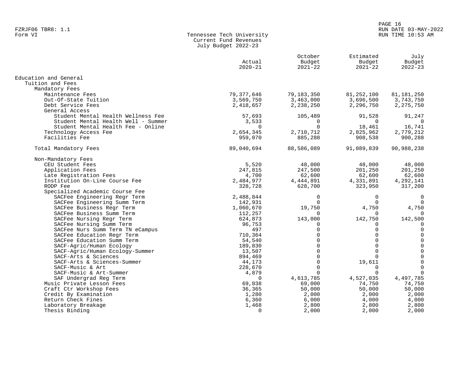#### PAGE 16 FZRJF06 TBR8: 1.1 RUN DATE 03-MAY-2022 RUN TIME 10:53 AM

| Form VI | Tennessee Tech University |
|---------|---------------------------|
|         | Current Fund Revenues     |
|         | July Budget 2022-23       |

|                                                             | Actual<br>$2020 - 21$ | October<br>Budget<br>$2021 - 22$ | Estimated<br>Budget<br>$2021 - 22$ | July<br>Budget<br>$2022 - 23$ |
|-------------------------------------------------------------|-----------------------|----------------------------------|------------------------------------|-------------------------------|
| Education and General                                       |                       |                                  |                                    |                               |
| Tuition and Fees                                            |                       |                                  |                                    |                               |
| Mandatory Fees                                              |                       |                                  |                                    |                               |
| Maintenance Fees                                            | 79,377,646            | 79,183,350                       | 81, 252, 100                       | 81,181,250                    |
| Out-Of-State Tuition                                        | 3,569,750             | 3,463,000                        | 3,696,500                          | 3,743,750                     |
| Debt Service Fees                                           | 2,418,657             | 2,238,250                        | 2,296,750                          | 2, 275, 750                   |
| General Access                                              |                       |                                  |                                    |                               |
| Student Mental Health Wellness Fee                          | 57,693                | 105,489                          | 91,528                             | 91,247                        |
| Student Mental Health Well - Summer                         | 3,533<br>$\Omega$     | 0<br>$\Omega$                    | $\Omega$                           | $\overline{0}$                |
| Student Mental Health Fee - Online<br>Technology Access Fee | 2,654,345             | 2,710,712                        | 18,461<br>2,825,962                | 16,741<br>2,779,212           |
| Facilities Fee                                              | 959,070               | 885,288                          | 908,538                            | 900,288                       |
|                                                             |                       |                                  |                                    |                               |
| Total Mandatory Fees                                        | 89,040,694            | 88,586,089                       | 91,089,839                         | 90,988,238                    |
| Non-Mandatory Fees                                          |                       |                                  |                                    |                               |
| CEU Student Fees                                            | 5,520                 | 48,000                           | 48,000                             | 48,000                        |
| Application Fees                                            | 247,815               | 247,500                          | 201,250                            | 201,250                       |
| Late Registration Fees                                      | 4,700                 | 62,600                           | 62,600                             | 62,600                        |
| Institution On-Line Course Fee                              | 2,484,977             | 4,444,891                        | 4,331,891                          | 4,292,141                     |
| RODP Fee                                                    | 328,728               | 628,700                          | 323,950                            | 317,200                       |
| Specialized Academic Course Fee                             |                       |                                  |                                    |                               |
| SACFee Engineering Regr Term                                | 2,488,844             | 0                                | 0                                  | 0                             |
| SACFee Engineering Summ Term                                | 142,931               | 0                                | $\Omega$                           | $\Omega$                      |
| SACFee Business Regr Term                                   | 1,060,670             | 19,750                           | 4,750                              | 4,750                         |
| SACFee Business Summ Term                                   | 112,257               | $\Omega$                         | $\Omega$                           | $\Omega$                      |
| SACFee Nursing Regr Term                                    | 624,873               | 143,000                          | 142,750                            | 142,500                       |
| SACFee Nursing Summ Term                                    | 96,753                | 0                                | 0                                  | 0                             |
| SACFee Nurs Summ Term TN eCampus                            | 497                   | $\Omega$                         | $\Omega$                           | $\mathsf 0$                   |
| SACFee Education Regr Term                                  | 710,364               | $\Omega$                         | $\Omega$                           | $\mathbf 0$                   |
| SACFee Education Summ Term                                  | 54,540                | $\Omega$                         | $\Omega$                           | $\mathbf 0$                   |
| SACF-Agric/Human Ecology                                    | 189,830               | $\Omega$                         | $\Omega$                           | $\Omega$                      |
| SACF-Agric/Human Ecology-Summer                             | 13,507                | $\Omega$                         | $\Omega$                           | $\mathsf{O}\xspace$           |
| SACF-Arts & Sciences                                        | 894,469               | $\Omega$                         | $\Omega$                           | $\mathsf{O}\xspace$           |
| SACF-Arts & Sciences-Summer                                 | 44,173                | $\Omega$                         | 19,611                             | $\mathsf 0$                   |
| SACF-Music & Art                                            | 228,670               | $\Omega$                         | 0                                  | $\mathbf 0$                   |
| SACF-Music & Art-Summer                                     | 4,879                 | $\Omega$                         | $\cap$                             | $\Omega$                      |
| SAF Undergrad Reg Term                                      | $\Omega$              | 4,613,785                        | 4,527,035                          | 4,497,785                     |
| Music Private Lesson Fees                                   | 69,038                | 69,000                           | 74,750                             | 74,750                        |
| Craft Ctr Workshop Fees                                     | 36,365                | 50,000                           | 50,000                             | 50,000                        |
| Credit By Examination                                       | 1,280                 | 2,000                            | 2,000                              | 2,000                         |
| Return Check Fines                                          | 6,360                 | 6,000                            | 4,000                              | 4,000                         |
| Laboratory Breakage                                         | 1,468                 | 2,800                            | 2,800                              | 2,800                         |
| Thesis Binding                                              | $\mathbf 0$           | 2,000                            | 2,000                              | 2,000                         |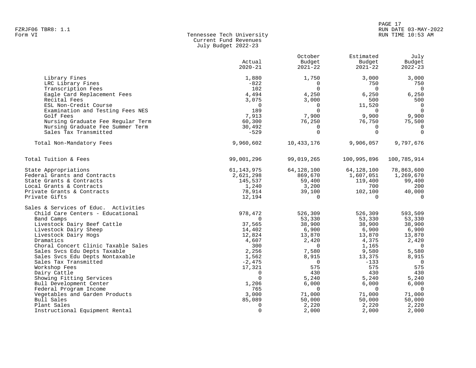# PAGE 17 FZRJF06 TBR8: 1.1 RUN DATE 03-MAY-2022

#### Form VI Tennessee Tech University RUN TIME 10:53 AM Current Fund Revenues July Budget 2022-23

|                                      | Actual<br>$2020 - 21$ | October<br>Budget<br>$2021 - 22$ | Estimated<br>Budget<br>$2021 - 22$ | July<br>Budget<br>$2022 - 23$ |
|--------------------------------------|-----------------------|----------------------------------|------------------------------------|-------------------------------|
| Library Fines                        | 1,880                 | 1,750                            | 3,000                              | 3,000                         |
| LRC Library Fines                    | $-822$                | $\Omega$                         | 750                                | 750                           |
| Transcription Fees                   | 102                   | $\Omega$                         | $\Omega$                           | $\overline{0}$                |
| Eagle Card Replacement Fees          | 4,494                 | 4,250                            | 6,250                              | 6,250                         |
| Recital Fees                         | 3,075                 | 3,000                            | 500                                | 500                           |
| ESL Non-Credit Course                | $\mathbf 0$           | $\Omega$                         | 11,520                             | $\overline{0}$                |
| Examination and Testing Fees NES     | 189                   | $\Omega$                         | $\Omega$                           | $\overline{0}$                |
| Golf Fees                            | 7,913                 | 7,900                            | 9,900                              | 9,900                         |
| Nursing Graduate Fee Regular Term    | 60,300                | 76,250                           | 76,750                             | 75,500                        |
| Nursing Graduate Fee Summer Term     | 30,492                | $\Omega$                         | $\Omega$                           | $\Omega$                      |
| Sales Tax Transmitted                | $-529$                | $\Omega$                         | $\mathbf 0$                        | $\mathbf 0$                   |
| Total Non-Mandatory Fees             | 9,960,602             | 10,433,176                       | 9,906,057                          | 9,797,676                     |
| Total Tuition & Fees                 | 99,001,296            | 99,019,265                       | 100,995,896                        | 100,785,914                   |
| State Appropriations                 | 61, 143, 975          | 64,128,100                       | 64,128,100                         | 78,863,600                    |
| Federal Grants and Contracts         | 2,621,298             | 869,670                          | 1,607,051                          | 1,269,670                     |
| State Grants & Contracts             | 145,537               | 59,400                           | 119,400                            | 99,400                        |
| Local Grants & Contracts             | 1,240                 | 3,200                            | 700                                | 200                           |
| Private Grants & Contracts           | 78,914                | 39,100                           | 102,100                            | 40,000                        |
| Private Gifts                        | 12,194                | $\Omega$                         | $\Omega$                           | $\Omega$                      |
| Sales & Services of Educ. Activities |                       |                                  |                                    |                               |
| Child Care Centers - Educational     | 978,472               | 526,309                          | 526,309                            | 593,509                       |
| Band Camps                           | $\Omega$              | 53,330                           | 53,330                             | 53,330                        |
| Livestock Dairy Beef Cattle          | 37,565                | 38,900                           | 38,900                             | 38,900                        |
| Livestock Dairy Sheep                | 14,402                | 6,900                            | 6,900                              | 6,900                         |
| Livestock Dairy Hogs                 | 12,824                | 13,870                           | 13,870                             | 13,870                        |
| Dramatics                            | 4,607                 | 2,420                            | 4,375                              | 2,420                         |
| Choral Concert Clinic Taxable Sales  | 300                   | $\Omega$                         | 1,165                              | $\overline{\phantom{0}}$      |
| Sales Svcs Edu Depts Taxable         | 2,256                 | 7,580                            | 9,580                              | 5,580                         |
| Sales Svcs Edu Depts Nontaxable      | 1,562                 | 8,915                            | 13,375                             | 8,915                         |
| Sales Tax Transmitted                | $-2,475$              | $\Omega$                         | $-133$                             | $\Omega$                      |
| Workshop Fees                        | 17,321                | 575                              | 575                                | 575                           |
| Dairy Cattle                         | 0                     | 430                              | 430                                | 430                           |
| Showing Fitting Services             | $\Omega$              | 5,240                            | 5,240                              | 5,240                         |
| Bull Development Center              | 1,206                 | 6,000                            | 6,000                              | 6,000                         |
| Federal Program Income               | 765                   | $\Omega$                         | $\Omega$                           | $\overline{0}$                |
| Vegetables and Garden Products       | 3,000                 | 71,000                           | 71,000                             | 71,000                        |
| Bull Sales                           | 85,089                | 50,000                           | 50,000                             | 50,000                        |
| Plant Sales                          | $\mathbf 0$           | 2,220                            | 2,220                              | 2,220                         |
| Instructional Equipment Rental       | $\Omega$              | 2,000                            | 2,000                              | 2,000                         |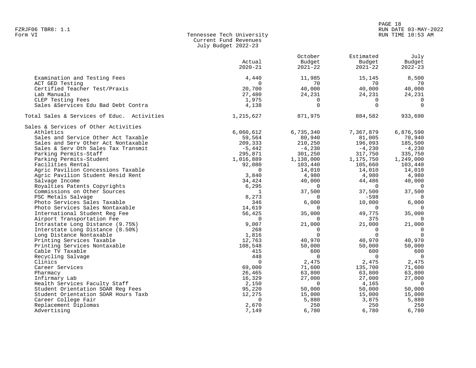#### PAGE 18 FZRJF06 TBR8: 1.1 RUN DATE 03-MAY-2022 RUN TIME 10:53 AM

| Form VI | Tennessee Tech University |
|---------|---------------------------|
|         | Current Fund Revenues     |
|         | July Budget 2022-23       |

|                                            |             | October     | Estimated   | July           |
|--------------------------------------------|-------------|-------------|-------------|----------------|
|                                            | Actual      | Budget      | Budget      | Budget         |
|                                            | $2020 - 21$ | $2021 - 22$ | $2021 - 22$ | $2022 - 23$    |
|                                            |             |             |             |                |
| Examination and Testing Fees               | 4,440       | 11,985      | 15,145      | 8,500          |
| ACT GED Testing                            | $\Omega$    | 70          | 70          | 70             |
| Certified Teacher Test/Praxis              | 20,700      | 40,000      | 40,000      | 40,000         |
| Lab Manuals                                | 27,480      | 24,231      | 24,231      | 24,231         |
| CLEP Testing Fees                          | 1,975       | $\mathbf 0$ | $\Omega$    | $\Omega$       |
| Sales &Services Edu Bad Debt Contra        | 4,138       | $\Omega$    | $\Omega$    | $\Omega$       |
| Total Sales & Services of Educ. Activities | 1,215,627   | 871,975     | 884,582     | 933,690        |
| Sales & Services of Other Activities       |             |             |             |                |
| Athletics                                  | 6,060,612   | 6,735,340   | 7,367,879   | 6,876,590      |
| Sales and Service Other Act Taxable        | 59,564      | 80,940      | 81,005      | 70,940         |
| Sales and Serv Other Act Nontaxable        | 209,333     | 210,250     | 196,093     | 185,500        |
| Sales & Serv Oth Sales Tax Transmit        | $-5,442$    | $-4,230$    | $-4,230$    | $-4,230$       |
| Parking Permits-Staff                      | 295,871     | 301,250     | 317,750     | 335,750        |
| Parking Permits-Student                    | 1,016,889   | 1,138,000   | 1,175,750   | 1,249,000      |
| Facilities Rental                          | 92,080      | 103,440     | 105,660     | 103,440        |
| Agric Pavilion Concessions Taxable         | $\Omega$    | 14,010      | 14,010      | 14,010         |
| Agric Pavilion Student Resid Rent          | 3,840       | 4,980       | 4,980       | 4,980          |
| Salvage Income                             | 34,424      | 40,000      | 44,486      | 40,000         |
| Royalties Patents Copyrights               | 6,295       | $\Omega$    | $\Omega$    | $\overline{0}$ |
| Commissions on Other Sources               | 1           | 37,500      | 37,500      | 37,500         |
| PSC Metals Salvage                         | 8,273       | $\Omega$    | $-598$      |                |
| Photo Services Sales Taxable               | 346         | 6,000       | 10,000      | 6,000          |
| Photo Services Sales Nontaxable            | 14,619      | $\Omega$    | $\Omega$    | $\Omega$       |
| International Student Reg Fee              | 56,425      | 35,000      | 49,775      | 35,000         |
| Airport Transportation Fee                 | $\Omega$    | $\Omega$    | 375         | $\Omega$       |
| Intrastate Long Distance (9.75%)           | 9,007       | 21,000      | 21,000      | 21,000         |
| Interstate Long Distance (8.50%)           | 268         | $\mathbf 0$ | $\Omega$    | $\overline{0}$ |
| Long Distance Nontaxable                   | 1,816       | $\Omega$    | $\Omega$    | $\overline{0}$ |
|                                            |             |             |             | 40,970         |
| Printing Services Taxable                  | 12,763      | 40,970      | 40,970      |                |
| Printing Services Nontaxable               | 108,548     | 50,000      | 50,000      | 50,000         |
| Cable TV Taxable                           | 415         | 600         | 600         | 600            |
| Recycling Salvage                          | 448         | $\mathbf 0$ | $\mathbf 0$ | $\overline{0}$ |
| Clinics                                    | $\Omega$    | 2,475       | 2,475       | 2,475          |
| Career Services                            | 69,000      | 71,600      | 135,700     | 71,600         |
| Pharmacy                                   | 26,465      | 63,800      | 63,800      | 63,800         |
| Infirmary Lab                              | 16,329      | 27,000      | 27,000      | 27,000         |
| Health Services Faculty Staff              | 2,150       | $\Omega$    | 4,165       | $\overline{0}$ |
| Student Orientation SOAR Reg Fees          | 95,220      | 50,000      | 50,000      | 50,000         |
| Student Orientation SOAR Hours Taxb        | 12,275      | 15,000      | 15,000      | 15,000         |
| Career College Fair                        | $\Omega$    | 5,880       | 3,875       | 5,880          |
| Replacement Diplomas                       | 2,670       | 250         | 250         | 250            |
| Advertising                                | 7,149       | 6,780       | 6,780       | 6,780          |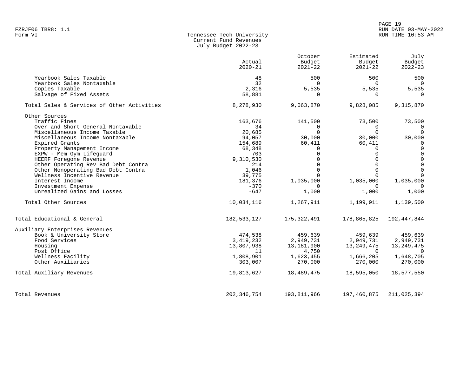|                                            | ouly budget soss so   |                                  |                                    |                               |
|--------------------------------------------|-----------------------|----------------------------------|------------------------------------|-------------------------------|
|                                            | Actual<br>$2020 - 21$ | October<br>Budget<br>$2021 - 22$ | Estimated<br>Budget<br>$2021 - 22$ | July<br>Budget<br>$2022 - 23$ |
| Yearbook Sales Taxable                     | 48                    | 500                              | 500                                | 500                           |
| Yearbook Sales Nontaxable                  | 32                    | $\Omega$                         | $\Omega$                           | $\overline{0}$                |
| Copies Taxable                             | 2,316                 | 5,535                            | 5,535                              | 5,535                         |
| Salvage of Fixed Assets                    | 58,881                | $\Omega$                         | $\Omega$                           | $\Omega$                      |
| Total Sales & Services of Other Activities | 8,278,930             | 9,063,870                        | 9,828,085                          | 9,315,870                     |
| Other Sources                              |                       |                                  |                                    |                               |
| Traffic Fines                              | 163,676               | 141,500                          | 73,500                             | 73,500                        |
| Over and Short General Nontaxable          | 34                    | 0                                | 0                                  | $\overline{0}$                |
| Miscellaneous Income Taxable               | 20,685                | $\Omega$                         | $\Omega$                           | $\Omega$                      |
| Miscellaneous Income Nontaxable            | 94,057                | 30,000                           | 30,000                             | 30,000                        |
| Expired Grants                             | 154,689               | 60,411                           | 60,411                             | $\mathbf 0$                   |
| Property Management Income                 | 68,348                | $\Omega$                         | $\Omega$                           | $\Omega$                      |
| EXPW - Mem Gym Lifequard                   | 703                   | $\Omega$                         | $\Omega$                           | $\mathsf 0$                   |
| HEERF Foregone Revenue                     | 9,310,530             | $\Omega$                         | $\Omega$                           | $\mathsf 0$                   |
| Other Operating Rev Bad Debt Contra        | 214                   | $\Omega$                         | $\Omega$                           | $\mathsf{O}\xspace$           |
| Other Nonoperating Bad Debt Contra         | 1,046                 | $\Omega$                         | $\Omega$                           | $\mathbf{0}$                  |
| Wellness Incentive Revenue                 | 39,775                |                                  | $\Omega$                           | $\Omega$                      |
| Interest Income                            | 181,376               | 1,035,000                        | 1,035,000                          | 1,035,000                     |
| Investment Expense                         | $-370$                | $\Omega$                         | $\Omega$                           | $\Omega$                      |
| Unrealized Gains and Losses                | $-647$                | 1,000                            | 1,000                              | 1,000                         |
| Total Other Sources                        | 10,034,116            | 1,267,911                        | 1,199,911                          | 1,139,500                     |
| Total Educational & General                | 182, 533, 127         | 175,322,491                      | 178,865,825                        | 192,447,844                   |
| Auxiliary Enterprises Revenues             |                       |                                  |                                    |                               |
| Book & University Store                    | 474,538               | 459,639                          | 459,639                            | 459,639                       |
| Food Services                              | 3,419,232             | 2,949,731                        | 2,949,731                          | 2,949,731                     |
| Housing                                    | 13,807,938            | 13,181,900                       | 13, 249, 475                       | 13, 249, 475                  |
| Post Office                                | 11                    | 4,750                            | $\Omega$                           | $\cap$                        |
| Wellness Facility                          | 1,808,901             | 1,623,455                        | 1,666,205                          | 1,648,705                     |
| Other Auxiliaries                          | 303,007               | 270,000                          | 270,000                            | 270,000                       |
| Total Auxiliary Revenues                   | 19,813,627            | 18,489,475                       | 18,595,050                         | 18,577,550                    |
| Total Revenues                             | 202, 346, 754         | 193,811,966                      | 197,460,875                        | 211,025,394                   |

Tennessee Tech University Current Fund Revenues July Budget 2022-23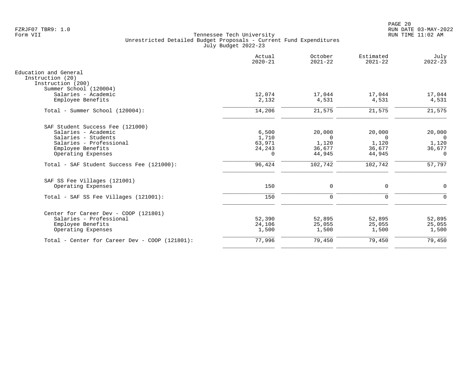|                                                | Actual<br>$2020 - 21$ | October<br>$2021 - 22$ | Estimated<br>$2021 - 22$ | July<br>$2022 - 23$ |
|------------------------------------------------|-----------------------|------------------------|--------------------------|---------------------|
| Education and General                          |                       |                        |                          |                     |
| Instruction (20)<br>Instruction (200)          |                       |                        |                          |                     |
| Summer School (120004)                         |                       |                        |                          |                     |
| Salaries - Academic                            | 12,074                | 17,044                 | 17,044                   | 17,044              |
| Employee Benefits                              | 2,132                 | 4,531                  | 4,531                    | 4,531               |
| Total - Summer School (120004):                | 14,206                | 21,575                 | 21,575                   | 21,575              |
| SAF Student Success Fee (121000)               |                       |                        |                          |                     |
| Salaries - Academic                            | 6,500                 | 20,000                 | 20,000                   | 20,000              |
| Salaries - Students                            | 1,710                 | $\Omega$               | $\Omega$                 | $\Omega$            |
| Salaries - Professional                        | 63,971                | 1,120                  | 1,120                    | 1,120               |
| Employee Benefits                              | 24, 243               | 36,677                 | 36,677                   | 36,677              |
| Operating Expenses                             | $\Omega$              | 44,945                 | 44,945                   | $\Omega$            |
| Total - SAF Student Success Fee (121000):      | 96,424                | 102,742                | 102,742                  | 57,797              |
| SAF SS Fee Villages (121001)                   |                       |                        |                          |                     |
| Operating Expenses                             | 150                   | $\mathbf 0$            | $\mathbf 0$              | $\Omega$            |
| Total - SAF SS Fee Villages (121001):          | 150                   | $\mathbf 0$            | $\mathbf 0$              | $\Omega$            |
| Center for Career Dev - COOP (121801)          |                       |                        |                          |                     |
| Salaries - Professional                        | 52,390                | 52,895                 | 52,895                   | 52,895              |
| Employee Benefits                              | 24,106                | 25,055                 | 25,055                   | 25,055              |
| Operating Expenses                             | 1,500                 | 1,500                  | 1,500                    | 1,500               |
| Total - Center for Career Dev - COOP (121801): | 77,996                | 79,450                 | 79,450                   | 79,450              |
|                                                |                       |                        |                          |                     |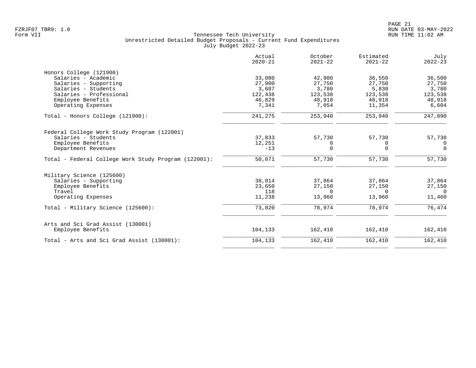|                                                      | Actual<br>$2020 - 21$ | October<br>$2021 - 22$ | Estimated<br>$2021 - 22$ | July<br>$2022 - 23$ |
|------------------------------------------------------|-----------------------|------------------------|--------------------------|---------------------|
| Honors College (121900)                              |                       |                        |                          |                     |
| Salaries - Academic                                  | 33,080                | 42,900                 | 36,550                   | 36,500              |
| Salaries - Supporting                                | 27,900                | 27,750                 | 27,750                   | 27,750              |
| Salaries - Students                                  | 3,687                 | 3,780                  | 5,830                    | 3,780               |
| Salaries - Professional                              | 122,438               | 123,538                | 123,538                  | 123,538             |
| Employee Benefits                                    | 46,829                | 48,918                 | 48,918                   | 48,918              |
| Operating Expenses                                   | 7,341                 | 7,054                  | 11,354                   | 6,604               |
| Total - Honors College (121900):                     | 241,275               | 253,940                | 253,940                  | 247,090             |
| Federal College Work Study Program (122001)          |                       |                        |                          |                     |
| Salaries - Students                                  | 37,833                | 57,730                 | 57,730                   | 57,730              |
| Employee Benefits                                    | 12,251                | 0                      | 0                        | $\Omega$            |
| Department Revenues                                  | $-13$                 | $\Omega$               | $\Omega$                 | $\Omega$            |
| Total - Federal College Work Study Program (122001): | 50,071                | 57,730                 | 57,730                   | 57,730              |
| Military Science (125600)                            |                       |                        |                          |                     |
| Salaries - Supporting                                | 38,014                | 37,864                 | 37,864                   | 37,864              |
| Employee Benefits                                    | 23,650                | 27,150                 | 27,150                   | 27,150              |
| Travel                                               | 118                   | $\Omega$               | $\cap$                   | $\Omega$            |
| Operating Expenses                                   | 11,238                | 13,960                 | 13,960                   | 11,460              |
| Total - Military Science (125600):                   | 73,020                | 78,974                 | 78,974                   | 76,474              |
| Arts and Sci Grad Assist (130001)                    |                       |                        |                          |                     |
| Employee Benefits                                    | 104,133               | 162,410                | 162,410                  | 162,410             |
| Total - Arts and Sci Grad Assist (130001):           | 104,133               | 162,410                | 162,410                  | 162,410             |
|                                                      |                       |                        |                          |                     |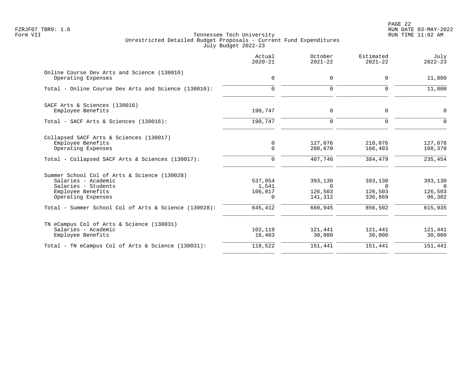PAGE 22 FZRJF07 TBR9: 1.0 RUN DATE 03-MAY-2022

|                                                                                                                                       | Actual<br>$2020 - 21$            | October<br>$2021 - 22$                    | Estimated<br>$2021 - 22$                  | July<br>$2022 - 23$                            |
|---------------------------------------------------------------------------------------------------------------------------------------|----------------------------------|-------------------------------------------|-------------------------------------------|------------------------------------------------|
| Online Course Dev Arts and Science (130010)<br>Operating Expenses                                                                     | 0                                | 0                                         | 0                                         | 11,800                                         |
| Total - Online Course Dev Arts and Science (130010):                                                                                  | $\Omega$                         | $\Omega$                                  | $\Omega$                                  | 11,800                                         |
| SACF Arts & Sciences (130016)<br>Employee Benefits                                                                                    | 190,747                          | 0                                         | 0                                         | $\mathbf 0$                                    |
| Total - SACF Arts & Sciences (130016):                                                                                                | 190,747                          | $\mathbf 0$                               | $\Omega$                                  | $\Omega$                                       |
| Collapsed SACF Arts & Sciences (130017)<br>Employee Benefits<br>Operating Expenses                                                    | 0<br>$\mathbf 0$                 | 127,076<br>280,670                        | 218,076<br>166,403                        | 127,076<br>108,378                             |
| Total - Collapsed SACF Arts & Sciences (130017):                                                                                      | 0                                | 407,746                                   | 384,479                                   | 235, 454                                       |
| Summer School Col of Arts & Science (130028)<br>Salaries - Academic<br>Salaries - Students<br>Employee Benefits<br>Operating Expenses | 537,054<br>1,541<br>106,817<br>0 | 393,130<br>$\Omega$<br>126,503<br>141,312 | 393,130<br>$\Omega$<br>126,503<br>336,869 | 393,130<br>$\overline{0}$<br>126,503<br>96,302 |
| Total - Summer School Col of Arts & Science (130028):                                                                                 | 645,412                          | 660,945                                   | 856,502                                   | 615,935                                        |
| TN eCampus Col of Arts & Science (130031)<br>Salaries - Academic<br>Employee Benefits                                                 | 102,119<br>16,403                | 121,441<br>30,000                         | 121,441<br>30,000                         | 121,441<br>30,000                              |
| Total - TN eCampus Col of Arts & Science (130031):                                                                                    | 118,522                          | 151,441                                   | 151,441                                   | 151,441                                        |
|                                                                                                                                       |                                  |                                           |                                           |                                                |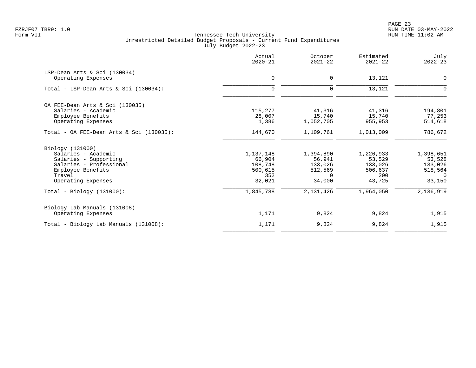PAGE 23 FZRJF07 TBR9: 1.0 RUN DATE 03-MAY-2022

|                                          | Actual<br>$2020 - 21$ | October<br>$2021 - 22$ | Estimated<br>$2021 - 22$ | July<br>$2022 - 23$ |
|------------------------------------------|-----------------------|------------------------|--------------------------|---------------------|
| LSP-Dean Arts & Sci (130034)             |                       |                        |                          |                     |
| Operating Expenses                       | 0                     | 0                      | 13,121                   | 0                   |
| Total - LSP-Dean Arts & Sci $(130034)$ : | $\Omega$              | $\mathbf 0$            | 13,121                   | 0                   |
| OA FEE-Dean Arts & Sci (130035)          |                       |                        |                          |                     |
| Salaries - Academic                      | 115,277               | 41,316                 | 41,316                   | 194,801             |
| Employee Benefits                        | 28,007                | 15,740                 | 15,740                   | 77,253              |
| Operating Expenses                       | 1,386                 | 1,052,705              | 955,953                  | 514,618             |
| Total - OA FEE-Dean Arts & Sci (130035): | 144,670               | 1,109,761              | 1,013,009                | 786,672             |
| Biology (131000)                         |                       |                        |                          |                     |
| Salaries - Academic                      | 1,137,148             | 1,394,890              | 1,226,933                | 1,398,651           |
| Salaries - Supporting                    | 66,904                | 56,941                 | 53,529                   | 53,528              |
| Salaries - Professional                  | 108,748               | 133,026                | 133,026                  | 133,026             |
| Employee Benefits                        | 500,615               | 512,569                | 506,637                  | 518,564             |
| Travel                                   | 352                   | $\Omega$               | 200                      | $\Omega$            |
| Operating Expenses                       | 32,021                | 34,000                 | 43,725                   | 33,150              |
| $Total - Biology (131000):$              | 1,845,788             | 2,131,426              | 1,964,050                | 2,136,919           |
| Biology Lab Manuals (131008)             |                       |                        |                          |                     |
| Operating Expenses                       | 1,171                 | 9,824                  | 9,824                    | 1,915               |
| Total - Biology Lab Manuals (131008):    | 1,171                 | 9,824                  | 9,824                    | 1,915               |
|                                          |                       |                        |                          |                     |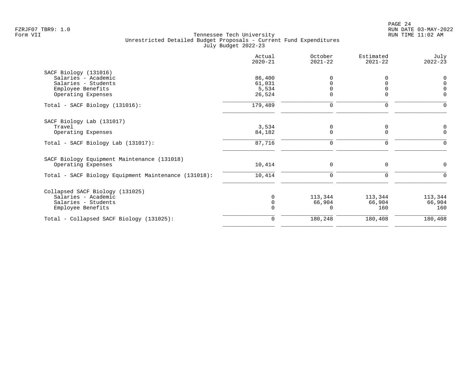|                                                      | Actual<br>$2020 - 21$ | October<br>$2021 - 22$ | Estimated<br>$2021 - 22$ | July<br>$2022 - 23$           |
|------------------------------------------------------|-----------------------|------------------------|--------------------------|-------------------------------|
| SACF Biology (131016)                                |                       |                        |                          |                               |
| Salaries - Academic                                  | 86,400                | $\Omega$               |                          | 0                             |
| Salaries - Students                                  | 61,031                | $\Omega$               |                          | $\mathsf 0$                   |
| Employee Benefits<br>Operating Expenses              | 5,534<br>26,524       | 0                      | 0                        | $\overline{0}$<br>$\mathbf 0$ |
|                                                      |                       |                        |                          |                               |
| Total - SACF Biology (131016):                       | 179,489               | $\mathbf 0$            | $\mathbf 0$              | $\Omega$                      |
| SACF Biology Lab (131017)                            |                       |                        |                          |                               |
| Travel                                               | 3,534                 | 0                      | 0                        | 0                             |
| Operating Expenses                                   | 84,182                | $\Omega$               | $\Omega$                 | $\overline{0}$                |
| Total - SACF Biology Lab (131017):                   | 87,716                | $\mathbf 0$            | $\mathbf 0$              | $\Omega$                      |
| SACF Biology Equipment Maintenance (131018)          |                       |                        |                          |                               |
| Operating Expenses                                   | 10,414                | $\mathbf 0$            | $\Omega$                 | $\Omega$                      |
| Total - SACF Biology Equipment Maintenance (131018): | 10,414                | $\mathbf 0$            | $\Omega$                 | $\Omega$                      |
| Collapsed SACF Biology (131025)                      |                       |                        |                          |                               |
| Salaries - Academic                                  | $\Omega$              | 113,344                | 113,344                  | 113,344                       |
| Salaries - Students                                  |                       | 66,904                 | 66,904                   | 66,904                        |
| Employee Benefits                                    |                       | 0                      | 160                      | 160                           |
| Total - Collapsed SACF Biology (131025):             | $\Omega$              | 180,248                | 180,408                  | 180,408                       |
|                                                      |                       |                        |                          |                               |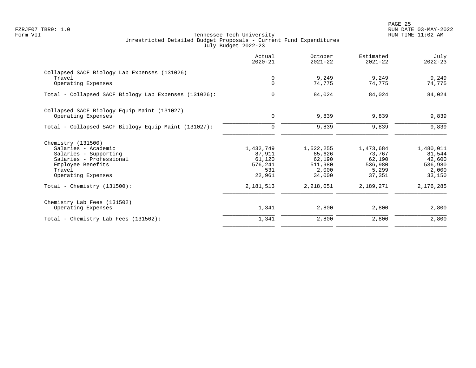|                                                       | Actual<br>$2020 - 21$ | October<br>$2021 - 22$ | Estimated<br>$2021 - 22$ | July<br>$2022 - 23$ |
|-------------------------------------------------------|-----------------------|------------------------|--------------------------|---------------------|
| Collapsed SACF Biology Lab Expenses (131026)          |                       |                        |                          |                     |
| Travel<br>Operating Expenses                          | 0<br>$\mathbf 0$      | 9,249<br>74,775        | 9,249<br>74,775          | 9,249<br>74,775     |
| Total - Collapsed SACF Biology Lab Expenses (131026): | $\mathbf 0$           | 84,024                 | 84,024                   | 84,024              |
| Collapsed SACF Biology Equip Maint (131027)           |                       |                        |                          |                     |
| Operating Expenses                                    | 0                     | 9,839                  | 9,839                    | 9,839               |
| Total - Collapsed SACF Biology Equip Maint (131027):  | $\mathbf 0$           | 9,839                  | 9,839                    | 9,839               |
| Chemistry (131500)                                    |                       |                        |                          |                     |
| Salaries - Academic                                   | 1,432,749             | 1,522,255              | 1,473,684                | 1,480,011           |
| Salaries - Supporting<br>Salaries - Professional      | 87,911<br>61,120      | 85,626<br>62,190       | 73,767<br>62,190         | 81,544<br>42,600    |
| Employee Benefits                                     | 576,241               | 511,980                | 536,980                  | 536,980             |
| Travel                                                | 531                   | 2,000                  | 5,299                    | 2,000               |
| Operating Expenses                                    | 22,961                | 34,000                 | 37,351                   | 33,150              |
| Total - Chemistry $(131500)$ :                        | 2,181,513             | 2,218,051              | 2,189,271                | 2,176,285           |
| Chemistry Lab Fees (131502)                           |                       |                        |                          |                     |
| Operating Expenses                                    | 1,341                 | 2,800                  | 2,800                    | 2,800               |
| Total - Chemistry Lab Fees (131502):                  | 1,341                 | 2,800                  | 2,800                    | 2,800               |
|                                                       |                       |                        |                          |                     |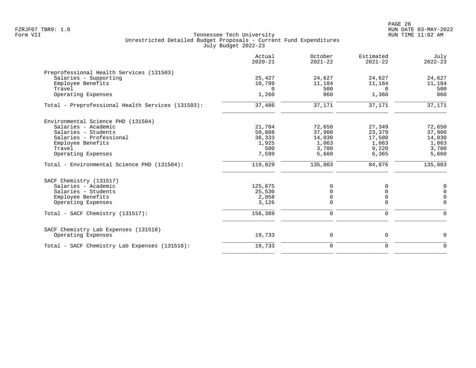PAGE 26 FZRJF07 TBR9: 1.0 RUN DATE 03-MAY-2022

|                                                   | Actual<br>$2020 - 21$ | October<br>$2021 - 22$ | Estimated<br>$2021 - 22$ | July<br>$2022 - 23$ |
|---------------------------------------------------|-----------------------|------------------------|--------------------------|---------------------|
| Preprofessional Health Services (131503)          |                       |                        |                          |                     |
| Salaries - Supporting                             | 25,427                | 24,627                 | 24,627                   | 24,627              |
| Employee Benefits                                 | 10,799                | 11,184                 | 11,184                   | 11,184              |
| Travel                                            | $\Omega$              | 500                    | $\Omega$                 | 500                 |
| Operating Expenses                                | 1,260                 | 860                    | 1,360                    | 860                 |
| Total - Preprofessional Health Services (131503): | 37,486                | 37,171                 | 37,171                   | 37,171              |
| Environmental Science PHD (131504)                |                       |                        |                          |                     |
| Salaries - Academic                               | 21,784                | 72,650                 | 27,349                   | 72,650              |
| Salaries - Students                               | 50,888                | 37,900                 | 23,379                   | 37,900              |
| Salaries - Professional                           | 36,333                | 14,030                 | 17,500                   | 14,030              |
| Employee Benefits                                 | 1,925                 | 1,063                  | 1,063                    | 1,063               |
| Travel                                            | 500                   | 3,700                  | 9,220                    | 3,700               |
| Operating Expenses                                | 7,599                 | 5,660                  | 6,365                    | 5,660               |
| Total - Environmental Science PHD (131504):       | 119,029               | 135,003                | 84,876                   | 135,003             |
| SACF Chemistry (131517)                           |                       |                        |                          |                     |
| Salaries - Academic                               | 125,675               | 0                      | 0                        | $\mathbf 0$         |
| Salaries - Students                               | 25,530                | $\mathbf 0$            | $\Omega$                 | $\mathbf 0$         |
| Employee Benefits                                 | 2,058                 | $\mathbf 0$            | 0                        | $\mathbf 0$         |
| Operating Expenses                                | 3,126                 | $\mathbf 0$            | 0                        | $\mathbf 0$         |
| Total - SACF Chemistry (131517):                  | 156,389               | $\mathbf 0$            | $\mathbf 0$              | $\mathbf 0$         |
| SACF Chemistry Lab Expenses (131518)              |                       |                        |                          |                     |
| Operating Expenses                                | 19,733                | 0                      | 0                        | $\mathbf 0$         |
| Total - SACF Chemistry Lab Expenses (131518):     | 19,733                | $\mathbf 0$            | $\mathbf 0$              | $\Omega$            |
|                                                   |                       |                        |                          |                     |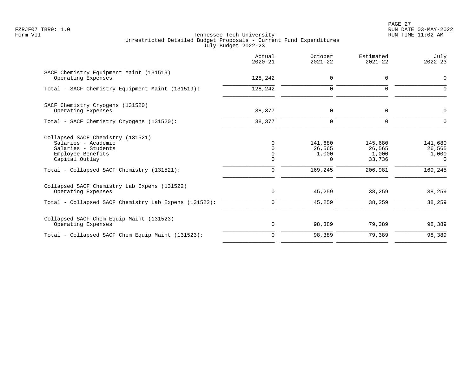PAGE 27 FZRJF07 TBR9: 1.0 RUN DATE 03-MAY-2022

|                                                                                                                                                                      | Actual<br>$2020 - 21$                                       | October<br>$2021 - 22$                            | Estimated<br>$2021 - 22$                        | July<br>$2022 - 23$                               |
|----------------------------------------------------------------------------------------------------------------------------------------------------------------------|-------------------------------------------------------------|---------------------------------------------------|-------------------------------------------------|---------------------------------------------------|
| SACF Chemistry Equipment Maint (131519)<br>Operating Expenses                                                                                                        | 128,242                                                     | 0                                                 | 0                                               | $\mathbf 0$                                       |
| Total - SACF Chemistry Equipment Maint (131519):                                                                                                                     | 128,242                                                     | $\mathbf 0$                                       | $\Omega$                                        | $\Omega$                                          |
| SACF Chemistry Cryogens (131520)<br>Operating Expenses                                                                                                               | 38,377                                                      | 0                                                 | $\mathbf 0$                                     | $\mathbf 0$                                       |
| Total - SACF Chemistry Cryogens (131520):                                                                                                                            | 38,377                                                      | $\mathbf 0$                                       | $\Omega$                                        | ∩                                                 |
| Collapsed SACF Chemistry (131521)<br>Salaries - Academic<br>Salaries - Students<br>Employee Benefits<br>Capital Outlay<br>Total - Collapsed SACF Chemistry (131521): | $\Omega$<br>$\Omega$<br>$\Omega$<br>$\Omega$<br>$\mathbf 0$ | 141,680<br>26,565<br>1,000<br>$\Omega$<br>169,245 | 145,680<br>26,565<br>1,000<br>33,736<br>206,981 | 141,680<br>26,565<br>1,000<br>$\Omega$<br>169,245 |
| Collapsed SACF Chemistry Lab Expens (131522)<br>Operating Expenses<br>Total - Collapsed SACF Chemistry Lab Expens (131522):                                          | $\mathbf 0$<br>0                                            | 45,259<br>45,259                                  | 38,259<br>38,259                                | 38,259<br>38,259                                  |
| Collapsed SACF Chem Equip Maint (131523)                                                                                                                             |                                                             |                                                   |                                                 |                                                   |
| Operating Expenses                                                                                                                                                   | 0                                                           | 98,389                                            | 79,389                                          | 98,389                                            |
| Total - Collapsed SACF Chem Equip Maint (131523):                                                                                                                    | $\Omega$                                                    | 98,389                                            | 79,389                                          | 98,389                                            |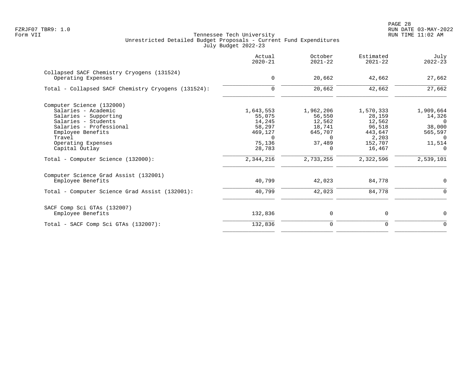|                                                                  | Actual<br>$2020 - 21$ | October<br>$2021 - 22$ | Estimated<br>$2021 - 22$ | July<br>$2022 - 23$ |
|------------------------------------------------------------------|-----------------------|------------------------|--------------------------|---------------------|
| Collapsed SACF Chemistry Cryogens (131524)<br>Operating Expenses | $\mathbf 0$           | 20,662                 | 42,662                   | 27,662              |
|                                                                  |                       |                        |                          |                     |
| Total - Collapsed SACF Chemistry Cryogens (131524):              | $\Omega$              | 20,662                 | 42,662                   | 27,662              |
| Computer Science (132000)                                        |                       |                        |                          |                     |
| Salaries - Academic                                              | 1,643,553             | 1,962,206              | 1,570,333                | 1,909,664           |
| Salaries - Supporting                                            | 55,075                | 56,550                 | 28,159                   | 14,326              |
| Salaries - Students                                              | 14,245                | 12,562                 | 12,562                   | $\Omega$            |
| Salaries - Professional                                          | 58,297                | 18,741                 | 96,518                   | 38,000              |
| Employee Benefits                                                | 469,127               | 645,707                | 443,647                  | 565,597             |
| Travel                                                           | $\Omega$              | $\Omega$               | 2,203                    | $\Omega$            |
| Operating Expenses                                               | 75,136                | 37,489                 | 152,707                  | 11,514              |
| Capital Outlay                                                   | 28,783                | $\Omega$               | 16,467                   | $\Omega$            |
| Total - Computer Science (132000):                               | 2,344,216             | 2,733,255              | 2,322,596                | 2,539,101           |
| Computer Science Grad Assist (132001)                            |                       |                        |                          |                     |
| Employee Benefits                                                | 40,799                | 42,023                 | 84,778                   | 0                   |
| Total - Computer Science Grad Assist (132001):                   | 40,799                | 42,023                 | 84,778                   | $\Omega$            |
| SACF Comp Sci GTAs (132007)                                      |                       |                        |                          |                     |
| Employee Benefits                                                | 132,836               | 0                      | 0                        | $\mathbf 0$         |
| Total - SACF Comp Sci GTAs (132007):                             | 132,836               | 0                      | 0                        | 0                   |
|                                                                  |                       |                        |                          |                     |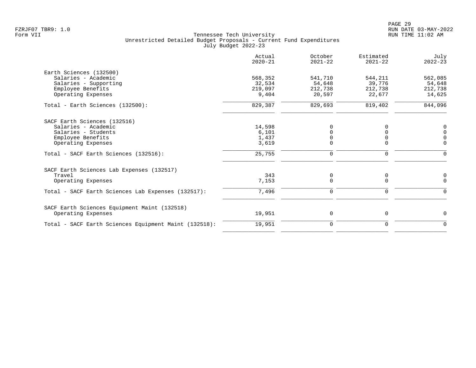|                                                       | Actual<br>$2020 - 21$ | October<br>$2021 - 22$ | Estimated<br>$2021 - 22$ | July<br>$2022 - 23$ |
|-------------------------------------------------------|-----------------------|------------------------|--------------------------|---------------------|
| Earth Sciences (132500)                               |                       |                        |                          |                     |
| Salaries - Academic                                   | 568,352               | 541,710                | 544,211                  | 562,085             |
| Salaries - Supporting                                 | 32,534                | 54,648                 | 39,776                   | 54,648              |
| Employee Benefits                                     | 219,097               | 212,738                | 212,738                  | 212,738             |
| Operating Expenses                                    | 9,404                 | 20,597                 | 22,677                   | 14,625              |
| Total - Earth Sciences (132500):                      | 829,387               | 829,693                | 819,402                  | 844,096             |
| SACF Earth Sciences (132516)                          |                       |                        |                          |                     |
| Salaries - Academic                                   | 14,598                | O                      |                          | 0                   |
| Salaries - Students                                   | 6,101                 |                        |                          | $\overline{0}$      |
| Employee Benefits                                     | 1,437                 |                        |                          | $\mathbf 0$         |
| Operating Expenses                                    | 3,619                 | $\mathbf 0$            | 0                        | $\mathbf 0$         |
| Total - SACF Earth Sciences (132516):                 | 25,755                | $\mathbf 0$            | 0                        | $\Omega$            |
| SACF Earth Sciences Lab Expenses (132517)             |                       |                        |                          |                     |
| Travel                                                | 343                   | 0                      | 0                        | 0                   |
| Operating Expenses                                    | 7,153                 | $\mathbf 0$            | $\Omega$                 | $\mathbf 0$         |
| Total - SACF Earth Sciences Lab Expenses (132517):    | 7,496                 | $\mathbf 0$            | 0                        | $\Omega$            |
| SACF Earth Sciences Equipment Maint (132518)          |                       |                        |                          |                     |
| Operating Expenses                                    | 19,951                | $\mathbf 0$            | 0                        | $\mathbf 0$         |
| Total - SACF Earth Sciences Equipment Maint (132518): | 19,951                | $\mathbf 0$            | 0                        | $\mathbf 0$         |
|                                                       |                       |                        |                          |                     |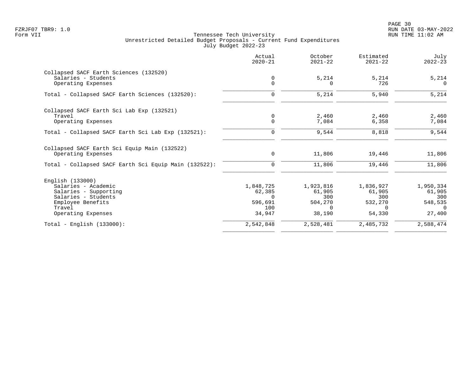PAGE 30 FZRJF07 TBR9: 1.0 RUN DATE 03-MAY-2022

|                                                       | Actual<br>$2020 - 21$ | October<br>$2021 - 22$ | Estimated<br>$2021 - 22$ | July<br>$2022 - 23$ |
|-------------------------------------------------------|-----------------------|------------------------|--------------------------|---------------------|
| Collapsed SACF Earth Sciences (132520)                |                       |                        |                          |                     |
| Salaries - Students<br>Operating Expenses             | 0<br>$\Omega$         | 5,214<br>0             | 5,214<br>726             | 5,214<br>$\Omega$   |
| Total - Collapsed SACF Earth Sciences (132520):       | $\mathbf 0$           | 5,214                  | 5,940                    | 5,214               |
| Collapsed SACF Earth Sci Lab Exp (132521)             |                       |                        |                          |                     |
| Travel                                                | 0                     | 2,460                  | 2,460                    | 2,460               |
| Operating Expenses                                    | $\mathbf 0$           | 7,084                  | 6,358                    | 7,084               |
| Total - Collapsed SACF Earth Sci Lab Exp (132521):    | $\Omega$              | 9,544                  | 8,818                    | 9,544               |
| Collapsed SACF Earth Sci Equip Main (132522)          |                       |                        |                          |                     |
| Operating Expenses                                    | $\mathbf 0$           | 11,806                 | 19,446                   | 11,806              |
| Total - Collapsed SACF Earth Sci Equip Main (132522): | $\mathbf 0$           | 11,806                 | 19,446                   | 11,806              |
| English (133000)                                      |                       |                        |                          |                     |
| Salaries - Academic                                   | 1,848,725             | 1,923,816              | 1,836,927                | 1,950,334           |
| Salaries - Supporting                                 | 62,385                | 61,905                 | 61,905                   | 61,905              |
| Salaries - Students                                   | $\Omega$<br>596,691   | 300<br>504,270         | 300<br>532,270           | 300                 |
| Employee Benefits<br>Travel                           | 100                   | $\Omega$               | $\Omega$                 | 548,535<br>$\Omega$ |
| Operating Expenses                                    | 34,947                | 38,190                 | 54,330                   | 27,400              |
| Total - English $(133000)$ :                          | 2,542,848             | 2,528,481              | 2,485,732                | 2,588,474           |
|                                                       |                       |                        |                          |                     |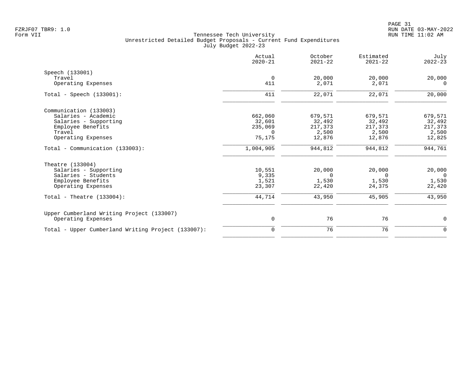|                                                    | Actual<br>$2020 - 21$ | October<br>$2021 - 22$ | Estimated<br>$2021 - 22$ | July<br>$2022 - 23$ |
|----------------------------------------------------|-----------------------|------------------------|--------------------------|---------------------|
| Speech (133001)                                    |                       |                        |                          |                     |
| Travel                                             | $\Omega$              | 20,000                 | 20,000                   | 20,000              |
| Operating Expenses                                 | 411                   | 2,071                  | 2,071                    | $\Omega$            |
| Total - Speech $(133001)$ :                        | 411                   | 22,071                 | 22,071                   | 20,000              |
| Communication (133003)                             |                       |                        |                          |                     |
| Salaries - Academic                                | 662,060               | 679,571                | 679,571                  | 679,571             |
| Salaries - Supporting                              | 32,601                | 32,492                 | 32,492                   | 32,492              |
| Employee Benefits                                  | 235,069               | 217,373                | 217,373                  | 217,373             |
| Travel                                             | $\Omega$              | 2,500                  | 2,500                    | 2,500               |
| Operating Expenses                                 | 75,175                | 12,876                 | 12,876                   | 12,825              |
| Total - Communication (133003):                    | 1,004,905             | 944,812                | 944,812                  | 944,761             |
| Theatre (133004)                                   |                       |                        |                          |                     |
| Salaries - Supporting                              | 10,551                | 20,000                 | 20,000                   | 20,000              |
| Salaries - Students                                | 9,335                 | $\Omega$               | $\mathbf 0$              | $\overline{0}$      |
| Employee Benefits                                  | 1,521                 | 1,530                  | 1,530                    | 1,530               |
| Operating Expenses                                 | 23,307                | 22,420                 | 24,375                   | 22,420              |
| Total - Theatre $(133004)$ :                       | 44,714                | 43,950                 | 45,905                   | 43,950              |
| Upper Cumberland Writing Project (133007)          |                       |                        |                          |                     |
| Operating Expenses                                 | $\mathsf{O}$          | 76                     | 76                       | $\mathbf 0$         |
| Total - Upper Cumberland Writing Project (133007): | $\mathbf 0$           | 76                     | 76                       | $\mathbf 0$         |
|                                                    |                       |                        |                          |                     |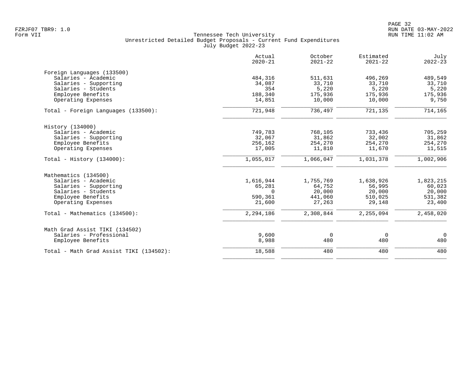|                                         | Actual<br>$2020 - 21$ | October<br>$2021 - 22$ | Estimated<br>$2021 - 22$ | July<br>$2022 - 23$ |
|-----------------------------------------|-----------------------|------------------------|--------------------------|---------------------|
| Foreign Languages (133500)              |                       |                        |                          |                     |
| Salaries - Academic                     | 484,316               | 511,631                | 496,269                  | 489,549             |
| Salaries - Supporting                   | 34,087                | 33,710                 | 33,710                   | 33,710              |
| Salaries - Students                     | 354                   | 5,220                  | 5,220                    | 5,220               |
| Employee Benefits                       | 188,340               | 175,936                | 175,936                  | 175,936             |
| Operating Expenses                      | 14,851                | 10,000                 | 10,000                   | 9,750               |
| Total - Foreign Languages (133500):     | 721,948               | 736,497                | 721,135                  | 714,165             |
| History (134000)                        |                       |                        |                          |                     |
| Salaries - Academic                     | 749,783               | 768,105                | 733,436                  | 705,259             |
| Salaries - Supporting                   | 32,067                | 31,862                 | 32,002                   | 31,862              |
| Employee Benefits                       | 256,162               | 254,270                | 254,270                  | 254,270             |
| Operating Expenses                      | 17,005                | 11,810                 | 11,670                   | 11,515              |
| Total - History $(134000)$ :            | 1,055,017             | 1,066,047              | 1,031,378                | 1,002,906           |
| Mathematics (134500)                    |                       |                        |                          |                     |
| Salaries - Academic                     | 1,616,944             | 1,755,769              | 1,638,926                | 1,823,215           |
| Salaries - Supporting                   | 65,281                | 64,752                 | 56,995                   | 60,023              |
| Salaries - Students                     | $\Omega$              | 20,000                 | 20,000                   | 20,000              |
| Employee Benefits                       | 590,361               | 441,060                | 510,025                  | 531,382             |
| Operating Expenses                      | 21,600                | 27,263                 | 29,148                   | 23,400              |
| Total - Mathematics (134500):           | 2,294,186             | 2,308,844              | 2,255,094                | 2,458,020           |
| Math Grad Assist TIKI (134502)          |                       |                        |                          |                     |
| Salaries - Professional                 | 9,600                 | $\mathbf 0$            | $\overline{0}$           | $\overline{0}$      |
| Employee Benefits                       | 8,988                 | 480                    | 480                      | 480                 |
| Total - Math Grad Assist TIKI (134502): | 18,588                | 480                    | 480                      | 480                 |
|                                         |                       |                        |                          |                     |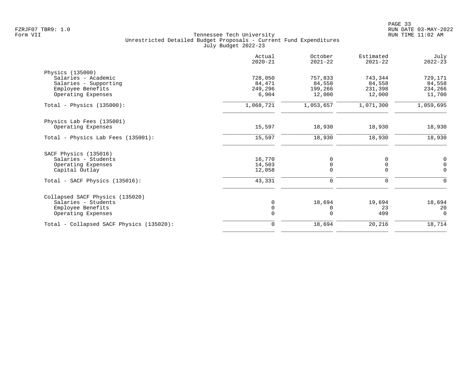|                                          | Actual<br>$2020 - 21$ | October<br>$2021 - 22$ | Estimated<br>$2021 - 22$ | July<br>$2022 - 23$ |
|------------------------------------------|-----------------------|------------------------|--------------------------|---------------------|
| Physics (135000)                         |                       |                        |                          |                     |
| Salaries - Academic                      | 728,050               | 757,833                | 743,344                  | 729,171             |
| Salaries - Supporting                    | 84,471                | 84,558                 | 84,558                   | 84,558              |
| Employee Benefits                        | 249,296               | 199,266                | 231,398                  | 234,266             |
| Operating Expenses                       | 6,904                 | 12,000                 | 12,000                   | 11,700              |
| Total - Physics $(135000)$ :             | 1,068,721             | 1,053,657              | 1,071,300                | 1,059,695           |
| Physics Lab Fees (135001)                |                       |                        |                          |                     |
| Operating Expenses                       | 15,597                | 18,930                 | 18,930                   | 18,930              |
| Total - Physics Lab Fees (135001):       | 15,597                | 18,930                 | 18,930                   | 18,930              |
| SACF Physics (135016)                    |                       |                        |                          |                     |
| Salaries - Students                      | 16,770                | 0                      | 0                        | 0                   |
| Operating Expenses                       | 14,503                | 0                      | 0                        | $\mathsf{O}\xspace$ |
| Capital Outlay                           | 12,058                | $\Omega$               | $\Omega$                 | $\Omega$            |
| Total - SACF Physics (135016):           | 43,331                | 0                      | 0                        | 0                   |
| Collapsed SACF Physics (135020)          |                       |                        |                          |                     |
| Salaries - Students                      | 0                     | 18,694                 | 19,694                   | 18,694              |
| Employee Benefits                        | $\mathbf 0$           | 0                      | 23                       | 20                  |
| Operating Expenses                       | $\mathbf 0$           | 0                      | 499                      | $\Omega$            |
| Total - Collapsed SACF Physics (135020): | $\mathbf 0$           | 18,694                 | 20,216                   | 18,714              |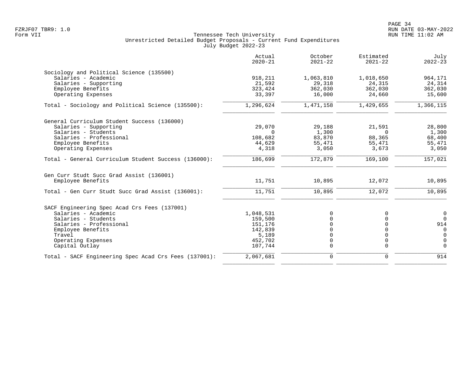|                                                       | Actual<br>$2020 - 21$ | October<br>$2021 - 22$ | Estimated<br>$2021 - 22$ | July<br>$2022 - 23$ |
|-------------------------------------------------------|-----------------------|------------------------|--------------------------|---------------------|
| Sociology and Political Science (135500)              |                       |                        |                          |                     |
| Salaries - Academic                                   | 918,211               | 1,063,810              | 1,018,650                | 964,171             |
| Salaries - Supporting                                 | 21,592                | 29,318                 | 24,315                   | 24,314              |
| Employee Benefits                                     | 323,424               | 362,030                | 362,030                  | 362,030             |
| Operating Expenses                                    | 33,397                | 16,000                 | 24,660                   | 15,600              |
| Total - Sociology and Political Science (135500):     | 1,296,624             | 1,471,158              | 1,429,655                | 1,366,115           |
| General Curriculum Student Success (136000)           |                       |                        |                          |                     |
| Salaries - Supporting                                 | 29,070                | 29,188                 | 21,591                   | 28,800              |
| Salaries - Students                                   | $\Omega$              | 1,300                  | $\Omega$                 | 1,300               |
| Salaries - Professional                               | 108,682               | 83,870                 | 88,365                   | 68,400              |
| Employee Benefits                                     | 44,629                | 55,471                 | 55,471                   | 55,471              |
| Operating Expenses                                    | 4,318                 | 3,050                  | 3,673                    | 3,050               |
| Total - General Curriculum Student Success (136000):  | 186,699               | 172,879                | 169,100                  | 157,021             |
| Gen Curr Studt Succ Grad Assist (136001)              |                       |                        |                          |                     |
| Employee Benefits                                     | 11,751                | 10,895                 | 12,072                   | 10,895              |
| Total - Gen Curr Studt Succ Grad Assist (136001):     | 11,751                | 10,895                 | 12,072                   | 10,895              |
| SACF Engineering Spec Acad Crs Fees (137001)          |                       |                        |                          |                     |
| Salaries - Academic                                   | 1,048,531             | $\Omega$               |                          | $\mathbf 0$         |
| Salaries - Students                                   | 159,500               |                        |                          | $\Omega$            |
| Salaries - Professional                               | 151,176               |                        |                          | 914                 |
| Employee Benefits                                     | 142,839               |                        |                          | $\Omega$            |
| Travel                                                | 5,189                 | $\Omega$               |                          | $\Omega$            |
| Operating Expenses                                    | 452,702               | $\Omega$               | $\Omega$                 | $\overline{0}$      |
| Capital Outlay                                        | 107,744               | $\Omega$               | $\Omega$                 | $\Omega$            |
| Total - SACF Engineering Spec Acad Crs Fees (137001): | 2,067,681             | $\mathbf 0$            | $\mathbf 0$              | 914                 |
|                                                       |                       |                        |                          |                     |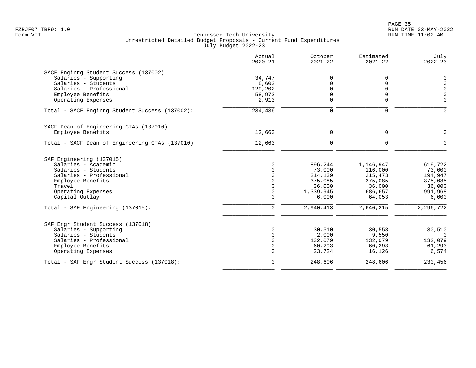|                                                 | Actual<br>$2020 - 21$ | October<br>$2021 - 22$ | Estimated<br>$2021 - 22$ | July<br>$2022 - 23$ |
|-------------------------------------------------|-----------------------|------------------------|--------------------------|---------------------|
| SACF Enginrg Student Success (137002)           |                       |                        |                          |                     |
| Salaries - Supporting                           | 34,747                | 0                      | 0                        | $\mathbf 0$         |
| Salaries - Students                             | 8,602                 |                        | $\Omega$                 | $\mathbf 0$         |
| Salaries - Professional                         | 129,202               |                        | $\Omega$                 | $\overline{0}$      |
| Employee Benefits                               | 58,972                | 0                      | 0                        | $\overline{0}$      |
| Operating Expenses                              | 2,913                 | $\Omega$               | $\mathbf 0$              | $\Omega$            |
| Total - SACF Enginrg Student Success (137002):  | 234,436               | 0                      | 0                        | $\mathbf 0$         |
| SACF Dean of Engineering GTAs (137010)          |                       |                        |                          |                     |
| Employee Benefits                               | 12,663                | $\mathbf 0$            | 0                        | $\mathbf 0$         |
| Total - SACF Dean of Engineering GTAs (137010): | 12,663                | $\mathbf 0$            | $\mathbf 0$              | ∩                   |
| SAF Engineering (137015)                        |                       |                        |                          |                     |
| Salaries - Academic                             | $\Omega$              | 896,244                | 1,146,947                | 619,722             |
| Salaries - Students                             |                       | 73,000                 | 116,000                  | 73,000              |
| Salaries - Professional                         | $\Omega$              | 214,139                | 215,473                  | 194,947             |
| Employee Benefits                               | $\Omega$              | 375,085                | 375,085                  | 375,085             |
| Travel                                          | $\Omega$              | 36,000                 | 36,000                   | 36,000              |
| Operating Expenses                              | $\mathbf 0$           | 1,339,945              | 686,657                  | 991,968             |
| Capital Outlay                                  | $\Omega$              | 6,000                  | 64,053                   | 6,000               |
| Total - SAF Engineering (137015):               | $\mathbf 0$           | 2,940,413              | 2,640,215                | 2,296,722           |
| SAF Engr Student Success (137018)               |                       |                        |                          |                     |
| Salaries - Supporting                           | $\Omega$              | 30,510                 | 30,558                   | 30,510              |
| Salaries - Students                             | $\Omega$              | 2,000                  | 9,550                    | $\Omega$            |
| Salaries - Professional                         | $\Omega$              | 132,079                | 132,079                  | 132,079             |
| Employee Benefits                               | 0                     | 60,293                 | 60,293                   | 61,293              |
| Operating Expenses                              | $\Omega$              | 23,724                 | 16,126                   | 6,574               |
| Total - SAF Engr Student Success (137018):      | $\mathbf 0$           | 248,606                | 248,606                  | 230,456             |
|                                                 |                       |                        |                          |                     |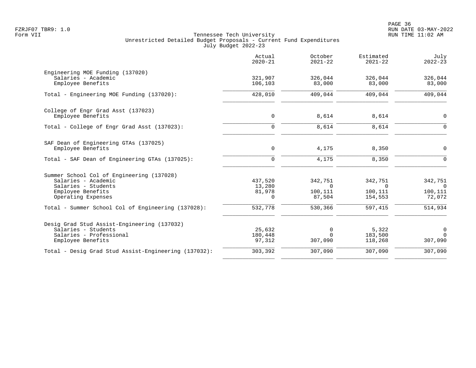|                                                                                                                                    | Actual<br>$2020 - 21$                   | October<br>$2021 - 22$                   | Estimated<br>$2021 - 22$                  | July<br>$2022 - 23$                            |
|------------------------------------------------------------------------------------------------------------------------------------|-----------------------------------------|------------------------------------------|-------------------------------------------|------------------------------------------------|
| Engineering MOE Funding (137020)<br>Salaries - Academic<br>Employee Benefits                                                       | 321,907<br>106,103                      | 326,044<br>83,000                        | 326,044<br>83,000                         | 326,044<br>83,000                              |
| Total - Engineering MOE Funding (137020):                                                                                          | 428,010                                 | 409,044                                  | 409,044                                   | 409,044                                        |
| College of Engr Grad Asst (137023)<br>Employee Benefits                                                                            | 0                                       | 8,614                                    | 8,614                                     | $\mathbf 0$                                    |
| Total - College of Engr Grad Asst (137023):                                                                                        | $\mathbf 0$                             | 8,614                                    | 8,614                                     | $\Omega$                                       |
| SAF Dean of Engineering GTAs (137025)<br>Employee Benefits<br>Total - SAF Dean of Engineering GTAs (137025):                       | 0<br>$\mathbf 0$                        | 4,175<br>4,175                           | 8,350<br>8,350                            | $\overline{0}$<br>$\Omega$                     |
| Summer School Col of Engineering (137028)<br>Salaries - Academic<br>Salaries - Students<br>Employee Benefits<br>Operating Expenses | 437,520<br>13,280<br>81,978<br>$\Omega$ | 342,751<br>$\Omega$<br>100,111<br>87,504 | 342,751<br>$\Omega$<br>100,111<br>154,553 | 342,751<br>$\overline{0}$<br>100,111<br>72,072 |
| Total - Summer School Col of Engineering (137028):                                                                                 | 532,778                                 | 530,366                                  | 597,415                                   | 514,934                                        |
| Desig Grad Stud Assist-Engineering (137032)<br>Salaries - Students<br>Salaries - Professional<br>Employee Benefits                 | 25,632<br>180,448<br>97,312             | 0<br>$\Omega$<br>307,090                 | 5,322<br>183,500<br>118,268               | $\mathbf 0$<br>$\Omega$<br>307,090             |
| Total - Desig Grad Stud Assist-Engineering (137032):                                                                               | 303,392                                 | 307,090                                  | 307,090                                   | 307,090                                        |
|                                                                                                                                    |                                         |                                          |                                           |                                                |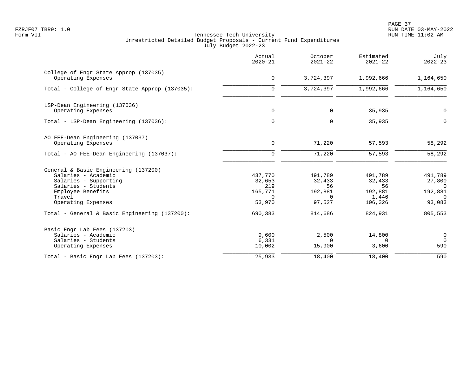|                                                                                                                                                                                                                   | Actual<br>$2020 - 21$                                                | October<br>$2021 - 22$                                              | Estimated<br>$2021 - 22$                                          | July<br>$2022 - 23$                                                       |
|-------------------------------------------------------------------------------------------------------------------------------------------------------------------------------------------------------------------|----------------------------------------------------------------------|---------------------------------------------------------------------|-------------------------------------------------------------------|---------------------------------------------------------------------------|
| College of Engr State Approp (137035)<br>Operating Expenses                                                                                                                                                       | $\mathsf{O}$                                                         | 3,724,397                                                           | 1,992,666                                                         | 1,164,650                                                                 |
| Total - College of Engr State Approp (137035):                                                                                                                                                                    | $\overline{0}$                                                       | 3,724,397                                                           | 1,992,666                                                         | 1,164,650                                                                 |
| LSP-Dean Engineering (137036)<br>Operating Expenses                                                                                                                                                               | $\mathbf 0$                                                          | $\mathbf 0$                                                         | 35,935                                                            | 0                                                                         |
| Total - LSP-Dean Engineering (137036):                                                                                                                                                                            | $\mathbf 0$                                                          | $\mathbf 0$                                                         | 35,935                                                            | $\Omega$                                                                  |
| AO FEE-Dean Engineering (137037)<br>Operating Expenses                                                                                                                                                            | $\mathbf 0$                                                          | 71,220                                                              | 57,593                                                            | 58,292                                                                    |
| Total - AO FEE-Dean Engineering (137037):                                                                                                                                                                         | $\mathbf 0$                                                          | 71,220                                                              | 57,593                                                            | 58,292                                                                    |
| General & Basic Engineering (137200)<br>Salaries - Academic<br>Salaries - Supporting<br>Salaries - Students<br>Employee Benefits<br>Travel<br>Operating Expenses<br>Total - General & Basic Engineering (137200): | 437,770<br>32,653<br>219<br>165,771<br>$\Omega$<br>53,970<br>690,383 | 491,789<br>32,433<br>56<br>192,881<br>$\Omega$<br>97,527<br>814,686 | 491,789<br>32,433<br>56<br>192,881<br>1,446<br>106,326<br>824,931 | 491,789<br>27,800<br>$\Omega$<br>192,881<br>$\Omega$<br>93,083<br>805,553 |
| Basic Engr Lab Fees (137203)<br>Salaries - Academic<br>Salaries - Students<br>Operating Expenses                                                                                                                  | 9,600<br>6,331<br>10,002                                             | 2,500<br>$\Omega$<br>15,900                                         | 14,800<br>$\Omega$<br>3,600                                       | $\mathbf 0$<br>$\overline{0}$<br>590                                      |
| Total - Basic Engr Lab Fees (137203):                                                                                                                                                                             | 25,933                                                               | 18,400                                                              | 18,400                                                            | 590                                                                       |
|                                                                                                                                                                                                                   |                                                                      |                                                                     |                                                                   |                                                                           |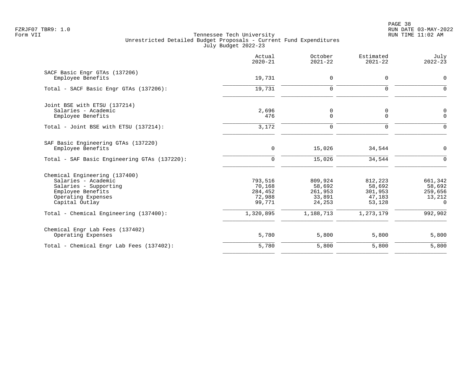PAGE 38 FZRJF07 TBR9: 1.0 RUN DATE 03-MAY-2022

|                                                                                                                                            | Actual<br>$2020 - 21$                            | October<br>$2021 - 22$                           | Estimated<br>$2021 - 22$                         | July<br>$2022 - 23$                                |
|--------------------------------------------------------------------------------------------------------------------------------------------|--------------------------------------------------|--------------------------------------------------|--------------------------------------------------|----------------------------------------------------|
| SACF Basic Engr GTAs (137206)<br>Employee Benefits                                                                                         | 19,731                                           | 0                                                | 0                                                | 0                                                  |
| Total - SACF Basic Engr GTAs (137206):                                                                                                     | 19,731                                           | $\mathbf 0$                                      | $\mathbf 0$                                      | 0                                                  |
| Joint BSE with ETSU (137214)<br>Salaries - Academic<br>Employee Benefits                                                                   | 2,696<br>476                                     | 0<br>$\mathbf 0$                                 | 0<br>$\mathbf 0$                                 | 0<br>0                                             |
| Total - Joint BSE with ETSU (137214):                                                                                                      | 3,172                                            | $\mathbf 0$                                      | $\mathbf 0$                                      | 0                                                  |
| SAF Basic Engineering GTAs (137220)<br>Employee Benefits                                                                                   | $\mathbf 0$<br>$\mathbf 0$                       | 15,026<br>15,026                                 | 34,544<br>34,544                                 | 0<br>$\mathbf 0$                                   |
| Total - SAF Basic Engineering GTAs (137220):                                                                                               |                                                  |                                                  |                                                  |                                                    |
| Chemical Engineering (137400)<br>Salaries - Academic<br>Salaries - Supporting<br>Employee Benefits<br>Operating Expenses<br>Capital Outlay | 793,516<br>70,168<br>284,452<br>72,988<br>99,771 | 809,924<br>58,692<br>261,953<br>33,891<br>24,253 | 812,223<br>58,692<br>301,953<br>47,183<br>53,128 | 661,342<br>58,692<br>259,656<br>13,212<br>$\Omega$ |
| Total - Chemical Engineering (137400):                                                                                                     | 1,320,895                                        | 1,188,713                                        | 1,273,179                                        | 992,902                                            |
| Chemical Engr Lab Fees (137402)<br>Operating Expenses                                                                                      | 5,780                                            | 5,800                                            | 5,800                                            | 5,800                                              |
| Total - Chemical Engr Lab Fees (137402):                                                                                                   | 5,780                                            | 5,800                                            | 5,800                                            | 5,800                                              |
|                                                                                                                                            |                                                  |                                                  |                                                  |                                                    |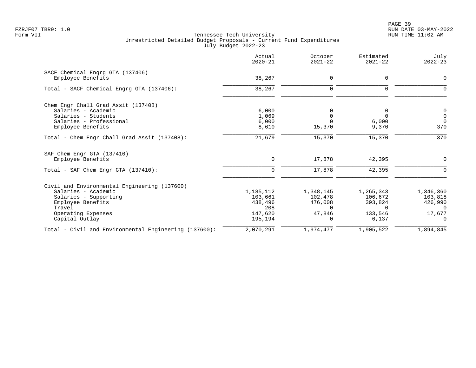|                                                       | Actual<br>$2020 - 21$ | October<br>$2021 - 22$ | Estimated<br>$2021 - 22$ | July<br>$2022 - 23$ |
|-------------------------------------------------------|-----------------------|------------------------|--------------------------|---------------------|
| SACF Chemical Engrg GTA (137406)                      |                       |                        |                          |                     |
| Employee Benefits                                     | 38,267                | 0                      | 0                        | $\Omega$            |
| Total - SACF Chemical Engrg GTA (137406):             | 38,267                | $\Omega$               | $\Omega$                 |                     |
| Chem Engr Chall Grad Assit (137408)                   |                       |                        |                          |                     |
| Salaries - Academic                                   | 6,000                 |                        | 0                        | $\mathbf 0$         |
| Salaries - Students                                   | 1,069                 | $\Omega$               | $\Omega$                 | $\overline{0}$      |
| Salaries - Professional                               | 6,000                 |                        | 6,000                    | $\Omega$            |
| Employee Benefits                                     | 8,610                 | 15,370                 | 9,370                    | 370                 |
| Total - Chem Engr Chall Grad Assit (137408):          | 21,679                | 15,370                 | 15,370                   | 370                 |
| SAF Chem Engr GTA (137410)                            |                       |                        |                          |                     |
| Employee Benefits                                     | $\mathbf 0$           | 17,878                 | 42,395                   | 0                   |
| Total - SAF Chem Engr GTA (137410):                   | 0                     | 17,878                 | 42,395                   | 0                   |
| Civil and Environmental Engineering (137600)          |                       |                        |                          |                     |
| Salaries - Academic                                   | 1,185,112             | 1,348,145              | 1,265,343                | 1,346,360           |
| Salaries - Supporting                                 | 103,661               | 102,478                | 106,672                  | 103,818             |
| Employee Benefits                                     | 438,496               | 476,008                | 393,824                  | 426,990             |
| Travel                                                | 208                   | $\Omega$               | $\Omega$                 | $\Omega$            |
| Operating Expenses                                    | 147,620               | 47.846                 | 133,546                  | 17,677              |
| Capital Outlay                                        | 195,194               | $\Omega$               | 6,137                    | $\Omega$            |
| Total - Civil and Environmental Engineering (137600): | 2,070,291             | 1,974,477              | 1,905,522                | 1,894,845           |
|                                                       |                       |                        |                          |                     |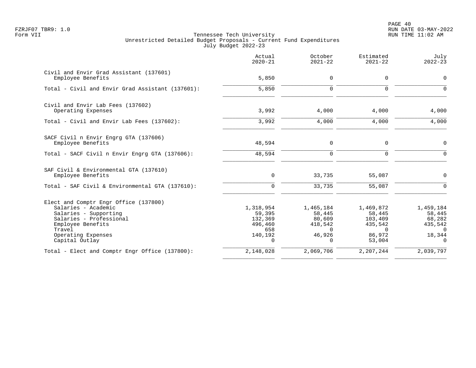PAGE 40 FZRJF07 TBR9: 1.0 RUN DATE 03-MAY-2022

|                                                                                                                                                                                         | Actual<br>$2020 - 21$                                                   | October<br>$2021 - 22$                                                     | Estimated<br>$2021 - 22$                                                  | July<br>$2022 - 23$                                                        |
|-----------------------------------------------------------------------------------------------------------------------------------------------------------------------------------------|-------------------------------------------------------------------------|----------------------------------------------------------------------------|---------------------------------------------------------------------------|----------------------------------------------------------------------------|
| Civil and Envir Grad Assistant (137601)<br>Employee Benefits                                                                                                                            | 5,850                                                                   | $\mathbf 0$                                                                | 0                                                                         | $\mathbf 0$                                                                |
| Total - Civil and Envir Grad Assistant (137601):                                                                                                                                        | 5,850                                                                   | $\Omega$                                                                   | $\Omega$                                                                  | $\cap$                                                                     |
| Civil and Envir Lab Fees (137602)<br>Operating Expenses                                                                                                                                 | 3,992                                                                   | 4,000                                                                      | 4,000                                                                     | 4,000                                                                      |
| Total - Civil and Envir Lab Fees (137602):                                                                                                                                              | 3,992                                                                   | 4,000                                                                      | 4,000                                                                     | 4,000                                                                      |
| SACF Civil n Envir Engrg GTA (137606)<br>Employee Benefits                                                                                                                              | 48,594                                                                  | $\mathbf 0$                                                                | 0                                                                         | $\mathbf 0$                                                                |
| Total - SACF Civil n Envir Engrg GTA (137606):                                                                                                                                          | 48,594                                                                  | $\Omega$                                                                   | $\Omega$                                                                  | $\Omega$                                                                   |
| SAF Civil & Environmental GTA (137610)<br>Employee Benefits                                                                                                                             | $\mathbf 0$                                                             | 33,735                                                                     | 55,087                                                                    | $\Omega$                                                                   |
| Total - SAF Civil & Environmental GTA (137610):                                                                                                                                         | $\Omega$                                                                | 33,735                                                                     | 55,087                                                                    | $\Omega$                                                                   |
| Elect and Comptr Engr Office (137800)<br>Salaries - Academic<br>Salaries - Supporting<br>Salaries - Professional<br>Employee Benefits<br>Travel<br>Operating Expenses<br>Capital Outlay | 1,318,954<br>59,395<br>132,369<br>496,460<br>658<br>140,192<br>$\Omega$ | 1,465,184<br>58,445<br>80,609<br>418,542<br>$\Omega$<br>46,926<br>$\Omega$ | 1,469,872<br>58,445<br>103,409<br>435,542<br>$\Omega$<br>86,972<br>53,004 | 1,459,184<br>58,445<br>68,282<br>435,542<br>$\Omega$<br>18,344<br>$\Omega$ |
| Total - Elect and Comptr Engr Office (137800):                                                                                                                                          | 2,148,028                                                               | 2,069,706                                                                  | 2,207,244                                                                 | 2,039,797                                                                  |
|                                                                                                                                                                                         |                                                                         |                                                                            |                                                                           |                                                                            |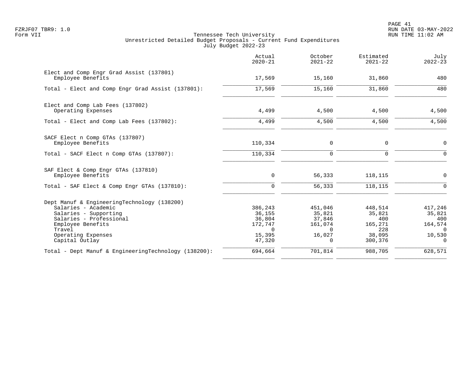PAGE 41 FZRJF07 TBR9: 1.0 RUN DATE 03-MAY-2022

|                                                                                                                                                                                               | Actual<br>$2020 - 21$                                                        | October<br>$2021 - 22$                                                   | Estimated<br>$2021 - 22$                                        | July<br>$2022 - 23$                                                   |
|-----------------------------------------------------------------------------------------------------------------------------------------------------------------------------------------------|------------------------------------------------------------------------------|--------------------------------------------------------------------------|-----------------------------------------------------------------|-----------------------------------------------------------------------|
| Elect and Comp Engr Grad Assist (137801)<br>Employee Benefits                                                                                                                                 | 17,569                                                                       | 15,160                                                                   | 31,860                                                          | 480                                                                   |
| Total - Elect and Comp Engr Grad Assist (137801):                                                                                                                                             | 17,569                                                                       | 15,160                                                                   | 31,860                                                          | 480                                                                   |
| Elect and Comp Lab Fees (137802)<br>Operating Expenses                                                                                                                                        | 4,499                                                                        | 4,500                                                                    | 4,500                                                           | 4,500                                                                 |
| Total - Elect and Comp Lab Fees (137802):                                                                                                                                                     | 4,499                                                                        | 4,500                                                                    | 4,500                                                           | 4,500                                                                 |
| SACF Elect n Comp GTAs (137807)<br>Employee Benefits                                                                                                                                          | 110,334                                                                      | 0                                                                        | 0                                                               | $\mathbf 0$                                                           |
| Total - SACF Elect n Comp GTAs (137807):                                                                                                                                                      | 110,334                                                                      | $\Omega$                                                                 | $\Omega$                                                        | $\Omega$                                                              |
| SAF Elect & Comp Engr GTAs (137810)<br>Employee Benefits                                                                                                                                      | $\mathbf 0$                                                                  | 56,333                                                                   | 118,115                                                         | 0                                                                     |
| Total - SAF Elect & Comp Engr GTAs (137810):                                                                                                                                                  | $\Omega$                                                                     | 56,333                                                                   | 118,115                                                         | $\Omega$                                                              |
| Dept Manuf & EngineeringTechnology (138200)<br>Salaries - Academic<br>Salaries - Supporting<br>Salaries - Professional<br>Employee Benefits<br>Travel<br>Operating Expenses<br>Capital Outlay | 386,243<br>36,155<br>36,804<br>172,747<br>$\overline{0}$<br>15,395<br>47,320 | 451,046<br>35,821<br>37,846<br>161,074<br>$\Omega$<br>16,027<br>$\Omega$ | 448,514<br>35,821<br>400<br>165,271<br>228<br>38,095<br>300,376 | 417,246<br>35,821<br>400<br>164,574<br>$\Omega$<br>10,530<br>$\Omega$ |
| Total - Dept Manuf & EngineeringTechnology (138200):                                                                                                                                          | 694,664                                                                      | 701,814                                                                  | 988,705                                                         | 628,571                                                               |
|                                                                                                                                                                                               |                                                                              |                                                                          |                                                                 |                                                                       |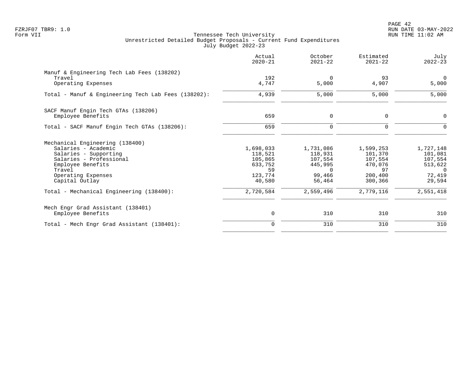|                                                     | Actual<br>$2020 - 21$ | October<br>$2021 - 22$ | Estimated<br>$2021 - 22$ | July<br>$2022 - 23$     |
|-----------------------------------------------------|-----------------------|------------------------|--------------------------|-------------------------|
| Manuf & Engineering Tech Lab Fees (138202)          |                       |                        |                          |                         |
| Travel<br>Operating Expenses                        | 192<br>4,747          | $\Omega$<br>5,000      | 93<br>4,907              | $\overline{0}$<br>5,000 |
| Total - Manuf & Engineering Tech Lab Fees (138202): | 4,939                 | 5,000                  | 5,000                    | 5,000                   |
| SACF Manuf Engin Tech GTAs (138206)                 |                       |                        |                          |                         |
| Employee Benefits                                   | 659                   | 0                      | 0                        | $\Omega$                |
| Total - SACF Manuf Engin Tech GTAs (138206):        | 659                   | $\Omega$               | $\Omega$                 | $\Omega$                |
| Mechanical Engineering (138400)                     |                       |                        |                          |                         |
| Salaries - Academic                                 | 1,698,033             | 1,731,086              | 1,599,253                | 1,727,148               |
| Salaries - Supporting                               | 118,521               | 118,931                | 101,370                  | 101,081                 |
| Salaries - Professional<br>Employee Benefits        | 105,865<br>633,752    | 107,554<br>445,995     | 107,554<br>470,076       | 107,554<br>513,622      |
| Travel                                              | 59                    | $\Omega$               | 97                       | $\Omega$                |
| Operating Expenses                                  | 123,774               | 99,466                 | 200,400                  | 72,419                  |
| Capital Outlay                                      | 40,580                | 56,464                 | 300,366                  | 29,594                  |
| Total - Mechanical Engineering (138400):            | 2,720,584             | 2,559,496              | 2,779,116                | 2,551,418               |
| Mech Engr Grad Assistant (138401)                   |                       |                        |                          |                         |
| Employee Benefits                                   | 0                     | 310                    | 310                      | 310                     |
| Total - Mech Engr Grad Assistant (138401):          | $\mathbf 0$           | 310                    | 310                      | 310                     |
|                                                     |                       |                        |                          |                         |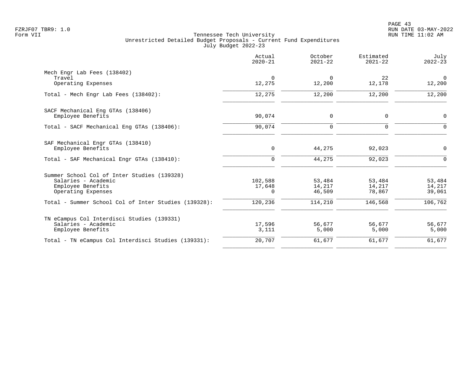|                                                      | Actual<br>$2020 - 21$ | October<br>$2021 - 22$ | Estimated<br>$2021 - 22$ | July<br>$2022 - 23$ |
|------------------------------------------------------|-----------------------|------------------------|--------------------------|---------------------|
| Mech Engr Lab Fees (138402)                          |                       |                        |                          |                     |
| Travel<br>Operating Expenses                         | $\Omega$<br>12,275    | $\Omega$<br>12,200     | 22<br>12,178             | $\Omega$<br>12,200  |
| Total - Mech Engr Lab Fees (138402):                 | 12,275                | 12,200                 | 12,200                   | 12,200              |
| SACF Mechanical Eng GTAs (138406)                    |                       |                        |                          |                     |
| Employee Benefits                                    | 90,074                | $\Omega$               | $\mathbf 0$              | $\mathbf 0$         |
| Total - SACF Mechanical Eng GTAs (138406):           | 90,074                | $\Omega$               | $\Omega$                 | $\Omega$            |
| SAF Mechanical Engr GTAs (138410)                    |                       |                        |                          |                     |
| Employee Benefits                                    | $\mathbf 0$           | 44,275                 | 92,023                   | $\overline{0}$      |
| Total - SAF Mechanical Engr GTAs (138410):           | $\mathbf 0$           | 44,275                 | 92,023                   | $\Omega$            |
| Summer School Col of Inter Studies (139328)          |                       |                        |                          |                     |
| Salaries - Academic                                  | 102,588               | 53,484                 | 53,484                   | 53,484              |
| Employee Benefits<br>Operating Expenses              | 17,648<br>$\Omega$    | 14,217<br>46,509       | 14,217<br>78,867         | 14,217<br>39,061    |
| Total - Summer School Col of Inter Studies (139328): | 120,236               | 114,210                | 146,568                  | 106,762             |
| TN eCampus Col Interdisci Studies (139331)           |                       |                        |                          |                     |
| Salaries - Academic                                  | 17,596                | 56,677                 | 56,677                   | 56,677              |
| Employee Benefits                                    | 3,111                 | 5,000                  | 5,000                    | 5,000               |
| Total - TN eCampus Col Interdisci Studies (139331):  | 20,707                | 61,677                 | 61,677                   | 61,677              |
|                                                      |                       |                        |                          |                     |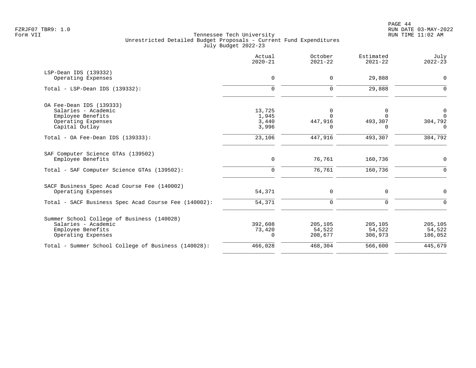|                                                      | Actual<br>$2020 - 21$ | October<br>$2021 - 22$ | Estimated<br>$2021 - 22$ | July<br>$2022 - 23$ |
|------------------------------------------------------|-----------------------|------------------------|--------------------------|---------------------|
| LSP-Dean IDS (139332)                                |                       |                        |                          |                     |
| Operating Expenses                                   | $\mathbf 0$           | $\Omega$               | 29,888                   | $\overline{0}$      |
| $Total - LSP-Dean IDs (139332):$                     | $\mathbf 0$           | 0                      | 29,888                   | $\mathbf 0$         |
| OA Fee-Dean IDS (139333)                             |                       |                        |                          |                     |
| Salaries - Academic                                  | 13,725                | 0                      | $\Omega$                 | 0                   |
| Employee Benefits                                    | 1,945                 | $\Omega$               | $\Omega$                 | $\mathbf{0}$        |
| Operating Expenses                                   | 3,440                 | 447,916                | 493,307                  | 304,792             |
| Capital Outlay                                       | 3,996                 |                        | O                        | $\Omega$            |
| Total - OA Fee-Dean IDS $(139333)$ :                 | 23,106                | 447,916                | 493,307                  | 304,792             |
| SAF Computer Science GTAs (139502)                   |                       |                        |                          |                     |
| Employee Benefits                                    | 0                     | 76,761                 | 160,736                  | $\overline{0}$      |
| Total - SAF Computer Science GTAs (139502):          | $\mathbf 0$           | 76,761                 | 160,736                  | $\mathbf 0$         |
| SACF Business Spec Acad Course Fee (140002)          |                       |                        |                          |                     |
| Operating Expenses                                   | 54,371                | 0                      | 0                        | 0                   |
| Total - SACF Business Spec Acad Course Fee (140002): | 54,371                | $\mathbf 0$            | $\mathbf 0$              | $\mathbf 0$         |
| Summer School College of Business (140028)           |                       |                        |                          |                     |
| Salaries - Academic                                  | 392,608               | 205,105                | 205,105                  | 205,105             |
| Employee Benefits                                    | 73,420                | 54,522                 | 54,522                   | 54,522              |
| Operating Expenses                                   | 0                     | 208,677                | 306,973                  | 186,052             |
| Total - Summer School College of Business (140028):  | 466,028               | 468,304                | 566,600                  | 445,679             |
|                                                      |                       |                        |                          |                     |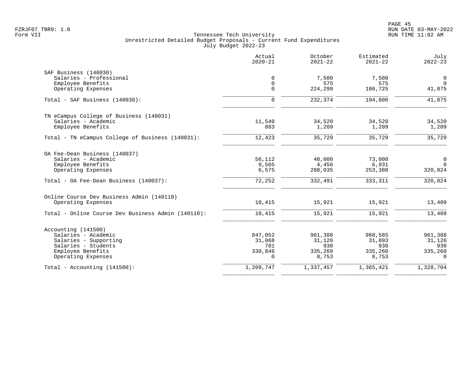|                                                    | Actual<br>$2020 - 21$ | October<br>$2021 - 22$ | Estimated<br>$2021 - 22$ | July<br>$2022 - 23$ |
|----------------------------------------------------|-----------------------|------------------------|--------------------------|---------------------|
| SAF Business (140030)                              |                       |                        |                          |                     |
| Salaries - Professional                            | $\mathbf 0$           | 7,500                  | 7,500                    | $\mathbf 0$         |
| Employee Benefits                                  | $\mathbf 0$           | 575                    | 575                      | $\mathbf 0$         |
| Operating Expenses                                 | $\mathbf{0}$          | 224,299                | 186,725                  | 41,075              |
| Total - SAF Business (140030):                     | $\mathbf 0$           | 232,374                | 194,800                  | 41,075              |
| TN eCampus College of Business (140031)            |                       |                        |                          |                     |
| Salaries - Academic                                | 11,540                | 34,520                 | 34,520                   | 34,520              |
| Employee Benefits                                  | 883                   | 1,209                  | 1,209                    | 1,209               |
| Total - TN eCampus College of Business (140031):   | 12,423                | 35,729                 | 35,729                   | 35,729              |
| OA Fee-Dean Business (140037)                      |                       |                        |                          |                     |
| Salaries - Academic                                | 56,112                | 40,000                 | 73,000                   | $\mathbf 0$         |
| Employee Benefits                                  | 9,565                 | 4,456                  | 6,931                    | $\Omega$            |
| Operating Expenses                                 | 6,575                 | 288,035                | 253,380                  | 320,824             |
| Total - OA Fee-Dean Business (140037):             | 72,252                | 332,491                | 333,311                  | 320,824             |
| Online Course Dev Business Admin (140110)          |                       |                        |                          |                     |
| Operating Expenses                                 | 10,415                | 15,921                 | 15,921                   | 13,409              |
| Total - Online Course Dev Business Admin (140110): | 10,415                | 15,921                 | 15,921                   | 13,409              |
| Accounting (141500)                                |                       |                        |                          |                     |
| Salaries - Academic                                | 847,052               | 961,388                | 988,585                  | 961,388             |
| Salaries - Supporting                              | 31,068                | 31,126                 | 31,893                   | 31,126              |
| Salaries - Students                                | 781                   | 930                    | 930                      | 930                 |
| Employee Benefits                                  | 330,846               | 335,260                | 335,260                  | 335,260             |
| Operating Expenses                                 | $\Omega$              | 8,753                  | 8,753                    | $\Omega$            |
| Total - Accounting $(141500)$ :                    | 1,209,747             | 1,337,457              | 1,365,421                | 1,328,704           |
|                                                    |                       |                        |                          |                     |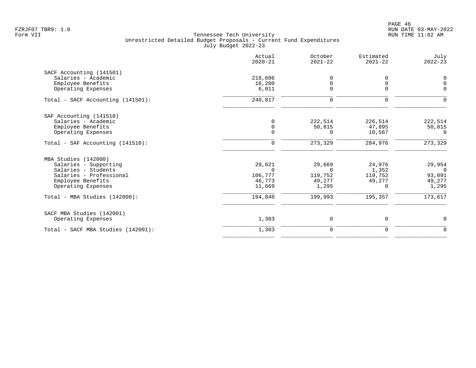|                                    | Actual<br>$2020 - 21$ | October<br>$2021 - 22$ | Estimated<br>$2021 - 22$ | July<br>$2022 - 23$ |
|------------------------------------|-----------------------|------------------------|--------------------------|---------------------|
| SACF Accounting (141501)           |                       |                        |                          |                     |
| Salaries - Academic                | 218,606               | 0                      | $\Omega$                 | 0                   |
| Employee Benefits                  | 16,200                | 0                      | 0                        | $\mathbf 0$         |
| Operating Expenses                 | 6,011                 | $\Omega$               | $\Omega$                 | $\Omega$            |
| Total - SACF Accounting (141501):  | 240,817               | 0                      | 0                        | $\Omega$            |
| SAF Accounting (141510)            |                       |                        |                          |                     |
| Salaries - Academic                | $\Omega$              | 222,514                | 226,514                  | 222,514             |
| Employee Benefits                  | $\Omega$              | 50,815                 | 47,895                   | 50,815              |
| Operating Expenses                 | $\Omega$              | $\Omega$               | 10,567                   | $\Omega$            |
| Total - SAF Accounting (141510):   | $\mathbf 0$           | 273, 329               | 284,976                  | 273, 329            |
| MBA Studies (142000)               |                       |                        |                          |                     |
| Salaries - Supporting              | 29,621                | 29,669                 | 24,976                   | 29,954              |
| Salaries - Students                | $\Omega$              | $\Omega$               | 1,352                    | $\Omega$            |
| Salaries - Professional            | 106,777               | 119,752                | 119,752                  | 93,091              |
| Employee Benefits                  | 46,773                | 49,277                 | 49,277                   | 49,277              |
| Operating Expenses                 | 11,669                | 1,295                  | $\Omega$                 | 1,295               |
| Total - MBA Studies (142000):      | 194,840               | 199,993                | 195,357                  | 173,617             |
| SACF MBA Studies (142001)          |                       |                        |                          |                     |
| Operating Expenses                 | 1,303                 | 0                      | 0                        | $\mathbf 0$         |
| Total - SACF MBA Studies (142001): | 1,303                 | $\mathbf 0$            | $\mathbf 0$              | $\mathbf 0$         |
|                                    |                       |                        |                          |                     |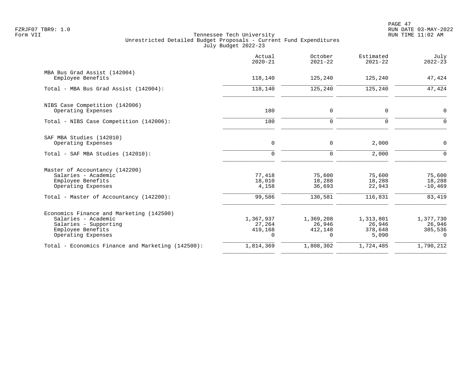|                                                                                                                                     | Actual<br>$2020 - 21$               | October<br>$2021 - 22$              | Estimated<br>$2021 - 22$                | July<br>$2022 - 23$                        |
|-------------------------------------------------------------------------------------------------------------------------------------|-------------------------------------|-------------------------------------|-----------------------------------------|--------------------------------------------|
| MBA Bus Grad Assist (142004)<br>Employee Benefits                                                                                   | 118,140                             | 125,240                             | 125,240                                 | 47,424                                     |
| Total - MBA Bus Grad Assist (142004):                                                                                               | 118,140                             | 125,240                             | 125,240                                 | 47,424                                     |
| NIBS Case Competition (142006)<br>Operating Expenses                                                                                | 180                                 | 0                                   | 0                                       | $\mathbf 0$                                |
| Total - NIBS Case Competition (142006):                                                                                             | 180                                 | $\mathbf 0$                         | $\mathbf 0$                             | $\mathbf 0$                                |
| SAF MBA Studies (142010)<br>Operating Expenses                                                                                      | $\mathbf 0$                         | 0                                   | 2,000                                   | 0                                          |
| Total - SAF MBA Studies (142010):                                                                                                   | $\mathbf 0$                         | $\mathbf 0$                         | 2,000                                   | $\mathbf 0$                                |
| Master of Accountancy (142200)<br>Salaries - Academic<br>Employee Benefits<br>Operating Expenses                                    | 77,418<br>18,010<br>4,158           | 75,600<br>18,288<br>36,693          | 75,600<br>18,288<br>22,943              | 75,600<br>18,288<br>$-10, 469$             |
| Total - Master of Accountancy (142200):                                                                                             | 99,586                              | 130,581                             | 116,831                                 | 83,419                                     |
| Economics Finance and Marketing (142500)<br>Salaries - Academic<br>Salaries - Supporting<br>Employee Benefits<br>Operating Expenses | 1,367,937<br>27,264<br>419,168<br>0 | 1,369,208<br>26,946<br>412,148<br>0 | 1,313,801<br>26,946<br>378,648<br>5,090 | 1,377,730<br>26,946<br>385,536<br>$\Omega$ |
| Total - Economics Finance and Marketing (142500):                                                                                   | 1,814,369                           | 1,808,302                           | 1,724,485                               | 1,790,212                                  |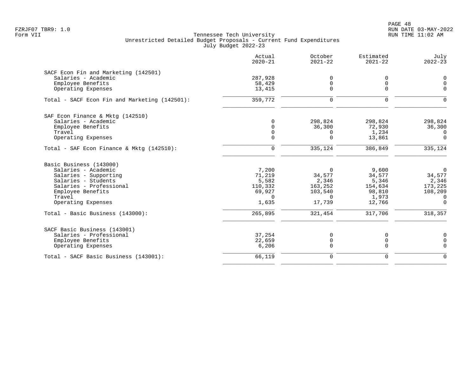PAGE 48 FZRJF07 TBR9: 1.0 RUN DATE 03-MAY-2022

|                                               | Actual<br>$2020 - 21$ | October<br>$2021 - 22$ | Estimated<br>$2021 - 22$ | July<br>$2022 - 23$ |
|-----------------------------------------------|-----------------------|------------------------|--------------------------|---------------------|
| SACF Econ Fin and Marketing (142501)          |                       |                        |                          |                     |
| Salaries - Academic                           | 287,928               | $\Omega$               | 0                        | 0                   |
| Employee Benefits                             | 58,429                | $\Omega$               | $\mathbf 0$              | $\Omega$            |
| Operating Expenses                            | 13,415                | $\Omega$               | $\Omega$                 | $\Omega$            |
| Total - SACF Econ Fin and Marketing (142501): | 359,772               | $\Omega$               | $\Omega$                 | $\Omega$            |
| SAF Econ Finance & Mktq (142510)              |                       |                        |                          |                     |
| Salaries - Academic                           | $\Omega$              | 298,824                | 298,824                  | 298,824             |
| Employee Benefits                             | $\cap$                | 36,300                 | 72,930                   | 36,300              |
| Travel                                        | $\Omega$              | $\Omega$               | 1,234                    | $\Omega$            |
| Operating Expenses                            | $\Omega$              | $\Omega$               | 13,861                   | $\Omega$            |
| Total - SAF Econ Finance & Mktq (142510):     | $\mathbf 0$           | 335,124                | 386,849                  | 335,124             |
| Basic Business (143000)                       |                       |                        |                          |                     |
| Salaries - Academic                           | 7,200                 | 0                      | 9,600                    | $\mathbf 0$         |
| Salaries - Supporting                         | 71,219                | 34,577                 | 34,577                   | 34,577              |
| Salaries - Students                           | 5,582                 | 2,346                  | 5,346                    | 2,346               |
| Salaries - Professional                       | 110,332               | 163,252                | 154,634                  | 173,225             |
| Employee Benefits                             | 69,927                | 103,540                | 98,810                   | 108,209             |
| Travel                                        | $\Omega$              | $\Omega$               | 1,973                    | $\Omega$            |
| Operating Expenses                            | 1,635                 | 17,739                 | 12,766                   | $\Omega$            |
| Total - Basic Business (143000):              | 265,895               | 321,454                | 317,706                  | 318,357             |
| SACF Basic Business (143001)                  |                       |                        |                          |                     |
| Salaries - Professional                       | 37,254                | 0                      | 0                        | 0                   |
| Employee Benefits                             | 22,659                | 0                      | 0                        | 0                   |
| Operating Expenses                            | 6,206                 | $\Omega$               | $\Omega$                 | $\Omega$            |
| Total - SACF Basic Business (143001):         | 66,119                | $\mathbf 0$            | $\mathbf 0$              | $\Omega$            |
|                                               |                       |                        |                          |                     |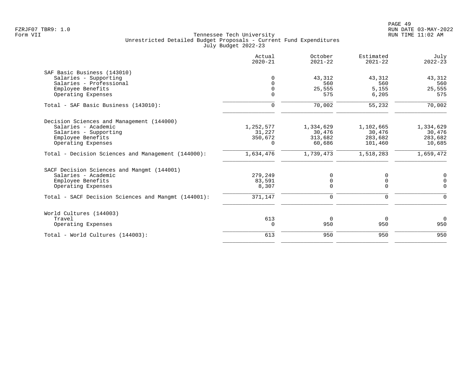| Actual<br>$2020 - 21$ | October<br>$2021 - 22$       | Estimated<br>$2021 - 22$                       | July<br>$2022 - 23$                               |
|-----------------------|------------------------------|------------------------------------------------|---------------------------------------------------|
|                       |                              |                                                |                                                   |
| $\Omega$              | 43,312                       | 43,312                                         | 43,312                                            |
| $\cap$                | 560                          | 560                                            | 560                                               |
| $\Omega$              |                              |                                                | 25,555                                            |
|                       |                              |                                                | 575                                               |
| $\mathbf 0$           | 70,002                       | 55,232                                         | 70,002                                            |
|                       |                              |                                                |                                                   |
| 1,252,577             | 1,334,629                    | 1,102,665                                      | 1,334,629                                         |
| 31,227                | 30,476                       | 30,476                                         | 30,476                                            |
|                       |                              |                                                | 283,682                                           |
| $\Omega$              |                              |                                                | 10,685                                            |
| 1,634,476             | 1,739,473                    | 1,518,283                                      | 1,659,472                                         |
|                       |                              |                                                |                                                   |
| 279,249               | 0                            | 0                                              | 0                                                 |
| 83,591                | $\mathsf 0$                  | $\mathbf 0$                                    | 0                                                 |
|                       |                              |                                                | $\Omega$                                          |
| 371,147               | $\mathbf 0$                  | $\mathbf 0$                                    | $\Omega$                                          |
|                       |                              |                                                |                                                   |
| 613                   | $\overline{0}$               | $\Omega$                                       | $\Omega$                                          |
| 0                     | 950                          | 950                                            | 950                                               |
| 613                   | 950                          | 950                                            | 950                                               |
|                       | $\Omega$<br>350,672<br>8,307 | 25,555<br>575<br>313,682<br>60,686<br>$\Omega$ | 5,155<br>6, 205<br>283,682<br>101,460<br>$\Omega$ |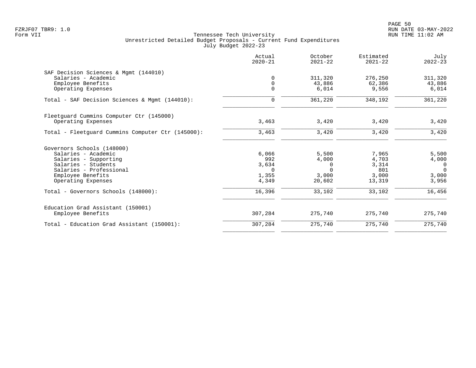|                                                   | Actual<br>$2020 - 21$ | October<br>$2021 - 22$ | Estimated<br>$2021 - 22$ | July<br>$2022 - 23$ |
|---------------------------------------------------|-----------------------|------------------------|--------------------------|---------------------|
| SAF Decision Sciences & Mqmt (144010)             |                       |                        |                          |                     |
| Salaries - Academic                               | $\Omega$              | 311,320                | 276,250                  | 311,320             |
| Employee Benefits                                 | $\Omega$              | 43,886                 | 62,386                   | 43,886              |
| Operating Expenses                                | $\Omega$              | 6,014                  | 9,556                    | 6,014               |
| Total - SAF Decision Sciences & Mgmt (144010):    | $\mathbf 0$           | 361,220                | 348,192                  | 361,220             |
| Fleetguard Cummins Computer Ctr (145000)          |                       |                        |                          |                     |
| Operating Expenses                                | 3,463                 | 3,420                  | 3,420                    | 3,420               |
| Total - Fleetguard Cummins Computer Ctr (145000): | 3,463                 | 3,420                  | 3,420                    | 3,420               |
| Governors Schools (148000)                        |                       |                        |                          |                     |
| Salaries - Academic                               | 6,066                 | 5,500                  | 7,965                    | 5,500               |
| Salaries - Supporting                             | 992                   | 4,000                  | 4,703                    | 4,000               |
| Salaries - Students                               | 3,634                 | 0                      | 3,314                    | $\overline{0}$      |
| Salaries - Professional                           | $\Omega$              | $\Omega$               | 801                      | $\Omega$            |
| Employee Benefits                                 | 1,355                 | 3,000                  | 3,000                    | 3,000               |
| Operating Expenses                                | 4,349                 | 20,602                 | 13,319                   | 3,956               |
| Total - Governors Schools (148000):               | 16,396                | 33,102                 | 33,102                   | 16,456              |
| Education Grad Assistant (150001)                 |                       |                        |                          |                     |
| Employee Benefits                                 | 307,284               | 275,740                | 275,740                  | 275,740             |
| Total - Education Grad Assistant (150001):        | 307,284               | 275,740                | 275,740                  | 275,740             |
|                                                   |                       |                        |                          |                     |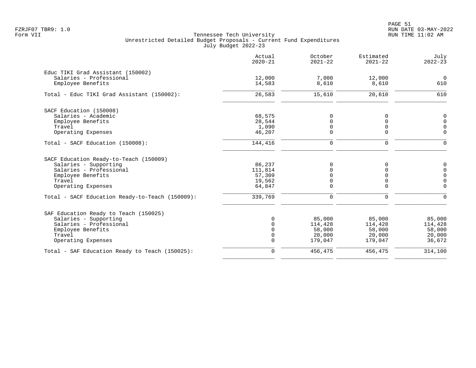PAGE 51 FZRJF07 TBR9: 1.0 RUN DATE 03-MAY-2022

|                                                 | Actual<br>$2020 - 21$ | October<br>$2021 - 22$ | Estimated<br>$2021 - 22$ | July<br>$2022 - 23$ |
|-------------------------------------------------|-----------------------|------------------------|--------------------------|---------------------|
| Educ TIKI Grad Assistant (150002)               |                       |                        |                          |                     |
| Salaries - Professional                         | 12,000                | 7,000                  | 12,000                   | $\overline{0}$      |
| Employee Benefits                               | 14,583                | 8,610                  | 8,610                    | 610                 |
| Total - Educ TIKI Grad Assistant (150002):      | 26,583                | 15,610                 | 20,610                   | 610                 |
| SACF Education (150008)                         |                       |                        |                          |                     |
| Salaries - Academic                             | 68,575                | 0                      |                          | $\mathsf 0$         |
| Employee Benefits                               | 28,544                | $\mathbf 0$            |                          | $\mathsf{O}\xspace$ |
| Travel                                          | 1,090                 | $\mathbf 0$            | 0                        | $\overline{0}$      |
| Operating Expenses                              | 46,207                | $\Omega$               | $\Omega$                 | $\Omega$            |
| Total - SACF Education (150008):                | 144,416               | $\mathbf 0$            | 0                        | $\Omega$            |
| SACF Education Ready-to-Teach (150009)          |                       |                        |                          |                     |
| Salaries - Supporting                           | 86,237                | $\Omega$               | 0                        | $\boldsymbol{0}$    |
| Salaries - Professional                         | 111,814               |                        |                          | $\mathsf 0$         |
| Employee Benefits                               | 57,309                |                        |                          | $\mathsf{O}$        |
| Travel                                          | 19,562                |                        |                          | $\mathsf{O}\xspace$ |
| Operating Expenses                              | 64,847                | $\Omega$               | $\Omega$                 | $\Omega$            |
| Total - SACF Education Ready-to-Teach (150009): | 339,769               | $\mathbf 0$            | 0                        | $\Omega$            |
| SAF Education Ready to Teach (150025)           |                       |                        |                          |                     |
| Salaries - Supporting                           |                       | 85,000                 | 85,000                   | 85,000              |
| Salaries - Professional                         |                       | 114,428                | 114,428                  | 114,428             |
| Employee Benefits                               |                       | 58,000                 | 58,000                   | 58,000              |
| Travel                                          |                       | 20,000                 | 20,000                   | 20,000              |
| Operating Expenses                              | $\Omega$              | 179,047                | 179,047                  | 36,672              |
| Total - SAF Education Ready to Teach (150025):  | $\mathbf 0$           | 456,475                | 456,475                  | 314,100             |
|                                                 |                       |                        |                          |                     |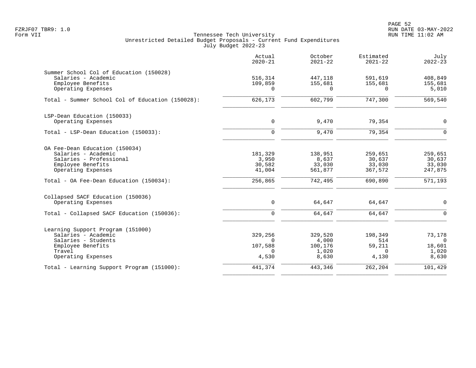PAGE 52 FZRJF07 TBR9: 1.0 RUN DATE 03-MAY-2022

|                                                                                                                                      | Actual<br>$2020 - 21$                               | October<br>$2021 - 22$                        | Estimated<br>$2021 - 22$                      | July<br>$2022 - 23$                            |
|--------------------------------------------------------------------------------------------------------------------------------------|-----------------------------------------------------|-----------------------------------------------|-----------------------------------------------|------------------------------------------------|
| Summer School Col of Education (150028)<br>Salaries - Academic<br>Employee Benefits<br>Operating Expenses                            | 516,314<br>109,859<br>$\Omega$                      | 447,118<br>155,681<br>$\Omega$                | 591,619<br>155,681<br>$\Omega$                | 408,849<br>155,681<br>5,010                    |
| Total - Summer School Col of Education (150028):                                                                                     | 626,173                                             | 602,799                                       | 747,300                                       | $\overline{569}$ , 540                         |
| LSP-Dean Education (150033)<br>Operating Expenses                                                                                    | $\mathbf 0$                                         | 9,470                                         | 79,354                                        | $\mathbf 0$                                    |
| Total - LSP-Dean Education (150033):                                                                                                 | $\Omega$                                            | 9,470                                         | 79,354                                        | $\mathbf 0$                                    |
| OA Fee-Dean Education (150034)<br>Salaries - Academic<br>Salaries - Professional<br>Employee Benefits<br>Operating Expenses          | 181,329<br>3,950<br>30,582<br>41,004                | 138,951<br>8,637<br>33,030<br>561,877         | 259,651<br>30,637<br>33,030<br>367,572        | 259,651<br>30,637<br>33,030<br>247,875         |
| Total - OA Fee-Dean Education (150034):                                                                                              | 256,865                                             | 742,495                                       | 690,890                                       | 571,193                                        |
| Collapsed SACF Education (150036)<br>Operating Expenses                                                                              | $\mathbf 0$                                         | 64,647                                        | 64,647                                        | 0                                              |
| Total - Collapsed SACF Education (150036):                                                                                           | $\mathbf 0$                                         | 64,647                                        | 64,647                                        | $\mathbf 0$                                    |
| Learning Support Program (151000)<br>Salaries - Academic<br>Salaries - Students<br>Employee Benefits<br>Travel<br>Operating Expenses | 329,256<br>$\Omega$<br>107,588<br>$\Omega$<br>4,530 | 329,520<br>4,000<br>100,176<br>1,020<br>8,630 | 198,349<br>514<br>59,211<br>$\Omega$<br>4,130 | 73,178<br>$\Omega$<br>18,601<br>1,020<br>8,630 |
| Total - Learning Support Program (151000):                                                                                           | 441,374                                             | 443,346                                       | 262,204                                       | 101,429                                        |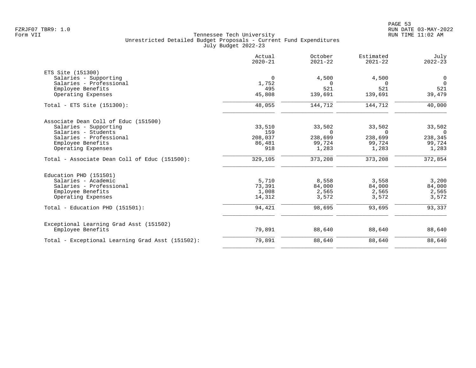| Actual<br>$2020 - 21$ | October<br>$2021 - 22$             | Estimated<br>$2021 - 22$                | July<br>$2022 - 23$                     |
|-----------------------|------------------------------------|-----------------------------------------|-----------------------------------------|
|                       |                                    |                                         |                                         |
| $\mathbf 0$           | 4,500                              | 4,500                                   | $\mathbf 0$                             |
| 1,752                 | $\Omega$                           | $\Omega$                                | $\Omega$                                |
| 495                   | 521                                | 521                                     | 521                                     |
| 45,808                | 139,691                            | 139,691                                 | 39,479                                  |
| 48,055                | 144,712                            | 144,712                                 | 40,000                                  |
|                       |                                    |                                         |                                         |
|                       |                                    |                                         | 33,502                                  |
|                       |                                    |                                         | $\Omega$                                |
|                       |                                    |                                         | 238,345                                 |
|                       |                                    |                                         | 99,724                                  |
| 918                   | 1,283                              | 1,283                                   | 1,283                                   |
| 329,105               | 373,208                            | 373,208                                 | 372,854                                 |
|                       |                                    |                                         |                                         |
| 5,710                 | 8,558                              | 3,558                                   | 3,200                                   |
| 73,391                | 84,000                             | 84,000                                  | 84,000                                  |
| 1,008                 | 2,565                              | 2,565                                   | 2,565                                   |
| 14,312                | 3,572                              | 3,572                                   | 3,572                                   |
| 94,421                | 98,695                             | 93,695                                  | 93,337                                  |
|                       |                                    |                                         |                                         |
| 79,891                | 88,640                             | 88,640                                  | 88,640                                  |
| 79,891                | 88,640                             | 88,640                                  | 88,640                                  |
|                       | 33,510<br>159<br>208,037<br>86,481 | 33,502<br>$\Omega$<br>238,699<br>99,724 | 33,502<br>$\Omega$<br>238,699<br>99,724 |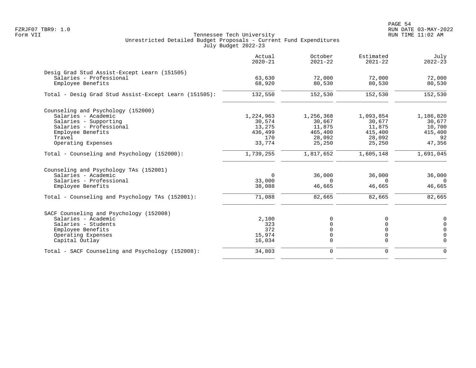|                                                       | Actual<br>$2020 - 21$ | October<br>$2021 - 22$ | Estimated<br>$2021 - 22$ | July<br>$2022 - 23$ |
|-------------------------------------------------------|-----------------------|------------------------|--------------------------|---------------------|
| Desig Grad Stud Assist-Except Learn (151505)          |                       |                        |                          |                     |
| Salaries - Professional                               | 63,630                | 72,000                 | 72,000                   | 72,000              |
| Employee Benefits                                     | 68,920                | 80,530                 | 80,530                   | 80,530              |
| Total - Desig Grad Stud Assist-Except Learn (151505): | 132,550               | 152,530                | 152,530                  | 152,530             |
| Counseling and Psychology (152000)                    |                       |                        |                          |                     |
| Salaries - Academic                                   | 1,224,963             | 1,256,368              | 1,093,854                | 1,186,820           |
| Salaries - Supporting                                 | 30,574                | 30,667                 | 30,677                   | 30,677              |
| Salaries - Professional                               | 13,275                | 11,875                 | 11,875                   | 10,700              |
| Employee Benefits                                     | 436,499               | 465,400                | 415,400                  | 415,400             |
| Travel                                                | 170                   | 28,092                 | 28,092                   | 92                  |
| Operating Expenses                                    | 33,774                | 25,250                 | 25,250                   | 47,356              |
| Total - Counseling and Psychology (152000):           | 1,739,255             | 1,817,652              | 1,605,148                | 1,691,045           |
| Counseling and Psychology TAs (152001)                |                       |                        |                          |                     |
| Salaries - Academic                                   | 0                     | 36,000                 | 36,000                   | 36,000              |
| Salaries - Professional                               | 33,000                | $\Omega$               | $\Omega$                 | $\Omega$            |
| Employee Benefits                                     | 38,088                | 46,665                 | 46,665                   | 46,665              |
| Total - Counseling and Psychology TAs (152001):       | 71,088                | 82,665                 | 82,665                   | 82,665              |
| SACF Counseling and Psychology (152008)               |                       |                        |                          |                     |
| Salaries - Academic                                   | 2,100                 | $\Omega$               | O                        | 0                   |
| Salaries - Students                                   | 323                   |                        | 0                        | $\Omega$            |
| Employee Benefits                                     | 372                   |                        | 0                        | $\Omega$            |
| Operating Expenses                                    | 15,974                | O                      | $\mathbf 0$              | $\Omega$            |
| Capital Outlay                                        | 16,034                | 0                      | $\mathbf 0$              | $\Omega$            |
| Total - SACF Counseling and Psychology (152008):      | 34,803                | 0                      | $\mathbf 0$              | $\Omega$            |
|                                                       |                       |                        |                          |                     |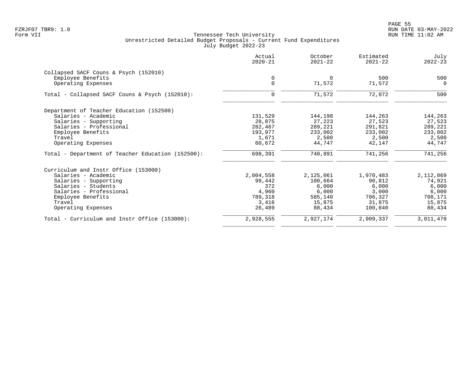PAGE 55 FZRJF07 TBR9: 1.0 RUN DATE 03-MAY-2022

|                                                   | Actual<br>$2020 - 21$ | October<br>$2021 - 22$ | Estimated<br>$2021 - 22$ | July<br>$2022 - 23$ |
|---------------------------------------------------|-----------------------|------------------------|--------------------------|---------------------|
| Collapsed SACF Couns & Psych (152010)             |                       |                        |                          |                     |
| Employee Benefits                                 | $\mathbf 0$           | $\mathbf 0$            | 500                      | 500                 |
| Operating Expenses                                | $\overline{0}$        | 71,572                 | 71,572                   | $\Omega$            |
| Total - Collapsed SACF Couns & Psych (152010):    | 0                     | 71,572                 | 72,072                   | 500                 |
| Department of Teacher Education (152500)          |                       |                        |                          |                     |
| Salaries - Academic                               | 131,529               | 144,198                | 144,263                  | 144,263             |
| Salaries - Supporting                             | 28,075                | 27,223                 | 27,523                   | 27,523              |
| Salaries - Professional                           | 282,467               | 289,221                | 291,821                  | 289,221             |
| Employee Benefits                                 | 193,977               | 233,002                | 233,002                  | 233,002             |
| Travel                                            | 1,671                 | 2,500                  | 2,500                    | 2,500               |
| Operating Expenses                                | 60,672                | 44,747                 | 42,147                   | 44,747              |
| Total - Department of Teacher Education (152500): | 698,391               | 740,891                | 741,256                  | 741,256             |
| Curriculum and Instr Office (153000)              |                       |                        |                          |                     |
| Salaries - Academic                               | 2,004,558             | 2,125,061              | 1,970,483                | 2,112,069           |
| Salaries - Supporting                             | 99,442                | 100,664                | 90,812                   | 74,921              |
| Salaries - Students                               | 372                   | 6,000                  | 6,000                    | 6,000               |
| Salaries - Professional                           | 4,960                 | 6,000                  | 3,000                    | 6,000               |
| Employee Benefits                                 | 789,318               | 585,140                | 706,327                  | 708,171             |
| Travel                                            | 3,416                 | 15,875                 | 31,875                   | 15,875              |
| Operating Expenses                                | 26,489                | 88,434                 | 100,840                  | 88,434              |
| Total - Curriculum and Instr Office (153000):     | 2,928,555             | 2,927,174              | 2,909,337                | 3,011,470           |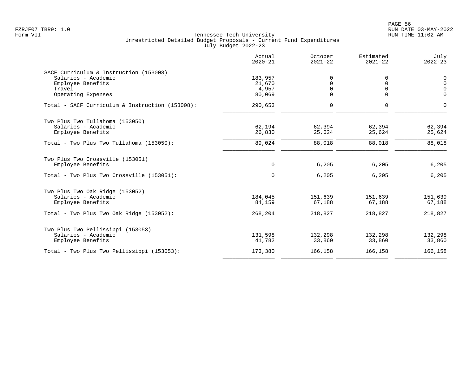|                                                                                                                         | Actual<br>$2020 - 21$                | October<br>$2021 - 22$                       | Estimated<br>$2021 - 22$              | July<br>$2022 - 23$                         |
|-------------------------------------------------------------------------------------------------------------------------|--------------------------------------|----------------------------------------------|---------------------------------------|---------------------------------------------|
| SACF Curriculum & Instruction (153008)<br>Salaries - Academic<br>Employee Benefits<br>Travel<br>Operating Expenses      | 183,957<br>21,670<br>4,957<br>80,069 | $\Omega$<br>$\Omega$<br>$\Omega$<br>$\Omega$ | 0<br>$\Omega$<br>$\Omega$<br>$\Omega$ | 0<br>$\overline{0}$<br>$\Omega$<br>$\Omega$ |
| Total - SACF Curriculum & Instruction (153008):                                                                         | 290,653                              | $\mathbf 0$                                  | 0                                     | $\Omega$                                    |
| Two Plus Two Tullahoma (153050)<br>Salaries - Academic<br>Employee Benefits                                             | 62,194<br>26,830                     | 62,394<br>25,624                             | 62,394<br>25,624                      | 62,394<br>25,624                            |
| Total - Two Plus Two Tullahoma (153050):                                                                                | 89,024                               | 88,018                                       | 88,018                                | 88,018                                      |
| Two Plus Two Crossville (153051)<br>Employee Benefits<br>Total - Two Plus Two Crossville (153051):                      | 0<br>$\Omega$                        | 6,205<br>6,205                               | 6,205<br>6,205                        | 6,205<br>6,205                              |
| Two Plus Two Oak Ridge (153052)<br>Salaries - Academic<br>Employee Benefits<br>Total - Two Plus Two Oak Ridge (153052): | 184,045<br>84,159<br>268,204         | 151,639<br>67,188<br>218,827                 | 151,639<br>67,188<br>218,827          | 151,639<br>67,188<br>218,827                |
| Two Plus Two Pellissippi (153053)<br>Salaries - Academic<br>Employee Benefits                                           | 131,598<br>41,782                    | 132,298<br>33,860                            | 132,298<br>33,860                     | 132,298<br>33,860                           |
| Total - Two Plus Two Pellissippi (153053):                                                                              | 173,380                              | 166,158                                      | 166,158                               | 166,158                                     |
|                                                                                                                         |                                      |                                              |                                       |                                             |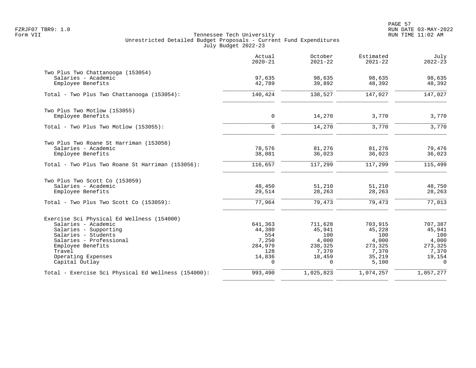|                                                                                     | Actual<br>$2020 - 21$ | October<br>$2021 - 22$ | Estimated<br>$2021 - 22$ | July<br>$2022 - 23$ |
|-------------------------------------------------------------------------------------|-----------------------|------------------------|--------------------------|---------------------|
| Two Plus Two Chattanooga (153054)<br>Salaries - Academic                            | 97,635                | 98,635                 | 98,635                   | 98,635              |
| Employee Benefits                                                                   | 42,789                | 39,892                 | 48,392                   | 48,392              |
| Total - Two Plus Two Chattanooga (153054):                                          | 140,424               | 138,527                | 147,027                  | 147,027             |
| Two Plus Two Motlow (153055)<br>Employee Benefits                                   | $\mathbf 0$           | 14,270                 | 3,770                    | 3,770               |
| Total - Two Plus Two Motlow (153055):                                               | $\mathbf 0$           | 14,270                 | 3,770                    | 3,770               |
|                                                                                     |                       |                        |                          |                     |
| Two Plus Two Roane St Harriman (153056)<br>Salaries - Academic<br>Employee Benefits | 78,576<br>38,081      | 81,276<br>36,023       | 81,276<br>36,023         | 79,476<br>36,023    |
| Total - Two Plus Two Roane St Harriman (153056):                                    | 116,657               | 117,299                | 117,299                  | 115,499             |
| Two Plus Two Scott Co (153059)                                                      |                       |                        |                          |                     |
| Salaries - Academic<br>Employee Benefits                                            | 48,450<br>29,514      | 51,210<br>28,263       | 51,210<br>28,263         | 48,750<br>28,263    |
| Total - Two Plus Two Scott Co (153059):                                             | 77,964                | 79,473                 | 79,473                   | 77,013              |
| Exercise Sci Physical Ed Wellness (154000)                                          |                       |                        |                          |                     |
| Salaries - Academic                                                                 | 641,363               | 711,628                | 703,915                  | 707,387             |
| Salaries - Supporting                                                               | 44,380                | 45,941                 | 45,228                   | 45,941              |
| Salaries - Students<br>Salaries - Professional                                      | 554<br>7,250          | 100<br>4,000           | 100                      | 100                 |
| Employee Benefits                                                                   | 284,979               | 238,325                | 4,000<br>273,325         | 4,000<br>273,325    |
| Travel                                                                              | 128                   | 7,370                  | 7,370                    | 7,370               |
| Operating Expenses<br>Capital Outlay                                                | 14,836<br>$\Omega$    | 18,459<br>$\Omega$     | 35,219<br>5,100          | 19,154<br>$\Omega$  |
| Total - Exercise Sci Physical Ed Wellness (154000):                                 | 993,490               | 1,025,823              | 1,074,257                | 1,057,277           |
|                                                                                     |                       |                        |                          |                     |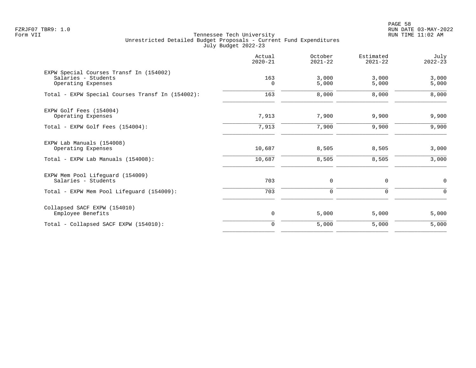PAGE 58 FZRJF07 TBR9: 1.0 RUN DATE 03-MAY-2022

|                                                                                      | Actual<br>$2020 - 21$ | October<br>$2021 - 22$ | Estimated<br>$2021 - 22$ | July<br>$2022 - 23$ |
|--------------------------------------------------------------------------------------|-----------------------|------------------------|--------------------------|---------------------|
| EXPW Special Courses Transf In (154002)<br>Salaries - Students<br>Operating Expenses | 163<br>$\Omega$       | 3,000<br>5,000         | 3,000<br>5,000           | 3,000<br>5,000      |
| Total - EXPW Special Courses Transf In (154002):                                     | 163                   | 8,000                  | 8,000                    | 8,000               |
| EXPW Golf Fees (154004)<br>Operating Expenses                                        | 7,913                 | 7,900                  | 9,900                    | 9,900               |
| Total - EXPW Golf Fees (154004):                                                     | 7,913                 | 7,900                  | 9,900                    | 9,900               |
| EXPW Lab Manuals (154008)<br>Operating Expenses                                      | 10,687                | 8,505                  | 8,505                    | 3,000               |
| Total - EXPW Lab Manuals (154008):                                                   | 10,687                | 8,505                  | 8,505                    | 3,000               |
| EXPW Mem Pool Lifeguard (154009)<br>Salaries - Students                              | 703                   | 0                      | 0                        | $\mathsf{O}$        |
| Total - EXPW Mem Pool Lifeguard (154009):                                            | 703                   | 0                      | $\mathbf 0$              | $\Omega$            |
| Collapsed SACF EXPW (154010)<br>Employee Benefits                                    | $\mathsf{O}$          | 5,000                  | 5,000                    | 5,000               |
| Total - Collapsed SACF EXPW (154010):                                                | $\mathbf 0$           | 5,000                  | 5,000                    | 5,000               |
|                                                                                      |                       |                        |                          |                     |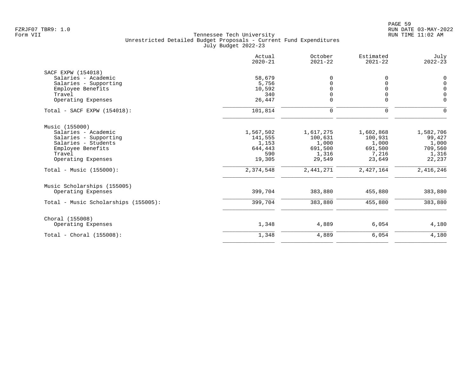|                                      | Actual<br>$2020 - 21$ | October<br>$2021 - 22$ | Estimated<br>$2021 - 22$ | July<br>$2022 - 23$ |
|--------------------------------------|-----------------------|------------------------|--------------------------|---------------------|
| SACF EXPW (154018)                   |                       |                        |                          |                     |
| Salaries - Academic                  | 58,679                | O                      | 0                        | $\mathbf 0$         |
| Salaries - Supporting                | 5,756                 |                        | $\Omega$                 | $\mathbf 0$         |
| Employee Benefits                    | 10,592                |                        | $\Omega$                 | $\Omega$            |
| Travel                               | 340                   |                        | $\Omega$                 | $\Omega$            |
| Operating Expenses                   | 26,447                | 0                      | $\mathbf 0$              | $\mathbf 0$         |
| Total - SACF EXPW (154018):          | 101,814               | $\mathbf 0$            | $\mathbf 0$              | $\Omega$            |
| Music (155000)                       |                       |                        |                          |                     |
| Salaries - Academic                  | 1,567,502             | 1,617,275              | 1,602,868                | 1,582,706           |
| Salaries - Supporting                | 141,555               | 100,631                | 100,931                  | 99,427              |
| Salaries - Students                  | 1,153                 | 1,000                  | 1,000                    | 1,000               |
| Employee Benefits                    | 644,443               | 691,500                | 691,500                  | 709,560             |
| Travel                               | 590                   | 1,316                  | 7,216                    | 1,316               |
| Operating Expenses                   | 19,305                | 29,549                 | 23,649                   | 22,237              |
| Total - Music $(155000)$ :           | 2,374,548             | 2,441,271              | 2,427,164                | 2,416,246           |
| Music Scholarships (155005)          |                       |                        |                          |                     |
| Operating Expenses                   | 399,704               | 383,880                | 455,880                  | 383,880             |
| Total - Music Scholarships (155005): | 399,704               | 383,880                | 455,880                  | 383,880             |
| Choral (155008)                      |                       |                        |                          |                     |
| Operating Expenses                   | 1,348                 | 4,889                  | 6,054                    | 4,180               |
| $Total - Choral (155008):$           | 1,348                 | 4,889                  | 6,054                    | 4,180               |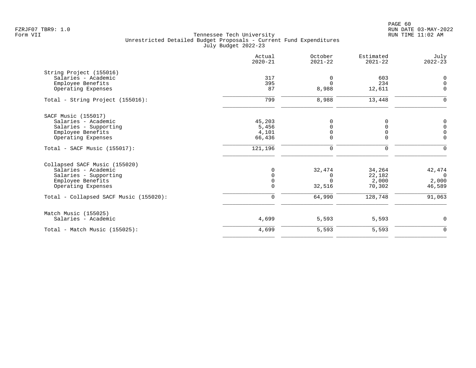|                                        | Actual<br>$2020 - 21$ | October<br>$2021 - 22$ | Estimated<br>$2021 - 22$ | July<br>$2022 - 23$                       |
|----------------------------------------|-----------------------|------------------------|--------------------------|-------------------------------------------|
| String Project (155016)                |                       |                        |                          |                                           |
| Salaries - Academic                    | 317                   | $\Omega$               | 603                      | 0                                         |
| Employee Benefits                      | 395                   | $\Omega$               | 234                      | $\mathsf 0$                               |
| Operating Expenses                     | 87                    | 8,988                  | 12,611                   | $\mathbf 0$                               |
| Total - String Project (155016):       | 799                   | 8,988                  | 13,448                   | 0                                         |
| SACF Music (155017)                    |                       |                        |                          |                                           |
| Salaries - Academic                    | 45,203                | $\Omega$               | O                        |                                           |
| Salaries - Supporting                  | 5,456                 | $\Omega$               | U                        | $\begin{matrix} 0 \\ 0 \\ 0 \end{matrix}$ |
| Employee Benefits                      | 4,101                 | 0                      |                          |                                           |
| Operating Expenses                     | 66,436                | $\Omega$               | $\Omega$                 | $\Omega$                                  |
| $Total - SACF Music (155017):$         | 121,196               | $\mathbf 0$            | $\mathbf 0$              | $\Omega$                                  |
| Collapsed SACF Music (155020)          |                       |                        |                          |                                           |
| Salaries - Academic                    | $\Omega$              | 32,474                 | 34,264                   | 42,474                                    |
| Salaries - Supporting                  | $\mathbf 0$           | 0                      | 22,182                   | $\overline{0}$                            |
| Employee Benefits                      | 0                     | $\Omega$               | 2,000                    | 2,000                                     |
| Operating Expenses                     | $\Omega$              | 32,516                 | 70,302                   | 46,589                                    |
| Total - Collapsed SACF Music (155020): | $\Omega$              | 64,990                 | 128,748                  | 91,063                                    |
| Match Music (155025)                   |                       |                        |                          |                                           |
| Salaries - Academic                    | 4,699                 | 5,593                  | 5,593                    | 0                                         |
| Total - Match Music $(155025)$ :       | 4,699                 | 5,593                  | 5,593                    | $\mathbf 0$                               |
|                                        |                       |                        |                          |                                           |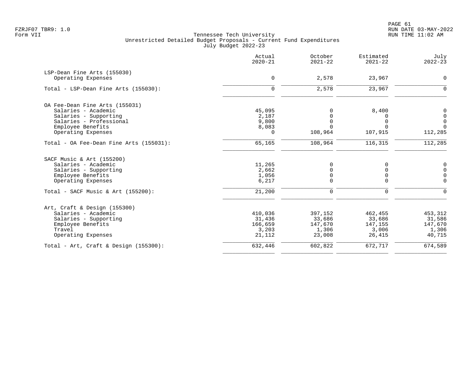PAGE 61 FZRJF07 TBR9: 1.0 RUN DATE 03-MAY-2022

|                                                   | Actual<br>$2020 - 21$ | October<br>$2021 - 22$ | Estimated<br>$2021 - 22$ | July<br>$2022 - 23$ |
|---------------------------------------------------|-----------------------|------------------------|--------------------------|---------------------|
| LSP-Dean Fine Arts (155030)<br>Operating Expenses | $\mathbf 0$           | 2,578                  | 23,967                   | $\mathbf 0$         |
|                                                   |                       |                        |                          |                     |
| Total - LSP-Dean Fine Arts (155030):              | $\mathbf 0$           | 2,578                  | 23,967                   | $\mathbf 0$         |
| OA Fee-Dean Fine Arts (155031)                    |                       |                        |                          |                     |
| Salaries - Academic                               | 45,095                | $\Omega$               | 8,400                    | 0                   |
| Salaries - Supporting                             | 2,187                 | $\Omega$               | 0                        | $\mathbf 0$         |
| Salaries - Professional                           | 9,800                 | 0                      | 0                        | $\mathbf 0$         |
| Employee Benefits                                 | 8,083                 | $\Omega$               | $\Omega$                 | $\Omega$            |
| Operating Expenses                                | 0                     | 108,964                | 107,915                  | 112,285             |
| Total - OA Fee-Dean Fine Arts (155031):           | 65,165                | 108,964                | 116,315                  | 112,285             |
| SACF Music & Art (155200)                         |                       |                        |                          |                     |
| Salaries - Academic                               | 11,265                | 0                      | 0                        | 0                   |
| Salaries - Supporting                             | 2,662                 | 0                      | $\mathbf 0$              | $\mathbf 0$         |
| Employee Benefits                                 | 1,056                 | 0                      | 0                        | $\mathbf 0$         |
| Operating Expenses                                | 6,217                 | 0                      | 0                        | $\mathbf 0$         |
| Total - SACF Music & Art (155200):                | 21,200                | 0                      | 0                        | $\mathbf 0$         |
| Art, Craft & Design (155300)                      |                       |                        |                          |                     |
| Salaries - Academic                               | 410,036               | 397,152                | 462,455                  | 453,312             |
| Salaries - Supporting                             | 31,436                | 33,686                 | 33,686                   | 31,586              |
| Employee Benefits                                 | 166,659               | 147,670                | 147,155                  | 147,670             |
| Travel                                            | 3,203                 | 1,306                  | 3,006                    | 1,306               |
| Operating Expenses                                | 21,112                | 23,008                 | 26,415                   | 40,715              |
| Total - Art, Craft & Design $(155300)$ :          | 632,446               | 602,822                | 672,717                  | 674,589             |
|                                                   |                       |                        |                          |                     |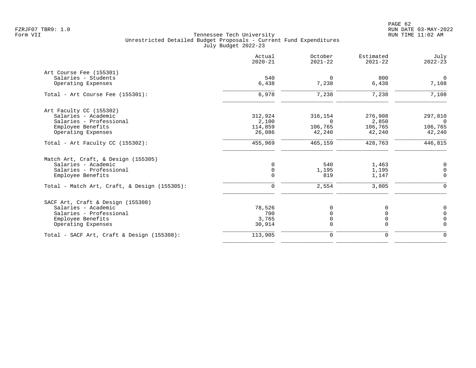PAGE 62 FZRJF07 TBR9: 1.0 RUN DATE 03-MAY-2022

| Actual<br>$2020 - 21$ | October<br>$2021 - 22$            | Estimated<br>$2021 - 22$            | July<br>$2022 - 23$              |
|-----------------------|-----------------------------------|-------------------------------------|----------------------------------|
|                       |                                   |                                     |                                  |
| 540                   | $\Omega$                          | 800                                 | $\overline{0}$                   |
| 6,438                 | 7,238                             | 6,438                               | 7,108                            |
| 6,978                 | 7,238                             | 7,238                               | 7,108                            |
|                       |                                   |                                     |                                  |
|                       | 316,154                           | 276,908                             | 297,810                          |
| 2,100                 | $\Omega$                          | 2,850                               | $\Omega$                         |
| 114,859               | 106,765                           | 106,765                             | 106,765                          |
| 26,086                | 42,240                            | 42,240                              | 42,240                           |
| 455,969               | 465,159                           | 428,763                             | 446,815                          |
|                       |                                   |                                     |                                  |
| $\mathbf 0$           |                                   |                                     | 0                                |
| 0                     | 1,195                             | 1,195                               | 0                                |
| $\Omega$              | 819                               | 1,147                               | $\Omega$                         |
| $\mathbf 0$           | 2,554                             | 3,805                               | $\Omega$                         |
|                       |                                   |                                     |                                  |
|                       |                                   |                                     | 0                                |
|                       |                                   |                                     | $\Omega$                         |
|                       |                                   |                                     | $\mathbf 0$                      |
| 30,914                | $\Omega$                          | $\Omega$                            | $\mathbf 0$                      |
| 113,905               | $\mathbf 0$                       | $\mathbf 0$                         | $\mathbf 0$                      |
|                       | 312,924<br>78,526<br>700<br>3,765 | 540<br>0<br>$\Omega$<br>$\mathsf 0$ | 1,463<br>$\Omega$<br>$\mathbf 0$ |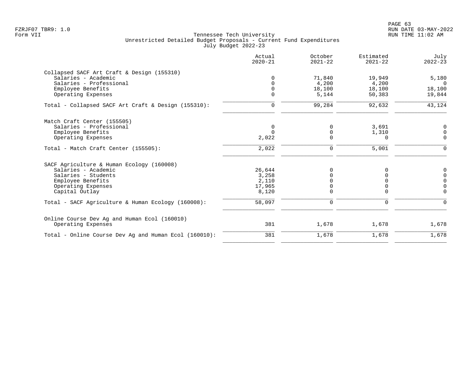|                                                       | Actual<br>$2020 - 21$ | October<br>$2021 - 22$ | Estimated<br>$2021 - 22$ | July<br>$2022 - 23$ |
|-------------------------------------------------------|-----------------------|------------------------|--------------------------|---------------------|
| Collapsed SACF Art Craft & Design (155310)            |                       |                        |                          |                     |
| Salaries - Academic                                   | $\Omega$              | 71,840                 | 19,949                   | 5,180               |
| Salaries - Professional                               | $\cap$                | 4,200                  | 4,200                    | $\Omega$            |
| Employee Benefits                                     | $\Omega$              | 18,100                 | 18,100                   | 18,100              |
| Operating Expenses                                    | $\Omega$              | 5,144                  | 50,383                   | 19,844              |
| Total - Collapsed SACF Art Craft & Design (155310):   | $\mathbf 0$           | 99,284                 | 92,632                   | 43,124              |
| Match Craft Center (155505)                           |                       |                        |                          |                     |
| Salaries - Professional                               | 0                     | $\Omega$               | 3,691                    | 0                   |
| Employee Benefits                                     | $\Omega$              | $\Omega$               | 1,310                    | 0                   |
| Operating Expenses                                    | 2,022                 | $\Omega$               | 0                        | $\mathbf 0$         |
| Total - Match Craft Center (155505):                  | 2,022                 | 0                      | 5,001                    | $\mathbf 0$         |
| SACF Agriculture & Human Ecology (160008)             |                       |                        |                          |                     |
| Salaries - Academic                                   | 26,644                | $\Omega$               | 0                        | 0                   |
| Salaries - Students                                   | 3,258                 |                        | $\Omega$                 | $\Omega$            |
| Employee Benefits                                     | 2,110                 |                        | $\Omega$                 | $\mathbf 0$         |
| Operating Expenses                                    | 17,965                |                        |                          | $\Omega$            |
| Capital Outlay                                        | 8,120                 | $\Omega$               | $\Omega$                 | $\Omega$            |
| Total - SACF Agriculture & Human Ecology (160008):    | 58,097                | $\Omega$               | $\mathbf 0$              | $\Omega$            |
| Online Course Dev Ag and Human Ecol (160010)          |                       |                        |                          |                     |
| Operating Expenses                                    | 381                   | 1,678                  | 1,678                    | 1,678               |
| Total - Online Course Dev Ag and Human Ecol (160010): | 381                   | 1,678                  | 1,678                    | 1,678               |
|                                                       |                       |                        |                          |                     |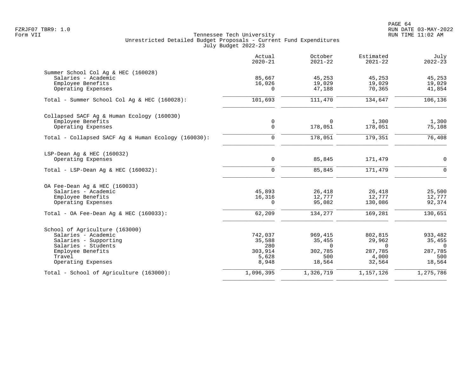| Actual<br>$2020 - 21$ | October<br>$2021 - 22$                                                                          | Estimated<br>$2021 - 22$                                                                                    | July<br>$2022 - 23$                                                                                             |
|-----------------------|-------------------------------------------------------------------------------------------------|-------------------------------------------------------------------------------------------------------------|-----------------------------------------------------------------------------------------------------------------|
|                       |                                                                                                 |                                                                                                             |                                                                                                                 |
|                       |                                                                                                 |                                                                                                             | 45,253                                                                                                          |
|                       |                                                                                                 |                                                                                                             | 19,029                                                                                                          |
|                       |                                                                                                 |                                                                                                             | 41,854                                                                                                          |
| 101,693               | 111,470                                                                                         | 134,647                                                                                                     | 106,136                                                                                                         |
|                       |                                                                                                 |                                                                                                             |                                                                                                                 |
| 0                     | $\Omega$                                                                                        | 1,300                                                                                                       | 1,300                                                                                                           |
|                       |                                                                                                 |                                                                                                             | 75,108                                                                                                          |
| $\mathbf 0$           | 178,051                                                                                         | 179,351                                                                                                     | 76,408                                                                                                          |
|                       |                                                                                                 |                                                                                                             |                                                                                                                 |
| 0                     |                                                                                                 |                                                                                                             | $\mathbf 0$                                                                                                     |
| $\mathbf 0$           | 85,845                                                                                          | 171,479                                                                                                     | $\Omega$                                                                                                        |
|                       |                                                                                                 |                                                                                                             |                                                                                                                 |
| 45,893                | 26,418                                                                                          | 26,418                                                                                                      | 25,500                                                                                                          |
|                       |                                                                                                 |                                                                                                             | 12,777                                                                                                          |
|                       |                                                                                                 |                                                                                                             | 92,374                                                                                                          |
| 62,209                | 134,277                                                                                         | 169,281                                                                                                     | 130,651                                                                                                         |
|                       |                                                                                                 |                                                                                                             |                                                                                                                 |
| 742,037               | 969,415                                                                                         | 802,815                                                                                                     | 933,482                                                                                                         |
|                       |                                                                                                 |                                                                                                             | 35,455                                                                                                          |
|                       |                                                                                                 |                                                                                                             | $\Omega$                                                                                                        |
|                       |                                                                                                 |                                                                                                             | 287,785<br>500                                                                                                  |
| 8,948                 | 18,564                                                                                          | 32,564                                                                                                      | 18,564                                                                                                          |
| 1,096,395             | 1,326,719                                                                                       | 1,157,126                                                                                                   | 1,275,786                                                                                                       |
|                       | 85,667<br>16,026<br>0<br>$\mathbf 0$<br>16,316<br>$\Omega$<br>35,588<br>280<br>303,914<br>5,628 | 45,253<br>19,029<br>47,188<br>178,051<br>85,845<br>12,777<br>95,082<br>35,455<br>$\Omega$<br>302,785<br>500 | 45,253<br>19,029<br>70,365<br>178,051<br>171,479<br>12,777<br>130,086<br>29,962<br>$\Omega$<br>287,785<br>4,000 |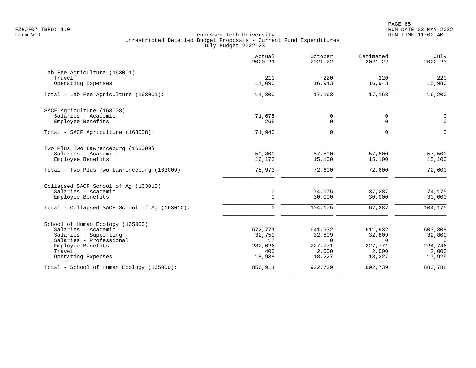|                                               | Actual<br>$2020 - 21$ | October<br>$2021 - 22$ | Estimated<br>$2021 - 22$ | July<br>$2022 - 23$ |
|-----------------------------------------------|-----------------------|------------------------|--------------------------|---------------------|
| Lab Fee Agriculture (163001)                  |                       |                        |                          |                     |
| Travel                                        | 210                   | 220                    | 220                      | 220                 |
| Operating Expenses                            | 14,090                | 16,943                 | 16,943                   | 15,980              |
| Total - Lab Fee Agriculture (163001):         | 14,300                | 17,163                 | 17,163                   | 16,200              |
| SACF Agriculture (163008)                     |                       |                        |                          |                     |
| Salaries - Academic                           | 71,675                | 0                      | 0                        | 0                   |
| Employee Benefits                             | 265                   | $\mathbf 0$            | $\Omega$                 | $\mathbf 0$         |
| Total - SACF Agriculture (163008):            | 71,940                | $\Omega$               | $\Omega$                 | $\Omega$            |
| Two Plus Two Lawrenceburg (163009)            |                       |                        |                          |                     |
| Salaries - Academic                           | 59,800                | 57,500                 | 57,500                   | 57,500              |
| Employee Benefits                             | 16,173                | 15,100                 | 15,100                   | 15,100              |
| Total - Two Plus Two Lawrenceburg (163009):   | 75,973                | 72,600                 | 72,600                   | 72,600              |
| Collapsed SACF School of Aq (163010)          |                       |                        |                          |                     |
| Salaries - Academic                           | 0                     | 74,175                 | 37,287                   | 74,175              |
| Employee Benefits                             | $\Omega$              | 30,000                 | 30,000                   | 30,000              |
| Total - Collapsed SACF School of Ag (163010): | $\mathbf 0$           | 104,175                | 67,287                   | 104,175             |
| School of Human Ecology (165000)              |                       |                        |                          |                     |
| Salaries - Academic                           | 572,771               | 641,932                | 611,932                  | 603,308             |
| Salaries - Supporting                         | 32,759                | 32,809                 | 32,809                   | 32,809              |
| Salaries - Professional                       | 17                    | $\Omega$               | $\Omega$                 | $\Omega$            |
| Employee Benefits                             | 232,026               | 227,771                | 227,771                  | 224,746             |
| Travel<br>Operating Expenses                  | 400<br>18,938         | 2,000<br>18,227        | 2,000<br>18,227          | 2,000<br>17,925     |
| Total - School of Human Ecology (165000):     | 856,911               | 922,739                | 892,739                  | 880,788             |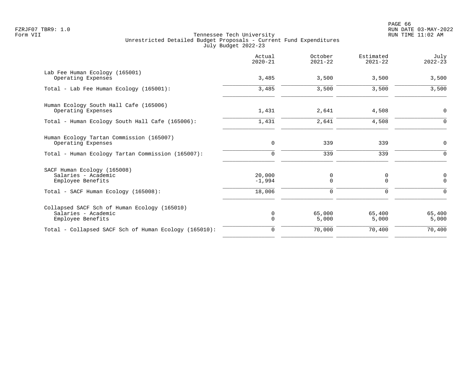|                                                       | Actual<br>$2020 - 21$ | October<br>$2021 - 22$ | Estimated<br>$2021 - 22$ | July<br>$2022 - 23$ |
|-------------------------------------------------------|-----------------------|------------------------|--------------------------|---------------------|
| Lab Fee Human Ecology (165001)                        | 3,485                 |                        | 3,500                    |                     |
| Operating Expenses                                    |                       | 3,500                  |                          | 3,500               |
| Total - Lab Fee Human Ecology (165001):               | 3,485                 | 3,500                  | 3,500                    | 3,500               |
| Human Ecology South Hall Cafe (165006)                |                       |                        |                          |                     |
| Operating Expenses                                    | 1,431                 | 2,641                  | 4,508                    | 0                   |
| Total - Human Ecology South Hall Cafe (165006):       | 1,431                 | 2,641                  | 4,508                    | $\mathbf 0$         |
| Human Ecology Tartan Commission (165007)              |                       |                        |                          |                     |
| Operating Expenses                                    | 0                     | 339                    | 339                      | $\mathbf 0$         |
| Total - Human Ecology Tartan Commission (165007):     | $\Omega$              | 339                    | 339                      | $\Omega$            |
| SACF Human Ecology (165008)                           |                       |                        |                          |                     |
| Salaries - Academic                                   | 20,000                | 0                      | 0                        | 0                   |
| Employee Benefits                                     | $-1,994$              | $\mathbf 0$            | $\mathbf 0$              | $\mathbf 0$         |
| Total - SACF Human Ecology (165008):                  | 18,006                | 0                      | $\Omega$                 | $\Omega$            |
| Collapsed SACF Sch of Human Ecology (165010)          |                       |                        |                          |                     |
| Salaries - Academic                                   | 0                     | 65,000                 | 65,400                   | 65,400              |
| Employee Benefits                                     | $\Omega$              | 5,000                  | 5,000                    | 5,000               |
| Total - Collapsed SACF Sch of Human Ecology (165010): | 0                     | 70,000                 | 70,400                   | 70,400              |
|                                                       |                       |                        |                          |                     |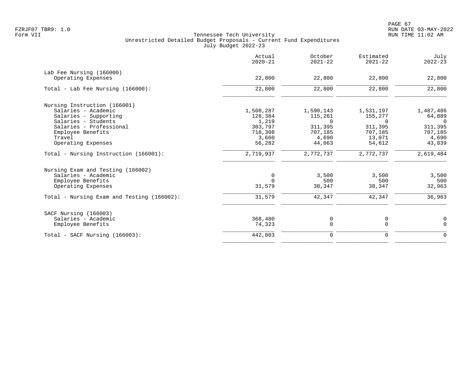|                                            | Actual<br>$2020 - 21$ | October<br>$2021 - 22$ | Estimated<br>$2021 - 22$ | July<br>$2022 - 23$ |
|--------------------------------------------|-----------------------|------------------------|--------------------------|---------------------|
| Lab Fee Nursing (166000)                   |                       |                        |                          |                     |
| Operating Expenses                         | 22,800                | 22,800                 | 22,800                   | 22,800              |
| Total - Lab Fee Nursing (166000):          | 22,800                | 22,800                 | 22,800                   | 22,800              |
| Nursing Instruction (166001)               |                       |                        |                          |                     |
| Salaries - Academic                        | 1,508,287             | 1,590,143              | 1,531,197                | 1,487,486           |
| Salaries - Supporting                      | 128,384               | 115,261                | 155,277                  | 64,889              |
| Salaries - Students                        | 1,219                 | $\Omega$               | $\Omega$                 | $\Omega$            |
| Salaries - Professional                    | 303,797               | 311,395                | 311,395                  | 311,395             |
| Employee Benefits                          | 718,308               | 707,185                | 707,185                  | 707,185             |
| Travel                                     | 3,660                 | 4,690                  | 13,071                   | 4,690               |
| Operating Expenses                         | 56,282                | 44,063                 | 54,612                   | 43,839              |
| Total - Nursing Instruction (166001):      | 2,719,937             | 2,772,737              | 2,772,737                | 2,619,484           |
| Nursing Exam and Testing (166002)          |                       |                        |                          |                     |
| Salaries - Academic                        | 0                     | 3,500                  | 3,500                    | 3,500               |
| Employee Benefits                          | $\Omega$              | 500                    | 500                      | 500                 |
| Operating Expenses                         | 31,579                | 38,347                 | 38,347                   | 32,963              |
| Total - Nursing Exam and Testing (166002): | 31,579                | 42,347                 | 42,347                   | 36,963              |
| SACF Nursing (166003)                      |                       |                        |                          |                     |
| Salaries - Academic                        | 368,480               | 0                      | 0                        | $\mathbf 0$         |
| Employee Benefits                          | 74,323                | $\mathbf 0$            | $\overline{0}$           | $\Omega$            |
| $Total - SACF Nursing (166003):$           | 442,803               | 0                      | $\mathbf 0$              | $\Omega$            |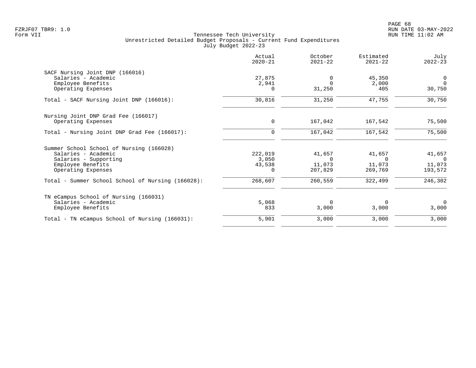|                                                   | Actual<br>$2020 - 21$ | October<br>$2021 - 22$ | Estimated<br>$2021 - 22$ | July<br>$2022 - 23$ |
|---------------------------------------------------|-----------------------|------------------------|--------------------------|---------------------|
| SACF Nursing Joint DNP (166016)                   |                       |                        |                          |                     |
| Salaries - Academic                               | 27,875                | $\Omega$               | 45,350                   | $\overline{0}$      |
| Employee Benefits                                 | 2,941                 | $\Omega$               | 2,000                    | $\Omega$            |
| Operating Expenses                                | $\Omega$              | 31,250                 | 405                      | 30,750              |
| Total - SACF Nursing Joint DNP (166016):          | 30,816                | 31,250                 | 47,755                   | 30,750              |
| Nursing Joint DNP Grad Fee (166017)               |                       |                        |                          |                     |
| Operating Expenses                                | 0                     | 167,042                | 167,542                  | 75,500              |
| Total - Nursing Joint DNP Grad Fee (166017):      | $\mathbf 0$           | 167,042                | 167,542                  | 75,500              |
| Summer School School of Nursing (166028)          |                       |                        |                          |                     |
| Salaries - Academic                               | 222,019               | 41,657                 | 41,657                   | 41,657              |
| Salaries - Supporting                             | 3,050                 | $\Omega$               | $\Omega$                 | $\bigcirc$          |
| Employee Benefits                                 | 43,538                | 11,073                 | 11,073                   | 11,073              |
| Operating Expenses                                | $\Omega$              | 207,829                | 269,769                  | 193,572             |
| Total - Summer School School of Nursing (166028): | 268,607               | 260,559                | 322,499                  | 246,302             |
| TN eCampus School of Nursing (166031)             |                       |                        |                          |                     |
| Salaries - Academic                               | 5,068                 | $\Omega$               | $\Omega$                 | $\Omega$            |
| Employee Benefits                                 | 833                   | 3,000                  | 3,000                    | 3,000               |
| Total - TN eCampus School of Nursing (166031):    | 5,901                 | 3,000                  | 3,000                    | 3,000               |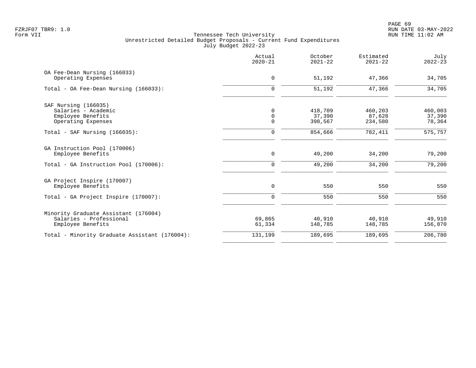| Actual<br>$2020 - 21$       | October<br>$2021 - 22$ | Estimated<br>$2021 - 22$ | July<br>$2022 - 23$         |
|-----------------------------|------------------------|--------------------------|-----------------------------|
| 0                           | 51,192                 | 47,366                   | 34,705                      |
| $\mathbf 0$                 | 51,192                 | 47,366                   | 34,705                      |
|                             |                        |                          |                             |
| $\mathsf{O}$<br>$\mathbf 0$ | 37,390<br>398,567      | 87,628<br>234,580        | 460,003<br>37,390<br>78,364 |
| 0                           | 854,666                | 782,411                  | 575,757                     |
| $\mathbf 0$                 | 49,200                 | 34,200                   | 79,200                      |
| $\mathbf 0$                 | 49,200                 | 34,200                   | 79,200                      |
| $\mathbf 0$                 | 550                    | 550                      | 550                         |
| $\mathbf 0$                 | 550                    | 550                      | 550                         |
| 69,865                      | 40,910                 | 40,910                   | 49,910                      |
| 61,334                      | 148,785                | 148,785                  | 156,870<br>206,780          |
|                             | $\mathbf 0$<br>131,199 | 418,709<br>189,695       | 460,203<br>189,695          |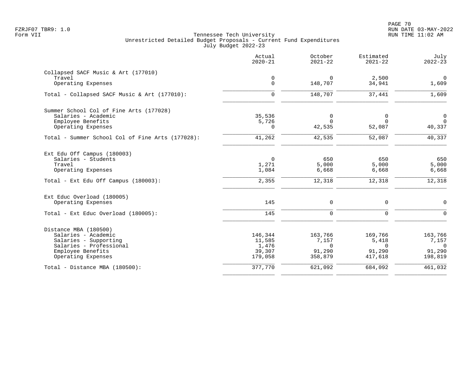|                                                  | Actual<br>$2020 - 21$ | October<br>$2021 - 22$ | Estimated<br>$2021 - 22$ | July<br>$2022 - 23$ |
|--------------------------------------------------|-----------------------|------------------------|--------------------------|---------------------|
| Collapsed SACF Music & Art (177010)              |                       |                        |                          |                     |
| Travel                                           | 0                     | $\mathbf 0$            | 2,500                    | $\mathsf{O}$        |
| Operating Expenses                               | $\mathbf{0}$          | 148,707                | 34,941                   | 1,609               |
| Total - Collapsed SACF Music & Art (177010):     | $\mathbf 0$           | 148,707                | 37,441                   | 1,609               |
| Summer School Col of Fine Arts (177028)          |                       |                        |                          |                     |
| Salaries - Academic                              | 35,536                | 0                      | 0                        | $\mathbf 0$         |
| Employee Benefits                                | 5,726                 | $\Omega$               | $\Omega$                 | $\Omega$            |
| Operating Expenses                               | 0                     | 42,535                 | 52,087                   | 40,337              |
| Total - Summer School Col of Fine Arts (177028): | 41,262                | 42,535                 | 52,087                   | 40,337              |
| Ext Edu Off Campus (180003)                      |                       |                        |                          |                     |
| Salaries - Students                              | $\mathbf 0$           | 650                    | 650                      | 650                 |
| Travel                                           | 1,271                 | 5,000                  | 5,000                    | 5,000               |
| Operating Expenses                               | 1,084                 | 6,668                  | 6,668                    | 6,668               |
| Total - Ext Edu Off Campus (180003):             | 2,355                 | 12,318                 | 12,318                   | 12,318              |
| Ext Educ Overload (180005)                       |                       |                        |                          |                     |
| Operating Expenses                               | 145                   | 0                      | 0                        | $\mathbf 0$         |
| Total - Ext Educ Overload (180005):              | 145                   | $\mathbf 0$            | $\mathbf 0$              | $\mathbf 0$         |
| Distance MBA (180500)                            |                       |                        |                          |                     |
| Salaries - Academic                              | 146,344               | 163,766                | 169,766                  | 163,766             |
| Salaries - Supporting                            | 11,585                | 7,157                  | 5,418                    | 7,157               |
| Salaries - Professional                          | 1,476                 | $\Omega$               | $\Omega$                 | $\Omega$            |
| Employee Benefits                                | 39,307                | 91,290                 | 91,290                   | 91,290              |
| Operating Expenses                               | 179,058               | 358,879                | 417,618                  | 198,819             |
| Total - Distance MBA (180500):                   | 377,770               | 621,092                | 684,092                  | 461,032             |
|                                                  |                       |                        |                          |                     |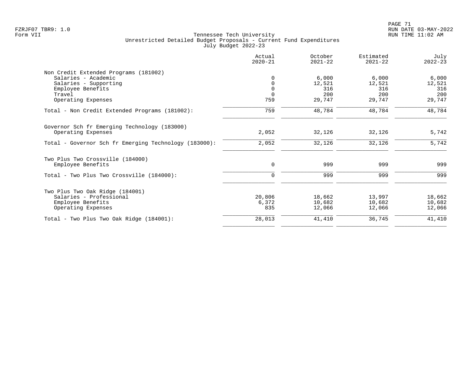|                                                       | Actual<br>$2020 - 21$ | October<br>$2021 - 22$ | Estimated<br>$2021 - 22$ | July<br>$2022 - 23$ |
|-------------------------------------------------------|-----------------------|------------------------|--------------------------|---------------------|
| Non Credit Extended Programs (181002)                 |                       |                        |                          |                     |
| Salaries - Academic                                   | $\Omega$              | 6,000                  | 6,000                    | 6,000               |
| Salaries - Supporting                                 | $\Omega$              | 12,521                 | 12,521                   | 12,521              |
| Employee Benefits                                     | $\Omega$              | 316                    | 316                      | 316                 |
| Travel                                                | $\Omega$              | 200                    | 200                      | 200                 |
| Operating Expenses                                    | 759                   | 29,747                 | 29,747                   | 29,747              |
| Total - Non Credit Extended Programs (181002):        | 759                   | 48,784                 | 48,784                   | 48,784              |
| Governor Sch fr Emerging Technology (183000)          |                       |                        |                          |                     |
| Operating Expenses                                    | 2,052                 | 32,126                 | 32,126                   | 5,742               |
| Total - Governor Sch fr Emerging Technology (183000): | 2,052                 | 32,126                 | 32,126                   | 5,742               |
| Two Plus Two Crossville (184000)                      |                       |                        |                          |                     |
| Employee Benefits                                     | 0                     | 999                    | 999                      | 999                 |
| Total - Two Plus Two Crossville (184000):             | $\Omega$              | 999                    | 999                      | 999                 |
| Two Plus Two Oak Ridge (184001)                       |                       |                        |                          |                     |
| Salaries - Professional                               | 20,806                | 18,662                 | 13,997                   | 18,662              |
| Employee Benefits                                     | 6,372                 | 10,682                 | 10,682                   | 10,682              |
| Operating Expenses                                    | 835                   | 12,066                 | 12,066                   | 12,066              |
| Total - Two Plus Two Oak Ridge (184001):              | 28,013                | 41,410                 | 36,745                   | 41,410              |
|                                                       |                       |                        |                          |                     |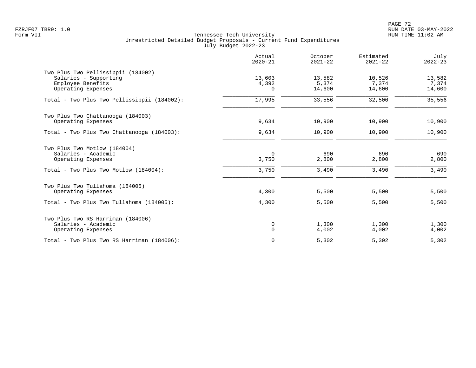|                                                                                                                    | Actual<br>$2020 - 21$       | October<br>$2021 - 22$    | Estimated<br>$2021 - 22$  | July<br>$2022 - 23$       |
|--------------------------------------------------------------------------------------------------------------------|-----------------------------|---------------------------|---------------------------|---------------------------|
| Two Plus Two Pellissippii (184002)<br>Salaries - Supporting<br>Employee Benefits<br>Operating Expenses             | 13,603<br>4,392<br>$\Omega$ | 13,582<br>5,374<br>14,600 | 10,526<br>7,374<br>14,600 | 13,582<br>7,374<br>14,600 |
| Total - Two Plus Two Pellissippii (184002):                                                                        | 17,995                      | 33,556                    | 32,500                    | 35,556                    |
| Two Plus Two Chattanooga (184003)<br>Operating Expenses                                                            | 9,634                       | 10,900                    | 10,900                    | 10,900                    |
| Total - Two Plus Two Chattanooga (184003):                                                                         | 9,634                       | 10,900                    | 10,900                    | 10,900                    |
| Two Plus Two Motlow (184004)<br>Salaries - Academic<br>Operating Expenses<br>Total - Two Plus Two Motlow (184004): | $\Omega$<br>3,750<br>3,750  | 690<br>2,800<br>3,490     | 690<br>2,800<br>3,490     | 690<br>2,800<br>3,490     |
| Two Plus Two Tullahoma (184005)<br>Operating Expenses<br>Total - Two Plus Two Tullahoma (184005):                  | 4,300<br>4,300              | 5,500<br>5,500            | 5,500<br>5,500            | 5,500<br>5,500            |
| Two Plus Two RS Harriman (184006)<br>Salaries - Academic<br>Operating Expenses                                     | 0<br>$\mathbf 0$            | 1,300<br>4,002            | 1,300<br>4,002            | 1,300<br>4,002            |
| Total - Two Plus Two RS Harriman (184006):                                                                         | $\mathbf 0$                 | 5,302                     | 5,302                     | 5,302                     |
|                                                                                                                    |                             |                           |                           |                           |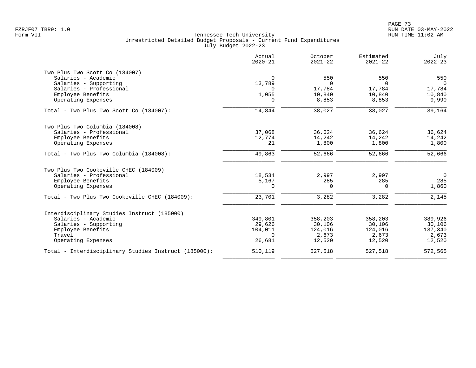|                                                      | Actual<br>$2020 - 21$ | October<br>$2021 - 22$ | Estimated<br>$2021 - 22$ | July<br>$2022 - 23$ |
|------------------------------------------------------|-----------------------|------------------------|--------------------------|---------------------|
| Two Plus Two Scott Co (184007)                       |                       |                        |                          |                     |
| Salaries - Academic                                  | $\Omega$              | 550                    | 550                      | 550                 |
| Salaries - Supporting                                | 13,789                | $\Omega$               | $\Omega$                 | $\Omega$            |
| Salaries - Professional                              | $\cap$                | 17,784                 | 17,784                   | 17,784              |
| Employee Benefits                                    | 1,055                 | 10,840                 | 10,840                   | 10,840              |
| Operating Expenses                                   | $\Omega$              | 8,853                  | 8,853                    | 9,990               |
| Total - Two Plus Two Scott Co (184007):              | 14,844                | 38,027                 | 38,027                   | 39,164              |
| Two Plus Two Columbia (184008)                       |                       |                        |                          |                     |
| Salaries - Professional                              | 37,068                | 36,624                 | 36,624                   | 36,624              |
| Employee Benefits                                    | 12,774                | 14,242                 | 14,242                   | 14,242              |
| Operating Expenses                                   | 21                    | 1,800                  | 1,800                    | 1,800               |
| Total - Two Plus Two Columbia (184008):              | 49,863                | 52,666                 | 52,666                   | 52,666              |
| Two Plus Two Cookeville CHEC (184009)                |                       |                        |                          |                     |
| Salaries - Professional                              | 18,534                | 2,997                  | 2,997                    | $\overline{0}$      |
| Employee Benefits                                    | 5,167                 | 285                    | 285                      | 285                 |
| Operating Expenses                                   | $\Omega$              | $\Omega$               | $\Omega$                 | 1,860               |
| Total - Two Plus Two Cookeville CHEC (184009):       | 23,701                | 3,282                  | 3,282                    | 2,145               |
| Interdisciplinary Studies Instruct (185000)          |                       |                        |                          |                     |
| Salaries - Academic                                  | 349,801               | 358,203                | 358,203                  | 389,926             |
| Salaries - Supporting                                | 29,626                | 30,106                 | 30,106                   | 30,106              |
| Employee Benefits                                    | 104,011               | 124,016                | 124,016                  | 137,340             |
| Travel                                               | $\Omega$              | 2,673                  | 2,673                    | 2,673               |
| Operating Expenses                                   | 26,681                | 12,520                 | 12,520                   | 12,520              |
| Total - Interdisciplinary Studies Instruct (185000): | 510,119               | 527,518                | 527,518                  | 572,565             |
|                                                      |                       |                        |                          |                     |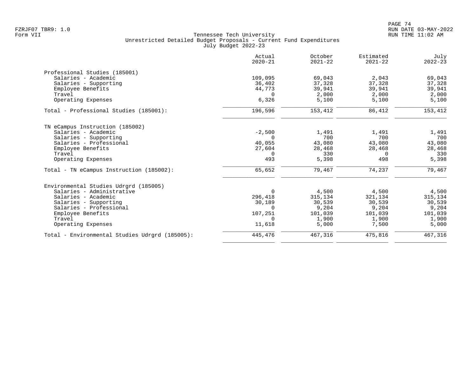|                                                | Actual<br>$2020 - 21$ | October<br>$2021 - 22$ | Estimated<br>$2021 - 22$ | July<br>$2022 - 23$ |
|------------------------------------------------|-----------------------|------------------------|--------------------------|---------------------|
| Professional Studies (185001)                  |                       |                        |                          |                     |
| Salaries - Academic                            | 109,095               | 69,043                 | 2,043                    | 69,043              |
| Salaries - Supporting                          | 36,402                | 37,328                 | 37,328                   | 37,328              |
| Employee Benefits                              | 44,773                | 39,941                 | 39,941                   | 39,941              |
| Travel                                         | $\Omega$              | 2,000                  | 2,000                    | 2,000               |
| Operating Expenses                             | 6,326                 | 5,100                  | 5,100                    | 5,100               |
| Total - Professional Studies (185001):         | 196,596               | 153,412                | 86,412                   | 153,412             |
| TN eCampus Instruction (185002)                |                       |                        |                          |                     |
| Salaries - Academic                            | $-2,500$              | 1,491                  | 1,491                    | 1,491               |
| Salaries - Supporting                          | $\Omega$              | 700                    | 700                      | 700                 |
| Salaries - Professional                        | 40,055                | 43,080                 | 43,080                   | 43,080              |
| Employee Benefits                              | 27,604                | 28,468                 | 28,468                   | 28,468              |
| Travel                                         | 0                     | 330                    | $\Omega$                 | 330                 |
| Operating Expenses                             | 493                   | 5,398                  | 498                      | 5,398               |
| Total - TN eCampus Instruction (185002):       | 65,652                | 79,467                 | 74,237                   | 79,467              |
| Environmental Studies Udrgrd (185005)          |                       |                        |                          |                     |
| Salaries - Administrative                      | $\Omega$              | 4,500                  | 4,500                    | 4,500               |
| Salaries - Academic                            | 296,418               | 315,134                | 321,134                  | 315,134             |
| Salaries - Supporting                          | 30,189                | 30,539                 | 30,539                   | 30,539              |
| Salaries - Professional                        | $\Omega$              | 9,204                  | 9,204                    | 9,204               |
| Employee Benefits                              | 107,251               | 101,039                | 101,039                  | 101,039             |
| Travel                                         | $\Omega$              | 1,900                  | 1,900                    | 1,900               |
| Operating Expenses                             | 11,618                | 5,000                  | 7,500                    | 5,000               |
| Total - Environmental Studies Udrgrd (185005): | 445,476               | 467,316                | 475,816                  | 467,316             |
|                                                |                       |                        |                          |                     |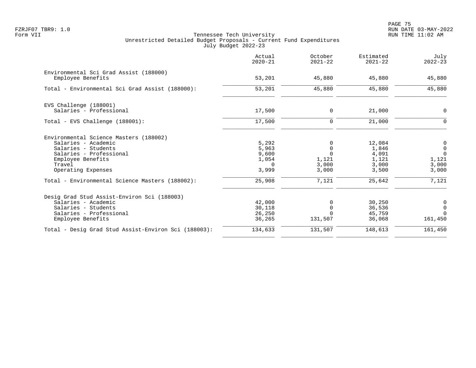PAGE 75 FZRJF07 TBR9: 1.0 RUN DATE 03-MAY-2022

|                                                                                                                                                                                                                         | Actual<br>$2020 - 21$                                           | October<br>$2021 - 22$                                           | Estimated<br>$2021 - 22$                                      | July<br>$2022 - 23$                                                           |
|-------------------------------------------------------------------------------------------------------------------------------------------------------------------------------------------------------------------------|-----------------------------------------------------------------|------------------------------------------------------------------|---------------------------------------------------------------|-------------------------------------------------------------------------------|
| Environmental Sci Grad Assist (188000)<br>Employee Benefits                                                                                                                                                             | 53,201                                                          | 45,880                                                           | 45,880                                                        | 45,880                                                                        |
| Total - Environmental Sci Grad Assist (188000):                                                                                                                                                                         | 53,201                                                          | 45,880                                                           | 45,880                                                        | 45,880                                                                        |
| EVS Challenge (188001)<br>Salaries - Professional                                                                                                                                                                       | 17,500                                                          | 0                                                                | 21,000                                                        | 0                                                                             |
| Total - EVS Challenge (188001):                                                                                                                                                                                         | 17,500                                                          | 0                                                                | 21,000                                                        | $\mathbf 0$                                                                   |
| Environmental Science Masters (188002)<br>Salaries - Academic<br>Salaries - Students<br>Salaries - Professional<br>Employee Benefits<br>Travel<br>Operating Expenses<br>Total - Environmental Science Masters (188002): | 5,292<br>5,963<br>9,600<br>1,054<br>$\Omega$<br>3,999<br>25,908 | 0<br>$\mathbf 0$<br>$\Omega$<br>1,121<br>3,000<br>3,000<br>7,121 | 12,084<br>1,846<br>4,091<br>1,121<br>3,000<br>3,500<br>25,642 | $\overline{0}$<br>$\mathbf 0$<br>$\Omega$<br>1,121<br>3,000<br>3,000<br>7,121 |
| Desig Grad Stud Assist-Environ Sci (188003)<br>Salaries - Academic<br>Salaries - Students<br>Salaries - Professional<br>Employee Benefits                                                                               | 42,000<br>30,118<br>26,250<br>36,265                            | 0<br>$\mathbf 0$<br>$\Omega$<br>131,507                          | 30,250<br>36,536<br>45,759<br>36,068                          | 0<br>$\mathsf{O}$<br>$\Omega$<br>161,450                                      |
| Total - Desig Grad Stud Assist-Environ Sci (188003):                                                                                                                                                                    | 134,633                                                         | 131,507                                                          | 148,613                                                       | 161,450                                                                       |
|                                                                                                                                                                                                                         |                                                                 |                                                                  |                                                               |                                                                               |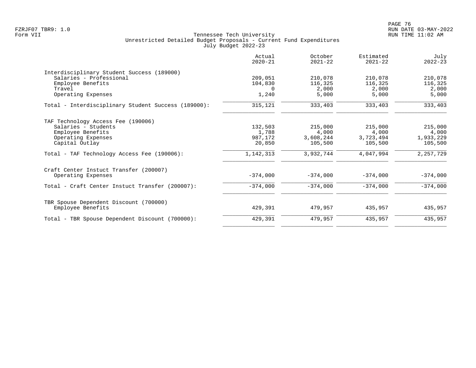| 209,051    |                    |            |             |
|------------|--------------------|------------|-------------|
|            |                    |            |             |
|            | 210,078            | 210,078    | 210,078     |
|            | 116,325            |            | 116,325     |
| $\Omega$   | 2,000              | 2,000      | 2,000       |
| 1,240      | 5,000              | 5,000      | 5,000       |
| 315,121    | 333,403            | 333,403    | 333,403     |
|            |                    |            |             |
|            | 215,000            | 215,000    | 215,000     |
| 1,788      | 4,000              | 4,000      | 4,000       |
| 987,172    | 3,608,244          | 3,723,494  | 1,933,229   |
| 20,850     | 105,500            | 105,500    | 105,500     |
| 1,142,313  | 3,932,744          | 4,047,994  | 2, 257, 729 |
|            |                    |            |             |
| $-374,000$ | $-374.000$         | $-374.000$ | $-374,000$  |
| $-374,000$ | $-374,000$         | $-374,000$ | $-374,000$  |
|            |                    |            |             |
| 429,391    | 479,957            | 435,957    | 435,957     |
| 429,391    | 479,957            | 435,957    | 435,957     |
|            | 104,830<br>132,503 |            | 116,325     |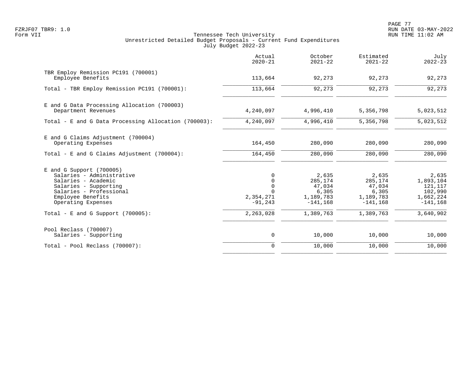PAGE 77 FZRJF07 TBR9: 1.0 RUN DATE 03-MAY-2022

|                                                                                                                                                                               | Actual<br>$2020 - 21$                                             | October<br>$2021 - 22$                                          | Estimated<br>$2021 - 22$                                       | July<br>$2022 - 23$                                                  |
|-------------------------------------------------------------------------------------------------------------------------------------------------------------------------------|-------------------------------------------------------------------|-----------------------------------------------------------------|----------------------------------------------------------------|----------------------------------------------------------------------|
| TBR Employ Remission PC191 (700001)<br>Employee Benefits                                                                                                                      | 113,664                                                           | 92,273                                                          | 92,273                                                         | 92,273                                                               |
| Total - TBR Employ Remission PC191 (700001):                                                                                                                                  | 113,664                                                           | 92,273                                                          | 92,273                                                         | 92,273                                                               |
| E and G Data Processing Allocation (700003)<br>Department Revenues                                                                                                            | 4,240,097                                                         | 4,996,410                                                       | 5,356,798                                                      | 5,023,512                                                            |
| Total - E and G Data Processing Allocation (700003):                                                                                                                          | 4,240,097                                                         | 4,996,410                                                       | 5,356,798                                                      | 5,023,512                                                            |
| E and G Claims Adjustment (700004)<br>Operating Expenses                                                                                                                      | 164,450                                                           | 280,090                                                         | 280,090                                                        | 280,090                                                              |
| Total - E and G Claims Adjustment $(700004)$ :                                                                                                                                | 164,450                                                           | 280,090                                                         | 280,090                                                        | 280,090                                                              |
| $E$ and G Support (700005)<br>Salaries - Administrative<br>Salaries - Academic<br>Salaries - Supporting<br>Salaries - Professional<br>Employee Benefits<br>Operating Expenses | $\Omega$<br>$\mathbf 0$<br>$\mathbf 0$<br>2,354,271<br>$-91, 243$ | 2,635<br>285,174<br>47,034<br>6,305<br>1,189,783<br>$-141, 168$ | 2,635<br>285,174<br>47,034<br>6,305<br>1,189,783<br>$-141.168$ | 2,635<br>1,893,104<br>121,117<br>102,990<br>1,662,224<br>$-141, 168$ |
| Total - E and G Support $(700005)$ :                                                                                                                                          | 2,263,028                                                         | 1,389,763                                                       | 1,389,763                                                      | 3,640,902                                                            |
| Pool Reclass (700007)<br>Salaries - Supporting                                                                                                                                | $\mathsf{O}$                                                      | 10,000                                                          | 10,000                                                         | 10,000                                                               |
| Total - Pool Reclass (700007):                                                                                                                                                | $\mathbf 0$                                                       | 10,000                                                          | 10,000                                                         | 10,000                                                               |
|                                                                                                                                                                               |                                                                   |                                                                 |                                                                |                                                                      |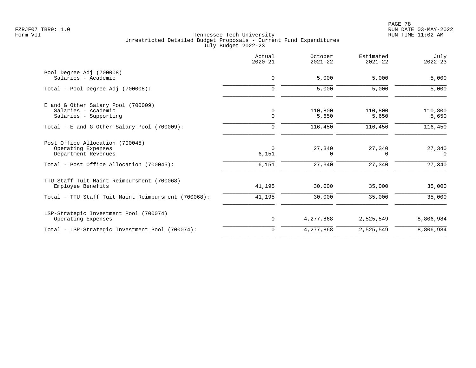|                                                                                    | Actual<br>$2020 - 21$ | October<br>$2021 - 22$ | Estimated<br>$2021 - 22$ | July<br>$2022 - 23$ |
|------------------------------------------------------------------------------------|-----------------------|------------------------|--------------------------|---------------------|
| Pool Degree Adj (700008)<br>Salaries - Academic                                    | 0                     | 5,000                  | 5,000                    | 5,000               |
| Total - Pool Degree Adj (700008):                                                  | $\mathbf 0$           | 5,000                  | 5,000                    | 5,000               |
| E and G Other Salary Pool (700009)<br>Salaries - Academic<br>Salaries - Supporting | 0<br>$\mathbf 0$      | 110,800<br>5,650       | 110,800<br>5,650         | 110,800<br>5,650    |
| Total - E and G Other Salary Pool (700009):                                        | $\mathbf 0$           | 116,450                | 116,450                  | 116,450             |
| Post Office Allocation (700045)<br>Operating Expenses<br>Department Revenues       | $\Omega$<br>6,151     | 27,340<br>$\Omega$     | 27,340<br>$\Omega$       | 27,340<br>$\Omega$  |
| Total - Post Office Allocation (700045):                                           | 6,151                 | 27,340                 | 27,340                   | 27,340              |
| TTU Staff Tuit Maint Reimbursment (700068)<br>Employee Benefits                    | 41,195                | 30,000                 | 35,000                   | 35,000              |
| Total - TTU Staff Tuit Maint Reimbursment (700068):                                | 41,195                | 30,000                 | 35,000                   | 35,000              |
| LSP-Strategic Investment Pool (700074)<br>Operating Expenses                       | $\mathbf 0$           | 4,277,868              | 2,525,549                | 8,806,984           |
| Total - LSP-Strategic Investment Pool (700074):                                    | $\mathbf 0$           | 4,277,868              | 2,525,549                | 8,806,984           |
|                                                                                    |                       |                        |                          |                     |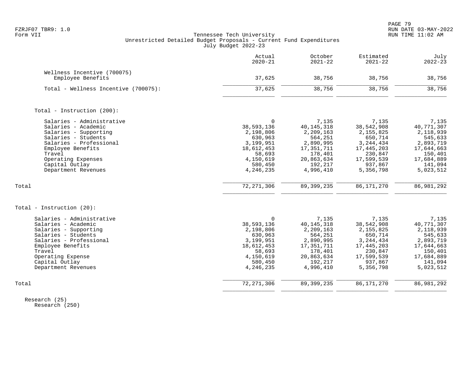PAGE 79 FZRJF07 TBR9: 1.0 RUN DATE 03-MAY-2022

# Form VII Tennessee Tech University RUN TIME 11:02 AM Unrestricted Detailed Budget Proposals - Current Fund Expenditures July Budget 2022-23

|                                                                                                                                                                                                                           | Actual<br>$2020 - 21$                                                                                                        | October<br>$2021 - 22$                                                                                                      | Estimated<br>$2021 - 22$                                                                                                  | July<br>$2022 - 23$                                                                                                     |
|---------------------------------------------------------------------------------------------------------------------------------------------------------------------------------------------------------------------------|------------------------------------------------------------------------------------------------------------------------------|-----------------------------------------------------------------------------------------------------------------------------|---------------------------------------------------------------------------------------------------------------------------|-------------------------------------------------------------------------------------------------------------------------|
| Wellness Incentive (700075)<br>Employee Benefits                                                                                                                                                                          | 37,625                                                                                                                       | 38,756                                                                                                                      | 38,756                                                                                                                    | 38,756                                                                                                                  |
| Total - Wellness Incentive (700075):                                                                                                                                                                                      | 37,625                                                                                                                       | 38,756                                                                                                                      | 38,756                                                                                                                    | 38,756                                                                                                                  |
| Total - Instruction (200):                                                                                                                                                                                                |                                                                                                                              |                                                                                                                             |                                                                                                                           |                                                                                                                         |
| Salaries - Administrative<br>Salaries - Academic<br>Salaries - Supporting<br>Salaries - Students<br>Salaries - Professional<br>Employee Benefits<br>Travel<br>Operating Expenses<br>Capital Outlay<br>Department Revenues | $\Omega$<br>38,593,136<br>2,198,806<br>630,963<br>3,199,951<br>18,612,453<br>58,693<br>4,150,619<br>580,450<br>4,246,235     | 7,135<br>40, 145, 318<br>2,209,163<br>564,251<br>2,890,995<br>17, 351, 711<br>178,401<br>20,863,634<br>192,217<br>4,996,410 | 7,135<br>38,542,908<br>2,155,825<br>650,714<br>3, 244, 434<br>17,445,203<br>230,847<br>17,599,539<br>937,867<br>5,356,798 | 7,135<br>40,771,307<br>2,118,939<br>545,633<br>2,893,719<br>17,644,663<br>150,401<br>17,684,889<br>141,094<br>5,023,512 |
| Total                                                                                                                                                                                                                     | 72, 271, 306                                                                                                                 | 89, 399, 235                                                                                                                | 86, 171, 270                                                                                                              | 86,981,292                                                                                                              |
| Total - Instruction (20):                                                                                                                                                                                                 |                                                                                                                              |                                                                                                                             |                                                                                                                           |                                                                                                                         |
| Salaries - Administrative<br>Salaries - Academic<br>Salaries - Supporting<br>Salaries - Students<br>Salaries - Professional<br>Employee Benefits<br>Travel<br>Operating Expense<br>Capital Outlay<br>Department Revenues  | <sup>0</sup><br>38,593,136<br>2,198,806<br>630,963<br>3,199,951<br>18,612,453<br>58,693<br>4,150,619<br>580,450<br>4,246,235 | 7,135<br>40, 145, 318<br>2,209,163<br>564,251<br>2,890,995<br>17, 351, 711<br>178,401<br>20,863,634<br>192,217<br>4,996,410 | 7,135<br>38,542,908<br>2,155,825<br>650,714<br>3, 244, 434<br>17,445,203<br>230,847<br>17,599,539<br>937,867<br>5,356,798 | 7,135<br>40,771,307<br>2,118,939<br>545,633<br>2,893,719<br>17,644,663<br>150,401<br>17,684,889<br>141,094<br>5,023,512 |
| Total                                                                                                                                                                                                                     | 72, 271, 306                                                                                                                 | 89, 399, 235                                                                                                                | 86, 171, 270                                                                                                              | 86, 981, 292                                                                                                            |

 Research (25) Research (250)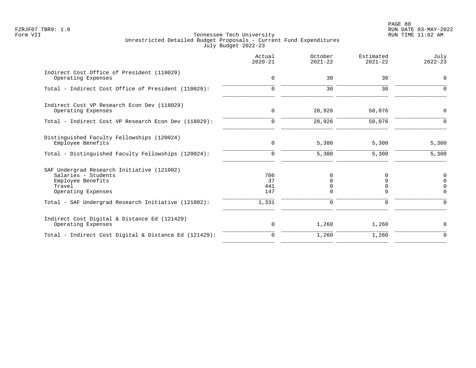PAGE 80 FZRJF07 TBR9: 1.0 RUN DATE 03-MAY-2022

|                                                                                                                        | Actual<br>$2020 - 21$   | October<br>$2021 - 22$ | Estimated<br>$2021 - 22$ | July<br>$2022 - 23$              |
|------------------------------------------------------------------------------------------------------------------------|-------------------------|------------------------|--------------------------|----------------------------------|
| Indirect Cost Office of President (110029)<br>Operating Expenses                                                       | $\mathbf 0$             | 30                     | 30                       | $\mathbf 0$                      |
| Total - Indirect Cost Office of President (110029):                                                                    | $\mathbf 0$             | 30                     | 30                       | $\Omega$                         |
| Indirect Cost VP Research Econ Dev (118029)<br>Operating Expenses                                                      | $\mathbf 0$             | 28,926                 | 50,076                   | $\mathbf 0$                      |
| Total - Indirect Cost VP Research Econ Dev (118029):                                                                   | $\mathbf 0$             | 28,926                 | 50,076                   | $\Omega$                         |
| Distinguished Faculty Fellowships (120024)<br>Employee Benefits                                                        | 0                       | 5,300                  | 5,300                    | 5,300                            |
| Total - Distinguished Faculty Fellowships (120024):                                                                    | 0                       | 5,300                  | 5,300                    | 5,300                            |
| SAF Undergrad Research Initiative (121002)<br>Salaries - Students<br>Employee Benefits<br>Travel<br>Operating Expenses | 706<br>37<br>441<br>147 | 0<br>$\Omega$          | 0<br>0<br>0<br>$\Omega$  | $\Omega$<br>$\Omega$<br>$\Omega$ |
| Total - SAF Undergrad Research Initiative (121002):                                                                    | 1,331                   | 0                      | $\Omega$                 | $\Omega$                         |
| Indirect Cost Digital & Distance Ed (121429)<br>Operating Expenses                                                     | 0                       | 1,260                  | 1,260                    | 0                                |
| Total - Indirect Cost Digital & Distance Ed (121429):                                                                  | $\mathbf 0$             | 1,260                  | 1,260                    | $\mathbf 0$                      |
|                                                                                                                        |                         |                        |                          |                                  |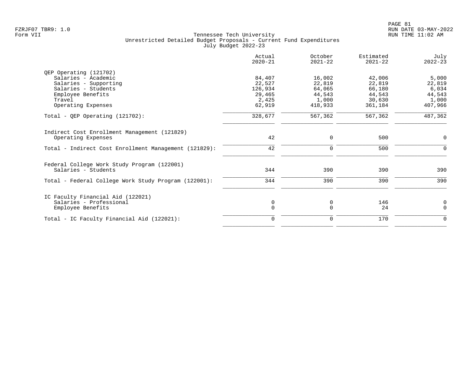|                                                       | Actual<br>$2020 - 21$ | October<br>$2021 - 22$ | Estimated<br>$2021 - 22$ | July<br>$2022 - 23$ |
|-------------------------------------------------------|-----------------------|------------------------|--------------------------|---------------------|
| QEP Operating (121702)                                |                       |                        |                          |                     |
| Salaries - Academic                                   | 84,407                | 16,002                 | 42,006                   | 5,000               |
| Salaries - Supporting                                 | 22,527                | 22,819                 | 22,819                   | 22,819              |
| Salaries - Students                                   | 126,934               | 64,065                 | 66,180                   | 6,034               |
| Employee Benefits                                     | 29,465                | 44,543                 | 44,543                   | 44,543              |
| Travel<br>Operating Expenses                          | 2,425<br>62,919       | 1,000<br>418,933       | 30,630<br>361,184        | 1,000<br>407,966    |
|                                                       |                       |                        |                          |                     |
| Total - QEP Operating $(121702)$ :                    | 328,677               | 567,362                | 567,362                  | 487,362             |
| Indirect Cost Enrollment Management (121829)          |                       |                        |                          |                     |
| Operating Expenses                                    | 42                    | $\mathbf 0$            | 500                      | 0                   |
| Total - Indirect Cost Enrollment Management (121829): | 42                    | $\mathbf 0$            | 500                      | $\Omega$            |
| Federal College Work Study Program (122001)           |                       |                        |                          |                     |
| Salaries - Students                                   | 344                   | 390                    | 390                      | 390                 |
| Total - Federal College Work Study Program (122001):  | 344                   | 390                    | 390                      | 390                 |
| IC Faculty Financial Aid (122021)                     |                       |                        |                          |                     |
| Salaries - Professional                               | 0                     | 0                      | 146                      | 0                   |
| Employee Benefits                                     | $\mathbf 0$           | $\mathbf 0$            | 24                       | $\mathbf 0$         |
| Total - IC Faculty Financial Aid (122021):            | $\Omega$              | $\mathbf 0$            | 170                      | $\mathbf 0$         |
|                                                       |                       |                        |                          |                     |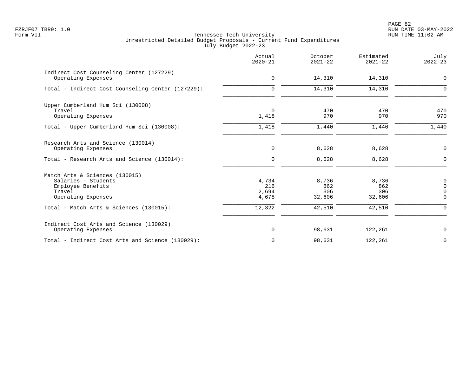PAGE 82 FZRJF07 TBR9: 1.0 RUN DATE 03-MAY-2022

|                                                                                                            | Actual<br>$2020 - 21$          | October<br>$2021 - 22$        | Estimated<br>$2021 - 22$      | July<br>$2022 - 23$                                   |
|------------------------------------------------------------------------------------------------------------|--------------------------------|-------------------------------|-------------------------------|-------------------------------------------------------|
| Indirect Cost Counseling Center (127229)<br>Operating Expenses                                             | $\mathbf 0$                    | 14,310                        | 14,310                        | $\mathbf 0$                                           |
| Total - Indirect Cost Counseling Center (127229):                                                          | 0                              | 14,310                        | 14,310                        | $\mathbf 0$                                           |
| Upper Cumberland Hum Sci (130008)<br>Travel<br>Operating Expenses                                          | 0<br>1,418                     | 470<br>970                    | 470<br>970                    | 470<br>970                                            |
| Total - Upper Cumberland Hum Sci (130008):                                                                 | 1,418                          | 1,440                         | 1,440                         | 1,440                                                 |
| Research Arts and Science (130014)<br>Operating Expenses                                                   | 0                              | 8,628                         | 8,628                         | $\mathbf 0$                                           |
| Total - Research Arts and Science (130014):                                                                | $\Omega$                       | 8,628                         | 8,628                         | $\Omega$                                              |
| Match Arts & Sciences (130015)<br>Salaries - Students<br>Employee Benefits<br>Travel<br>Operating Expenses | 4,734<br>216<br>2,694<br>4,678 | 8,736<br>862<br>306<br>32,606 | 8,736<br>862<br>306<br>32,606 | $\mathbf 0$<br>$\Omega$<br>$\overline{0}$<br>$\Omega$ |
| Total - Match Arts & Sciences (130015):                                                                    | 12,322                         | 42,510                        | 42,510                        | $\Omega$                                              |
| Indirect Cost Arts and Science (130029)<br>Operating Expenses                                              | 0                              | 98,631                        | 122,261                       | 0                                                     |
| Total - Indirect Cost Arts and Science (130029):                                                           | $\mathbf 0$                    | 98,631                        | 122,261                       | $\mathbf 0$                                           |
|                                                                                                            |                                |                               |                               |                                                       |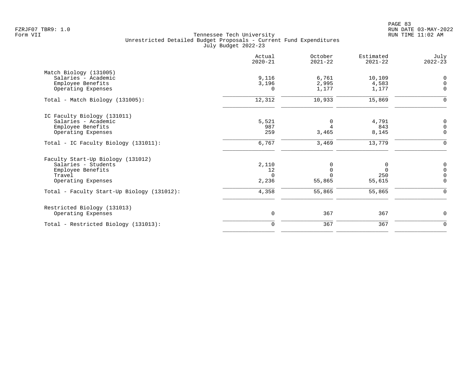|                                            | Actual<br>$2020 - 21$ | October<br>$2021 - 22$ | Estimated<br>$2021 - 22$ | July<br>$2022 - 23$ |
|--------------------------------------------|-----------------------|------------------------|--------------------------|---------------------|
| Match Biology (131005)                     |                       |                        |                          |                     |
| Salaries - Academic                        | 9,116                 | 6,761                  | 10,109                   | $\mathbf 0$         |
| Employee Benefits                          | 3,196                 | 2,995                  | 4,583                    | $\mathsf{O}\xspace$ |
| Operating Expenses                         | $\Omega$              | 1,177                  | 1,177                    | $\mathbf 0$         |
| Total - Match Biology (131005):            | 12,312                | 10,933                 | 15,869                   | $\mathbf 0$         |
| IC Faculty Biology (131011)                |                       |                        |                          |                     |
| Salaries - Academic                        | 5,521                 | $\mathbf 0$            | 4,791                    | $\mathsf 0$         |
| Employee Benefits                          | 987                   | 4                      | 843                      | $\mathsf{O}\xspace$ |
| Operating Expenses                         | 259                   | 3,465                  | 8,145                    | $\mathbf 0$         |
| Total - IC Faculty Biology (131011):       | 6,767                 | 3,469                  | 13,779                   | $\mathbf 0$         |
| Faculty Start-Up Biology (131012)          |                       |                        |                          |                     |
| Salaries - Students                        | 2,110                 | 0                      | 0                        | 0                   |
| Employee Benefits                          | 12                    | $\mathbf 0$            | $\Omega$                 | $\mathsf{O}\xspace$ |
| Travel                                     | $\Omega$              | $\Omega$               | 250                      | $\mathsf{O}\xspace$ |
| Operating Expenses                         | 2,236                 | 55,865                 | 55,615                   | $\mathbf 0$         |
| Total - Faculty Start-Up Biology (131012): | 4,358                 | 55,865                 | 55,865                   | $\Omega$            |
| Restricted Biology (131013)                |                       |                        |                          |                     |
| Operating Expenses                         | $\mathsf 0$           | 367                    | 367                      | $\mathbf 0$         |
| Total - Restricted Biology (131013):       | $\mathbf 0$           | 367                    | 367                      | $\mathbf 0$         |
|                                            |                       |                        |                          |                     |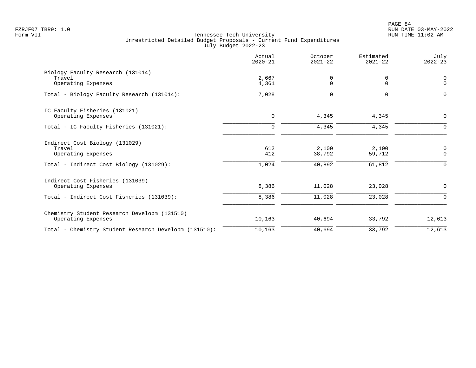|                                                                                                           | Actual<br>$2020 - 21$ | October<br>$2021 - 22$    | Estimated<br>$2021 - 22$   | July<br>$2022 - 23$          |
|-----------------------------------------------------------------------------------------------------------|-----------------------|---------------------------|----------------------------|------------------------------|
| Biology Faculty Research (131014)<br>Travel<br>Operating Expenses                                         | 2,667<br>4,361        | 0<br>$\mathbf 0$          | $\mathbf 0$<br>$\mathbf 0$ | 0<br>$\mathbf 0$             |
| Total - Biology Faculty Research (131014):                                                                | 7,028                 | $\mathbf 0$               | $\Omega$                   | $\Omega$                     |
| IC Faculty Fisheries (131021)<br>Operating Expenses                                                       | $\mathbf 0$           | 4,345                     | 4,345                      | 0                            |
| Total - IC Faculty Fisheries (131021):                                                                    | $\Omega$              | 4,345                     | 4,345                      | $\Omega$                     |
| Indirect Cost Biology (131029)<br>Travel<br>Operating Expenses<br>Total - Indirect Cost Biology (131029): | 612<br>412<br>1,024   | 2,100<br>38,792<br>40,892 | 2,100<br>59,712<br>61,812  | $\mathsf 0$<br>$\Omega$<br>0 |
| Indirect Cost Fisheries (131039)<br>Operating Expenses<br>Total - Indirect Cost Fisheries (131039):       | 8,386<br>8,386        | 11,028<br>11,028          | 23,028<br>23,028           | 0<br>$\Omega$                |
| Chemistry Student Research Developm (131510)<br>Operating Expenses                                        | 10,163                | 40,694                    | 33,792                     | 12,613                       |
| Total - Chemistry Student Research Developm (131510):                                                     | 10,163                | 40,694                    | 33,792                     | 12,613                       |
|                                                                                                           |                       |                           |                            |                              |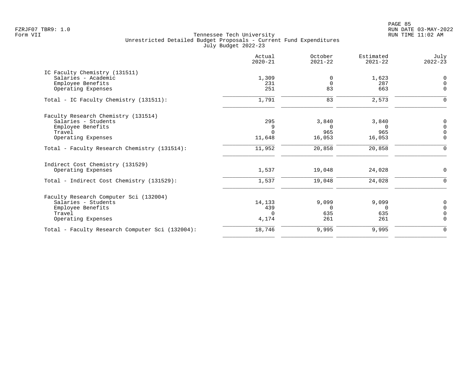PAGE 85 FZRJF07 TBR9: 1.0 RUN DATE 03-MAY-2022

| Actual<br>$2020 - 21$ | October<br>$2021 - 22$ | Estimated<br>$2021 - 22$ | July<br>$2022 - 23$ |
|-----------------------|------------------------|--------------------------|---------------------|
|                       |                        |                          |                     |
| 1,309                 | $\Omega$               | 1,623                    | 0                   |
| 231                   | $\Omega$               | 287                      | $\Omega$            |
|                       |                        |                          | $\Omega$            |
| 1,791                 | 83                     | 2,573                    | ∩                   |
|                       |                        |                          |                     |
| 295                   | 3,840                  |                          | $\mathbf 0$         |
| 9                     | $\Omega$               | $\Omega$                 | $\Omega$            |
| $\Omega$              | 965                    | 965                      | $\Omega$            |
| 11,648                | 16,053                 | 16,053                   | $\Omega$            |
| 11,952                | 20,858                 | 20,858                   | $\Omega$            |
|                       |                        |                          |                     |
| 1,537                 | 19,048                 | 24,028                   | 0                   |
| 1,537                 | 19,048                 | 24,028                   | $\mathbf 0$         |
|                       |                        |                          |                     |
| 14,133                | 9,099                  | 9,099                    | 0                   |
| 439                   | $\Omega$               | $\Omega$                 | $\Omega$            |
| $\Omega$              | 635                    | 635                      | $\overline{0}$      |
| 4,174                 | 261                    | 261                      | $\Omega$            |
| 18,746                | 9,995                  | 9,995                    | $\mathbf 0$         |
|                       | 251                    | 83                       | 663<br>3,840        |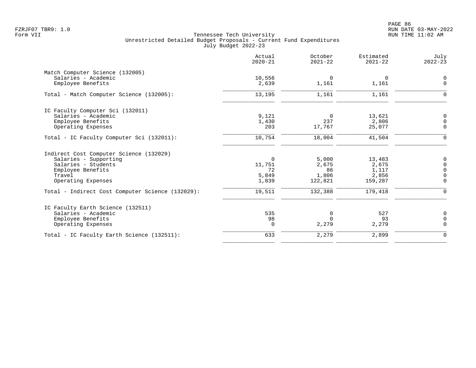PAGE 86 FZRJF07 TBR9: 1.0 RUN DATE 03-MAY-2022

|                                                  | Actual<br>$2020 - 21$ | October<br>$2021 - 22$ | Estimated<br>$2021 - 22$ | July<br>$2022 - 23$ |
|--------------------------------------------------|-----------------------|------------------------|--------------------------|---------------------|
| Match Computer Science (132005)                  |                       |                        |                          |                     |
| Salaries - Academic                              | 10,556                | 0                      | 0                        | 0                   |
| Employee Benefits                                | 2,639                 | 1,161                  | 1,161                    | $\mathbf 0$         |
| Total - Match Computer Science (132005):         | 13,195                | 1,161                  | 1,161                    | $\Omega$            |
| IC Faculty Computer Sci (132011)                 |                       |                        |                          |                     |
| Salaries - Academic                              | 9,121                 | $\Omega$               | 13,621                   | $\mathbf 0$         |
| Employee Benefits                                | 1,430                 | 237                    | 2,806                    | $\Omega$            |
| Operating Expenses                               | 203                   | 17,767                 | 25,077                   | $\Omega$            |
| Total - IC Faculty Computer Sci (132011):        | 10,754                | 18,004                 | 41,504                   | $\mathbf 0$         |
| Indirect Cost Computer Science (132029)          |                       |                        |                          |                     |
| Salaries - Supporting                            | 0                     | 5,000                  | 13,483                   | 0                   |
| Salaries - Students                              | 11,751                | 2,675                  | 2,675                    | $\Omega$            |
| Employee Benefits                                | 72                    | 86                     | 1,117                    | $\Omega$            |
| Travel                                           | 5,849                 | 1,806                  | 2,856                    | $\mathbf 0$         |
| Operating Expenses                               | 1,839                 | 122,821                | 159,287                  | $\Omega$            |
| Total - Indirect Cost Computer Science (132029): | 19,511                | 132,388                | 179,418                  | $\Omega$            |
| IC Faculty Earth Science (132511)                |                       |                        |                          |                     |
| Salaries - Academic                              | 535                   | 0                      | 527                      | 0                   |
| Employee Benefits                                | 98                    | $\Omega$               | 93                       | $\mathbf 0$         |
| Operating Expenses                               | $\mathbf 0$           | 2,279                  | 2,279                    | $\Omega$            |
| Total - IC Faculty Earth Science (132511):       | 633                   | 2,279                  | 2,899                    | $\mathbf 0$         |
|                                                  |                       |                        |                          |                     |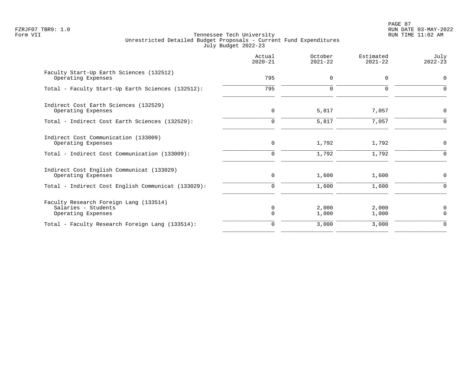PAGE 87 FZRJF07 TBR9: 1.0 RUN DATE 03-MAY-2022

|                                                                                     | Actual<br>$2020 - 21$ | October<br>$2021 - 22$ | Estimated<br>$2021 - 22$ | July<br>$2022 - 23$ |
|-------------------------------------------------------------------------------------|-----------------------|------------------------|--------------------------|---------------------|
| Faculty Start-Up Earth Sciences (132512)<br>Operating Expenses                      | 795                   | $\mathbf 0$            | 0                        | $\mathbf 0$         |
| Total - Faculty Start-Up Earth Sciences (132512):                                   | 795                   | $\Omega$               | 0                        | $\Omega$            |
| Indirect Cost Earth Sciences (132529)<br>Operating Expenses                         | 0                     | 5,817                  | 7,057                    | 0                   |
| Total - Indirect Cost Earth Sciences (132529):                                      | $\Omega$              | 5,817                  | 7,057                    | $\Omega$            |
| Indirect Cost Communication (133009)<br>Operating Expenses                          | 0                     | 1,792                  | 1,792                    | 0                   |
| Total - Indirect Cost Communication (133009):                                       | $\mathbf 0$           | 1,792                  | 1,792                    | $\Omega$            |
| Indirect Cost English Communicat (133029)<br>Operating Expenses                     | 0                     | 1,600                  | 1,600                    | 0                   |
| Total - Indirect Cost English Communicat (133029):                                  | 0                     | 1,600                  | 1,600                    | 0                   |
| Faculty Research Foreign Lang (133514)<br>Salaries - Students<br>Operating Expenses | $\Omega$              | 2,000<br>1,000         | 2,000<br>1,000           | 0<br>$\Omega$       |
| Total - Faculty Research Foreign Lang (133514):                                     | $\Omega$              | 3,000                  | 3,000                    | $\mathbf 0$         |
|                                                                                     |                       |                        |                          |                     |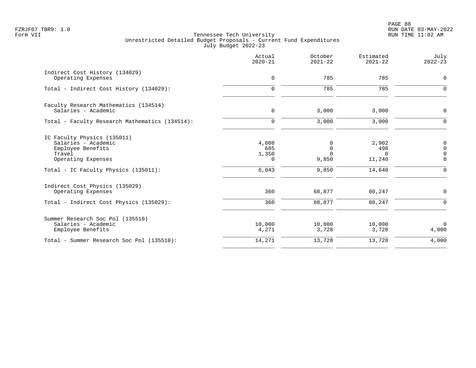|                                                                                                         | Actual<br>$2020 - 21$             | October<br>$2021 - 22$                | Estimated<br>$2021 - 22$           | July<br>$2022 - 23$                         |
|---------------------------------------------------------------------------------------------------------|-----------------------------------|---------------------------------------|------------------------------------|---------------------------------------------|
| Indirect Cost History (134029)<br>Operating Expenses                                                    | $\mathbf 0$                       | 785                                   | 785                                | $\mathbf 0$                                 |
| Total - Indirect Cost History (134029):                                                                 | $\mathbf 0$                       | 785                                   | 785                                | $\mathbf 0$                                 |
| Faculty Research Mathematics (134514)<br>Salaries - Academic                                            | 0                                 | 3,000                                 | 3,000                              | 0                                           |
| Total - Faculty Research Mathematics (134514):                                                          | $\mathbf 0$                       | 3,000                                 | 3,000                              | $\Omega$                                    |
| IC Faculty Physics (135011)<br>Salaries - Academic<br>Employee Benefits<br>Travel<br>Operating Expenses | 4,008<br>685<br>1,350<br>$\Omega$ | 0<br>$\mathbf 0$<br>$\Omega$<br>9,850 | 2,902<br>498<br>$\Omega$<br>11,240 | 0<br>$\mathbf 0$<br>$\mathbf 0$<br>$\Omega$ |
| Total - IC Faculty Physics (135011):                                                                    | 6,043                             | 9,850                                 | 14,640                             | $\Omega$                                    |
| Indirect Cost Physics (135029)<br>Operating Expenses                                                    | 360                               | 68,877                                | 80,247                             | $\mathbf 0$                                 |
| Total - Indirect Cost Physics (135029):                                                                 | 360                               | 68,877                                | 80,247                             | $\Omega$                                    |
| Summer Research Soc Pol (135510)<br>Salaries - Academic<br>Employee Benefits                            | 10,000<br>4,271                   | 10,000<br>3,728                       | 10,000<br>3,728                    | $\overline{0}$<br>4,000                     |
| Total - Summer Research Soc Pol (135510):                                                               | 14,271                            | 13,728                                | 13,728                             | 4,000                                       |
|                                                                                                         |                                   |                                       |                                    |                                             |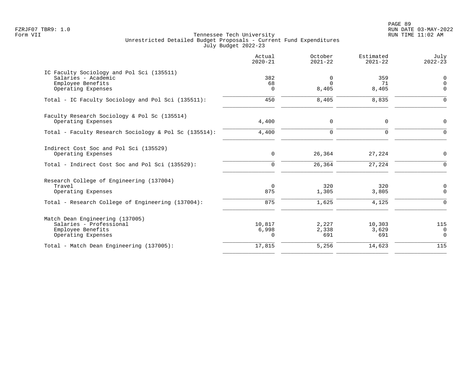PAGE 89 FZRJF07 TBR9: 1.0 RUN DATE 03-MAY-2022

|                                                                                                                               | Actual<br>$2020 - 21$  | October<br>$2021 - 22$           | Estimated<br>$2021 - 22$ | July<br>$2022 - 23$                  |
|-------------------------------------------------------------------------------------------------------------------------------|------------------------|----------------------------------|--------------------------|--------------------------------------|
| IC Faculty Sociology and Pol Sci (135511)<br>Salaries - Academic<br>Employee Benefits<br>Operating Expenses                   | 382<br>68<br>$\Omega$  | $\mathbf 0$<br>$\Omega$<br>8,405 | 359<br>71<br>8,405       | 0<br>$\mathbf 0$<br>$\Omega$         |
| Total - IC Faculty Sociology and Pol Sci (135511):                                                                            | 450                    | 8,405                            | 8,835                    | $\mathbf 0$                          |
| Faculty Research Sociology & Pol Sc (135514)<br>Operating Expenses                                                            | 4,400                  | 0                                | $\mathbf 0$              | $\mathbf 0$                          |
| Total - Faculty Research Sociology & Pol Sc (135514):                                                                         | 4,400                  | $\mathbf 0$                      | $\mathbf 0$              | $\mathbf 0$                          |
| Indirect Cost Soc and Pol Sci (135529)<br>Operating Expenses                                                                  | 0                      | 26,364                           | 27,224                   | 0                                    |
| Total - Indirect Cost Soc and Pol Sci (135529):                                                                               | $\mathbf 0$            | 26,364                           | 27,224                   | $\mathbf 0$                          |
| Research College of Engineering (137004)<br>Travel<br>Operating Expenses<br>Total - Research College of Engineering (137004): | $\Omega$<br>875<br>875 | 320<br>1,305<br>1,625            | 320<br>3,805<br>4,125    | 0<br>0<br>$\mathbf 0$                |
| Match Dean Engineering (137005)<br>Salaries - Professional<br>Employee Benefits<br>Operating Expenses                         | 10,817<br>6,998<br>0   | 2,227<br>2,338<br>691            | 10,303<br>3,629<br>691   | 115<br>$\overline{0}$<br>$\mathbf 0$ |
| Total - Match Dean Engineering (137005):                                                                                      | 17,815                 | 5,256                            | 14,623                   | 115                                  |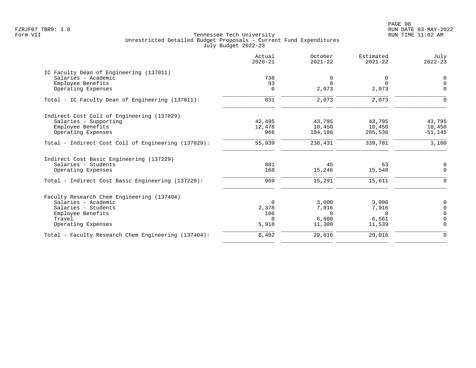PAGE 90 FZRJF07 TBR9: 1.0 RUN DATE 03-MAY-2022

|                                                     | Actual<br>$2020 - 21$ | October<br>$2021 - 22$ | Estimated<br>$2021 - 22$ | July<br>$2022 - 23$ |
|-----------------------------------------------------|-----------------------|------------------------|--------------------------|---------------------|
| IC Faculty Dean of Engineering (137011)             |                       |                        |                          |                     |
| Salaries - Academic                                 | 738                   | 0                      | 0                        | 0                   |
| Employee Benefits                                   | 93                    | $\Omega$               | $\Omega$                 | $\mathbf 0$         |
| Operating Expenses                                  | $\Omega$              | 2,073                  | 2,073                    | $\Omega$            |
| Total - IC Faculty Dean of Engineering (137011):    | 831                   | 2,073                  | 2,073                    | $\Omega$            |
| Indirect Cost Coll of Engineering (137029)          |                       |                        |                          |                     |
| Salaries - Supporting                               | 42,495                | 43,795                 | 43,795                   | 43,795              |
| Employee Benefits                                   | 12,478                | 10,450                 | 10,450                   | 10,450              |
| Operating Expenses                                  | 966                   | 184,186                | 285,536                  | $-51, 145$          |
| Total - Indirect Cost Coll of Engineering (137029): | 55,939                | 238,431                | 339,781                  | 3,100               |
| Indirect Cost Basic Engineering (137229)            |                       |                        |                          |                     |
| Salaries - Students                                 | 801                   | 45                     | 63                       | 0                   |
| Operating Expenses                                  | 168                   | 15,246                 | 15,548                   | $\Omega$            |
| Total - Indirect Cost Basic Engineering (137229):   | 969                   | 15,291                 | 15,611                   | $\Omega$            |
| Faculty Research Chem Engineering (137404)          |                       |                        |                          |                     |
| Salaries - Academic                                 | $\Omega$              | 3,000                  | 3,000                    | 0                   |
| Salaries - Students                                 | 2,378                 | 7,916                  | 7,916                    | $\overline{0}$      |
| Employee Benefits                                   | 106                   | $\Omega$               | $\cap$                   | $\mathbf 0$         |
| Travel                                              | $\Omega$              | 6,800                  | 6,561                    | $\Omega$            |
| Operating Expenses                                  | 5,918                 | 11,300                 | 11,539                   | $\Omega$            |
| Total - Faculty Research Chem Engineering (137404): | 8,402                 | 29,016                 | 29,016                   | $\Omega$            |
|                                                     |                       |                        |                          |                     |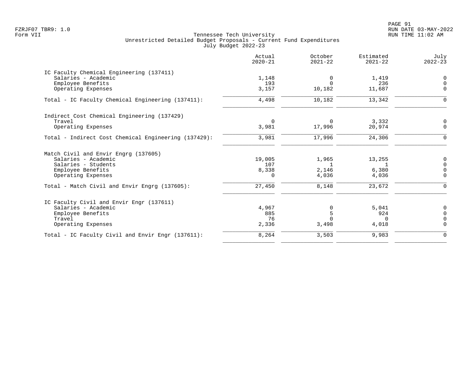PAGE 91 FZRJF07 TBR9: 1.0 RUN DATE 03-MAY-2022

|                                                      | Actual<br>$2020 - 21$ | October<br>$2021 - 22$ | Estimated<br>$2021 - 22$ | July<br>$2022 - 23$ |
|------------------------------------------------------|-----------------------|------------------------|--------------------------|---------------------|
| IC Faculty Chemical Engineering (137411)             |                       |                        |                          |                     |
| Salaries - Academic                                  | 1,148                 | 0                      | 1,419                    | 0                   |
| Employee Benefits                                    | 193                   | $\Omega$               | 236                      | $\mathbf 0$         |
| Operating Expenses                                   | 3,157                 | 10,182                 | 11,687                   | $\Omega$            |
| Total - IC Faculty Chemical Engineering (137411):    | 4,498                 | 10,182                 | 13,342                   | $\Omega$            |
| Indirect Cost Chemical Engineering (137429)          |                       |                        |                          |                     |
| Travel                                               | $\Omega$              | $\Omega$               | 3,332                    | 0                   |
| Operating Expenses                                   | 3,981                 | 17,996                 | 20,974                   | $\Omega$            |
| Total - Indirect Cost Chemical Engineering (137429): | 3,981                 | 17,996                 | 24,306                   | $\Omega$            |
| Match Civil and Envir Engrg (137605)                 |                       |                        |                          |                     |
| Salaries - Academic                                  | 19,005                | 1,965                  | 13,255                   | 0                   |
| Salaries - Students                                  | 107                   | 1                      | 1                        | $\overline{0}$      |
| Employee Benefits                                    | 8,338                 | 2,146                  | 6,380                    | $\mathbf 0$         |
| Operating Expenses                                   | $\Omega$              | 4,036                  | 4,036                    | $\Omega$            |
| Total - Match Civil and Envir Engrg (137605):        | 27,450                | 8,148                  | 23,672                   | $\Omega$            |
| IC Faculty Civil and Envir Engr (137611)             |                       |                        |                          |                     |
| Salaries - Academic                                  | 4,967                 | $\Omega$               | 5.041                    | 0                   |
| Employee Benefits                                    | 885                   | 5                      | 924                      | $\mathbf 0$         |
| Travel                                               | 76                    | $\Omega$               | <sup>n</sup>             | $\mathbf 0$         |
| Operating Expenses                                   | 2,336                 | 3,498                  | 4,018                    | $\Omega$            |
| Total - IC Faculty Civil and Envir Engr (137611):    | 8,264                 | 3,503                  | 9,983                    | $\Omega$            |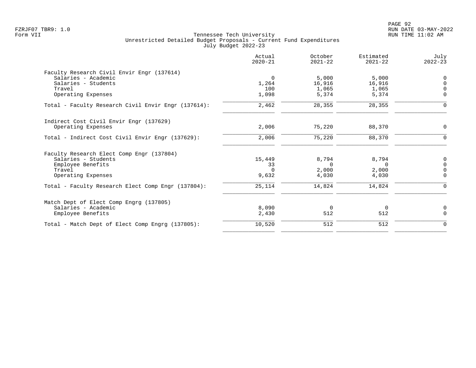| Actual<br>$2020 - 21$ | October<br>$2021 - 22$ | Estimated<br>$2021 - 22$ | July<br>$2022 - 23$              |
|-----------------------|------------------------|--------------------------|----------------------------------|
|                       |                        |                          |                                  |
| $\Omega$              | 5,000                  | 5,000                    | $\Omega$                         |
| 1,264                 | 16,916                 | 16,916                   | $\Omega$                         |
| 100                   | 1,065                  | 1,065                    | $\Omega$                         |
| 1,098                 | 5,374                  | 5,374                    | $\mathbf 0$                      |
| 2,462                 | 28,355                 | 28,355                   | $\overline{0}$                   |
|                       |                        |                          |                                  |
| 2,006                 | 75,220                 | 88,370                   | 0                                |
| 2,006                 | 75,220                 | 88,370                   | 0                                |
|                       |                        |                          |                                  |
|                       |                        |                          | 0                                |
|                       | $\Omega$               | $\Omega$                 | $\mathbf 0$                      |
| $\Omega$              |                        |                          | $\Omega$                         |
| 9,632                 | 4,030                  | 4,030                    | $\Omega$                         |
| 25,114                | 14,824                 | 14,824                   | $\mathbf 0$                      |
|                       |                        |                          |                                  |
|                       |                        |                          | $\mathbf 0$                      |
| 2,430                 | 512                    | 512                      | $\Omega$                         |
| 10,520                | 512                    | 512                      | $\mathbf 0$                      |
|                       | 15,449<br>33<br>8,090  | 8,794<br>2,000<br>0      | 8,794<br>2,000<br>$\overline{0}$ |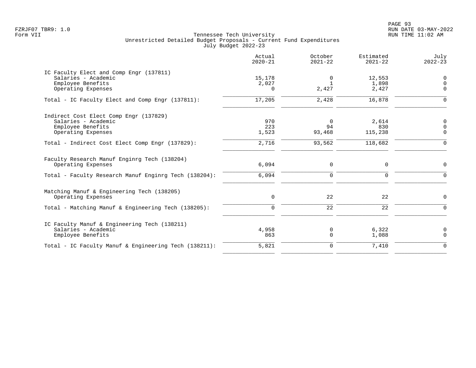PAGE 93 FZRJF07 TBR9: 1.0 RUN DATE 03-MAY-2022

|                                                                                                                             | Actual<br>$2020 - 21$       | October<br>$2021 - 22$     | Estimated<br>$2021 - 22$ | July<br>$2022 - 23$                       |
|-----------------------------------------------------------------------------------------------------------------------------|-----------------------------|----------------------------|--------------------------|-------------------------------------------|
| IC Faculty Elect and Comp Engr (137811)<br>Salaries - Academic<br>Employee Benefits<br>Operating Expenses                   | 15,178<br>2,027<br>$\Omega$ | 0<br>$\mathbf{1}$<br>2,427 | 12,553<br>1,898<br>2,427 | $\overline{0}$<br>$\mathbf 0$<br>$\Omega$ |
| Total - IC Faculty Elect and Comp Engr (137811):                                                                            | 17,205                      | 2,428                      | 16,878                   | $\Omega$                                  |
| Indirect Cost Elect Comp Engr (137829)<br>Salaries - Academic<br>Employee Benefits<br>Operating Expenses                    | 970<br>223<br>1,523         | 0<br>94<br>93,468          | 2,614<br>830<br>115,238  | 0<br>$\mathbf 0$<br>$\mathbf 0$           |
| Total - Indirect Cost Elect Comp Engr (137829):                                                                             | 2,716                       | 93,562                     | 118,682                  | $\mathbf 0$                               |
| Faculty Research Manuf Enginrg Tech (138204)<br>Operating Expenses<br>Total - Faculty Research Manuf Enginrg Tech (138204): | 6,094<br>6,094              | 0<br>$\mathbf 0$           | 0<br>0                   | $\mathbf 0$<br>$\mathbf 0$                |
| Matching Manuf & Engineering Tech (138205)<br>Operating Expenses                                                            | 0                           | 22                         | 22                       | 0                                         |
| Total - Matching Manuf & Engineering Tech (138205):                                                                         | $\mathbf 0$                 | $\overline{22}$            | $\overline{22}$          | $\mathbf 0$                               |
| IC Faculty Manuf & Engineering Tech (138211)<br>Salaries - Academic<br>Employee Benefits                                    | 4,958<br>863                | 0<br>$\mathbf 0$           | 6,322<br>1,088           | $\mathbf 0$<br>$\mathbf 0$                |
| Total - IC Faculty Manuf & Engineering Tech (138211):                                                                       | 5,821                       | $\mathbf 0$                | 7,410                    | $\Omega$                                  |
|                                                                                                                             |                             |                            |                          |                                           |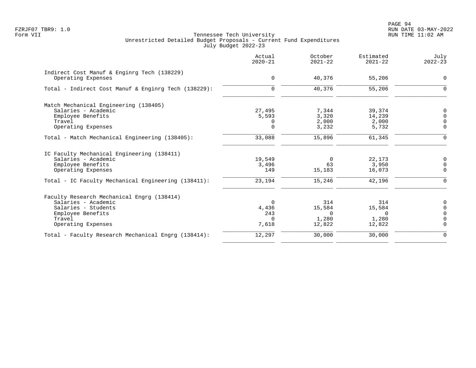|                                                                   | Actual<br>$2020 - 21$ | October<br>$2021 - 22$ | Estimated<br>$2021 - 22$ | July<br>$2022 - 23$ |
|-------------------------------------------------------------------|-----------------------|------------------------|--------------------------|---------------------|
| Indirect Cost Manuf & Enginrg Tech (138229)<br>Operating Expenses | $\mathbf 0$           | 40,376                 | 55,206                   | $\mathbf 0$         |
|                                                                   |                       |                        |                          |                     |
| Total - Indirect Cost Manuf & Enginrg Tech (138229):              | $\mathbf 0$           | 40,376                 | 55,206                   | $\Omega$            |
| Match Mechanical Engineering (138405)                             |                       |                        |                          |                     |
| Salaries - Academic                                               | 27,495                | 7,344                  | 39,374                   | $\mathbf 0$         |
| Employee Benefits                                                 | 5,593                 | 3,320                  | 14,239                   | $\Omega$            |
| Travel                                                            | 0                     | 2,000                  | 2,000                    | $\Omega$            |
| Operating Expenses                                                | $\Omega$              | 3,232                  | 5,732                    | $\Omega$            |
| Total - Match Mechanical Engineering (138405):                    | 33,088                | 15,896                 | 61,345                   | $\mathbf 0$         |
| IC Faculty Mechanical Engineering (138411)                        |                       |                        |                          |                     |
| Salaries - Academic                                               | 19,549                | $\overline{0}$         | 22,173                   | $\mathbf 0$         |
| Employee Benefits                                                 | 3,496                 | 63                     | 3,950                    | $\Omega$            |
| Operating Expenses                                                | 149                   | 15,183                 | 16,073                   | $\Omega$            |
| Total - IC Faculty Mechanical Engineering (138411):               | 23,194                | 15,246                 | 42,196                   | $\Omega$            |
| Faculty Research Mechanical Engrg (138414)                        |                       |                        |                          |                     |
| Salaries - Academic                                               | $\Omega$              | 314                    | 314                      | 0                   |
| Salaries - Students                                               | 4,436                 | 15,584                 | 15,584                   | $\Omega$            |
| Employee Benefits                                                 | 243                   | $\Omega$               | $\Omega$                 | $\Omega$            |
| Travel                                                            | $\Omega$              | 1,280                  | 1,280                    | $\Omega$            |
| Operating Expenses                                                | 7,618                 | 12,822                 | 12,822                   | $\Omega$            |
| Total - Faculty Research Mechanical Engrg (138414):               | 12,297                | 30,000                 | 30,000                   | $\mathbf 0$         |
|                                                                   |                       |                        |                          |                     |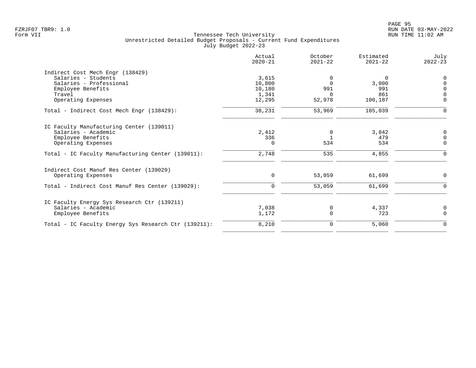|                                                      | Actual<br>$2020 - 21$ | October<br>$2021 - 22$ | Estimated<br>$2021 - 22$ | July<br>$2022 - 23$ |
|------------------------------------------------------|-----------------------|------------------------|--------------------------|---------------------|
| Indirect Cost Mech Engr (138429)                     |                       |                        |                          |                     |
| Salaries - Students                                  | 3,615                 | 0                      | 0                        | $\Omega$            |
| Salaries - Professional                              | 10,800                | $\Omega$               | 3,000                    | $\cap$              |
| Employee Benefits                                    | 10,180                | 991                    | 991                      | $\Omega$            |
| Travel                                               | 1,341                 | $\Omega$               | 861                      | $\Omega$            |
| Operating Expenses                                   | 12,295                | 52,978                 | 100,187                  | $\mathbf 0$         |
| Total - Indirect Cost Mech Engr (138429):            | 38,231                | 53,969                 | 105,039                  | $\Omega$            |
| IC Faculty Manufacturing Center (139011)             |                       |                        |                          |                     |
| Salaries - Academic                                  | 2,412                 | $\Omega$               | 3,842                    | 0                   |
| Employee Benefits                                    | 336                   |                        | 479                      | $\Omega$            |
| Operating Expenses                                   | 0                     | 534                    | 534                      | $\mathbf 0$         |
| Total - IC Faculty Manufacturing Center (139011):    | 2,748                 | 535                    | 4,855                    | $\Omega$            |
| Indirect Cost Manuf Res Center (139029)              |                       |                        |                          |                     |
| Operating Expenses                                   | 0                     | 53,059                 | 61,699                   | 0                   |
| Total - Indirect Cost Manuf Res Center (139029):     | $\mathbf 0$           | 53,059                 | 61,699                   | $\Omega$            |
| IC Faculty Energy Sys Research Ctr (139211)          |                       |                        |                          |                     |
| Salaries - Academic                                  | 7,038                 | 0                      | 4,337                    | 0                   |
| Employee Benefits                                    | 1,172                 | 0                      | 723                      | $\Omega$            |
| Total - IC Faculty Energy Sys Research Ctr (139211): | 8,210                 | 0                      | 5,060                    | $\mathbf 0$         |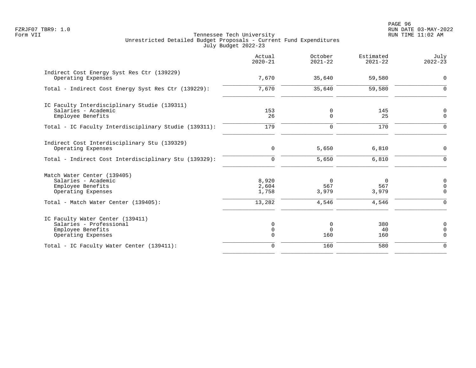|                                                                                                        | Actual<br>$2020 - 21$                  | October<br>$2021 - 22$   | Estimated<br>$2021 - 22$ | July<br>$2022 - 23$                       |
|--------------------------------------------------------------------------------------------------------|----------------------------------------|--------------------------|--------------------------|-------------------------------------------|
| Indirect Cost Energy Syst Res Ctr (139229)<br>Operating Expenses                                       | 7,670                                  | 35,640                   | 59,580                   | $\mathbf 0$                               |
| Total - Indirect Cost Energy Syst Res Ctr (139229):                                                    | 7,670                                  | 35,640                   | 59,580                   | $\Omega$                                  |
| IC Faculty Interdisciplinary Studie (139311)<br>Salaries - Academic<br>Employee Benefits               | 153<br>26                              | 0<br>$\Omega$            | 145<br>25                | 0<br>$\mathbf 0$                          |
| Total - IC Faculty Interdisciplinary Studie (139311):                                                  | 179                                    | $\mathbf 0$              | 170                      | $\mathbf 0$                               |
| Indirect Cost Interdisciplinary Stu (139329)<br>Operating Expenses                                     | $\mathbf 0$                            | 5,650                    | 6,810                    | 0                                         |
| Total - Indirect Cost Interdisciplinary Stu (139329):                                                  | $\mathbf 0$                            | 5,650                    | 6,810                    | $\mathbf 0$                               |
| Match Water Center (139405)<br>Salaries - Academic<br>Employee Benefits<br>Operating Expenses          | 8,920<br>2,604<br>1,758                | $\Omega$<br>567<br>3,979 | $\Omega$<br>567<br>3,979 | 0<br>$\mathbf 0$<br>$\mathbf 0$           |
| Total - Match Water Center (139405):                                                                   | 13,282                                 | 4,546                    | 4,546                    | $\mathbf 0$                               |
| IC Faculty Water Center (139411)<br>Salaries - Professional<br>Employee Benefits<br>Operating Expenses | $\mathbf 0$<br>$\mathbf 0$<br>$\Omega$ | 0<br>$\mathbf 0$<br>160  | 380<br>40<br>160         | $\mathbf 0$<br>$\mathbf 0$<br>$\mathbf 0$ |
| Total - IC Faculty Water Center (139411):                                                              | $\mathbf 0$                            | 160                      | 580                      | $\Omega$                                  |
|                                                                                                        |                                        |                          |                          |                                           |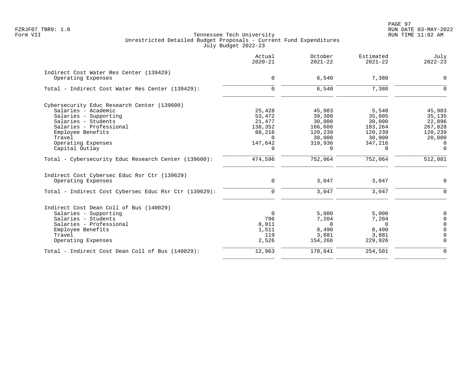PAGE 97 FZRJF07 TBR9: 1.0 RUN DATE 03-MAY-2022

|                                                       | Actual<br>$2020 - 21$ | October<br>$2021 - 22$ | Estimated<br>$2021 - 22$ | July<br>$2022 - 23$ |
|-------------------------------------------------------|-----------------------|------------------------|--------------------------|---------------------|
| Indirect Cost Water Res Center (139429)               |                       |                        |                          |                     |
| Operating Expenses                                    | 0                     | 6,540                  | 7,380                    | $\mathbf 0$         |
| Total - Indirect Cost Water Res Center (139429):      | $\Omega$              | 6,540                  | 7,380                    | $\Omega$            |
| Cybersecurity Educ Research Center (139600)           |                       |                        |                          |                     |
| Salaries - Academic                                   | 25,428                | 45,983                 | 5,540                    | 45,983              |
| Salaries - Supporting                                 | 53,472                | 39,300                 | 35,805                   | 35,135              |
| Salaries - Students                                   | 21,477                | 30,000                 | 30,000                   | 22,896              |
| Salaries - Professional                               | 138,352               | 166,606                | 183,264                  | 267,828             |
| Employee Benefits                                     | 88,216                | 120,239                | 120,239                  | 120,239             |
| Travel                                                | $\Omega$              | 30,000                 | 30,000                   | 20,000              |
| Operating Expenses                                    | 147,642               | 319,936                | 347,216                  | $\Omega$            |
| Capital Outlay                                        | 9                     | $\Omega$               | $\Omega$                 | $\Omega$            |
| Total - Cybersecurity Educ Research Center (139600):  | 474,596               | 752,064                | 752,064                  | 512,081             |
| Indirect Cost Cybersec Educ Rsr Ctr (139629)          |                       |                        |                          |                     |
| Operating Expenses                                    | $\mathbf 0$           | 3,047                  | 3,047                    | $\Omega$            |
| Total - Indirect Cost Cybersec Educ Rsr Ctr (139629): | $\Omega$              | 3,047                  | 3,047                    | $\Omega$            |
| Indirect Cost Dean Coll of Bus (140029)               |                       |                        |                          |                     |
| Salaries - Supporting                                 | $\Omega$              | 5,000                  | 5,000                    | $\Omega$            |
| Salaries - Students                                   | 796                   | 7,204                  | 7,204                    | $\Omega$            |
| Salaries - Professional                               | 8,011                 | $\Omega$               | $\Omega$                 | $\Omega$            |
| Employee Benefits                                     | 1,511                 | 8,490                  | 8,490                    | $\Omega$            |
| Travel                                                | 119                   | 3,881                  | 3,881                    | $\cap$              |
| Operating Expenses                                    | 2,526                 | 154,266                | 229,926                  | $\Omega$            |
| Total - Indirect Cost Dean Coll of Bus (140029):      | 12,963                | 178,841                | 254,501                  | $\Omega$            |
|                                                       |                       |                        |                          |                     |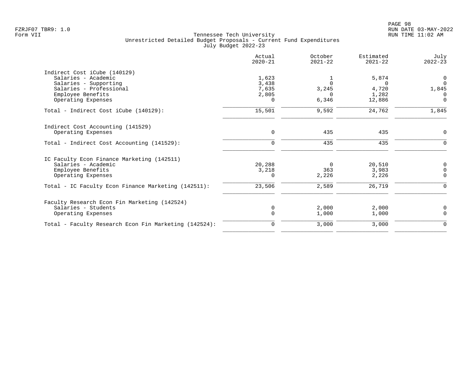| Actual<br>$2020 - 21$ | October<br>$2021 - 22$ | Estimated<br>$2021 - 22$   | July<br>$2022 - 23$      |
|-----------------------|------------------------|----------------------------|--------------------------|
|                       |                        |                            |                          |
| 1,623                 | 1                      | 5,874                      | $\overline{0}$           |
| 3,438                 | $\Omega$               | $\cap$                     | $\Omega$                 |
|                       |                        |                            | 1,845                    |
|                       |                        |                            | 0                        |
|                       |                        |                            | $\overline{0}$           |
| 15,501                | 9,592                  | 24,762                     | 1,845                    |
|                       |                        |                            |                          |
| $\mathbf 0$           | 435                    | 435                        | 0                        |
| $\mathbf 0$           | 435                    | 435                        | $\mathbf 0$              |
|                       |                        |                            |                          |
| 20,288                | $\Omega$               | 20,510                     | 0                        |
| 3,218                 | 363                    | 3,983                      | $\mathbf 0$              |
| 0                     | 2,226                  | 2,226                      | 0                        |
| 23,506                | 2,589                  | 26,719                     | 0                        |
|                       |                        |                            |                          |
| $\mathbf 0$           | 2,000                  | 2,000                      | 0                        |
| $\Omega$              | 1,000                  | 1,000                      | $\mathbf 0$              |
| 0                     | 3,000                  | 3,000                      | $\mathbf 0$              |
|                       | 7,635<br>2,805<br>0    | 3,245<br>$\Omega$<br>6,346 | 4,720<br>1,282<br>12,886 |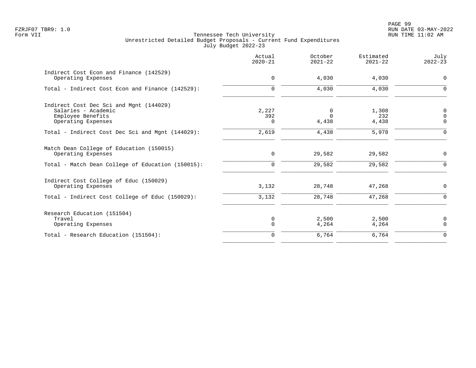|                                                                                                           | Actual<br>$2020 - 21$    | October<br>$2021 - 22$ | Estimated<br>$2021 - 22$ | July<br>$2022 - 23$                    |
|-----------------------------------------------------------------------------------------------------------|--------------------------|------------------------|--------------------------|----------------------------------------|
| Indirect Cost Econ and Finance (142529)<br>Operating Expenses                                             | $\mathbf 0$              | 4,030                  | 4,030                    | $\mathbf 0$                            |
| Total - Indirect Cost Econ and Finance (142529):                                                          | $\Omega$                 | 4,030                  | 4,030                    | $\Omega$                               |
| Indirect Cost Dec Sci and Mgnt (144029)<br>Salaries - Academic<br>Employee Benefits<br>Operating Expenses | 2,227<br>392<br>$\Omega$ | 0<br>$\Omega$<br>4,438 | 1,308<br>232<br>4,438    | $\mathbf 0$<br>$\mathbf 0$<br>$\Omega$ |
| Total - Indirect Cost Dec Sci and Mgnt (144029):                                                          | 2,619                    | 4,438                  | 5,978                    | $\Omega$                               |
| Match Dean College of Education (150015)<br>Operating Expenses                                            | $\mathbf 0$              | 29,582                 | 29,582                   | $\mathbf 0$                            |
| Total - Match Dean College of Education (150015):                                                         | 0                        | 29,582                 | 29,582                   | $\Omega$                               |
| Indirect Cost College of Educ (150029)<br>Operating Expenses                                              | 3,132                    | 28,748                 | 47,268                   | $\mathbf 0$                            |
| Total - Indirect Cost College of Educ (150029):                                                           | 3,132                    | 28,748                 | 47,268                   | $\Omega$                               |
| Research Education (151504)<br>Travel<br>Operating Expenses                                               | 0<br>$\Omega$            | 2,500<br>4,264         | 2,500<br>4,264           | 0<br>$\mathbf 0$                       |
| Total - Research Education (151504):                                                                      | $\Omega$                 | 6,764                  | 6,764                    | $\Omega$                               |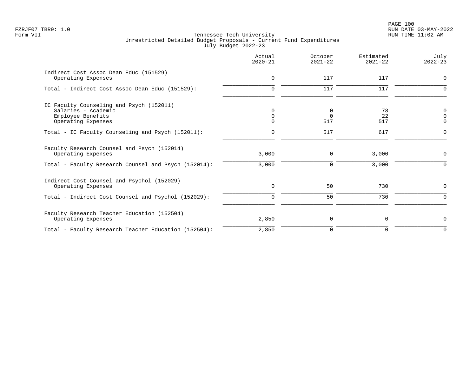|                                                                                                            | Actual<br>$2020 - 21$            | October<br>$2021 - 22$ | Estimated<br>$2021 - 22$ | July<br>$2022 - 23$          |
|------------------------------------------------------------------------------------------------------------|----------------------------------|------------------------|--------------------------|------------------------------|
| Indirect Cost Assoc Dean Educ (151529)<br>Operating Expenses                                               | 0                                | 117                    | 117                      | 0                            |
| Total - Indirect Cost Assoc Dean Educ (151529):                                                            | $\Omega$                         | 117                    | 117                      | $\Omega$                     |
| IC Faculty Counseling and Psych (152011)<br>Salaries - Academic<br>Employee Benefits<br>Operating Expenses | $\Omega$<br>$\Omega$<br>$\Omega$ | 0<br>$\Omega$<br>517   | 78<br>22<br>517          | 0<br>$\Omega$<br>$\mathbf 0$ |
| Total - IC Faculty Counseling and Psych (152011):                                                          | $\Omega$                         | 517                    | 617                      | $\Omega$                     |
| Faculty Research Counsel and Psych (152014)<br>Operating Expenses                                          | 3,000                            | $\mathbf 0$            | 3,000                    | $\Omega$                     |
| Total - Faculty Research Counsel and Psych (152014):                                                       | 3,000                            | $\mathbf 0$            | 3,000                    | ∩                            |
| Indirect Cost Counsel and Psychol (152029)<br>Operating Expenses                                           | 0                                | 50                     | 730                      | 0                            |
| Total - Indirect Cost Counsel and Psychol (152029):                                                        | $\Omega$                         | 50                     | 730                      | $\Omega$                     |
| Faculty Research Teacher Education (152504)<br>Operating Expenses                                          | 2,850                            | 0                      | 0                        | $\mathbf 0$                  |
| Total - Faculty Research Teacher Education (152504):                                                       | 2,850                            | 0                      | 0                        | $\mathbf 0$                  |
|                                                                                                            |                                  |                        |                          |                              |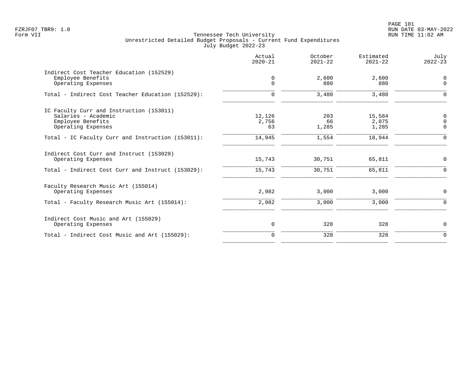PAGE 101 FZRJF07 TBR9: 1.0 RUN DATE 03-MAY-2022

|                                                                                                            | Actual<br>$2020 - 21$ | October<br>$2021 - 22$ | Estimated<br>$2021 - 22$ | July<br>$2022 - 23$       |
|------------------------------------------------------------------------------------------------------------|-----------------------|------------------------|--------------------------|---------------------------|
| Indirect Cost Teacher Education (152529)<br>Employee Benefits<br>Operating Expenses                        | 0<br>$\Omega$         | 2,600<br>880           | 2,600<br>880             | 0<br>$\mathbf 0$          |
| Total - Indirect Cost Teacher Education (152529):                                                          | $\Omega$              | 3,480                  | 3,480                    | $\Omega$                  |
| IC Faculty Curr and Instruction (153011)<br>Salaries - Academic<br>Employee Benefits<br>Operating Expenses | 12,126<br>2,756<br>63 | 203<br>66<br>1,285     | 15,584<br>2,075<br>1,285 | 0<br>$\Omega$<br>$\Omega$ |
| Total - IC Faculty Curr and Instruction (153011):                                                          | 14,945                | 1,554                  | 18,944                   | $\Omega$                  |
| Indirect Cost Curr and Instruct (153029)<br>Operating Expenses                                             | 15,743                | 30,751                 | 65,811                   | $\mathbf 0$               |
| Total - Indirect Cost Curr and Instruct (153029):                                                          | 15,743                | 30,751                 | 65,811                   | $\Omega$                  |
| Faculty Research Music Art (155014)<br>Operating Expenses                                                  | 2,982                 | 3,000                  | 3,000                    | $\mathbf 0$               |
| Total - Faculty Research Music Art (155014):                                                               | 2,982                 | 3,000                  | 3,000                    | $\Omega$                  |
| Indirect Cost Music and Art (155029)<br>Operating Expenses                                                 | 0                     | 328                    | 328                      | 0                         |
| Total - Indirect Cost Music and Art (155029):                                                              | $\Omega$              | 328                    | 328                      | $\Omega$                  |
|                                                                                                            |                       |                        |                          |                           |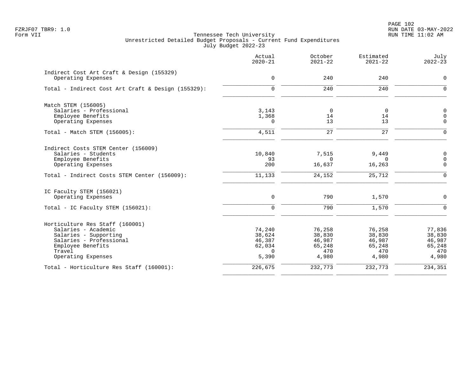|                                                                 | Actual<br>$2020 - 21$ | October<br>$2021 - 22$ | Estimated<br>$2021 - 22$ | July<br>$2022 - 23$ |
|-----------------------------------------------------------------|-----------------------|------------------------|--------------------------|---------------------|
| Indirect Cost Art Craft & Design (155329)<br>Operating Expenses | $\mathbf 0$           | 240                    | 240                      | 0                   |
|                                                                 |                       |                        |                          |                     |
| Total - Indirect Cost Art Craft & Design (155329):              | $\mathbf 0$           | 240                    | 240                      | $\Omega$            |
| Match STEM (156005)                                             |                       |                        |                          |                     |
| Salaries - Professional                                         | 3,143                 | 0                      | $\overline{0}$           | $\mathsf 0$         |
| Employee Benefits                                               | 1,368                 | 14                     | 14                       | $\mathbf 0$         |
| Operating Expenses                                              | $\Omega$              | 13                     | 13                       | $\Omega$            |
| Total - Match STEM (156005):                                    | 4,511                 | 27                     | 27                       | $\Omega$            |
| Indirect Costs STEM Center (156009)                             |                       |                        |                          |                     |
| Salaries - Students                                             | 10,840                | 7,515                  | 9,449                    | $\mathbf 0$         |
| Employee Benefits                                               | 93                    | $\Omega$               | $\Omega$                 | $\mathbf 0$         |
| Operating Expenses                                              | 200                   | 16,637                 | 16,263                   | $\mathbf 0$         |
| Total - Indirect Costs STEM Center (156009):                    | 11,133                | 24,152                 | 25,712                   | $\Omega$            |
| IC Faculty STEM (156021)                                        |                       |                        |                          |                     |
| Operating Expenses                                              | $\mathbf 0$           | 790                    | 1,570                    | $\Omega$            |
| Total - IC Faculty STEM (156021):                               | 0                     | 790                    | 1,570                    | $\Omega$            |
| Horticulture Res Staff (160001)                                 |                       |                        |                          |                     |
| Salaries - Academic                                             | 74,240                | 76,258                 | 76,258                   | 77,836              |
| Salaries - Supporting                                           | 38,624                | 38,830                 | 38,830                   | 38,830              |
| Salaries - Professional                                         | 46,387                | 46,987                 | 46,987                   | 46,987              |
| Employee Benefits                                               | 62,034                | 65,248                 | 65,248                   | 65,248              |
| Travel                                                          | $\Omega$              | 470                    | 470                      | 470<br>4,980        |
| Operating Expenses                                              | 5,390                 | 4,980                  | 4,980                    |                     |
| Total - Horticulture Res Staff (160001):                        | 226,675               | 232,773                | 232,773                  | 234,351             |
|                                                                 |                       |                        |                          |                     |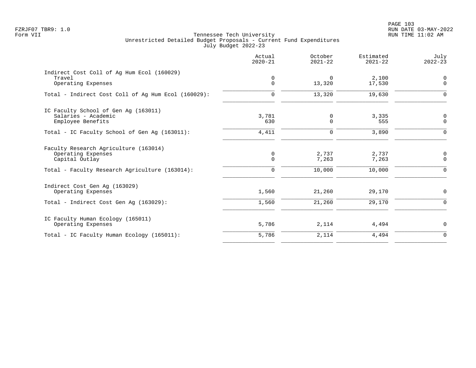|                                                                                                                                 | Actual<br>$2020 - 21$           | October<br>$2021 - 22$   | Estimated<br>$2021 - 22$ | July<br>$2022 - 23$          |
|---------------------------------------------------------------------------------------------------------------------------------|---------------------------------|--------------------------|--------------------------|------------------------------|
| Indirect Cost Coll of Ag Hum Ecol (160029)<br>Travel<br>Operating Expenses                                                      | 0<br>$\Omega$                   | $\Omega$<br>13,320       | 2,100<br>17,530          | $\mathbf 0$<br>$\mathbf 0$   |
| Total - Indirect Cost Coll of Aq Hum Ecol (160029):                                                                             | $\mathbf 0$                     | 13,320                   | 19,630                   | $\Omega$                     |
| IC Faculty School of Gen Aq (163011)<br>Salaries - Academic<br>Employee Benefits                                                | 3,781<br>630                    | 0<br>$\Omega$            | 3,335<br>555             | 0<br>$\overline{0}$          |
| Total - IC Faculty School of Gen Ag (163011):                                                                                   | 4,411                           | 0                        | 3,890                    | $\Omega$                     |
| Faculty Research Agriculture (163014)<br>Operating Expenses<br>Capital Outlay<br>Total - Faculty Research Agriculture (163014): | 0<br>$\mathbf 0$<br>$\mathbf 0$ | 2,737<br>7,263<br>10,000 | 2,737<br>7,263<br>10,000 | 0<br>$\mathbf 0$<br>$\Omega$ |
| Indirect Cost Gen Aq (163029)<br>Operating Expenses                                                                             | 1,560                           | 21,260                   | 29,170                   | $\mathbf 0$                  |
| Total - Indirect Cost Gen Aq (163029):                                                                                          | 1,560                           | 21,260                   | 29,170                   | $\Omega$                     |
| IC Faculty Human Ecology (165011)<br>Operating Expenses                                                                         | 5,786                           | 2,114                    | 4,494                    | $\mathbf 0$                  |
| Total - IC Faculty Human Ecology (165011):                                                                                      | 5,786                           | 2,114                    | 4,494                    | $\mathbf 0$                  |
|                                                                                                                                 |                                 |                          |                          |                              |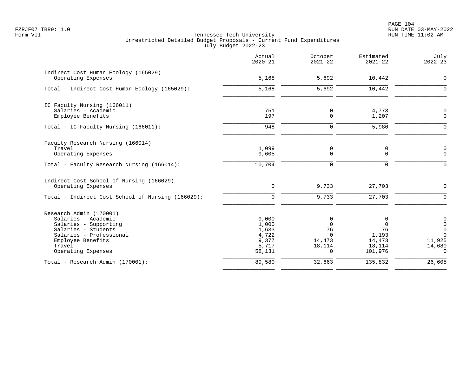| Actual<br>$2020 - 21$                                        | October<br>$2021 - 22$                                          | Estimated<br>$2021 - 22$                                    | July<br>$2022 - 23$                                                            |
|--------------------------------------------------------------|-----------------------------------------------------------------|-------------------------------------------------------------|--------------------------------------------------------------------------------|
| 5,168                                                        | 5,692                                                           | 10,442                                                      | $\mathbf 0$                                                                    |
| 5,168                                                        | 5,692                                                           | 10,442                                                      | $\Omega$                                                                       |
| 751<br>197                                                   | 0<br>0                                                          | 4,773<br>1,207                                              | $\mathbf 0$<br>$\mathbf 0$                                                     |
| 948                                                          | $\Omega$                                                        | 5,980                                                       | $\Omega$                                                                       |
| 1,099<br>9,605                                               | 0<br>0                                                          | 0<br>0                                                      | $\mathbf 0$<br>$\Omega$                                                        |
| 10,704                                                       | $\Omega$                                                        | $\Omega$                                                    | $\Omega$                                                                       |
| $\mathbf 0$                                                  | 9,733                                                           | 27,703                                                      | $\mathbf 0$                                                                    |
| $\overline{0}$                                               | 9,733                                                           | 27,703                                                      | $\mathbf 0$                                                                    |
| 9,000<br>1,000<br>1,633<br>4,722<br>9,377<br>5,717<br>58,131 | 0<br>$\Omega$<br>76<br>$\Omega$<br>14,473<br>18,114<br>$\Omega$ | 0<br>$\Omega$<br>76<br>1,193<br>14,473<br>18,114<br>101,976 | 0<br>$\mathbf 0$<br>$\overline{0}$<br>$\Omega$<br>11,925<br>14,680<br>$\Omega$ |
| 89,580                                                       | 32,663                                                          | 135,832                                                     | 26,605                                                                         |
|                                                              |                                                                 |                                                             |                                                                                |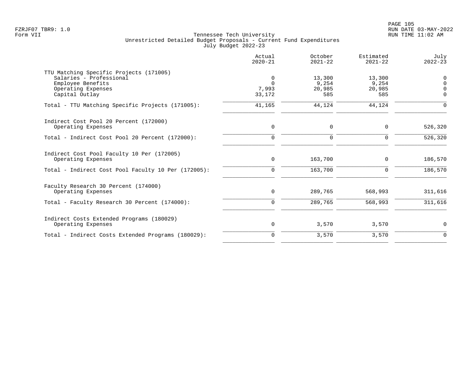|                                                                                                                                 | Actual<br>$2020 - 21$            | October<br>$2021 - 22$           | Estimated<br>$2021 - 22$         | July<br>$2022 - 23$                 |
|---------------------------------------------------------------------------------------------------------------------------------|----------------------------------|----------------------------------|----------------------------------|-------------------------------------|
| TTU Matching Specific Projects (171005)<br>Salaries - Professional<br>Employee Benefits<br>Operating Expenses<br>Capital Outlay | 0<br>$\Omega$<br>7,993<br>33,172 | 13,300<br>9,254<br>20,985<br>585 | 13,300<br>9,254<br>20,985<br>585 | $\mathbf 0$<br>$\Omega$<br>$\Omega$ |
| Total - TTU Matching Specific Projects (171005):                                                                                | 41,165                           | 44,124                           | 44,124                           | $\Omega$                            |
| Indirect Cost Pool 20 Percent (172000)<br>Operating Expenses                                                                    | 0                                | 0                                | 0                                | 526,320                             |
| Total - Indirect Cost Pool 20 Percent (172000):                                                                                 | $\Omega$                         | $\Omega$                         | $\Omega$                         | 526,320                             |
| Indirect Cost Pool Faculty 10 Per (172005)<br>Operating Expenses                                                                | $\mathbf 0$                      | 163,700                          | 0                                | 186,570                             |
| Total - Indirect Cost Pool Faculty 10 Per (172005):                                                                             | $\mathbf 0$                      | 163,700                          | $\Omega$                         | 186,570                             |
| Faculty Research 30 Percent (174000)<br>Operating Expenses                                                                      | $\mathbf 0$                      | 289,765                          | 568,993                          | 311,616                             |
| Total - Faculty Research 30 Percent (174000):                                                                                   | $\mathbf 0$                      | 289,765                          | 568,993                          | 311,616                             |
| Indirect Costs Extended Programs (180029)<br>Operating Expenses                                                                 | 0                                | 3,570                            | 3,570                            | $\mathbf 0$                         |
| Total - Indirect Costs Extended Programs (180029):                                                                              | $\Omega$                         | 3,570                            | 3,570                            | $\Omega$                            |
|                                                                                                                                 |                                  |                                  |                                  |                                     |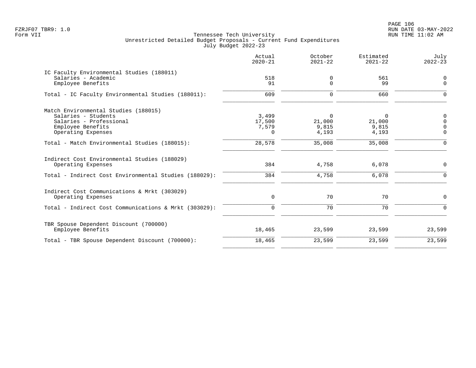PAGE 106 FZRJF07 TBR9: 1.0 RUN DATE 03-MAY-2022

|                                                                                                                                   | Actual<br>$2020 - 21$                | October<br>$2021 - 22$        | Estimated<br>$2021 - 22$      | July<br>$2022 - 23$                             |
|-----------------------------------------------------------------------------------------------------------------------------------|--------------------------------------|-------------------------------|-------------------------------|-------------------------------------------------|
| IC Faculty Environmental Studies (188011)<br>Salaries - Academic<br>Employee Benefits                                             | 518<br>91                            | 0<br>$\overline{0}$           | 561<br>99                     | $\mathbf 0$<br>$\mathbf{0}$                     |
| Total - IC Faculty Environmental Studies (188011):                                                                                | 609                                  | $\mathbf 0$                   | 660                           | $\Omega$                                        |
| Match Environmental Studies (188015)<br>Salaries - Students<br>Salaries - Professional<br>Employee Benefits<br>Operating Expenses | 3,499<br>17,500<br>7,579<br>$\Omega$ | 0<br>21,000<br>9,815<br>4,193 | 0<br>21,000<br>9,815<br>4,193 | $\mathbf 0$<br>$\Omega$<br>$\Omega$<br>$\Omega$ |
| Total - Match Environmental Studies (188015):                                                                                     | 28,578                               | 35,008                        | 35,008                        | $\Omega$                                        |
| Indirect Cost Environmental Studies (188029)<br>Operating Expenses                                                                | 384                                  | 4,758                         | 6,078                         | $\mathbf 0$                                     |
| Total - Indirect Cost Environmental Studies (188029):                                                                             | 384                                  | 4,758                         | 6,078                         | $\Omega$                                        |
| Indirect Cost Communications & Mrkt (303029)<br>Operating Expenses                                                                | 0                                    | 70                            | 70                            | $\mathbf 0$                                     |
| Total - Indirect Cost Communications & Mrkt (303029):                                                                             | $\mathbf 0$                          | 70                            | 70                            | $\Omega$                                        |
| TBR Spouse Dependent Discount (700000)<br>Employee Benefits                                                                       | 18,465                               | 23,599                        | 23,599                        | 23,599                                          |
| Total - TBR Spouse Dependent Discount (700000):                                                                                   | 18,465                               | 23,599                        | 23,599                        | 23,599                                          |
|                                                                                                                                   |                                      |                               |                               |                                                 |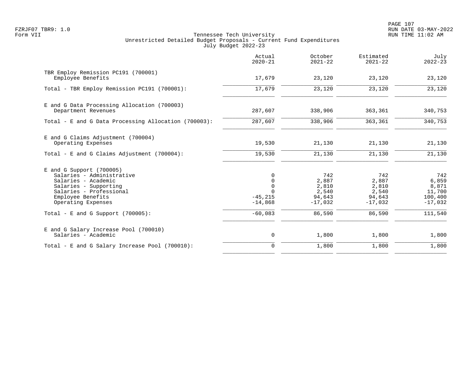PAGE 107 FZRJF07 TBR9: 1.0 RUN DATE 03-MAY-2022

|                                                                                                                                                                               | Actual<br>$2020 - 21$                                      | October<br>$2021 - 22$                                | Estimated<br>$2021 - 22$                              | July<br>$2022 - 23$                                     |
|-------------------------------------------------------------------------------------------------------------------------------------------------------------------------------|------------------------------------------------------------|-------------------------------------------------------|-------------------------------------------------------|---------------------------------------------------------|
| TBR Employ Remission PC191 (700001)<br>Employee Benefits                                                                                                                      | 17,679                                                     | 23,120                                                | 23,120                                                | 23,120                                                  |
| Total - TBR Employ Remission PC191 (700001):                                                                                                                                  | 17,679                                                     | 23,120                                                | 23,120                                                | 23,120                                                  |
| E and G Data Processing Allocation (700003)<br>Department Revenues                                                                                                            | 287,607                                                    | 338,906                                               | 363,361                                               | 340,753                                                 |
| Total - E and G Data Processing Allocation (700003):                                                                                                                          | 287,607                                                    | 338,906                                               | 363,361                                               | 340,753                                                 |
| E and G Claims Adjustment (700004)<br>Operating Expenses                                                                                                                      | 19,530                                                     | 21,130                                                | 21,130                                                | 21,130                                                  |
| Total - E and G Claims Adjustment $(700004)$ :                                                                                                                                | 19,530                                                     | 21,130                                                | 21,130                                                | 21,130                                                  |
| $E$ and G Support (700005)<br>Salaries - Administrative<br>Salaries - Academic<br>Salaries - Supporting<br>Salaries - Professional<br>Employee Benefits<br>Operating Expenses | 0<br>$\mathbf 0$<br>$\mathbf 0$<br>$-45, 215$<br>$-14,868$ | 742<br>2,887<br>2,810<br>2,540<br>94,643<br>$-17,032$ | 742<br>2,887<br>2,810<br>2,540<br>94,643<br>$-17,032$ | 742<br>6,859<br>8,871<br>11,700<br>100,400<br>$-17,032$ |
| Total - E and G Support $(700005)$ :                                                                                                                                          | $-60,083$                                                  | 86,590                                                | 86,590                                                | 111,540                                                 |
| E and G Salary Increase Pool (700010)<br>Salaries - Academic                                                                                                                  | 0                                                          | 1,800                                                 | 1,800                                                 | 1,800                                                   |
| Total - E and G Salary Increase Pool (700010):                                                                                                                                | $\mathbf 0$                                                | 1,800                                                 | 1,800                                                 | 1,800                                                   |
|                                                                                                                                                                               |                                                            |                                                       |                                                       |                                                         |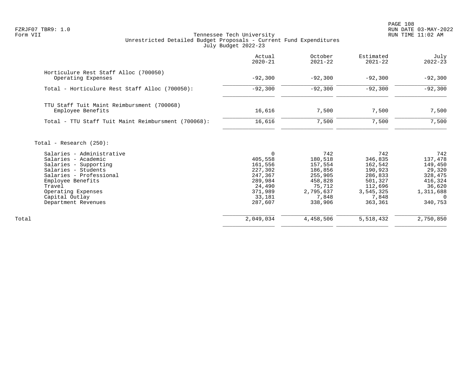PAGE 108 FZRJF07 TBR9: 1.0 RUN DATE 03-MAY-2022

|                                                                                                                                                                                                                           | Actual<br>$2020 - 21$                                                                                     | October<br>$2021 - 22$                                                                                | Estimated<br>$2021 - 22$                                                                               | July<br>$2022 - 23$                                                                                     |
|---------------------------------------------------------------------------------------------------------------------------------------------------------------------------------------------------------------------------|-----------------------------------------------------------------------------------------------------------|-------------------------------------------------------------------------------------------------------|--------------------------------------------------------------------------------------------------------|---------------------------------------------------------------------------------------------------------|
| Horticulure Rest Staff Alloc (700050)<br>Operating Expenses                                                                                                                                                               | $-92,300$                                                                                                 | $-92,300$                                                                                             | $-92,300$                                                                                              | $-92,300$                                                                                               |
| Total - Horticulure Rest Staff Alloc (700050):                                                                                                                                                                            | $-92,300$                                                                                                 | $-92,300$                                                                                             | $-92,300$                                                                                              | $-92,300$                                                                                               |
| TTU Staff Tuit Maint Reimbursment (700068)<br>Employee Benefits                                                                                                                                                           | 16,616                                                                                                    | 7,500                                                                                                 | 7,500                                                                                                  | 7,500                                                                                                   |
| Total - TTU Staff Tuit Maint Reimbursment (700068):                                                                                                                                                                       | 16,616                                                                                                    | 7,500                                                                                                 | 7,500                                                                                                  | 7,500                                                                                                   |
| Total - Research $(250)$ :                                                                                                                                                                                                |                                                                                                           |                                                                                                       |                                                                                                        |                                                                                                         |
| Salaries - Administrative<br>Salaries - Academic<br>Salaries - Supporting<br>Salaries - Students<br>Salaries - Professional<br>Employee Benefits<br>Travel<br>Operating Expenses<br>Capital Outlay<br>Department Revenues | $\Omega$<br>405,558<br>161,556<br>227,302<br>247,367<br>289,984<br>24,490<br>371,989<br>33,181<br>287,607 | 742<br>180,518<br>157,554<br>186,856<br>255,905<br>458,828<br>75,712<br>2,795,637<br>7,848<br>338,906 | 742<br>346,835<br>162,542<br>190,923<br>286,833<br>501,327<br>112,696<br>3,545,325<br>7,848<br>363,361 | 742<br>137,478<br>149,450<br>29,320<br>328,475<br>416,324<br>36,620<br>1,311,688<br>$\Omega$<br>340,753 |
| Total                                                                                                                                                                                                                     | 2,049,034                                                                                                 | 4,458,506                                                                                             | 5,518,432                                                                                              | 2,750,850                                                                                               |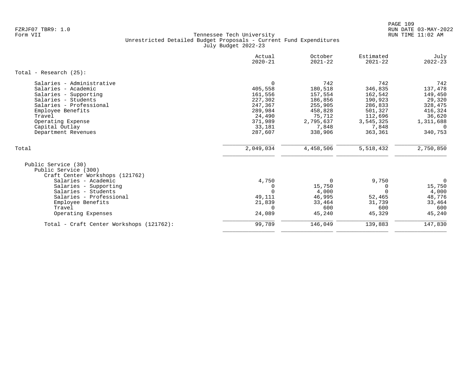|                                                                                                                                                                                                                                       | Actual<br>$2020 - 21$                                                                                     | October<br>$2021 - 22$                                                                                | Estimated<br>$2021 - 22$                                                                               | July<br>$2022 - 23$                                                                                     |
|---------------------------------------------------------------------------------------------------------------------------------------------------------------------------------------------------------------------------------------|-----------------------------------------------------------------------------------------------------------|-------------------------------------------------------------------------------------------------------|--------------------------------------------------------------------------------------------------------|---------------------------------------------------------------------------------------------------------|
| Total - Research $(25)$ :                                                                                                                                                                                                             |                                                                                                           |                                                                                                       |                                                                                                        |                                                                                                         |
| Salaries - Administrative<br>Salaries - Academic<br>Salaries - Supporting<br>Salaries - Students<br>Salaries - Professional<br>Employee Benefits<br>Travel<br>Operating Expense<br>Capital Outlay<br>Department Revenues              | $\Omega$<br>405,558<br>161,556<br>227,302<br>247,367<br>289,984<br>24,490<br>371,989<br>33,181<br>287,607 | 742<br>180,518<br>157,554<br>186,856<br>255,905<br>458,828<br>75,712<br>2,795,637<br>7,848<br>338,906 | 742<br>346,835<br>162,542<br>190,923<br>286,833<br>501,327<br>112,696<br>3,545,325<br>7,848<br>363,361 | 742<br>137,478<br>149,450<br>29,320<br>328,475<br>416,324<br>36,620<br>1,311,688<br>$\Omega$<br>340,753 |
| Total                                                                                                                                                                                                                                 | 2,049,034                                                                                                 | 4,458,506                                                                                             | 5,518,432                                                                                              | 2,750,850                                                                                               |
| Public Service (30)<br>Public Service (300)<br>Craft Center Workshops (121762)<br>Salaries - Academic<br>Salaries - Supporting<br>Salaries - Students<br>Salaries - Professional<br>Employee Benefits<br>Travel<br>Operating Expenses | 4,750<br>$\Omega$<br>$\Omega$<br>49,111<br>21,839<br>$\Omega$<br>24,089                                   | $\Omega$<br>15,750<br>4,000<br>46,995<br>33,464<br>600<br>45,240                                      | 9,750<br>0<br>$\Omega$<br>52,465<br>31,739<br>600<br>45,329                                            | 0<br>15,750<br>4,000<br>48,776<br>33,464<br>600<br>45,240                                               |
| Total - Craft Center Workshops (121762):                                                                                                                                                                                              | 99,789                                                                                                    | 146,049                                                                                               | 139,883                                                                                                | 147,830                                                                                                 |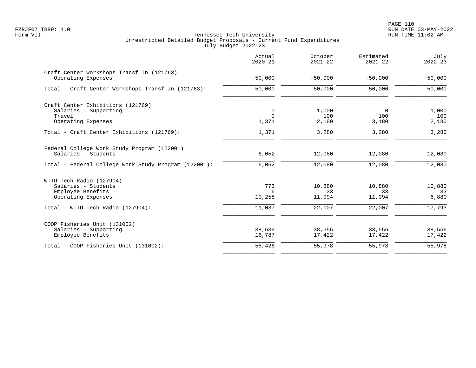|                                                                 | Actual<br>$2020 - 21$ | October<br>$2021 - 22$ | Estimated<br>$2021 - 22$ | July<br>$2022 - 23$ |
|-----------------------------------------------------------------|-----------------------|------------------------|--------------------------|---------------------|
| Craft Center Workshops Transf In (121763)<br>Operating Expenses | $-50,000$             | $-50,000$              | $-50,000$                | $-50,000$           |
| Total - Craft Center Workshops Transf In (121763):              | $-50,000$             | $-50,000$              | $-50,000$                | $-50,000$           |
| Craft Center Exhibitions (121769)                               |                       |                        |                          |                     |
| Salaries - Supporting                                           | $\mathbf 0$           | 1,000                  | $\overline{0}$           | 1,000               |
| Travel                                                          | $\Omega$              | 100                    | 100                      | 100                 |
| Operating Expenses                                              | 1,371                 | 2,180                  | 3,180                    | 2,180               |
| Total - Craft Center Exhibitions (121769):                      | 1,371                 | 3,280                  | 3,280                    | 3,280               |
| Federal College Work Study Program (122001)                     |                       |                        |                          |                     |
| Salaries - Students                                             | 6,052                 | 12,080                 | 12,080                   | 12,080              |
| Total - Federal College Work Study Program (122001):            | 6,052                 | 12,080                 | 12,080                   | 12,080              |
| WTTU Tech Radio (127904)                                        |                       |                        |                          |                     |
| Salaries - Students                                             | 773                   | 10,880                 | 10,880                   | 10,880              |
| Employee Benefits                                               | 6                     | 33                     | 33                       | 33                  |
| Operating Expenses                                              | 10,258                | 11,094                 | 11,094                   | 6,880               |
| Total - WTTU Tech Radio (127904):                               | 11,037                | 22,007                 | 22,007                   | 17,793              |
| COOP Fisheries Unit (131002)                                    |                       |                        |                          |                     |
| Salaries - Supporting                                           | 38,639                | 38,556                 | 38,556                   | 38,556              |
| Employee Benefits                                               | 16,787                | 17,422                 | 17,422                   | 17,422              |
| Total - COOP Fisheries Unit (131002):                           | 55,426                | 55,978                 | 55,978                   | 55,978              |
|                                                                 |                       |                        |                          |                     |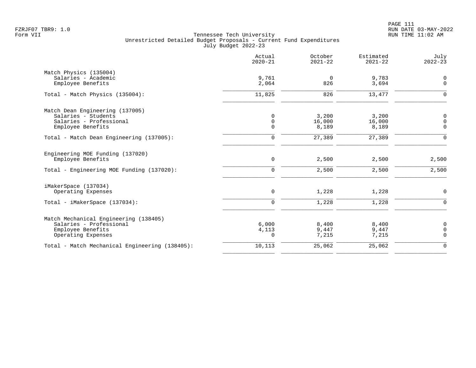|                                                                                                             | Actual<br>$2020 - 21$           | October<br>$2021 - 22$   | Estimated<br>$2021 - 22$ | July<br>$2022 - 23$             |
|-------------------------------------------------------------------------------------------------------------|---------------------------------|--------------------------|--------------------------|---------------------------------|
| Match Physics (135004)<br>Salaries - Academic<br>Employee Benefits                                          | 9,761<br>2,064                  | $\mathbf 0$<br>826       | 9,783<br>3,694           | 0<br>$\mathbf 0$                |
| Total - Match Physics (135004):                                                                             | 11,825                          | 826                      | 13,477                   | $\mathsf{O}$                    |
| Match Dean Engineering (137005)<br>Salaries - Students<br>Salaries - Professional<br>Employee Benefits      | 0<br>$\mathbf 0$<br>$\mathbf 0$ | 3,200<br>16,000<br>8,189 | 3,200<br>16,000<br>8,189 | 0<br>$\mathbf 0$<br>0           |
| Total - Match Dean Engineering (137005):                                                                    | $\mathsf{O}$                    | 27,389                   | 27,389                   | $\mathsf 0$                     |
| Engineering MOE Funding (137020)<br>Employee Benefits                                                       | $\mathsf{O}$                    | 2,500                    | 2,500                    | 2,500                           |
| Total - Engineering MOE Funding (137020):                                                                   | $\mathbf 0$                     | 2,500                    | 2,500                    | 2,500                           |
| iMakerSpace (137034)<br>Operating Expenses                                                                  | $\mathsf{O}$                    | 1,228                    | 1,228                    | 0                               |
| Total - iMakerSpace (137034):                                                                               | $\mathbf 0$                     | 1,228                    | 1,228                    | $\mathbf 0$                     |
| Match Mechanical Engineering (138405)<br>Salaries - Professional<br>Employee Benefits<br>Operating Expenses | 6,000<br>4,113<br>0             | 8,400<br>9,447<br>7,215  | 8,400<br>9,447<br>7,215  | 0<br>$\mathbf 0$<br>$\mathbf 0$ |
| Total - Match Mechanical Engineering (138405):                                                              | 10,113                          | 25,062                   | 25,062                   | $\mathsf 0$                     |
|                                                                                                             |                                 |                          |                          |                                 |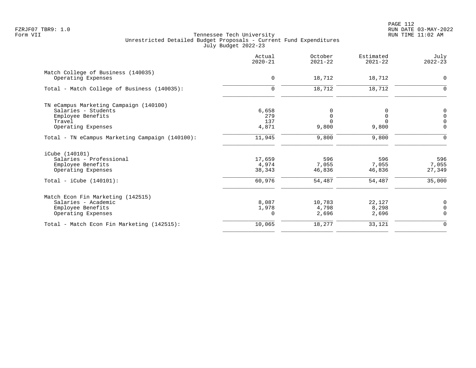|                                                 | Actual<br>$2020 - 21$ | October<br>$2021 - 22$ | Estimated<br>$2021 - 22$ | July<br>$2022 - 23$ |
|-------------------------------------------------|-----------------------|------------------------|--------------------------|---------------------|
| Match College of Business (140035)              |                       |                        |                          |                     |
| Operating Expenses                              | $\mathbf 0$           | 18,712                 | 18,712                   | $\mathbf 0$         |
| Total - Match College of Business (140035):     | 0                     | 18,712                 | 18,712                   | $\Omega$            |
| TN eCampus Marketing Campaign (140100)          |                       |                        |                          |                     |
| Salaries - Students                             | 6,658                 | 0                      | 0                        | 0                   |
| Employee Benefits                               | 279                   | 0                      | 0                        | $\mathbf 0$         |
| Travel                                          | 137                   | $\Omega$               | $\Omega$                 | $\overline{0}$      |
| Operating Expenses                              | 4,871                 | 9,800                  | 9,800                    | $\overline{0}$      |
| Total - TN eCampus Marketing Campaign (140100): | 11,945                | 9,800                  | 9,800                    | 0                   |
| iCube (140101)                                  |                       |                        |                          |                     |
| Salaries - Professional                         | 17,659                | 596                    | 596                      | 596                 |
| Employee Benefits                               | 4,974                 | 7,055                  | 7,055                    | 7,055               |
| Operating Expenses                              | 38,343                | 46,836                 | 46,836                   | 27,349              |
| Total - $iCube (140101):$                       | 60,976                | 54,487                 | 54,487                   | 35,000              |
| Match Econ Fin Marketing (142515)               |                       |                        |                          |                     |
| Salaries - Academic                             | 8,087                 | 10,783                 | 22,127                   | 0                   |
| Employee Benefits                               | 1,978                 | 4,798                  | 8,298                    | $\overline{0}$      |
| Operating Expenses                              | $\Omega$              | 2,696                  | 2,696                    | $\Omega$            |
| Total - Match Econ Fin Marketing (142515):      | 10,065                | 18,277                 | 33,121                   | $\mathbf 0$         |
|                                                 |                       |                        |                          |                     |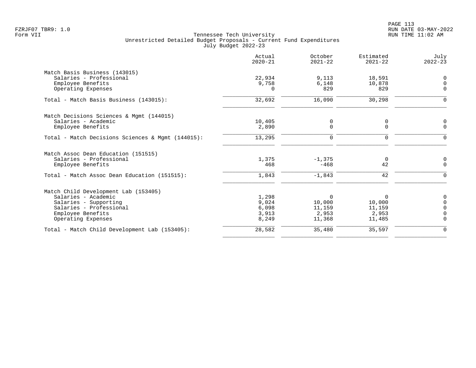|                                                   | Actual<br>$2020 - 21$ | October<br>$2021 - 22$ | Estimated<br>$2021 - 22$ | July<br>$2022 - 23$ |
|---------------------------------------------------|-----------------------|------------------------|--------------------------|---------------------|
| Match Basis Business (143015)                     |                       |                        |                          |                     |
| Salaries - Professional                           | 22,934                | 9,113                  | 18,591                   | 0                   |
| Employee Benefits                                 | 9,758                 | 6,148                  | 10,878                   | $\mathbf 0$         |
| Operating Expenses                                | $\Omega$              | 829                    | 829                      | $\Omega$            |
| Total - Match Basis Business (143015):            | 32,692                | 16,090                 | 30,298                   | $\Omega$            |
| Match Decisions Sciences & Mgmt (144015)          |                       |                        |                          |                     |
| Salaries - Academic                               | 10,405                | 0                      | 0                        | 0                   |
| Employee Benefits                                 | 2,890                 | $\Omega$               | $\Omega$                 | $\Omega$            |
| Total - Match Decisions Sciences & Mqmt (144015): | 13,295                | $\mathbf 0$            | $\mathbf 0$              | $\Omega$            |
| Match Assoc Dean Education (151515)               |                       |                        |                          |                     |
| Salaries - Professional                           | 1,375                 | $-1,375$               | 0                        | 0                   |
| Employee Benefits                                 | 468                   | $-468$                 | 42                       | $\mathbf 0$         |
| Total - Match Assoc Dean Education (151515):      | 1,843                 | $-1,843$               | 42                       | 0                   |
| Match Child Development Lab (153405)              |                       |                        |                          |                     |
| Salaries - Academic                               | 1,298                 | $\mathbf 0$            | $\Omega$                 | 0                   |
| Salaries - Supporting                             | 9,024                 | 10,000                 | 10,000                   | $\mathbf 0$         |
| Salaries - Professional                           | 6,098                 | 11,159                 | 11,159                   | 0                   |
| Employee Benefits                                 | 3,913                 | 2,953                  | 2,953                    | $\overline{0}$      |
| Operating Expenses                                | 8,249                 | 11,368                 | 11,485                   | $\Omega$            |
| Total - Match Child Development Lab (153405):     | 28,582                | 35,480                 | 35,597                   | $\mathbf 0$         |
|                                                   |                       |                        |                          |                     |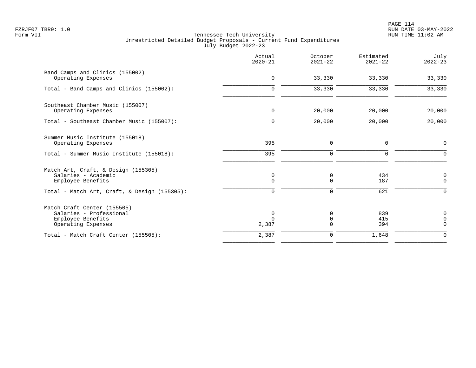|                                                                                                   | Actual<br>$2020 - 21$  | October<br>$2021 - 22$          | Estimated<br>$2021 - 22$ | July<br>$2022 - 23$             |
|---------------------------------------------------------------------------------------------------|------------------------|---------------------------------|--------------------------|---------------------------------|
| Band Camps and Clinics (155002)<br>Operating Expenses                                             | $\mathbf 0$            | 33,330                          | 33,330                   | 33,330                          |
| Total - Band Camps and Clinics (155002):                                                          | $\mathbf 0$            | 33,330                          | 33,330                   | 33,330                          |
| Southeast Chamber Music (155007)<br>Operating Expenses                                            | $\mathbf 0$            | 20,000                          | 20,000                   | 20,000                          |
| Total - Southeast Chamber Music (155007):                                                         | $\mathbf 0$            | 20,000                          | 20,000                   | 20,000                          |
| Summer Music Institute (155018)<br>Operating Expenses                                             | 395                    | $\mathbf 0$                     | $\mathbf 0$              | $\mathsf{O}$                    |
| Total - Summer Music Institute (155018):                                                          | 395                    | $\mathbf 0$                     | $\mathbf 0$              | $\mathbf 0$                     |
| Match Art, Craft, & Design (155305)<br>Salaries - Academic<br>Employee Benefits                   | 0<br>$\mathbf 0$       | 0<br>$\Omega$                   | 434<br>187               | 0<br>$\mathbf 0$                |
| Total - Match Art, Craft, & Design (155305):                                                      | $\Omega$               | $\Omega$                        | 621                      | $\Omega$                        |
| Match Craft Center (155505)<br>Salaries - Professional<br>Employee Benefits<br>Operating Expenses | 0<br>$\Omega$<br>2,387 | 0<br>$\overline{0}$<br>$\Omega$ | 839<br>415<br>394        | 0<br>$\mathbf 0$<br>$\mathbf 0$ |
| Total - Match Craft Center (155505):                                                              | 2,387                  | $\mathbf 0$                     | 1,648                    | $\mathbf 0$                     |
|                                                                                                   |                        |                                 |                          |                                 |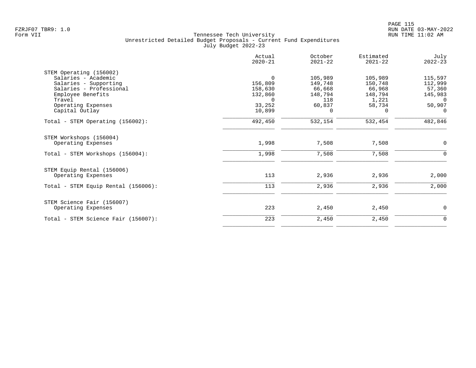|                                     | Actual<br>$2020 - 21$ | October<br>$2021 - 22$ | Estimated<br>$2021 - 22$ | July<br>$2022 - 23$ |
|-------------------------------------|-----------------------|------------------------|--------------------------|---------------------|
| STEM Operating (156002)             |                       |                        |                          |                     |
| Salaries - Academic                 | $\mathbf 0$           | 105,989                | 105,989                  | 115,597             |
| Salaries - Supporting               | 156,809               | 149,748                | 150,748                  | 112,999             |
| Salaries - Professional             | 158,630               | 66,668                 | 66,968                   | 57,360              |
| Employee Benefits                   | 132,860               | 148,794                | 148,794                  | 145,983             |
| Travel                              | $\Omega$              | 118                    | 1,221                    | $\Omega$            |
| Operating Expenses                  | 33,252                | 60,837                 | 58,734                   | 50,907              |
| Capital Outlay                      | 10,899                | $\Omega$               | $\Omega$                 | $\Omega$            |
| Total - STEM Operating (156002):    | 492,450               | 532,154                | 532,454                  | 482,846             |
| STEM Workshops (156004)             |                       |                        |                          |                     |
| Operating Expenses                  | 1,998                 | 7,508                  | 7,508                    | 0                   |
| Total - STEM Workshops (156004):    | 1,998                 | 7,508                  | 7,508                    | 0                   |
| STEM Equip Rental (156006)          |                       |                        |                          |                     |
| Operating Expenses                  | 113                   | 2,936                  | 2,936                    | 2,000               |
| Total - STEM Equip Rental (156006): | 113                   | 2,936                  | 2,936                    | 2,000               |
| STEM Science Fair (156007)          |                       |                        |                          |                     |
| Operating Expenses                  | 223                   | 2,450                  | 2,450                    | 0                   |
| Total - STEM Science Fair (156007): | 223                   | 2,450                  | 2,450                    | 0                   |
|                                     |                       |                        |                          |                     |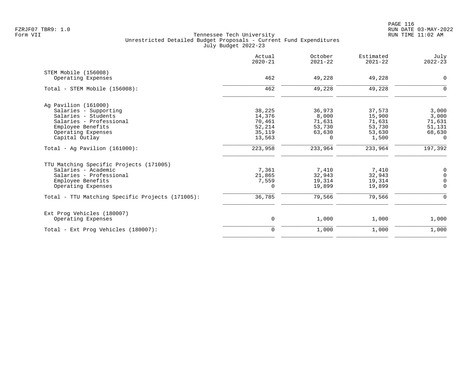| Actual<br>$2020 - 21$ | October<br>$2021 - 22$                                  | Estimated<br>$2021 - 22$                               | July<br>$2022 - 23$                                     |
|-----------------------|---------------------------------------------------------|--------------------------------------------------------|---------------------------------------------------------|
|                       |                                                         |                                                        |                                                         |
| 462                   | 49,228                                                  | 49,228                                                 | $\mathbf 0$                                             |
| 462                   | 49,228                                                  | 49,228                                                 | $\Omega$                                                |
|                       |                                                         |                                                        |                                                         |
|                       |                                                         |                                                        | 3,000                                                   |
|                       |                                                         |                                                        | 3,000                                                   |
|                       |                                                         |                                                        | 71,631                                                  |
|                       |                                                         |                                                        | 51,131                                                  |
|                       |                                                         |                                                        | 68,630                                                  |
| 13,563                | $\Omega$                                                | 1,500                                                  | $\Omega$                                                |
| 223,958               | 233,964                                                 | 233,964                                                | 197,392                                                 |
|                       |                                                         |                                                        |                                                         |
|                       |                                                         |                                                        | 0                                                       |
| 21,865                | 32,943                                                  | 32,943                                                 | $\mathbf 0$                                             |
| 7,559                 | 19,314                                                  | 19,314                                                 | $\overline{0}$                                          |
| $\Omega$              | 19,899                                                  | 19,899                                                 | $\Omega$                                                |
| 36,785                | 79,566                                                  | 79,566                                                 | $\Omega$                                                |
|                       |                                                         |                                                        |                                                         |
| $\mathbf 0$           | 1,000                                                   | 1,000                                                  | 1,000                                                   |
| $\mathbf 0$           | 1,000                                                   | 1,000                                                  | 1,000                                                   |
|                       | 38,225<br>14,376<br>70,461<br>52,214<br>35,119<br>7,361 | 36,973<br>8,000<br>71,631<br>53,730<br>63,630<br>7,410 | 37,573<br>15,900<br>71,631<br>53,730<br>53,630<br>7,410 |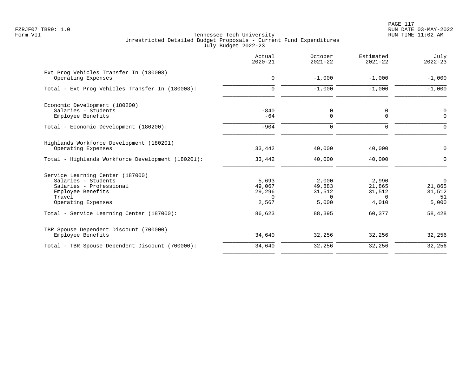PAGE 117 FZRJF07 TBR9: 1.0 RUN DATE 03-MAY-2022

|                                                                                                                                         | Actual<br>$2020 - 21$                          | October<br>$2021 - 22$                         | Estimated<br>$2021 - 22$                       | July<br>$2022 - 23$                               |
|-----------------------------------------------------------------------------------------------------------------------------------------|------------------------------------------------|------------------------------------------------|------------------------------------------------|---------------------------------------------------|
| Ext Prog Vehicles Transfer In (180008)<br>Operating Expenses                                                                            | $\mathbf 0$                                    | $-1,000$                                       | $-1,000$                                       | $-1,000$                                          |
| Total - Ext Prog Vehicles Transfer In (180008):                                                                                         | $\mathbf 0$                                    | $-1,000$                                       | $-1,000$                                       | $-1,000$                                          |
| Economic Development (180200)<br>Salaries - Students                                                                                    | $-840$                                         | 0                                              | 0                                              | 0                                                 |
| Employee Benefits<br>Total - Economic Development (180200):                                                                             | $-64$<br>$-904$                                | 0<br>0                                         | $\mathbf 0$<br>$\Omega$                        | $\mathbf 0$<br>$\Omega$                           |
| Highlands Workforce Development (180201)<br>Operating Expenses                                                                          | 33,442                                         | 40,000                                         | 40,000                                         | 0                                                 |
| Total - Highlands Workforce Development (180201):                                                                                       | 33,442                                         | 40,000                                         | 40,000                                         | $\mathbf 0$                                       |
| Service Learning Center (187000)<br>Salaries - Students<br>Salaries - Professional<br>Employee Benefits<br>Travel<br>Operating Expenses | 5,693<br>49,067<br>29,296<br>$\Omega$<br>2,567 | 2,000<br>49,883<br>31,512<br>$\Omega$<br>5,000 | 2,990<br>21,865<br>31,512<br>$\Omega$<br>4,010 | $\overline{0}$<br>21,865<br>31,512<br>51<br>5,000 |
| Total - Service Learning Center (187000):                                                                                               | 86,623                                         | 88,395                                         | 60,377                                         | 58,428                                            |
| TBR Spouse Dependent Discount (700000)<br>Employee Benefits                                                                             | 34,640                                         | 32,256                                         | 32,256                                         | 32,256                                            |
| Total - TBR Spouse Dependent Discount (700000):                                                                                         | 34,640                                         | 32,256                                         | 32,256                                         | 32,256                                            |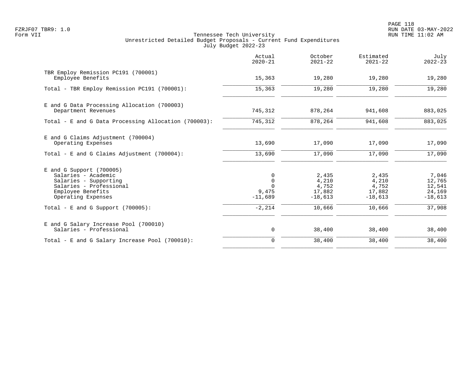PAGE 118 FZRJF07 TBR9: 1.0 RUN DATE 03-MAY-2022

|                                                                                                                                                  | Actual<br>$2020 - 21$                              | October<br>$2021 - 22$                         | Estimated<br>$2021 - 22$                       | July<br>$2022 - 23$                              |
|--------------------------------------------------------------------------------------------------------------------------------------------------|----------------------------------------------------|------------------------------------------------|------------------------------------------------|--------------------------------------------------|
| TBR Employ Remission PC191 (700001)<br>Employee Benefits                                                                                         | 15,363                                             | 19,280                                         | 19,280                                         | 19,280                                           |
| Total - TBR Employ Remission PC191 (700001):                                                                                                     | 15,363                                             | 19,280                                         | 19,280                                         | 19,280                                           |
| E and G Data Processing Allocation (700003)<br>Department Revenues                                                                               | 745,312                                            | 878,264                                        | 941,608                                        | 883,025                                          |
| Total - E and G Data Processing Allocation (700003):                                                                                             | 745,312                                            | 878,264                                        | 941,608                                        | 883,025                                          |
| E and G Claims Adjustment (700004)<br>Operating Expenses                                                                                         | 13,690                                             | 17,090                                         | 17,090                                         | 17,090                                           |
| Total - E and G Claims Adjustment (700004):                                                                                                      | 13,690                                             | 17,090                                         | 17,090                                         | 17,090                                           |
| $E$ and G Support (700005)<br>Salaries - Academic<br>Salaries - Supporting<br>Salaries - Professional<br>Employee Benefits<br>Operating Expenses | 0<br>$\mathbf 0$<br>$\Omega$<br>9,475<br>$-11,689$ | 2,435<br>4,210<br>4,752<br>17,882<br>$-18,613$ | 2,435<br>4,210<br>4,752<br>17,882<br>$-18,613$ | 7,046<br>12,765<br>12,541<br>24,169<br>$-18,613$ |
| Total - E and G Support $(700005)$ :                                                                                                             | $-2, 214$                                          | 10,666                                         | 10,666                                         | 37,908                                           |
| E and G Salary Increase Pool (700010)<br>Salaries - Professional                                                                                 | 0                                                  | 38,400                                         | 38,400                                         | 38,400                                           |
| Total - E and G Salary Increase Pool (700010):                                                                                                   | $\mathbf 0$                                        | 38,400                                         | 38,400                                         | 38,400                                           |
|                                                                                                                                                  |                                                    |                                                |                                                |                                                  |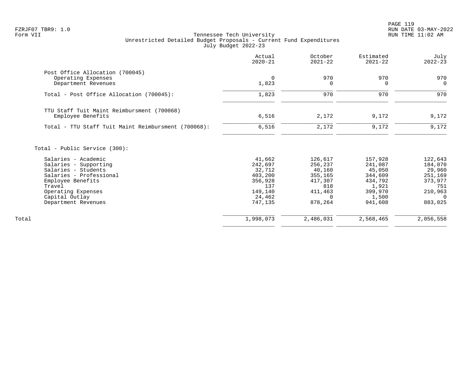|                                                     | Actual<br>$2020 - 21$ | October<br>$2021 - 22$ | Estimated<br>$2021 - 22$ | July<br>$2022 - 23$ |
|-----------------------------------------------------|-----------------------|------------------------|--------------------------|---------------------|
| Post Office Allocation (700045)                     |                       |                        |                          |                     |
| Operating Expenses                                  | $\mathbf 0$           | 970                    | 970                      | 970                 |
| Department Revenues                                 | 1,823                 | 0                      | 0                        | $\overline{0}$      |
| Total - Post Office Allocation (700045):            | 1,823                 | 970                    | 970                      | 970                 |
| TTU Staff Tuit Maint Reimbursment (700068)          |                       |                        |                          |                     |
| Employee Benefits                                   | 6,516                 | 2,172                  | 9,172                    | 9,172               |
| Total - TTU Staff Tuit Maint Reimbursment (700068): | 6,516                 | 2,172                  | 9,172                    | 9,172               |
| Total - Public Service (300):                       |                       |                        |                          |                     |
| Salaries - Academic                                 | 41,662                | 126,617                | 157,928                  | 122,643             |
| Salaries - Supporting                               | 242,697               | 256,237                | 241,087                  | 184,070             |
| Salaries - Students                                 | 32,712                | 40,160                 | 45,050                   | 29,960              |
| Salaries - Professional                             | 403,200               | 355,165                | 344,609                  | 251,169             |
| Employee Benefits                                   | 356,928               | 417,307                | 434,792                  | 373,977             |
| Travel                                              | 137                   | 818                    | 1,921                    | 751                 |
| Operating Expenses                                  | 149,140               | 411,463                | 399,970                  | 210,963             |
| Capital Outlay                                      | 24,462                | $\Omega$               | 1,500                    | $\Omega$            |
| Department Revenues                                 | 747,135               | 878,264                | 941,608                  | 883,025             |
| Total                                               | 1,998,073             | 2,486,031              | 2,568,465                | 2,056,558           |
|                                                     |                       |                        |                          |                     |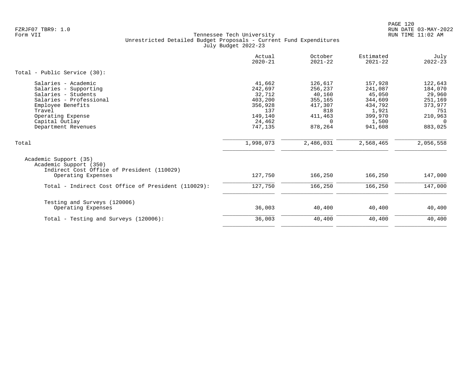|                                                                                                                                                                                             | Actual<br>$2020 - 21$                                                                    | October<br>$2021 - 22$                                                                      | Estimated<br>$2021 - 22$                                                                   | July<br>$2022 - 23$                                                                    |
|---------------------------------------------------------------------------------------------------------------------------------------------------------------------------------------------|------------------------------------------------------------------------------------------|---------------------------------------------------------------------------------------------|--------------------------------------------------------------------------------------------|----------------------------------------------------------------------------------------|
| Total - Public Service (30):                                                                                                                                                                |                                                                                          |                                                                                             |                                                                                            |                                                                                        |
| Salaries - Academic<br>Salaries - Supporting<br>Salaries - Students<br>Salaries - Professional<br>Employee Benefits<br>Travel<br>Operating Expense<br>Capital Outlay<br>Department Revenues | 41,662<br>242,697<br>32,712<br>403,200<br>356,928<br>137<br>149,140<br>24,462<br>747,135 | 126,617<br>256,237<br>40,160<br>355,165<br>417,307<br>818<br>411,463<br>$\Omega$<br>878,264 | 157,928<br>241,087<br>45,050<br>344,609<br>434,792<br>1,921<br>399,970<br>1,500<br>941,608 | 122,643<br>184,070<br>29,960<br>251,169<br>373,977<br>751<br>210,963<br>- 0<br>883,025 |
| Total                                                                                                                                                                                       | 1,998,073                                                                                | 2,486,031                                                                                   | 2,568,465                                                                                  | 2,056,558                                                                              |
| Academic Support (35)<br>Academic Support (350)<br>Indirect Cost Office of President (110029)<br>Operating Expenses                                                                         | 127,750                                                                                  | 166,250                                                                                     | 166,250                                                                                    | 147,000                                                                                |
| Total - Indirect Cost Office of President (110029):                                                                                                                                         | 127,750                                                                                  | 166,250                                                                                     | 166,250                                                                                    | 147,000                                                                                |
| Testing and Surveys (120006)<br>Operating Expenses<br>Total - Testing and Surveys (120006):                                                                                                 | 36,003<br>36,003                                                                         | 40,400<br>40,400                                                                            | 40,400<br>40,400                                                                           | 40,400<br>40,400                                                                       |
|                                                                                                                                                                                             |                                                                                          |                                                                                             |                                                                                            |                                                                                        |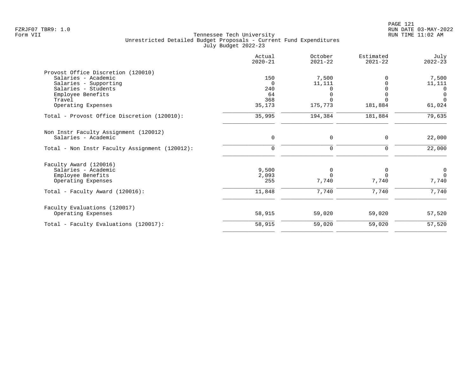|                                                | Actual<br>$2020 - 21$ | October<br>$2021 - 22$ | Estimated<br>$2021 - 22$ | July<br>$2022 - 23$ |
|------------------------------------------------|-----------------------|------------------------|--------------------------|---------------------|
| Provost Office Discretion (120010)             |                       |                        |                          |                     |
| Salaries - Academic                            | 150                   | 7,500                  |                          | 7,500               |
| Salaries - Supporting                          | $\Omega$              | 11,111                 |                          | 11,111              |
| Salaries - Students                            | 240                   |                        |                          | $\Omega$            |
| Employee Benefits                              | 64                    | $\Omega$               |                          | $\overline{0}$      |
| Travel                                         | 368                   |                        |                          | $\Omega$            |
| Operating Expenses                             | 35,173                | 175,773                | 181,884                  | 61,024              |
| Total - Provost Office Discretion (120010):    | 35,995                | 194,384                | 181,884                  | 79,635              |
| Non Instr Faculty Assignment (120012)          |                       |                        |                          |                     |
| Salaries - Academic                            | 0                     | 0                      | 0                        | 22,000              |
| Total - Non Instr Faculty Assignment (120012): | $\mathbf 0$           | $\mathbf 0$            | 0                        | 22,000              |
| Faculty Award (120016)                         |                       |                        |                          |                     |
| Salaries - Academic                            | 9,500                 | 0                      | 0                        | $\overline{0}$      |
| Employee Benefits                              | 2,093                 | $\Omega$               | $\Omega$                 | $\Omega$            |
| Operating Expenses                             | 255                   | 7,740                  | 7,740                    | 7,740               |
| Total - Faculty Award (120016):                | 11,848                | 7,740                  | 7,740                    | 7,740               |
| Faculty Evaluations (120017)                   |                       |                        |                          |                     |
| Operating Expenses                             | 58,915                | 59,020                 | 59,020                   | 57,520              |
| Total - Faculty Evaluations (120017):          | 58,915                | 59,020                 | 59,020                   | 57,520              |
|                                                |                       |                        |                          |                     |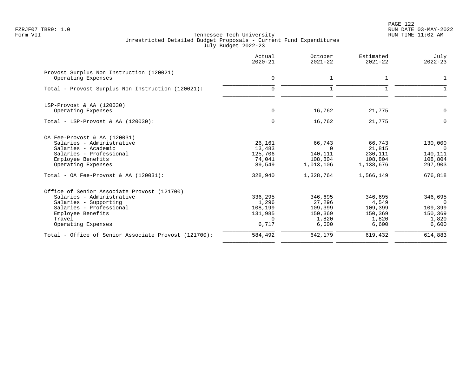PAGE 122 FZRJF07 TBR9: 1.0 RUN DATE 03-MAY-2022

|                                                                                                                                                                                                    | Actual<br>$2020 - 21$                                       | October<br>$2021 - 22$                                             | Estimated<br>$2021 - 22$                                         | July<br>$2022 - 23$                                               |
|----------------------------------------------------------------------------------------------------------------------------------------------------------------------------------------------------|-------------------------------------------------------------|--------------------------------------------------------------------|------------------------------------------------------------------|-------------------------------------------------------------------|
| Provost Surplus Non Instruction (120021)<br>Operating Expenses                                                                                                                                     | $\mathbf 0$                                                 | $\mathbf 1$                                                        | 1                                                                | 1                                                                 |
| Total - Provost Surplus Non Instruction (120021):                                                                                                                                                  | $\Omega$                                                    | $\mathbf{1}$                                                       | 1                                                                | 1                                                                 |
| LSP-Provost & AA (120030)<br>Operating Expenses                                                                                                                                                    | $\mathbf 0$                                                 | 16,762                                                             | 21,775                                                           | $\mathbf 0$                                                       |
| Total - LSP-Provost & AA $(120030)$ :                                                                                                                                                              | $\Omega$                                                    | 16,762                                                             | 21,775                                                           | $\Omega$                                                          |
| OA Fee-Provost & AA (120031)<br>Salaries - Administrative<br>Salaries - Academic<br>Salaries - Professional<br>Employee Benefits<br>Operating Expenses<br>Total - OA Fee-Provost & AA $(120031)$ : | 26,161<br>13,483<br>125,706<br>74,041<br>89,549<br>328,940  | 66,743<br>$\Omega$<br>140,111<br>108,804<br>1,013,106<br>1,328,764 | 66,743<br>21,815<br>230,111<br>108,804<br>1,138,676<br>1,566,149 | 130,000<br>$\bigcirc$<br>140,111<br>108,804<br>297,903<br>676,818 |
| Office of Senior Associate Provost (121700)<br>Salaries - Administrative<br>Salaries - Supporting<br>Salaries - Professional<br>Employee Benefits<br>Travel<br>Operating Expenses                  | 336,295<br>1,296<br>108,199<br>131,985<br>$\Omega$<br>6,717 | 346,695<br>27,296<br>109,399<br>150,369<br>1,820<br>6,600          | 346,695<br>4,549<br>109,399<br>150,369<br>1,820<br>6,600         | 346,695<br>$\Omega$<br>109,399<br>150,369<br>1,820<br>6,600       |
| Total - Office of Senior Associate Provost (121700):                                                                                                                                               | 584,492                                                     | 642,179                                                            | 619,432                                                          | 614,883                                                           |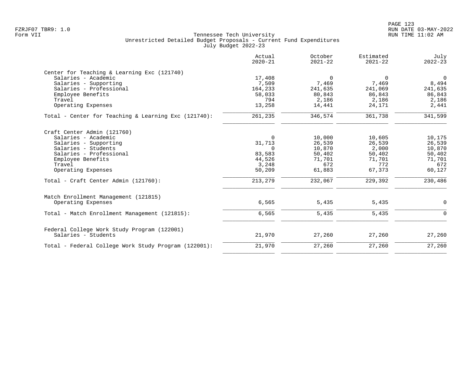|                                                      | Actual<br>$2020 - 21$ | October<br>$2021 - 22$ | Estimated<br>$2021 - 22$ | July<br>$2022 - 23$ |
|------------------------------------------------------|-----------------------|------------------------|--------------------------|---------------------|
| Center for Teaching & Learning Exc (121740)          |                       |                        |                          |                     |
| Salaries - Academic                                  | 17,408                | 0                      | 0                        | $\mathbf 0$         |
| Salaries - Supporting                                | 7,509                 | 7,469                  | 7,469                    | 8,494               |
| Salaries - Professional                              | 164,233               | 241,635                | 241,069                  | 241,635             |
| Employee Benefits                                    | 58,033                | 80,843                 | 86,843                   | 86,843              |
| Travel                                               | 794                   | 2,186                  | 2,186                    | 2,186               |
| Operating Expenses                                   | 13,258                | 14,441                 | 24,171                   | 2,441               |
| Total - Center for Teaching & Learning Exc (121740): | 261,235               | 346,574                | 361,738                  | 341,599             |
| Craft Center Admin (121760)                          |                       |                        |                          |                     |
| Salaries - Academic                                  | $\Omega$              | 10,000                 | 10,605                   | 10,175              |
| Salaries - Supporting                                | 31,713                | 26,539                 | 26,539                   | 26,539              |
| Salaries - Students                                  | $\Omega$              | 10,870                 | 2,000                    | 10,870              |
| Salaries - Professional                              | 83,583                | 50,402                 | 50,402                   | 50,402              |
| Employee Benefits                                    | 44,526                | 71,701                 | 71,701                   | 71,701              |
| Travel                                               | 3,248                 | 672                    | 772                      | 672                 |
| Operating Expenses                                   | 50,209                | 61,883                 | 67,373                   | 60,127              |
| Total - Craft Center Admin (121760):                 | 213,279               | 232,067                | 229,392                  | 230,486             |
| Match Enrollment Management (121815)                 |                       |                        |                          |                     |
| Operating Expenses                                   | 6,565                 | 5,435                  | 5,435                    | 0                   |
| Total - Match Enrollment Management (121815):        | 6,565                 | 5,435                  | 5,435                    | $\mathbf 0$         |
| Federal College Work Study Program (122001)          |                       |                        |                          |                     |
| Salaries - Students                                  | 21,970                | 27,260                 | 27,260                   | 27,260              |
| Total - Federal College Work Study Program (122001): | 21,970                | 27,260                 | 27,260                   | 27,260              |
|                                                      |                       |                        |                          |                     |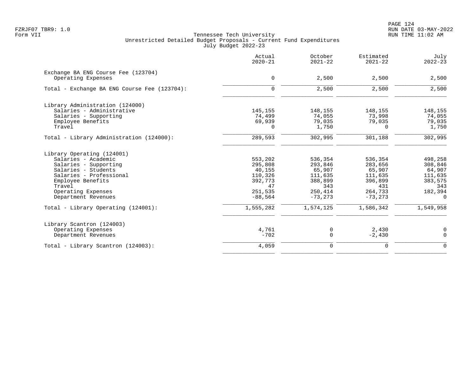PAGE 124 FZRJF07 TBR9: 1.0 RUN DATE 03-MAY-2022

|                                                           | Actual<br>$2020 - 21$ | October<br>$2021 - 22$ | Estimated<br>$2021 - 22$ | July<br>$2022 - 23$ |
|-----------------------------------------------------------|-----------------------|------------------------|--------------------------|---------------------|
| Exchange BA ENG Course Fee (123704)<br>Operating Expenses | $\mathbf 0$           | 2,500                  | 2,500                    | 2,500               |
| Total - Exchange BA ENG Course Fee (123704):              | $\Omega$              | 2,500                  | 2,500                    | 2,500               |
| Library Administration (124000)                           |                       |                        |                          |                     |
| Salaries - Administrative                                 | 145,155               | 148,155                | 148,155                  | 148,155             |
| Salaries - Supporting                                     | 74,499                | 74,055                 | 73,998                   | 74,055              |
| Employee Benefits                                         | 69,939                | 79,035                 | 79,035                   | 79,035              |
| Travel                                                    | 0                     | 1,750                  | $\Omega$                 | 1,750               |
| Total - Library Administration (124000):                  | 289,593               | 302,995                | 301,188                  | 302,995             |
| Library Operating (124001)                                |                       |                        |                          |                     |
| Salaries - Academic                                       | 553,202               | 536,354                | 536,354                  | 498,258             |
| Salaries - Supporting                                     | 295,808               | 293,846                | 283,656                  | 308,846             |
| Salaries - Students                                       | 40,155                | 65,907                 | 65,907                   | 64,907              |
| Salaries - Professional                                   | 110,326               | 111,635                | 111,635                  | 111,635             |
| Employee Benefits                                         | 392,773<br>47         | 388,899                | 396,899                  | 383,575             |
| Travel<br>Operating Expenses                              | 251,535               | 343<br>250,414         | 431<br>264,733           | 343<br>182,394      |
| Department Revenues                                       | $-88,564$             | $-73, 273$             | $-73, 273$               | 0                   |
| Total - Library Operating (124001):                       | 1,555,282             | 1,574,125              | 1,586,342                | 1,549,958           |
| Library Scantron (124003)                                 |                       |                        |                          |                     |
| Operating Expenses                                        | 4,761                 | 0                      | 2,430                    | 0                   |
| Department Revenues                                       | $-702$                | $\mathbf 0$            | $-2,430$                 | $\mathbf 0$         |
| Total - Library Scantron (124003):                        | 4,059                 | $\mathbf 0$            | $\mathbf 0$              | $\mathbf 0$         |
|                                                           |                       |                        |                          |                     |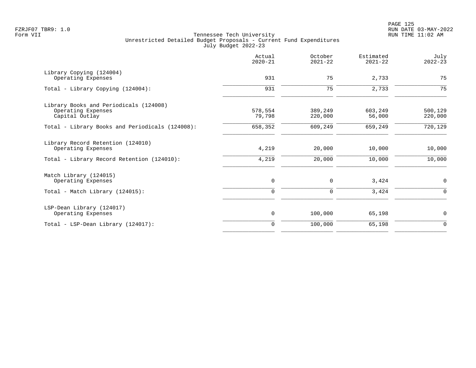|                                                 | Actual<br>$2020 - 21$ | October<br>$2021 - 22$ | Estimated<br>$2021 - 22$ | July<br>$2022 - 23$ |
|-------------------------------------------------|-----------------------|------------------------|--------------------------|---------------------|
| Library Copying (124004)<br>Operating Expenses  | 931                   | 75                     | 2,733                    | 75                  |
|                                                 |                       |                        |                          |                     |
| Total - Library Copying (124004):               | 931                   | 75                     | 2,733                    | 75                  |
| Library Books and Periodicals (124008)          |                       |                        |                          |                     |
| Operating Expenses                              | 578,554               | 389,249                | 603,249                  | 500,129             |
| Capital Outlay                                  | 79,798                | 220,000                | 56,000                   | 220,000             |
| Total - Library Books and Periodicals (124008): | 658,352               | 609,249                | 659,249                  | 720,129             |
| Library Record Retention (124010)               |                       |                        |                          |                     |
| Operating Expenses                              | 4,219                 | 20,000                 | 10,000                   | 10,000              |
| Total - Library Record Retention (124010):      | 4,219                 | 20,000                 | 10,000                   | 10,000              |
| Match Library (124015)                          |                       |                        |                          |                     |
| Operating Expenses                              | 0                     | $\mathbf 0$            | 3,424                    | 0                   |
| Total - Match Library (124015):                 | $\mathbf 0$           | $\mathbf 0$            | 3,424                    | $\mathbf 0$         |
| LSP-Dean Library (124017)                       |                       |                        |                          |                     |
| Operating Expenses                              | $\mathsf{O}$          | 100,000                | 65,198                   | $\mathbf 0$         |
| Total - LSP-Dean Library (124017):              | $\mathbf 0$           | 100,000                | 65,198                   | $\mathbf 0$         |
|                                                 |                       |                        |                          |                     |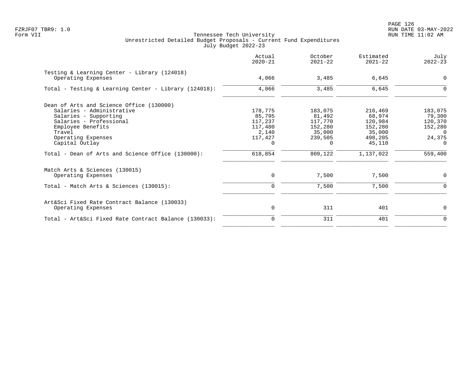PAGE 126 FZRJF07 TBR9: 1.0 RUN DATE 03-MAY-2022

|                                                                    | Actual<br>$2020 - 21$ | October<br>$2021 - 22$ | Estimated<br>$2021 - 22$ | July<br>$2022 - 23$ |
|--------------------------------------------------------------------|-----------------------|------------------------|--------------------------|---------------------|
| Testing & Learning Center - Library (124018)<br>Operating Expenses | 4,066                 | 3,485                  | 6,645                    | $\mathbf 0$         |
| Total - Testing & Learning Center - Library (124018):              | 4,066                 | 3,485                  | 6,645                    | 0                   |
| Dean of Arts and Science Office (130000)                           |                       |                        |                          |                     |
| Salaries - Administrative                                          | 178,775               | 183,075                | 216,469                  | 183,075             |
| Salaries - Supporting                                              | 85,795                | 81,492                 | 68,974                   | 79,300              |
| Salaries - Professional                                            | 117,237               | 117,770                | 120,984                  | 120,370             |
| Employee Benefits                                                  | 117,480               | 152,280                | 152,280                  | 152,280             |
| Travel                                                             | 2,140                 | 35,000                 | 35,000<br>498,205        | $\Omega$            |
| Operating Expenses<br>Capital Outlay                               | 117,427<br>$\Omega$   | 239,505<br>$\Omega$    | 45,110                   | 24,375<br>$\Omega$  |
| Total - Dean of Arts and Science Office (130000):                  | 618,854               | 809,122                | 1,137,022                | 559,400             |
| Match Arts & Sciences (130015)                                     |                       |                        |                          |                     |
| Operating Expenses                                                 | 0                     | 7,500                  | 7,500                    | 0                   |
| Total - Match Arts & Sciences (130015):                            | 0                     | 7,500                  | 7,500                    | 0                   |
| Art&Sci Fixed Rate Contract Balance (130033)                       |                       |                        |                          |                     |
| Operating Expenses                                                 | 0                     | 311                    | 401                      | 0                   |
| Total - Art&Sci Fixed Rate Contract Balance (130033):              | $\Omega$              | 311                    | 401                      | $\mathbf 0$         |
|                                                                    |                       |                        |                          |                     |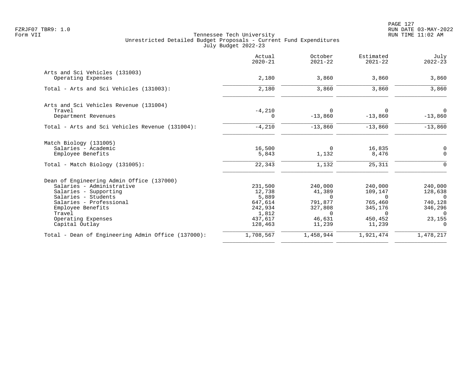| Actual<br>$2020 - 21$ | October<br>$2021 - 22$                                            | Estimated<br>$2021 - 22$                                   | July<br>$2022 - 23$                                         |
|-----------------------|-------------------------------------------------------------------|------------------------------------------------------------|-------------------------------------------------------------|
|                       |                                                                   |                                                            | 3,860                                                       |
|                       |                                                                   |                                                            |                                                             |
| 2,180                 | 3,860                                                             | 3,860                                                      | 3,860                                                       |
|                       |                                                                   |                                                            |                                                             |
| $-4,210$              | 0                                                                 | $\Omega$                                                   | 0                                                           |
| $\Omega$              | $-13,860$                                                         | $-13,860$                                                  | $-13,860$                                                   |
| $-4,210$              | $-13,860$                                                         | $-13,860$                                                  | $-13,860$                                                   |
|                       |                                                                   |                                                            |                                                             |
| 16,500                | $\mathbf 0$                                                       | 16,835                                                     | 0                                                           |
|                       |                                                                   |                                                            | $\mathbf 0$                                                 |
| 22,343                | 1,132                                                             | 25,311                                                     | $\Omega$                                                    |
|                       |                                                                   |                                                            |                                                             |
| 231,500               | 240,000                                                           | 240,000                                                    | 240,000                                                     |
| 12,738                | 41,389                                                            | 109,147                                                    | 128,638                                                     |
|                       | $\Omega$                                                          | $\Omega$                                                   | $\Omega$                                                    |
|                       |                                                                   |                                                            | 740,128                                                     |
|                       |                                                                   |                                                            | 346,296                                                     |
|                       |                                                                   |                                                            | $\Omega$<br>23,155                                          |
| 128,463               | 11,239                                                            | 11,239                                                     | $\Omega$                                                    |
| 1,708,567             | 1,458,944                                                         | 1,921,474                                                  | 1,478,217                                                   |
|                       | 2,180<br>5,843<br>5,889<br>647,614<br>242,934<br>1,812<br>437,617 | 3,860<br>1,132<br>791,877<br>327,808<br>$\Omega$<br>46,631 | 3,860<br>8,476<br>765,460<br>345,176<br>$\Omega$<br>450,452 |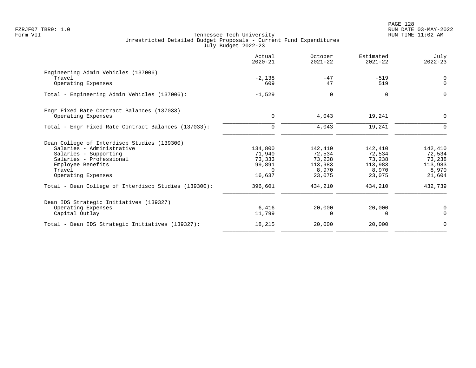|                                                      | Actual<br>$2020 - 21$ | October<br>$2021 - 22$ | Estimated<br>$2021 - 22$ | July<br>$2022 - 23$     |
|------------------------------------------------------|-----------------------|------------------------|--------------------------|-------------------------|
| Engineering Admin Vehicles (137006)                  |                       |                        |                          |                         |
| Travel<br>Operating Expenses                         | $-2,138$<br>609       | $-47$<br>47            | $-519$<br>519            | $\mathbf 0$<br>$\Omega$ |
| Total - Engineering Admin Vehicles (137006):         | $-1,529$              | 0                      | $\Omega$                 | O                       |
| Engr Fixed Rate Contract Balances (137033)           |                       |                        |                          |                         |
| Operating Expenses                                   | 0                     | 4,043                  | 19,241                   | $\Omega$                |
| Total - Engr Fixed Rate Contract Balances (137033):  | $\Omega$              | 4,043                  | 19,241                   |                         |
| Dean College of Interdiscp Studies (139300)          |                       |                        |                          |                         |
| Salaries - Administrative                            | 134,800               | 142,410                | 142,410                  | 142,410                 |
| Salaries - Supporting                                | 71,940                | 72,534                 | 72,534                   | 72,534                  |
| Salaries - Professional                              | 73,333                | 73,238                 | 73,238                   | 73,238                  |
| Employee Benefits<br>Travel                          | 99,891<br>$\Omega$    | 113,983<br>8,970       | 113,983<br>8,970         | 113,983                 |
| Operating Expenses                                   | 16,637                | 23,075                 | 23,075                   | 8,970<br>21,604         |
| Total - Dean College of Interdiscp Studies (139300): | 396,601               | 434,210                | 434,210                  | 432,739                 |
| Dean IDS Strategic Initiatives (139327)              |                       |                        |                          |                         |
| Operating Expenses                                   | 6,416                 | 20,000                 | 20,000                   | 0                       |
| Capital Outlay                                       | 11,799                | $\Omega$               | $\Omega$                 | $\Omega$                |
| Total - Dean IDS Strategic Initiatives (139327):     | 18,215                | 20,000                 | 20,000                   | $\mathbf 0$             |
|                                                      |                       |                        |                          |                         |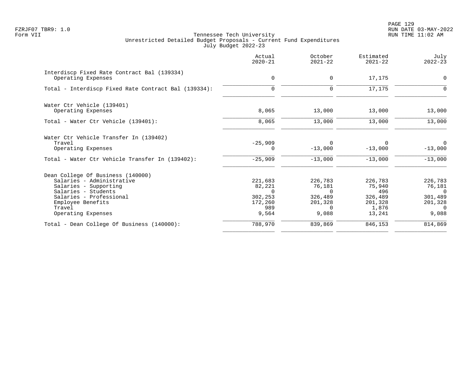PAGE 129 FZRJF07 TBR9: 1.0 RUN DATE 03-MAY-2022

|                                                                   | Actual<br>$2020 - 21$ | October<br>$2021 - 22$ | Estimated<br>$2021 - 22$ | July<br>$2022 - 23$       |
|-------------------------------------------------------------------|-----------------------|------------------------|--------------------------|---------------------------|
| Interdiscp Fixed Rate Contract Bal (139334)<br>Operating Expenses | $\mathbf 0$           | 0                      | 17,175                   | 0                         |
| Total - Interdiscp Fixed Rate Contract Bal (139334):              | $\Omega$              | $\Omega$               | 17,175                   |                           |
| Water Ctr Vehicle (139401)                                        |                       |                        |                          |                           |
| Operating Expenses                                                | 8,065                 | 13,000                 | 13,000                   | 13,000                    |
| Total - Water Ctr Vehicle (139401):                               | 8,065                 | 13,000                 | 13,000                   | 13,000                    |
| Water Ctr Vehicle Transfer In (139402)                            |                       |                        |                          |                           |
| Travel<br>Operating Expenses                                      | $-25,909$<br>0        | $\Omega$<br>$-13,000$  | $\Omega$<br>$-13,000$    | $\Omega$<br>$-13,000$     |
| Total - Water Ctr Vehicle Transfer In (139402):                   | $-25,909$             | $-13,000$              | $-13,000$                | $-13,000$                 |
| Dean College Of Business (140000)                                 |                       |                        |                          |                           |
| Salaries - Administrative                                         | 221,683               | 226,783                | 226,783                  | 226,783                   |
| Salaries - Supporting                                             | 82,221                | 76,181                 | 75,940                   | 76,181                    |
| Salaries - Students<br>Salaries - Professional                    | $\Omega$<br>302,253   | $\Omega$<br>326,489    | 496<br>326,489           | $\overline{0}$<br>301,489 |
| Employee Benefits                                                 | 172,260               | 201,328                | 201,328                  | 201,328                   |
| Travel                                                            | 989                   | $\Omega$               | 1,876                    | $\Omega$                  |
| Operating Expenses                                                | 9,564                 | 9,088                  | 13,241                   | 9,088                     |
| Total - Dean College Of Business (140000):                        | 788,970               | 839,869                | 846,153                  | 814,869                   |
|                                                                   |                       |                        |                          |                           |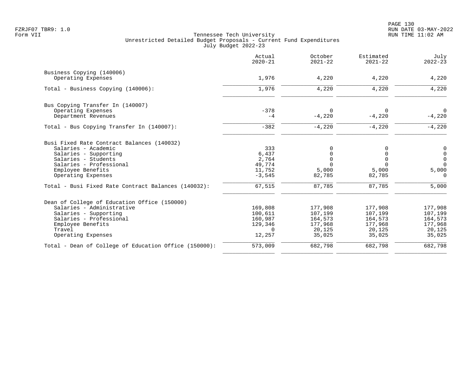|                                                       | Actual<br>$2020 - 21$ | October<br>$2021 - 22$  | Estimated<br>$2021 - 22$ | July<br>$2022 - 23$        |
|-------------------------------------------------------|-----------------------|-------------------------|--------------------------|----------------------------|
| Business Copying (140006)<br>Operating Expenses       | 1,976                 | 4,220                   | 4,220                    | 4,220                      |
| Total - Business Copying (140006):                    | 1,976                 | 4,220                   | 4,220                    | 4,220                      |
| Bus Copying Transfer In (140007)                      |                       |                         |                          |                            |
| Operating Expenses<br>Department Revenues             | $-378$<br>$-4$        | $\Omega$<br>$-4,220$    | $\Omega$<br>$-4,220$     | $\overline{0}$<br>$-4,220$ |
| Total - Bus Copying Transfer In (140007):             | $-382$                | $-4,220$                | $-4,220$                 | $-4,220$                   |
| Busi Fixed Rate Contract Balances (140032)            |                       |                         |                          |                            |
| Salaries - Academic                                   | 333                   | 0                       |                          | 0                          |
| Salaries - Supporting                                 | 6,437                 | 0                       |                          | $\mathsf{O}$               |
| Salaries - Students<br>Salaries - Professional        | 2,764<br>49,774       | $\mathbf 0$<br>$\Omega$ | $\Omega$<br>$\Omega$     | $\mathsf{O}$<br>$\Omega$   |
| Employee Benefits                                     | 11,752                | 5,000                   | 5,000                    | 5,000                      |
| Operating Expenses                                    | $-3,545$              | 82,785                  | 82,785                   | $\Omega$                   |
| Total - Busi Fixed Rate Contract Balances (140032):   | 67,515                | 87,785                  | 87,785                   | 5,000                      |
| Dean of College of Education Office (150000)          |                       |                         |                          |                            |
| Salaries - Administrative                             | 169,808               | 177,908                 | 177,908                  | 177,908                    |
| Salaries - Supporting                                 | 100,611               | 107,199                 | 107,199                  | 107,199                    |
| Salaries - Professional                               | 160,987               | 164,573                 | 164,573                  | 164,573                    |
| Employee Benefits                                     | 129,346               | 177,968                 | 177,968                  | 177,968                    |
| Travel<br>Operating Expenses                          | $\Omega$<br>12,257    | 20,125<br>35,025        | 20,125<br>35,025         | 20,125<br>35,025           |
| Total - Dean of College of Education Office (150000): | 573,009               | 682,798                 | 682,798                  | 682,798                    |
|                                                       |                       |                         |                          |                            |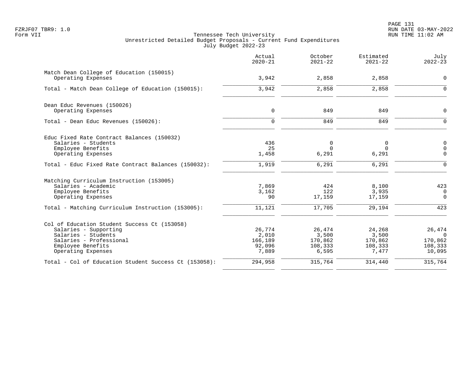|                                                                | Actual<br>$2020 - 21$ | October<br>$2021 - 22$ | Estimated<br>$2021 - 22$ | July<br>$2022 - 23$ |
|----------------------------------------------------------------|-----------------------|------------------------|--------------------------|---------------------|
| Match Dean College of Education (150015)<br>Operating Expenses | 3,942                 | 2,858                  | 2,858                    | $\mathbf 0$         |
|                                                                |                       |                        |                          |                     |
| Total - Match Dean College of Education (150015):              | 3,942                 | 2,858                  | 2,858                    | $\Omega$            |
| Dean Educ Revenues (150026)                                    |                       |                        |                          |                     |
| Operating Expenses                                             | $\mathbf 0$           | 849                    | 849                      | $\mathbf 0$         |
| Total - Dean Educ Revenues (150026):                           | $\Omega$              | 849                    | 849                      | $\mathbf{0}$        |
| Educ Fixed Rate Contract Balances (150032)                     |                       |                        |                          |                     |
| Salaries - Students                                            | 436                   | $\mathbf 0$            | $\mathbf 0$              | 0                   |
| Employee Benefits                                              | 25                    | $\Omega$               | $\Omega$                 | $\mathsf 0$         |
| Operating Expenses                                             | 1,458                 | 6,291                  | 6,291                    | $\Omega$            |
| Total - Educ Fixed Rate Contract Balances (150032):            | 1,919                 | 6,291                  | 6,291                    | $\Omega$            |
| Matching Curriculum Instruction (153005)                       |                       |                        |                          |                     |
| Salaries - Academic                                            | 7,869                 | 424                    | 8,100                    | 423                 |
| Employee Benefits                                              | 3,162                 | 122                    | 3,935                    | $\mathbf 0$         |
| Operating Expenses                                             | 90                    | 17,159                 | 17,159                   | $\mathbf 0$         |
| Total - Matching Curriculum Instruction (153005):              | 11,121                | 17,705                 | 29,194                   | 423                 |
| Col of Education Student Success Ct (153058)                   |                       |                        |                          |                     |
| Salaries - Supporting                                          | 26,774                | 26,474                 | 24,268                   | 26,474              |
| Salaries - Students                                            | 2,010                 | 3,500                  | 3,500                    | $\Omega$            |
| Salaries - Professional                                        | 166,189               | 170,862                | 170,862                  | 170,862             |
| Employee Benefits<br>Operating Expenses                        | 92,096<br>7,889       | 108,333<br>6,595       | 108,333<br>7,477         | 108,333<br>10,095   |
|                                                                |                       |                        |                          |                     |
| Total - Col of Education Student Success Ct (153058):          | 294,958               | 315,764                | 314,440                  | 315,764             |
|                                                                |                       |                        |                          |                     |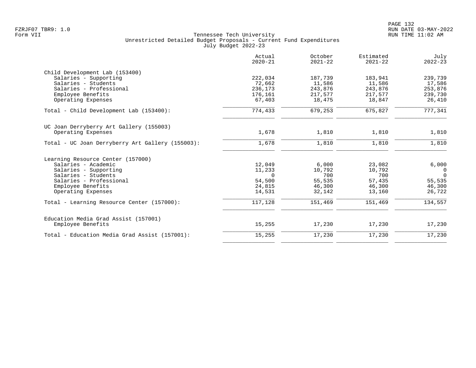|                                                  | Actual<br>$2020 - 21$ | October<br>$2021 - 22$ | Estimated<br>$2021 - 22$ | July<br>$2022 - 23$ |
|--------------------------------------------------|-----------------------|------------------------|--------------------------|---------------------|
| Child Development Lab (153400)                   |                       |                        |                          |                     |
| Salaries - Supporting                            | 222,034               | 187,739                | 183,941                  | 239,739             |
| Salaries - Students                              | 72,662                | 11,586                 | 11,586                   | 17,586              |
| Salaries - Professional                          | 236,173               | 243,876                | 243,876                  | 253,876             |
| Employee Benefits                                | 176,161               | 217,577                | 217,577                  | 239,730             |
| Operating Expenses                               | 67,403                | 18,475                 | 18,847                   | 26,410              |
| Total - Child Development Lab (153400):          | 774,433               | 679,253                | 675,827                  | 777, 341            |
| UC Joan Derryberry Art Gallery (155003)          |                       |                        |                          |                     |
| Operating Expenses                               | 1,678                 | 1,810                  | 1,810                    | 1,810               |
| Total - UC Joan Derryberry Art Gallery (155003): | 1,678                 | 1,810                  | 1,810                    | 1,810               |
| Learning Resource Center (157000)                |                       |                        |                          |                     |
| Salaries - Academic                              | 12,049                | 6,000                  | 23,082                   | 6,000               |
| Salaries - Supporting                            | 11,233                | 10,792                 | 10,792                   | 0                   |
| Salaries - Students                              | $\Omega$              | 700                    | 700                      | $\Omega$            |
| Salaries - Professional                          | 54,500                | 55,535                 | 57,435                   | 55,535              |
| Employee Benefits                                | 24,815                | 46,300                 | 46,300                   | 46,300              |
| Operating Expenses                               | 14,531                | 32,142                 | 13,160                   | 26,722              |
| Total - Learning Resource Center (157000):       | 117,128               | 151,469                | 151,469                  | 134,557             |
| Education Media Grad Assist (157001)             |                       |                        |                          |                     |
| Employee Benefits                                | 15,255                | 17,230                 | 17,230                   | 17,230              |
| Total - Education Media Grad Assist (157001):    | 15,255                | 17,230                 | 17,230                   | 17,230              |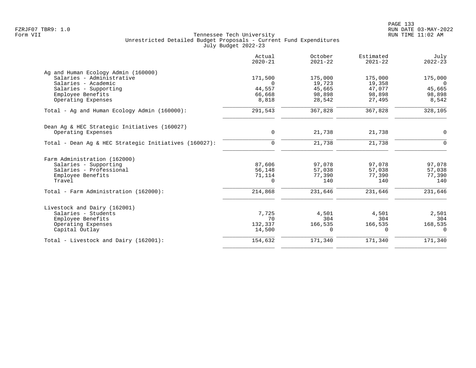| 171,500<br>$\Omega$ | 175,000                                              |                                                       |                                                       |
|---------------------|------------------------------------------------------|-------------------------------------------------------|-------------------------------------------------------|
|                     |                                                      |                                                       |                                                       |
|                     |                                                      | 175,000                                               | 175,000                                               |
|                     | 19,723                                               | 19,358                                                | $\overline{0}$                                        |
| 44,557              | 45,665                                               | 47,077                                                | 45,665                                                |
| 66,668              | 98,898                                               | 98,898                                                | 98,898                                                |
| 8,818               | 28,542                                               | 27,495                                                | 8,542                                                 |
| 291,543             | 367,828                                              | 367,828                                               | 328,105                                               |
|                     |                                                      |                                                       |                                                       |
| $\mathbf 0$         | 21,738                                               | 21,738                                                | $\mathbf 0$                                           |
| $\mathbf 0$         | 21,738                                               | 21,738                                                | $\Omega$                                              |
|                     |                                                      |                                                       |                                                       |
|                     |                                                      |                                                       | 97,078                                                |
|                     |                                                      |                                                       | 57,038                                                |
|                     |                                                      |                                                       | 77,390                                                |
| $\Omega$            | 140                                                  | 140                                                   | 140                                                   |
| 214,868             | 231,646                                              | 231,646                                               | 231,646                                               |
|                     |                                                      |                                                       |                                                       |
|                     |                                                      |                                                       | 2,501                                                 |
|                     |                                                      |                                                       | 304                                                   |
|                     |                                                      |                                                       | 168,535                                               |
| 14,500              | 0                                                    | $\Omega$                                              | $\Omega$                                              |
| 154,632             | 171,340                                              | 171,340                                               | 171,340                                               |
|                     | 87,606<br>56,148<br>71,114<br>7,725<br>70<br>132,337 | 97,078<br>57,038<br>77,390<br>4,501<br>304<br>166,535 | 97,078<br>57,038<br>77,390<br>4,501<br>304<br>166,535 |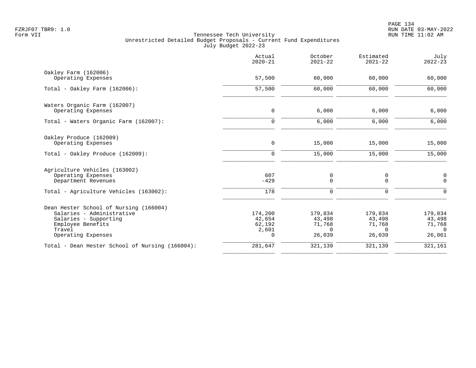|                                                                                                                                                   | Actual<br>$2020 - 21$                               | October<br>$2021 - 22$                            | Estimated<br>$2021 - 22$                          | July<br>$2022 - 23$                               |
|---------------------------------------------------------------------------------------------------------------------------------------------------|-----------------------------------------------------|---------------------------------------------------|---------------------------------------------------|---------------------------------------------------|
| Oakley Farm (162006)<br>Operating Expenses                                                                                                        | 57,500                                              | 60,000                                            | 60,000                                            | 60,000                                            |
| Total - Oakley Farm $(162006)$ :                                                                                                                  | 57,500                                              | 60,000                                            | 60,000                                            | 60,000                                            |
| Waters Organic Farm (162007)<br>Operating Expenses                                                                                                | $\mathbf 0$                                         | 6,000                                             | 6,000                                             | 6,000                                             |
| Total - Waters Organic Farm (162007):                                                                                                             | $\mathbf 0$                                         | 6,000                                             | 6,000                                             | 6,000                                             |
| Oakley Produce (162009)<br>Operating Expenses                                                                                                     | $\mathsf{O}$                                        | 15,000                                            | 15,000                                            | 15,000                                            |
| Total - Oakley Produce (162009):                                                                                                                  | $\mathbf 0$                                         | 15,000                                            | 15,000                                            | 15,000                                            |
| Agriculture Vehicles (163002)<br>Operating Expenses<br>Department Revenues<br>Total - Agriculture Vehicles (163002):                              | 607<br>$-429$<br>178                                | 0<br>0<br>0                                       | 0<br>0<br>0                                       | 0<br>$\mathbf 0$<br>$\mathbf 0$                   |
| Dean Hester School of Nursing (166004)<br>Salaries - Administrative<br>Salaries - Supporting<br>Employee Benefits<br>Travel<br>Operating Expenses | 174,200<br>42,654<br>62,192<br>2,601<br>$\mathbf 0$ | 179,834<br>43,498<br>71,768<br>$\Omega$<br>26,039 | 179,834<br>43,498<br>71,768<br>$\Omega$<br>26,039 | 179,834<br>43,498<br>71,768<br>$\Omega$<br>26,061 |
| Total - Dean Hester School of Nursing (166004):                                                                                                   | 281,647                                             | 321,139                                           | 321,139                                           | 321,161                                           |
|                                                                                                                                                   |                                                     |                                                   |                                                   |                                                   |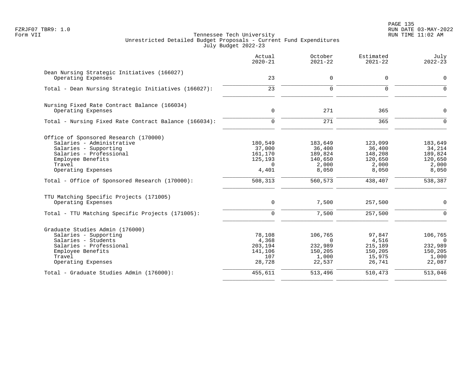PAGE 135 FZRJF07 TBR9: 1.0 RUN DATE 03-MAY-2022

|                                                                                                                                                                             | Actual<br>$2020 - 21$                                        | October<br>$2021 - 22$                                       | Estimated<br>$2021 - 22$                                  | July<br>$2022 - 23$                                                |
|-----------------------------------------------------------------------------------------------------------------------------------------------------------------------------|--------------------------------------------------------------|--------------------------------------------------------------|-----------------------------------------------------------|--------------------------------------------------------------------|
| Dean Nursing Strategic Initiatives (166027)<br>Operating Expenses                                                                                                           | 23                                                           | $\mathbf 0$                                                  | 0                                                         | $\mathbf 0$                                                        |
| Total - Dean Nursing Strategic Initiatives (166027):                                                                                                                        | 23                                                           | $\mathbf 0$                                                  | $\mathbf 0$                                               | $\overline{0}$                                                     |
| Nursing Fixed Rate Contract Balance (166034)<br>Operating Expenses                                                                                                          | $\mathbf 0$                                                  | 271                                                          | 365                                                       | $\mathbf 0$                                                        |
| Total - Nursing Fixed Rate Contract Balance (166034):                                                                                                                       | $\Omega$                                                     | 271                                                          | 365                                                       | $\Omega$                                                           |
| Office of Sponsored Research (170000)<br>Salaries - Administrative<br>Salaries - Supporting<br>Salaries - Professional<br>Employee Benefits<br>Travel<br>Operating Expenses | 180,549<br>37,000<br>161,170<br>125,193<br>$\Omega$<br>4,401 | 183,649<br>36,400<br>189,824<br>140,650<br>2,000<br>8,050    | 123,099<br>36,400<br>148,208<br>120,650<br>2,000<br>8,050 | 183,649<br>34,214<br>189,824<br>120,650<br>2,000<br>8,050          |
| Total - Office of Sponsored Research (170000):                                                                                                                              | 508,313                                                      | 560,573                                                      | 438,407                                                   | 538,387                                                            |
| TTU Matching Specific Projects (171005)<br>Operating Expenses<br>Total - TTU Matching Specific Projects (171005):                                                           | 0<br>$\Omega$                                                | 7,500<br>7,500                                               | 257,500<br>257,500                                        | $\Omega$<br>$\Omega$                                               |
|                                                                                                                                                                             |                                                              |                                                              |                                                           |                                                                    |
| Graduate Studies Admin (176000)<br>Salaries - Supporting<br>Salaries - Students<br>Salaries - Professional<br>Employee Benefits<br>Travel<br>Operating Expenses             | 78,108<br>4,368<br>203,194<br>141,106<br>107<br>28,728       | 106,765<br>$\Omega$<br>232,989<br>150,205<br>1,000<br>22,537 | 97,847<br>4,516<br>215,189<br>150,205<br>15,975<br>26,741 | 106,765<br>$\overline{0}$<br>232,989<br>150,205<br>1,000<br>22,087 |
| Total - Graduate Studies Admin (176000):                                                                                                                                    | 455,611                                                      | 513,496                                                      | 510,473                                                   | 513,046                                                            |
|                                                                                                                                                                             |                                                              |                                                              |                                                           |                                                                    |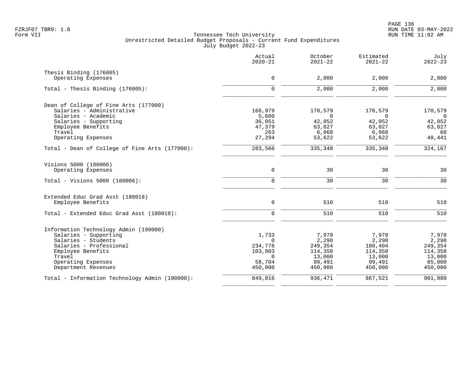|                                                | Actual<br>$2020 - 21$ | October<br>$2021 - 22$ | Estimated<br>$2021 - 22$ | July<br>$2022 - 23$ |
|------------------------------------------------|-----------------------|------------------------|--------------------------|---------------------|
| Thesis Binding (176005)                        |                       |                        |                          |                     |
| Operating Expenses                             | $\mathbf 0$           | 2,000                  | 2,000                    | 2,000               |
| Total - Thesis Binding $(176005)$ :            | $\Omega$              | 2,000                  | 2,000                    | 2,000               |
| Dean of College of Fine Arts (177000)          |                       |                        |                          |                     |
| Salaries - Administrative                      | 166,979               | 170,579                | 170,579                  | 170,579             |
| Salaries - Academic                            | 5,600                 | $\Omega$               | $\Omega$                 | $\overline{0}$      |
| Salaries - Supporting<br>Employee Benefits     | 36,051<br>47,379      | 42,052<br>63,027       | 42,052<br>63,027         | 42,052<br>63,027    |
| Travel                                         | 263                   | 6,068                  | 6,068                    | 68                  |
| Operating Expenses                             | 27,294                | 53,622                 | 53,622                   | 48,441              |
| Total - Dean of College of Fine Arts (177000): | 283,566               | 335,348                | 335,348                  | 324,167             |
| Visions 5000 (180006)                          |                       |                        |                          |                     |
| Operating Expenses                             | $\mathbf 0$           | 30                     | 30                       | 30                  |
| Total - Visions 5000 (180006):                 | $\mathbf 0$           | 30                     | 30                       | 30                  |
| Extended Educ Grad Asst (180018)               |                       |                        |                          |                     |
| Employee Benefits                              | $\mathsf{O}$          | 510                    | 510                      | 510                 |
| Total - Extended Educ Grad Asst (180018):      | $\mathbf 0$           | 510                    | 510                      | 510                 |
| Information Technology Admin (190000)          |                       |                        |                          |                     |
| Salaries - Supporting                          | 1,733                 | 7,978                  | 7,978                    | 7,978               |
| Salaries - Students                            | $\Omega$              | 2,290                  | 2,290                    | 2,290               |
| Salaries - Professional                        | 234,776               | 249,354                | 180,404                  | 249,354             |
| Employee Benefits<br>Travel                    | 103,803<br>$\Omega$   | 114,358                | 114,358                  | 114,358             |
| Operating Expenses                             | 58,704                | 13,000<br>99,491       | 13,000<br>99,491         | 13,000<br>65,000    |
| Department Revenues                            | 450,000               | 450,000                | 450,000                  | 450,000             |
| Total - Information Technology Admin (190000): | 849,016               | 936,471                | 867,521                  | 901,980             |
|                                                |                       |                        |                          |                     |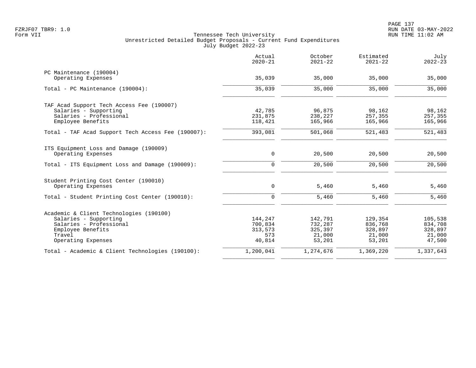|                                                    | Actual<br>$2020 - 21$ | October<br>$2021 - 22$ | Estimated<br>$2021 - 22$ | July<br>$2022 - 23$ |
|----------------------------------------------------|-----------------------|------------------------|--------------------------|---------------------|
| PC Maintenance (190004)                            |                       |                        |                          |                     |
| Operating Expenses                                 | 35,039                | 35,000                 | 35,000                   | 35,000              |
| Total - PC Maintenance (190004):                   | 35,039                | 35,000                 | 35,000                   | 35,000              |
| TAF Acad Support Tech Access Fee (190007)          |                       |                        |                          |                     |
| Salaries - Supporting                              | 42,785                | 96,875                 | 98,162                   | 98,162              |
| Salaries - Professional                            | 231,875               | 238,227                | 257,355                  | 257,355             |
| Employee Benefits                                  | 118,421               | 165,966                | 165,966                  | 165,966             |
| Total - TAF Acad Support Tech Access Fee (190007): | 393,081               | 501,068                | 521,483                  | 521,483             |
| ITS Equipment Loss and Damage (190009)             |                       |                        |                          |                     |
| Operating Expenses                                 | 0                     | 20,500                 | 20,500                   | 20,500              |
| Total - ITS Equipment Loss and Damage (190009):    | $\Omega$              | 20,500                 | 20,500                   | 20,500              |
| Student Printing Cost Center (190010)              |                       |                        |                          |                     |
| Operating Expenses                                 | $\mathbf 0$           | 5,460                  | 5,460                    | 5,460               |
| Total - Student Printing Cost Center (190010):     | $\Omega$              | 5,460                  | 5,460                    | 5,460               |
| Academic & Client Technologies (190100)            |                       |                        |                          |                     |
| Salaries - Supporting                              | 144,247               | 142,791                | 129,354                  | 105,538             |
| Salaries - Professional                            | 700,834               | 732,287                | 836,768                  | 834,708             |
| Employee Benefits                                  | 313,573               | 325,397                | 328,897                  | 328,897             |
| Travel                                             | 573                   | 21,000                 | 21,000                   | 21,000              |
| Operating Expenses                                 | 40,814                | 53,201                 | 53,201                   | 47,500              |
| Total - Academic & Client Technologies (190100):   | 1,200,041             | 1,274,676              | 1,369,220                | 1,337,643           |
|                                                    |                       |                        |                          |                     |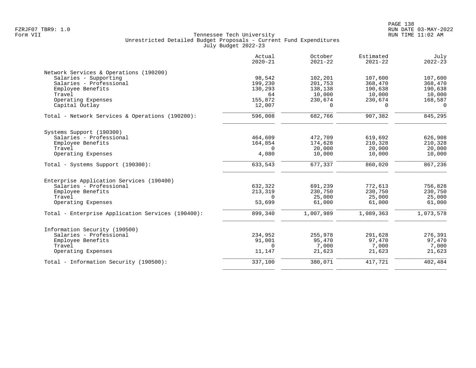|                                                   | Actual<br>$2020 - 21$ | October<br>$2021 - 22$ | Estimated<br>$2021 - 22$ | July<br>$2022 - 23$ |
|---------------------------------------------------|-----------------------|------------------------|--------------------------|---------------------|
| Network Services & Operations (190200)            |                       |                        |                          |                     |
| Salaries - Supporting                             | 98,542                | 102,201                | 107,600                  | 107,600             |
| Salaries - Professional                           | 199,230               | 201,753                | 368,470                  | 368,470             |
| Employee Benefits                                 | 130,293               | 138,138                | 190,638                  | 190,638             |
| Travel                                            | 64                    | 10,000                 | 10,000                   | 10,000              |
| Operating Expenses                                | 155,872               | 230,674                | 230,674                  | 168,587             |
| Capital Outlay                                    | 12,007                | $\Omega$               | $\Omega$                 | $\Omega$            |
| Total - Network Services & Operations (190200):   | 596,008               | 682,766                | 907,382                  | 845,295             |
| Systems Support (190300)                          |                       |                        |                          |                     |
| Salaries - Professional                           | 464,609               | 472,709                | 619,692                  | 626,908             |
| Employee Benefits                                 | 164,854               | 174,628                | 210,328                  | 210,328             |
| Travel                                            | $\Omega$              | 20,000                 | 20,000                   | 20,000              |
| Operating Expenses                                | 4,080                 | 10,000                 | 10,000                   | 10,000              |
| Total - Systems Support (190300):                 | 633,543               | 677,337                | 860,020                  | 867,236             |
| Enterprise Application Services (190400)          |                       |                        |                          |                     |
| Salaries - Professional                           | 632,322               | 691,239                | 772,613                  | 756,828             |
| Employee Benefits                                 | 213,319               | 230,750                | 230,750                  | 230,750             |
| Travel                                            | $\Omega$              | 25,000                 | 25,000                   | 25,000              |
| Operating Expenses                                | 53,699                | 61,000                 | 61,000                   | 61,000              |
| Total - Enterprise Application Services (190400): | 899,340               | 1,007,989              | 1,089,363                | 1,073,578           |
| Information Security (190500)                     |                       |                        |                          |                     |
| Salaries - Professional                           | 234,952               | 255,978                | 291,628                  | 276,391             |
| Employee Benefits                                 | 91,001                | 95,470                 | 97,470                   | 97,470              |
| Travel                                            | $\Omega$              | 7,000                  | 7,000                    | 7,000               |
| Operating Expenses                                | 11,147                | 21,623                 | 21,623                   | 21,623              |
| Total - Information Security (190500):            | 337,100               | 380,071                | 417,721                  | 402,484             |
|                                                   |                       |                        |                          |                     |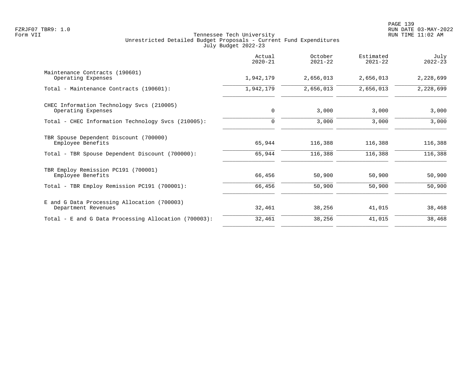|                                                                                                                | Actual<br>$2020 - 21$ | October<br>$2021 - 22$ | Estimated<br>$2021 - 22$ | July<br>$2022 - 23$ |
|----------------------------------------------------------------------------------------------------------------|-----------------------|------------------------|--------------------------|---------------------|
| Maintenance Contracts (190601)<br>Operating Expenses                                                           | 1,942,179             | 2,656,013              | 2,656,013                | 2,228,699           |
| Total - Maintenance Contracts (190601):                                                                        | 1,942,179             | 2,656,013              | 2,656,013                | 2,228,699           |
| CHEC Information Technology Svcs (210005)<br>Operating Expenses                                                | $\mathbf 0$           | 3,000                  | 3,000                    | 3,000               |
| Total - CHEC Information Technology Svcs (210005):                                                             | $\Omega$              | 3,000                  | 3,000                    | 3,000               |
| TBR Spouse Dependent Discount (700000)<br>Employee Benefits<br>Total - TBR Spouse Dependent Discount (700000): | 65,944<br>65,944      | 116,388<br>116,388     | 116,388<br>116,388       | 116,388<br>116,388  |
| TBR Employ Remission PC191 (700001)<br>Employee Benefits<br>Total - TBR Employ Remission PC191 (700001):       | 66,456<br>66,456      | 50,900<br>50,900       | 50,900<br>50,900         | 50,900<br>50,900    |
| E and G Data Processing Allocation (700003)<br>Department Revenues                                             | 32,461                | 38,256                 | 41,015                   | 38,468              |
| Total - E and G Data Processing Allocation (700003):                                                           | 32,461                | 38,256                 | 41,015                   | 38,468              |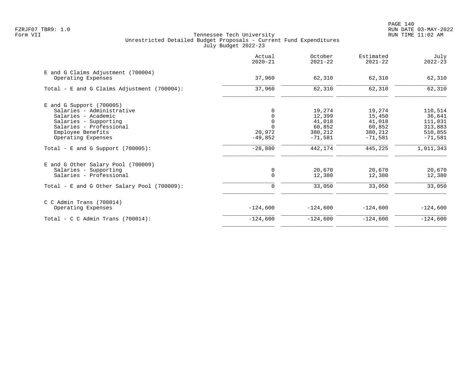|                                                          | Actual<br>$2020 - 21$ | October<br>$2021 - 22$ | Estimated<br>$2021 - 22$ | July<br>$2022 - 23$ |
|----------------------------------------------------------|-----------------------|------------------------|--------------------------|---------------------|
| E and G Claims Adjustment (700004)<br>Operating Expenses | 37,960                | 62,310                 | 62,310                   | 62,310              |
|                                                          |                       |                        |                          |                     |
| Total - E and G Claims Adjustment $(700004)$ :           | 37,960                | 62,310                 | 62,310                   | 62,310              |
| $E$ and G Support (700005)                               |                       |                        |                          |                     |
| Salaries - Administrative                                |                       | 19,274                 | 19,274                   | 110,514             |
| Salaries - Academic                                      |                       | 12,399                 | 15,450                   | 36,641              |
| Salaries - Supporting                                    | $\mathbf 0$           | 41,018                 | 41,018                   | 111,031             |
| Salaries - Professional                                  | $\Omega$              | 60,852                 | 60,852                   | 313,883             |
| Employee Benefits                                        | 20,972                | 380,212                | 380,212                  | 510,855             |
| Operating Expenses                                       | $-49,852$             | $-71,581$              | $-71.581$                | $-71,581$           |
| Total - E and G Support $(700005)$ :                     | $-28,880$             | 442,174                | 445,225                  | 1,011,343           |
| E and G Other Salary Pool (700009)                       |                       |                        |                          |                     |
| Salaries - Supporting                                    | 0                     | 20,670                 | 20,670                   | 20,670              |
| Salaries - Professional                                  | $\mathbf 0$           | 12,380                 | 12,380                   | 12,380              |
| Total - E and G Other Salary Pool (700009):              | 0                     | 33,050                 | 33,050                   | 33,050              |
| $C$ C Admin Trans (700014)                               |                       |                        |                          |                     |
| Operating Expenses                                       | $-124,600$            | $-124,600$             | $-124,600$               | $-124,600$          |
| Total - C C Admin Trans $(700014)$ :                     | $-124,600$            | $-124,600$             | $-124,600$               | $-124,600$          |
|                                                          |                       |                        |                          |                     |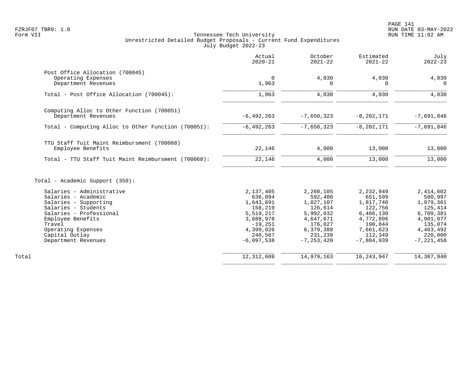|                                                     | Actual<br>$2020 - 21$ | October<br>$2021 - 22$ | Estimated<br>$2021 - 22$ | July<br>$2022 - 23$ |
|-----------------------------------------------------|-----------------------|------------------------|--------------------------|---------------------|
| Post Office Allocation (700045)                     |                       |                        |                          |                     |
| Operating Expenses                                  | $\mathbf 0$           | 4,030                  | 4,030                    | 4,030               |
| Department Revenues                                 | 1,963                 | 0                      | $\Omega$                 | $\Omega$            |
| Total - Post Office Allocation (700045):            | 1,963                 | 4,030                  | 4,030                    | 4,030               |
| Computing Alloc to Other Function (700051)          |                       |                        |                          |                     |
| Department Revenues                                 | $-6, 492, 263$        | $-7,650,323$           | $-8, 202, 171$           | $-7,691,846$        |
| Total - Computing Alloc to Other Function (700051): | $-6, 492, 263$        | $-7,650,323$           | $-8, 202, 171$           | $-7,691,846$        |
| TTU Staff Tuit Maint Reimbursment (700068)          |                       |                        |                          |                     |
| Employee Benefits                                   | 22,146                | 4,000                  | 13,000                   | 13,000              |
| Total - TTU Staff Tuit Maint Reimbursment (700068): | 22,146                | 4,000                  | 13,000                   | 13,000              |
| Total - Academic Support (350):                     |                       |                        |                          |                     |
| Salaries - Administrative                           | 2,137,405             | 2,260,105              | 2,232,949                | 2,414,602           |
| Salaries - Academic                                 | 636,094               | 592,400                | 651,599                  | 580,997             |
| Salaries - Supporting                               | 1,643,891             | 1,827,107              | 1,817,740                | 1,979,361           |
| Salaries - Students                                 | 158,219               | 126,614                | 122,756                  | 125,414             |
| Salaries - Professional                             | 5,519,217             | 5,992,032              | 6,486,130                | 6,709,381           |
| Employee Benefits                                   | 3,688,978             | 4,647,671              | 4,772,896                | 4,901,077           |
| Travel                                              | $-19,251$             | 176,027                | 190,844                  | 135,074             |
| Operating Expenses                                  | 4,399,026             | 6,379,388              | 7,661,623                | 4,463,492           |
| Capital Outlay                                      | 246,567               | 231,239                | 112,349                  | 220,000             |
| Department Revenues                                 | $-6,097,538$          | $-7, 253, 420$         | $-7,804,939$             | $-7, 221, 458$      |
| Total                                               | 12,312,608            | 14,979,163             | 16, 243, 947             | 14,307,940          |
|                                                     |                       |                        |                          |                     |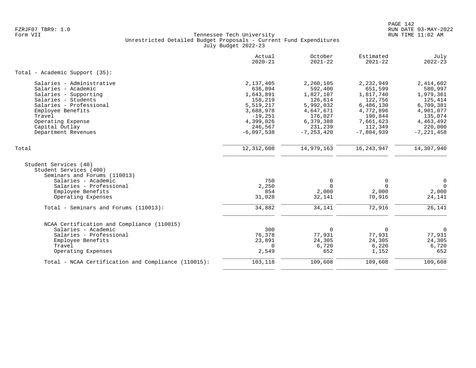|                                                     | Actual<br>$2020 - 21$ | October<br>$2021 - 22$ | Estimated<br>$2021 - 22$ | July<br>$2022 - 23$ |
|-----------------------------------------------------|-----------------------|------------------------|--------------------------|---------------------|
| Total - Academic Support (35):                      |                       |                        |                          |                     |
| Salaries - Administrative                           | 2,137,405             | 2,260,105              | 2,232,949                | 2,414,602           |
| Salaries - Academic                                 | 636,094               | 592,400                | 651,599                  | 580,997             |
| Salaries - Supporting                               | 1,643,891             | 1,827,107              | 1,817,740                | 1,979,361           |
| Salaries - Students                                 | 158,219               | 126,614                | 122,756                  | 125,414             |
| Salaries - Professional                             | 5,519,217             | 5,992,032              | 6,486,130                | 6,709,381           |
| Employee Benefits                                   | 3,688,978             | 4,647,671              | 4,772,896                | 4,901,077           |
| Travel                                              | $-19,251$             | 176,027                | 190,844                  | 135,074             |
| Operating Expense                                   | 4,399,026             | 6,379,388              | 7,661,623                | 4,463,492           |
| Capital Outlay                                      | 246,567               | 231,239                | 112,349                  | 220,000             |
| Department Revenues                                 | $-6,097,538$          | $-7, 253, 420$         | $-7,804,939$             | $-7, 221, 458$      |
| Total                                               | 12, 312, 608          | 14,979,163             | 16, 243, 947             | 14,307,940          |
| Student Services (40)<br>Student Services (400)     |                       |                        |                          |                     |
| Seminars and Forums (110013)                        |                       |                        |                          |                     |
| Salaries - Academic                                 | 750                   | 0                      | $\mathbf 0$              | 0                   |
| Salaries - Professional                             | 2,250                 | $\Omega$               | $\Omega$                 | $\overline{0}$      |
| Employee Benefits                                   | 854                   | 2,000                  | 2,000                    | 2,000               |
| Operating Expenses                                  | 31,028                | 32,141                 | 70,916                   | 24,141              |
| Total - Seminars and Forums (110013):               | 34,882                | 34,141                 | 72,916                   | 26,141              |
| NCAA Certification and Compliance (110015)          |                       |                        |                          |                     |
| Salaries - Academic                                 | 300                   | $\Omega$               | $\mathbf 0$              | $\mathbf 0$         |
| Salaries - Professional                             | 76,378                | 77,931                 | 77,931                   | 77,931              |
| Employee Benefits                                   | 23,891                | 24,305                 | 24,305                   | 24,305              |
| Travel                                              | $\Omega$              | 6,720                  | 6,220                    | 6,720               |
| Operating Expenses                                  | 2,549                 | 652                    | 1,152                    | 652                 |
| Total - NCAA Certification and Compliance (110015): | 103,118               | 109,608                | 109,608                  | 109,608             |
|                                                     |                       |                        |                          |                     |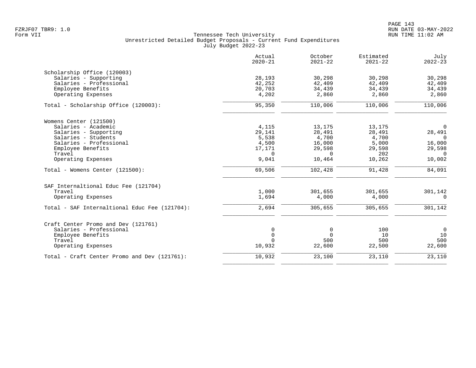|                                               | Actual<br>$2020 - 21$ | October<br>$2021 - 22$ | Estimated<br>$2021 - 22$ | July<br>$2022 - 23$ |
|-----------------------------------------------|-----------------------|------------------------|--------------------------|---------------------|
| Scholarship Office (120003)                   |                       |                        |                          |                     |
| Salaries - Supporting                         | 28,193                | 30,298                 | 30,298                   | 30,298              |
| Salaries - Professional                       | 42,252                | 42,409                 | 42,409                   | 42,409              |
| Employee Benefits                             | 20,703                | 34,439                 | 34,439                   | 34,439              |
| Operating Expenses                            | 4,202                 | 2,860                  | 2,860                    | 2,860               |
| Total - Scholarship Office (120003):          | 95,350                | 110,006                | 110,006                  | 110,006             |
| Womens Center (121500)                        |                       |                        |                          |                     |
| Salaries - Academic                           | 4,115                 | 13,175                 | 13,175                   | $\overline{0}$      |
| Salaries - Supporting                         | 29,141                | 28,491                 | 28,491                   | 28,491              |
| Salaries - Students                           | 5,538                 | 4,700                  | 4,700                    | $\Omega$            |
| Salaries - Professional                       | 4,500                 | 16,000                 | 5,000                    | 16,000              |
| Employee Benefits                             | 17,171                | 29,598                 | 29,598                   | 29,598              |
| Travel                                        | $\Omega$              | $\Omega$               | 202                      | $\Omega$            |
| Operating Expenses                            | 9,041                 | 10,464                 | 10,262                   | 10,002              |
| Total - Womens Center (121500):               | 69,506                | 102,428                | 91,428                   | 84,091              |
| SAF Internaltional Educ Fee (121704)          |                       |                        |                          |                     |
| Travel                                        | 1,000                 | 301,655                | 301,655                  | 301,142             |
| Operating Expenses                            | 1,694                 | 4,000                  | 4,000                    | $\Omega$            |
| Total - SAF Internaltional Educ Fee (121704): | 2,694                 | 305,655                | 305,655                  | 301,142             |
| Craft Center Promo and Dev (121761)           |                       |                        |                          |                     |
| Salaries - Professional                       | 0                     | 0                      | 100                      | $\mathsf{O}$        |
| Employee Benefits                             | $\mathbf 0$           | $\Omega$               | 10                       | 10                  |
| Travel                                        | $\Omega$              | 500                    | 500                      | 500                 |
| Operating Expenses                            | 10,932                | 22,600                 | 22,500                   | 22,600              |
| Total - Craft Center Promo and Dev (121761):  | 10,932                | 23,100                 | 23,110                   | 23,110              |
|                                               |                       |                        |                          |                     |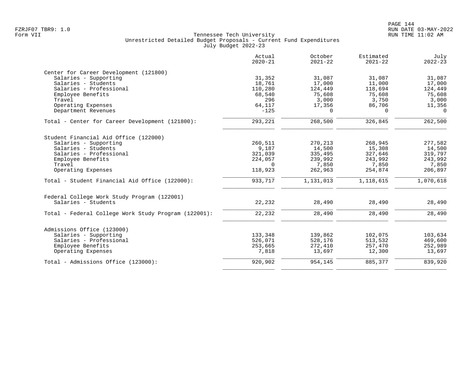|                                                      | Actual<br>$2020 - 21$ | October<br>$2021 - 22$ | Estimated<br>$2021 - 22$ | July<br>$2022 - 23$ |
|------------------------------------------------------|-----------------------|------------------------|--------------------------|---------------------|
| Center for Career Development (121800)               |                       |                        |                          |                     |
| Salaries - Supporting                                | 31,352                | 31,087                 | 31,087                   | 31,087              |
| Salaries - Students                                  | 18,761                | 17,000                 | 11,000                   | 17,000              |
| Salaries - Professional                              | 110,280               | 124,449                | 118,694                  | 124,449             |
| Employee Benefits                                    | 68,540                | 75,608                 | 75,608                   | 75,608              |
| Travel                                               | 296                   | 3,000                  | 3,750                    | 3,000               |
| Operating Expenses                                   | 64,117                | 17,356                 | 86,706                   | 11,356              |
| Department Revenues                                  | $-125$                | $\Omega$               | $\Omega$                 | $\Omega$            |
| Total - Center for Career Development (121800):      | 293,221               | 268,500                | 326,845                  | 262,500             |
| Student Financial Aid Office (122000)                |                       |                        |                          |                     |
| Salaries - Supporting                                | 260,511               | 270,213                | 268,945                  | 277,582             |
| Salaries - Students                                  | 9,187                 | 14,500                 | 15,308                   | 14,500              |
| Salaries - Professional                              | 321,039               | 335,495                | 327,646                  | 319,797             |
| Employee Benefits                                    | 224,057               | 239,992                | 243,992                  | 243,992             |
| Travel                                               | $\Omega$              | 7,850                  | 7,850                    | 7,850               |
| Operating Expenses                                   | 118,923               | 262,963                | 254,874                  | 206,897             |
| Total - Student Financial Aid Office (122000):       | 933,717               | 1,131,013              | 1,118,615                | 1,070,618           |
| Federal College Work Study Program (122001)          |                       |                        |                          |                     |
| Salaries - Students                                  | 22,232                | 28,490                 | 28,490                   | 28,490              |
| Total - Federal College Work Study Program (122001): | 22,232                | 28,490                 | 28,490                   | 28,490              |
| Admissions Office (123000)                           |                       |                        |                          |                     |
| Salaries - Supporting                                | 133,348               | 139,862                | 102,075                  | 103,634             |
| Salaries - Professional                              | 526,071               | 528,176                | 513,532                  | 469,600             |
| Employee Benefits                                    | 253,665               | 272,410                | 257,470                  | 252,989             |
| Operating Expenses                                   | 7,818                 | 13,697                 | 12,300                   | 13,697              |
| Total - Admissions Office (123000):                  | 920,902               | 954,145                | 885,377                  | 839,920             |
|                                                      |                       |                        |                          |                     |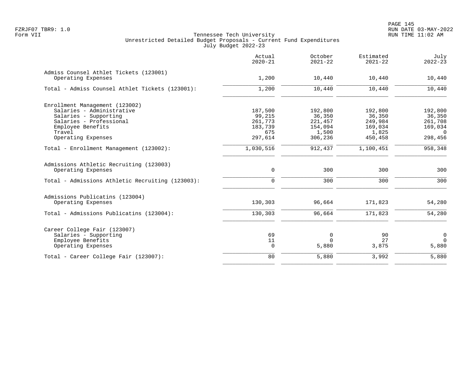|                                                  | Actual<br>$2020 - 21$ | October<br>$2021 - 22$ | Estimated<br>$2021 - 22$ | July<br>$2022 - 23$ |
|--------------------------------------------------|-----------------------|------------------------|--------------------------|---------------------|
| Admiss Counsel Athlet Tickets (123001)           |                       |                        |                          |                     |
| Operating Expenses                               | 1,200                 | 10,440                 | 10,440                   | 10,440              |
| Total - Admiss Counsel Athlet Tickets (123001):  | 1,200                 | 10,440                 | 10,440                   | 10,440              |
| Enrollment Management (123002)                   |                       |                        |                          |                     |
| Salaries - Administrative                        | 187,500               | 192,800                | 192,800                  | 192,800             |
| Salaries - Supporting                            | 99,215                | 36,350                 | 36,350                   | 36,350              |
| Salaries - Professional                          | 261,773               | 221,457                | 249,984                  | 261,708             |
| Employee Benefits                                | 183,739               | 154,094                | 169,034                  | 169,034             |
| Travel                                           | 675                   | 1,500                  | 1,825                    | $\Omega$            |
| Operating Expenses                               | 297,614               | 306,236                | 450,458                  | 298,456             |
| Total - Enrollment Management (123002):          | 1,030,516             | 912,437                | 1,100,451                | 958,348             |
| Admissions Athletic Recruiting (123003)          |                       |                        |                          |                     |
| Operating Expenses                               | 0                     | 300                    | 300                      | 300                 |
| Total - Admissions Athletic Recruiting (123003): | $\mathbf 0$           | 300                    | 300                      | 300                 |
| Admissions Publicatins (123004)                  |                       |                        |                          |                     |
| Operating Expenses                               | 130,303               | 96,664                 | 171,823                  | 54,280              |
| Total - Admissions Publicatins (123004):         | 130,303               | 96,664                 | 171,823                  | 54,280              |
| Career College Fair (123007)                     |                       |                        |                          |                     |
| Salaries - Supporting                            | 69                    | 0                      | 90                       | 0                   |
| Employee Benefits                                | 11                    | $\Omega$               | 27                       | $\mathbf 0$         |
| Operating Expenses                               | $\Omega$              | 5,880                  | 3,875                    | 5,880               |
| Total - Career College Fair (123007):            | 80                    | 5,880                  | 3,992                    | 5,880               |
|                                                  |                       |                        |                          |                     |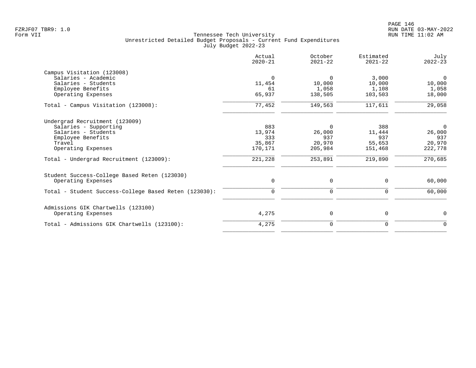|                                                       | Actual<br>$2020 - 21$ | October<br>$2021 - 22$ | Estimated<br>$2021 - 22$ | July<br>$2022 - 23$ |
|-------------------------------------------------------|-----------------------|------------------------|--------------------------|---------------------|
| Campus Visitation (123008)                            |                       |                        |                          |                     |
| Salaries - Academic                                   | $\Omega$              | $\Omega$               | 3,000                    | $\Omega$            |
| Salaries - Students                                   | 11,454                | 10,000                 | 10,000                   | 10,000              |
| Employee Benefits                                     | 61                    | 1,058                  | 1,108                    | 1,058               |
| Operating Expenses                                    | 65,937                | 138,505                | 103,503                  | 18,000              |
| Total - Campus Visitation (123008):                   | 77,452                | 149,563                | 117,611                  | 29,058              |
| Undergrad Recruitment (123009)                        |                       |                        |                          |                     |
| Salaries - Supporting                                 | 883                   | $\Omega$               | 388                      | $\mathbf 0$         |
| Salaries - Students                                   | 13,974                | 26,000                 | 11,444                   | 26,000              |
| Employee Benefits                                     | 333                   | 937                    | 937                      | 937                 |
| Travel                                                | 35,867                | 20,970                 | 55,653                   | 20,970              |
| Operating Expenses                                    | 170,171               | 205,984                | 151,468                  | 222,778             |
| Total - Undergrad Recruitment (123009):               | 221,228               | 253,891                | 219,890                  | 270,685             |
| Student Success-College Based Reten (123030)          |                       |                        |                          |                     |
| Operating Expenses                                    | 0                     | 0                      | 0                        | 60,000              |
| Total - Student Success-College Based Reten (123030): | $\mathbf 0$           | $\mathbf 0$            | $\mathbf 0$              | 60,000              |
| Admissions GIK Chartwells (123100)                    |                       |                        |                          |                     |
| Operating Expenses                                    | 4,275                 | 0                      | 0                        | $\mathbf 0$         |
| Total - Admissions GIK Chartwells (123100):           | 4,275                 | 0                      | 0                        | $\mathbf 0$         |
|                                                       |                       |                        |                          |                     |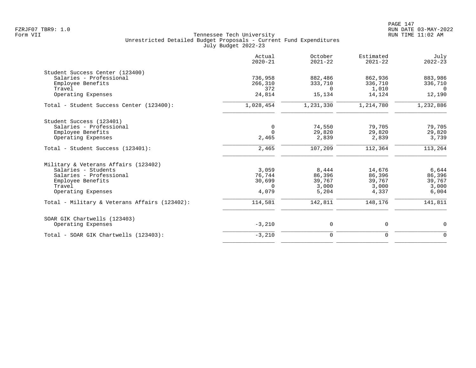|                                               | Actual<br>$2020 - 21$ | October<br>$2021 - 22$ | Estimated<br>$2021 - 22$ | July<br>$2022 - 23$ |
|-----------------------------------------------|-----------------------|------------------------|--------------------------|---------------------|
| Student Success Center (123400)               |                       |                        |                          |                     |
| Salaries - Professional                       | 736,958               | 882,486                | 862,936                  | 883,986             |
| Employee Benefits                             | 266,310               | 333,710                | 336,710                  | 336,710             |
| Travel                                        | 372                   | $\Omega$               | 1,010                    | $\Omega$            |
| Operating Expenses                            | 24,814                | 15,134                 | 14,124                   | 12,190              |
| Total - Student Success Center (123400):      | 1,028,454             | 1,231,330              | 1,214,780                | 1,232,886           |
| Student Success (123401)                      |                       |                        |                          |                     |
| Salaries - Professional                       | $\mathbf 0$           | 74,550                 | 79,705                   | 79,705              |
| Employee Benefits                             | $\Omega$              | 29,820                 | 29,820                   | 29,820              |
| Operating Expenses                            | 2,465                 | 2,839                  | 2,839                    | 3,739               |
| Total - Student Success (123401):             | 2,465                 | 107,209                | 112,364                  | 113,264             |
| Military & Veterans Affairs (123402)          |                       |                        |                          |                     |
| Salaries - Students                           | 3,059                 | 8,444                  | 14,676                   | 6,644               |
| Salaries - Professional                       | 76.744                | 86,396                 | 86,396                   | 86,396              |
| Employee Benefits                             | 30,699                | 39,767                 | 39,767                   | 39,767              |
| Travel                                        | $\Omega$              | 3.000                  | 3,000                    | 3,000               |
| Operating Expenses                            | 4,079                 | 5,204                  | 4,337                    | 6,004               |
| Total - Military & Veterans Affairs (123402): | 114,581               | 142,811                | 148,176                  | 141,811             |
| SOAR GIK Chartwells (123403)                  |                       |                        |                          |                     |
| Operating Expenses                            | $-3,210$              | 0                      | 0                        | $\mathbf 0$         |
| Total - SOAR GIK Chartwells (123403):         | $-3,210$              | $\mathbf 0$            | $\Omega$                 | $\Omega$            |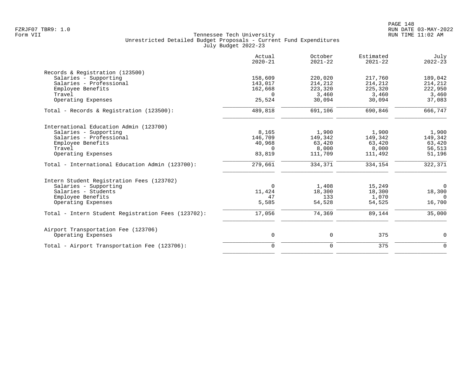|                                                    | Actual<br>$2020 - 21$ | October<br>$2021 - 22$ | Estimated<br>$2021 - 22$ | July<br>$2022 - 23$ |
|----------------------------------------------------|-----------------------|------------------------|--------------------------|---------------------|
| Records & Registration (123500)                    |                       |                        |                          |                     |
| Salaries - Supporting                              | 158,609               | 220,020                | 217,760                  | 189,042             |
| Salaries - Professional                            | 143,017               | 214,212                | 214,212                  | 214,212             |
| Employee Benefits                                  | 162,668               | 223,320                | 225,320                  | 222,950             |
| Travel                                             | $\Omega$              | 3,460                  | 3,460                    | 3,460               |
| Operating Expenses                                 | 25,524                | 30,094                 | 30,094                   | 37,083              |
| Total - Records & Registration (123500):           | 489,818               | 691,106                | 690,846                  | 666,747             |
| International Education Admin (123700)             |                       |                        |                          |                     |
| Salaries - Supporting                              | 8,165                 | 1,900                  | 1,900                    | 1,900               |
| Salaries - Professional                            | 146,709               | 149,342                | 149,342                  | 149,342             |
| Employee Benefits                                  | 40,968                | 63,420                 | 63,420                   | 63,420              |
| Travel                                             | $\Omega$              | 8,000                  | 8,000                    | 56,513              |
| Operating Expenses                                 | 83,819                | 111,709                | 111,492                  | 51,196              |
| Total - International Education Admin (123700):    | 279,661               | 334,371                | 334,154                  | 322,371             |
| Intern Student Registration Fees (123702)          |                       |                        |                          |                     |
| Salaries - Supporting                              | $\Omega$              | 1,408                  | 15,249                   | $\overline{0}$      |
| Salaries - Students                                | 11,424                | 18,300                 | 18,300                   | 18,300              |
| Employee Benefits                                  | 47                    | 133                    | 1,070                    | $\overline{0}$      |
| Operating Expenses                                 | 5,585                 | 54,528                 | 54,525                   | 16,700              |
| Total - Intern Student Registration Fees (123702): | 17,056                | 74,369                 | 89,144                   | 35,000              |
| Airport Transportation Fee (123706)                |                       |                        |                          |                     |
| Operating Expenses                                 | $\mathsf{O}$          | 0                      | 375                      | 0                   |
| Total - Airport Transportation Fee (123706):       | $\mathbf 0$           | $\mathbf 0$            | 375                      | $\mathbf 0$         |
|                                                    |                       |                        |                          |                     |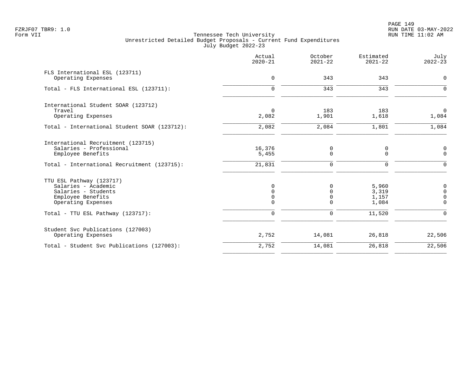PAGE 149 FZRJF07 TBR9: 1.0 RUN DATE 03-MAY-2022

|                                                                                                                                                        | Actual<br>$2020 - 21$                                       | October<br>$2021 - 22$              | Estimated<br>$2021 - 22$                   | July<br>$2022 - 23$                                                 |
|--------------------------------------------------------------------------------------------------------------------------------------------------------|-------------------------------------------------------------|-------------------------------------|--------------------------------------------|---------------------------------------------------------------------|
| FLS International ESL (123711)<br>Operating Expenses                                                                                                   | $\mathbf 0$                                                 | 343                                 | 343                                        | $\mathbf 0$                                                         |
| Total - FLS International ESL (123711):                                                                                                                | $\Omega$                                                    | 343                                 | 343                                        | $\Omega$                                                            |
| International Student SOAR (123712)<br>Travel<br>Operating Expenses                                                                                    | $\mathbf 0$<br>2,082                                        | 183<br>1,901                        | 183<br>1,618                               | $\mathbf 0$<br>1,084                                                |
| Total - International Student SOAR (123712):                                                                                                           | 2,082                                                       | 2,084                               | 1,801                                      | 1,084                                                               |
| International Recruitment (123715)<br>Salaries - Professional<br>Employee Benefits<br>Total - International Recruitment (123715):                      | 16,376<br>5,455<br>21,831                                   | 0<br>0<br>0                         | 0<br>$\mathbf 0$<br>0                      | 0<br>$\mathbf 0$<br>$\mathbf 0$                                     |
| TTU ESL Pathway (123717)<br>Salaries - Academic<br>Salaries - Students<br>Employee Benefits<br>Operating Expenses<br>Total - TTU ESL Pathway (123717): | $\Omega$<br>$\Omega$<br>$\Omega$<br>$\Omega$<br>$\mathbf 0$ | $\Omega$<br>$\Omega$<br>0<br>0<br>0 | 5,960<br>3,319<br>1,157<br>1,084<br>11,520 | 0<br>$\mathbf 0$<br>$\mathbf 0$<br>$\overline{0}$<br>$\overline{0}$ |
| Student Svc Publications (127003)<br>Operating Expenses                                                                                                | 2,752                                                       | 14,081                              | 26,818                                     | 22,506                                                              |
| Total - Student Svc Publications (127003):                                                                                                             | 2,752                                                       | 14,081                              | 26,818                                     | 22,506                                                              |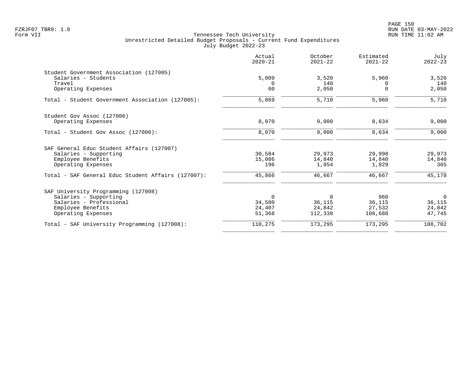PAGE 150 FZRJF07 TBR9: 1.0 RUN DATE 03-MAY-2022

|                                                    | Actual<br>$2020 - 21$ | October<br>$2021 - 22$ | Estimated<br>$2021 - 22$ | July<br>$2022 - 23$ |
|----------------------------------------------------|-----------------------|------------------------|--------------------------|---------------------|
| Student Government Association (127005)            |                       |                        |                          |                     |
| Salaries - Students                                | 5,809                 | 3,520                  | 5,960                    | 3,520               |
| Travel                                             | $\Omega$              | 140                    |                          | 140                 |
| Operating Expenses                                 | 60                    | 2,050                  | $\Omega$                 | 2,050               |
| Total - Student Government Association (127005):   | 5,869                 | 5,710                  | 5,960                    | 5,710               |
| Student Gov Assoc (127006)                         |                       |                        |                          |                     |
| Operating Expenses                                 | 8,070                 | 9,000                  | 8,634                    | 9,000               |
| Total - Student Gov Assoc (127006):                | 8,070                 | 9,000                  | 8,634                    | 9,000               |
| SAF General Educ Student Affairs (127007)          |                       |                        |                          |                     |
| Salaries - Supporting                              | 30,584                | 29,973                 | 29,998                   | 29,973              |
| Employee Benefits                                  | 15,086                | 14,840                 | 14,840                   | 14,840              |
| Operating Expenses                                 | 196                   | 1,854                  | 1,829                    | 365                 |
| Total - SAF General Educ Student Affairs (127007): | 45,866                | 46,667                 | 46,667                   | 45,178              |
| SAF University Programming (127008)                |                       |                        |                          |                     |
| Salaries - Supporting                              | $\Omega$              | $\Omega$               | 960                      | $\Omega$            |
| Salaries - Professional                            | 34,500                | 36,115                 | 36,115                   | 36,115              |
| Employee Benefits                                  | 24,407                | 24,842                 | 27,532                   | 24,842              |
| Operating Expenses                                 | 51,368                | 112,338                | 108,688                  | 47,745              |
| Total - SAF University Programming (127008):       | 110,275               | 173,295                | 173,295                  | 108,702             |
|                                                    |                       |                        |                          |                     |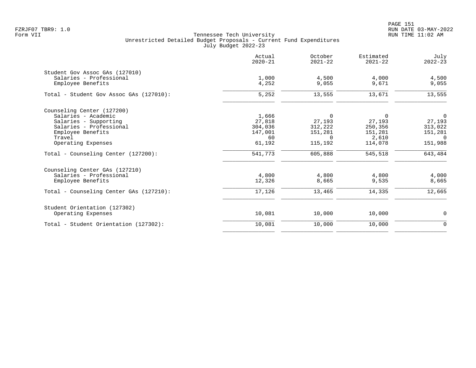PAGE 151 FZRJF07 TBR9: 1.0 RUN DATE 03-MAY-2022

|                                         | Actual<br>$2020 - 21$ | October<br>$2021 - 22$ | Estimated<br>$2021 - 22$ | July<br>$2022 - 23$ |
|-----------------------------------------|-----------------------|------------------------|--------------------------|---------------------|
| Student Gov Assoc GAs (127010)          |                       |                        |                          |                     |
| Salaries - Professional                 | 1,000                 | 4,500                  | 4,000                    | 4,500               |
| Employee Benefits                       | 4,252                 | 9,055                  | 9,671                    | 9,055               |
| Total - Student Gov Assoc GAs (127010): | 5,252                 | 13,555                 | 13,671                   | 13,555              |
| Counseling Center (127200)              |                       |                        |                          |                     |
| Salaries - Academic                     | 1,666                 | $\Omega$               | 0                        | $\overline{0}$      |
| Salaries - Supporting                   | 27,818                | 27,193                 | 27,193                   | 27,193              |
| Salaries - Professional                 | 304,036               | 312,222                | 250,356                  | 313,022             |
| Employee Benefits                       | 147,001               | 151,281                | 151,281                  | 151,281             |
| Travel                                  | 60                    | $\Omega$               | 2,610                    | $\Omega$            |
| Operating Expenses                      | 61,192                | 115,192                | 114,078                  | 151,988             |
| Total - Counseling Center (127200):     | 541,773               | 605,888                | 545,518                  | 643,484             |
| Counseling Center GAs (127210)          |                       |                        |                          |                     |
| Salaries - Professional                 | 4,800                 | 4,800                  | 4,800                    | 4,000               |
| Employee Benefits                       | 12,326                | 8,665                  | 9,535                    | 8,665               |
| Total - Counseling Center GAs (127210): | 17,126                | 13,465                 | 14,335                   | 12,665              |
| Student Orientation (127302)            |                       |                        |                          |                     |
| Operating Expenses                      | 10,081                | 10,000                 | 10,000                   | $\mathbf 0$         |
| Total - Student Orientation (127302):   | 10,081                | 10,000                 | 10,000                   | $\mathbf 0$         |
|                                         |                       |                        |                          |                     |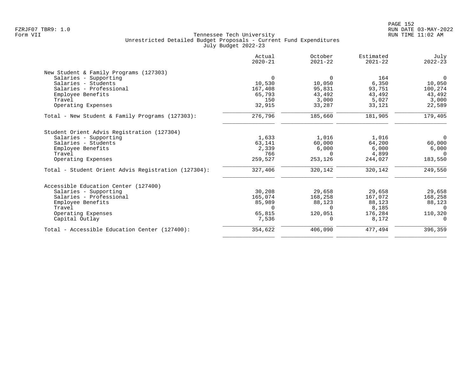|                                                     | Actual<br>$2020 - 21$ | October<br>$2021 - 22$ | Estimated<br>$2021 - 22$ | July<br>$2022 - 23$ |
|-----------------------------------------------------|-----------------------|------------------------|--------------------------|---------------------|
| New Student & Family Programs (127303)              |                       |                        |                          |                     |
| Salaries - Supporting                               | $\Omega$              | 0                      | 164                      | 0                   |
| Salaries - Students                                 | 10,530                | 10,050                 | 6,350                    | 10,050              |
| Salaries - Professional                             | 167,408               | 95,831                 | 93,751                   | 100,274             |
| Employee Benefits                                   | 65,793                | 43,492                 | 43,492                   | 43,492              |
| Travel                                              | 150                   | 3,000                  | 5,027                    | 3,000               |
| Operating Expenses                                  | 32,915                | 33,287                 | 33,121                   | 22,589              |
| Total - New Student & Family Programs (127303):     | 276,796               | 185,660                | 181,905                  | 179,405             |
| Student Orient Advis Registration (127304)          |                       |                        |                          |                     |
| Salaries - Supporting                               | 1,633                 | 1,016                  | 1,016                    | $\mathbf 0$         |
| Salaries - Students                                 | 63,141                | 60,000                 | 64,200                   | 60,000              |
| Employee Benefits                                   | 2,339                 | 6,000                  | 6,000                    | 6,000               |
| Travel                                              | 766                   | $\Omega$               | 4,899                    | $\Omega$            |
| Operating Expenses                                  | 259,527               | 253,126                | 244,027                  | 183,550             |
| Total - Student Orient Advis Registration (127304): | 327,406               | 320,142                | 320,142                  | 249,550             |
| Accessible Education Center (127400)                |                       |                        |                          |                     |
| Salaries - Supporting                               | 30,208                | 29,658                 | 29,658                   | 29,658              |
| Salaries - Professional                             | 165,074               | 168,258                | 167,072                  | 168,258             |
| Employee Benefits                                   | 85,989                | 88,123                 | 88,123                   | 88,123              |
| Travel                                              | $\Omega$              | <sup>n</sup>           | 8,185                    | $\Omega$            |
| Operating Expenses                                  | 65,815                | 120,051                | 176,284                  | 110,320             |
| Capital Outlay                                      | 7,536                 | $\Omega$               | 8,172                    | $\Omega$            |
| Total - Accessible Education Center (127400):       | 354,622               | 406,090                | 477,494                  | 396,359             |
|                                                     |                       |                        |                          |                     |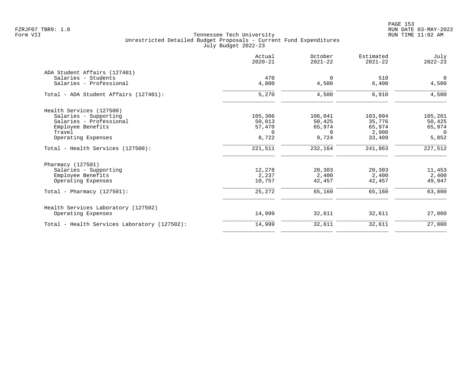PAGE 153 FZRJF07 TBR9: 1.0 RUN DATE 03-MAY-2022

|                                                                                                                                   | Actual<br>$2020 - 21$                            | October<br>$2021 - 22$                           | Estimated<br>$2021 - 22$                       | July<br>$2022 - 23$                              |
|-----------------------------------------------------------------------------------------------------------------------------------|--------------------------------------------------|--------------------------------------------------|------------------------------------------------|--------------------------------------------------|
| ADA Student Affairs (127401)<br>Salaries - Students<br>Salaries - Professional                                                    | 470<br>4,800                                     | $\mathbf 0$<br>4,500                             | 510<br>6,400                                   | $\overline{0}$<br>4,500                          |
| Total - ADA Student Affairs (127401):                                                                                             | 5,270                                            | 4,500                                            | 6,910                                          | 4,500                                            |
| Health Services (127500)<br>Salaries - Supporting<br>Salaries - Professional<br>Employee Benefits<br>Travel<br>Operating Expenses | 105,306<br>50,013<br>57,470<br>$\Omega$<br>8,722 | 106,041<br>50,425<br>65,974<br>$\Omega$<br>9,724 | 103,804<br>35,776<br>65,974<br>2,900<br>33,409 | 105,261<br>50,425<br>65,974<br>$\Omega$<br>5,852 |
| Total - Health Services (127500):                                                                                                 | 221,511                                          | 232,164                                          | 241,863                                        | 227,512                                          |
| Pharmacy (127501)<br>Salaries - Supporting<br>Employee Benefits<br>Operating Expenses                                             | 12,278<br>2,237<br>10,757                        | 20,303<br>2,400<br>42,457                        | 20,303<br>2,400<br>42,457                      | 11,453<br>2,400<br>49,947                        |
| Total - Pharmacy $(127501)$ :                                                                                                     | 25,272                                           | 65,160                                           | 65,160                                         | 63,800                                           |
| Health Services Laboratory (127502)<br>Operating Expenses                                                                         | 14,999                                           | 32,611                                           | 32,611                                         | 27,000                                           |
| Total - Health Services Laboratory (127502):                                                                                      | 14,999                                           | 32,611                                           | 32,611                                         | 27,000                                           |
|                                                                                                                                   |                                                  |                                                  |                                                |                                                  |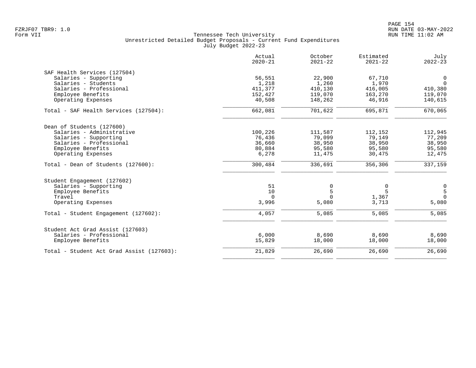|                                           | Actual<br>$2020 - 21$ | October<br>$2021 - 22$ | Estimated<br>$2021 - 22$ | July<br>$2022 - 23$                   |
|-------------------------------------------|-----------------------|------------------------|--------------------------|---------------------------------------|
| SAF Health Services (127504)              |                       |                        |                          |                                       |
| Salaries - Supporting                     | 56,551                | 22,900                 | 67,710                   | 0                                     |
| Salaries - Students                       | 1,218                 | 1,260                  | 1,970                    | $\Omega$                              |
| Salaries - Professional                   | 411,377               | 410,130                | 416,005                  | 410,380                               |
| Employee Benefits                         | 152,427               | 119,070                | 163,270                  | 119,070                               |
| Operating Expenses                        | 40,508                | 148,262                | 46,916                   | 140,615                               |
| Total - SAF Health Services (127504):     | 662,081               | 701,622                | 695,871                  | 670,065                               |
| Dean of Students (127600)                 |                       |                        |                          |                                       |
| Salaries - Administrative                 | 100,226               | 111,587                | 112,152                  | 112,945                               |
| Salaries - Supporting                     | 76,436                | 79,099                 | 79,149                   | 77,209                                |
| Salaries - Professional                   | 36,660                | 38,950                 | 38,950                   | 38,950                                |
| Employee Benefits                         | 80,884                | 95,580                 | 95,580                   | 95,580                                |
| Operating Expenses                        | 6,278                 | 11,475                 | 30,475                   | 12,475                                |
| Total - Dean of Students (127600):        | 300,484               | 336,691                | 356,306                  | 337,159                               |
| Student Engagement (127602)               |                       |                        |                          |                                       |
| Salaries - Supporting                     | 51                    | 0                      | 0                        |                                       |
| Employee Benefits                         | 10                    | 5                      | 5                        | $\begin{array}{c} 0 \\ 5 \end{array}$ |
| Travel                                    | $\Omega$              | $\Omega$               | 1,367                    | $\Omega$                              |
| Operating Expenses                        | 3,996                 | 5,080                  | 3,713                    | 5,080                                 |
| Total - Student Engagement (127602):      | 4,057                 | 5,085                  | 5,085                    | 5,085                                 |
| Student Act Grad Assist (127603)          |                       |                        |                          |                                       |
| Salaries - Professional                   | 6,000                 | 8,690                  | 8,690                    | 8,690                                 |
| Employee Benefits                         | 15,829                | 18,000                 | 18,000                   | 18,000                                |
| Total - Student Act Grad Assist (127603): | 21,829                | 26,690                 | 26,690                   | 26,690                                |
|                                           |                       |                        |                          |                                       |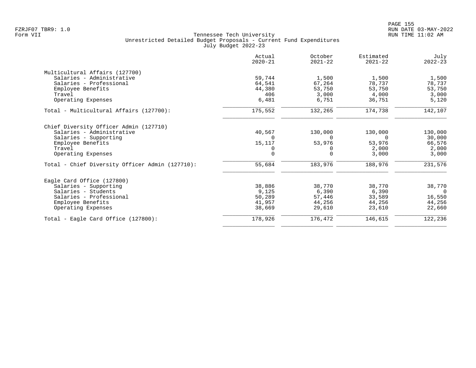|                                                 | Actual<br>$2020 - 21$ | October<br>$2021 - 22$ | Estimated<br>$2021 - 22$ | July<br>$2022 - 23$ |
|-------------------------------------------------|-----------------------|------------------------|--------------------------|---------------------|
| Multicultural Affairs (127700)                  |                       |                        |                          |                     |
| Salaries - Administrative                       | 59,744                | 1,500                  | 1,500                    | 1,500               |
| Salaries - Professional                         | 64,541                | 67,264                 | 78,737                   | 78,737              |
| Employee Benefits                               | 44,380                | 53,750                 | 53,750                   | 53,750              |
| Travel                                          | 406                   | 3.000                  | 4,000                    | 3,000               |
| Operating Expenses                              | 6,481                 | 6,751                  | 36,751                   | 5,120               |
| Total - Multicultural Affairs (127700):         | 175,552               | 132,265                | 174,738                  | 142,107             |
| Chief Diversity Officer Admin (127710)          |                       |                        |                          |                     |
| Salaries - Administrative                       | 40,567                | 130,000                | 130,000                  | 130,000             |
| Salaries - Supporting                           |                       | $\Omega$               | $\Omega$                 | 30,000              |
| Employee Benefits                               | 15,117                | 53,976                 | 53,976                   | 66,576              |
| Travel                                          |                       | 0                      | 2,000                    | 2,000               |
| Operating Expenses                              | $\Omega$              | $\Omega$               | 3,000                    | 3,000               |
| Total - Chief Diversity Officer Admin (127710): | 55,684                | 183,976                | 188,976                  | 231,576             |
| Eagle Card Office (127800)                      |                       |                        |                          |                     |
| Salaries - Supporting                           | 38,886                | 38,770                 | 38,770                   | 38,770              |
| Salaries - Students                             | 9,125                 | 6,390                  | 6,390                    | $\overline{0}$      |
| Salaries - Professional                         | 50,289                | 57,446                 | 33,589                   | 16,550              |
| Employee Benefits                               | 41,957                | 44,256                 | 44,256                   | 44,256              |
| Operating Expenses                              | 38,669                | 29,610                 | 23,610                   | 22,660              |
| Total - Eagle Card Office (127800):             | 178,926               | 176,472                | 146,615                  | 122,236             |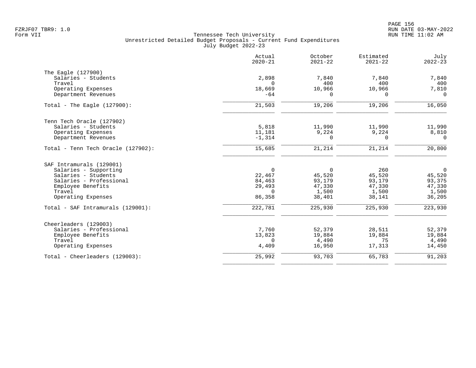|                                    | Actual<br>$2020 - 21$ | October<br>$2021 - 22$ | Estimated<br>$2021 - 22$ | July<br>$2022 - 23$ |
|------------------------------------|-----------------------|------------------------|--------------------------|---------------------|
| The Eagle (127900)                 |                       |                        |                          |                     |
| Salaries - Students                | 2,898                 | 7,840                  | 7,840                    | 7,840               |
| Travel                             | $\Omega$              | 400                    | 400                      | 400                 |
| Operating Expenses                 | 18,669                | 10,966                 | 10,966                   | 7,810               |
| Department Revenues                | $-64$                 | $\Omega$               | $\Omega$                 | $\Omega$            |
| Total - The Eagle $(127900)$ :     | 21,503                | 19,206                 | 19,206                   | 16,050              |
| Tenn Tech Oracle (127902)          |                       |                        |                          |                     |
| Salaries - Students                | 5,818                 | 11,990                 | 11,990                   | 11,990              |
| Operating Expenses                 | 11,181                | 9,224                  | 9,224                    | 8,810               |
| Department Revenues                | $-1,314$              | $\Omega$               | $\Omega$                 | $\Omega$            |
| Total - Tenn Tech Oracle (127902): | 15,685                | 21,214                 | 21,214                   | 20,800              |
| SAF Intramurals (129001)           |                       |                        |                          |                     |
| Salaries - Supporting              | $\mathbf 0$           | $\overline{0}$         | 260                      | $\overline{0}$      |
| Salaries - Students                | 22,467                | 45,520                 | 45,520                   | 45,520              |
| Salaries - Professional            | 84,463                | 93,179                 | 93,179                   | 93,375              |
| Employee Benefits                  | 29,493                | 47,330                 | 47,330                   | 47,330              |
| Travel                             | $\Omega$              | 1,500                  | 1,500                    | 1,500               |
| Operating Expenses                 | 86,358                | 38,401                 | 38,141                   | 36,205              |
| Total - SAF Intramurals (129001):  | 222,781               | 225,930                | 225,930                  | 223,930             |
| Cheerleaders (129003)              |                       |                        |                          |                     |
| Salaries - Professional            | 7,760                 | 52,379                 | 28,511                   | 52,379              |
| Employee Benefits                  | 13,823                | 19,884                 | 19,884                   | 19,884              |
| Travel                             | $\Omega$              | 4,490                  | 75                       | 4,490               |
| Operating Expenses                 | 4,409                 | 16,950                 | 17,313                   | 14,450              |
| Total - Cheerleaders (129003):     | 25,992                | 93,703                 | 65,783                   | 91,203              |
|                                    |                       |                        |                          |                     |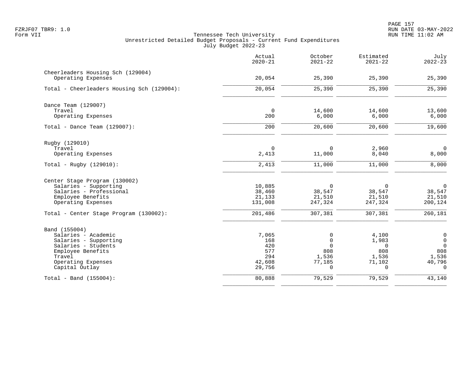|                                                         | Actual<br>$2020 - 21$ | October<br>$2021 - 22$ | Estimated<br>$2021 - 22$ | July<br>$2022 - 23$ |
|---------------------------------------------------------|-----------------------|------------------------|--------------------------|---------------------|
| Cheerleaders Housing Sch (129004)<br>Operating Expenses | 20,054                | 25,390                 | 25,390                   | 25,390              |
| Total - Cheerleaders Housing Sch (129004):              | 20,054                | 25,390                 | 25,390                   | 25,390              |
| Dance Team (129007)                                     |                       |                        |                          |                     |
| Travel<br>Operating Expenses                            | $\mathbf 0$<br>200    | 14,600<br>6,000        | 14,600<br>6,000          | 13,600<br>6,000     |
| Total - Dance Team $(129007)$ :                         | 200                   | 20,600                 | 20,600                   | 19,600              |
| Rugby (129010)                                          |                       |                        |                          |                     |
| Travel<br>Operating Expenses                            | $\mathbf 0$<br>2,413  | $\mathbf 0$<br>11,000  | 2,960<br>8,040           | $\Omega$<br>8,000   |
| Total - Rugby $(129010)$ :                              | 2,413                 | 11,000                 | 11,000                   | 8,000               |
| Center Stage Program (130002)                           |                       |                        |                          |                     |
| Salaries - Supporting                                   | 10,885                | $\mathbf 0$            | $\mathbf 0$              | $\mathsf 0$         |
| Salaries - Professional                                 | 38,460                | 38,547                 | 38,547                   | 38,547              |
| Employee Benefits<br>Operating Expenses                 | 21,133<br>131,008     | 21,510<br>247,324      | 21,510<br>247,324        | 21,510<br>200,124   |
| Total - Center Stage Program (130002):                  | 201,486               | 307,381                | 307,381                  | $\frac{260,181}{ }$ |
| Band (155004)                                           |                       |                        |                          |                     |
| Salaries - Academic                                     | 7,065                 | 0                      | 4,100                    | $\pmb{0}$           |
| Salaries - Supporting                                   | 168                   | $\mathbf 0$            | 1,983                    | $\mathbf 0$         |
| Salaries - Students<br>Employee Benefits                | 420<br>577            | $\Omega$<br>808        | $\mathbf 0$<br>808       | $\Omega$<br>808     |
| Travel                                                  | 294                   | 1,536                  | 1,536                    | 1,536               |
| Operating Expenses                                      | 42,608                | 77,185                 | 71,102                   | 40,796              |
| Capital Outlay                                          | 29,756                | $\Omega$               | $\Omega$                 | $\Omega$            |
| Total - Band (155004):                                  | 80,888                | 79,529                 | 79,529                   | 43,140              |
|                                                         |                       |                        |                          |                     |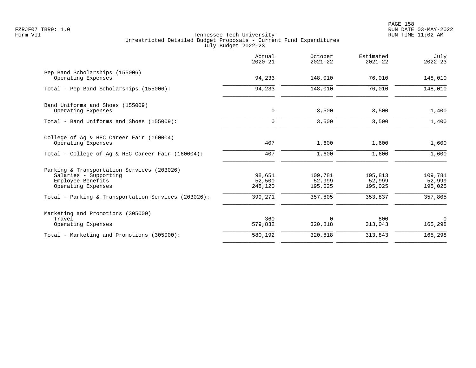|                                                                                                                     | Actual<br>$2020 - 21$ | October<br>$2021 - 22$ | Estimated<br>$2021 - 22$ | July<br>$2022 - 23$ |
|---------------------------------------------------------------------------------------------------------------------|-----------------------|------------------------|--------------------------|---------------------|
| Pep Band Scholarships (155006)<br>Operating Expenses                                                                | 94,233                | 148,010                | 76,010                   | 148,010             |
| Total - Pep Band Scholarships (155006):                                                                             | 94,233                | 148,010                | 76,010                   | 148,010             |
| Band Uniforms and Shoes (155009)<br>Operating Expenses                                                              | $\mathbf 0$           | 3,500                  | 3,500                    | 1,400               |
| Total - Band Uniforms and Shoes (155009):                                                                           | $\Omega$              | 3,500                  | 3,500                    | 1,400               |
| College of Ag & HEC Career Fair (160004)<br>Operating Expenses<br>Total - College of Ag & HEC Career Fair (160004): | 407<br>407            | 1,600<br>1,600         | 1,600<br>1,600           | 1,600<br>1,600      |
| Parking & Transportation Services (203026)<br>Salaries - Supporting<br>Employee Benefits                            | 98,651<br>52,500      | 109,781<br>52,999      | 105,813<br>52,999        | 109,781<br>52,999   |
| Operating Expenses<br>Total - Parking & Transportation Services (203026):                                           | 248,120<br>399,271    | 195,025<br>357,805     | 195,025<br>353,837       | 195,025<br>357,805  |
| Marketing and Promotions (305000)<br>Travel<br>Operating Expenses                                                   | 360<br>579,832        | $\Omega$<br>320,818    | 800<br>313,043           | $\Omega$<br>165,298 |
| Total - Marketing and Promotions (305000):                                                                          | 580,192               | 320,818                | 313,843                  | 165,298             |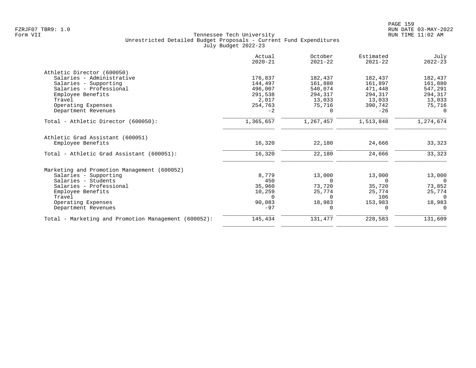|                                                      | Actual<br>$2020 - 21$ | October<br>$2021 - 22$ | Estimated<br>$2021 - 22$ | July<br>$2022 - 23$ |
|------------------------------------------------------|-----------------------|------------------------|--------------------------|---------------------|
| Athletic Director (600050)                           |                       |                        |                          |                     |
| Salaries - Administrative                            | 176,837               | 182,437                | 182,437                  | 182,437             |
| Salaries - Supporting                                | 144,497               | 161,880                | 161,897                  | 161,880             |
| Salaries - Professional                              | 496,007               | 540,074                | 471,448                  | 547,291             |
| Employee Benefits                                    | 291,538               | 294,317                | 294,317                  | 294,317             |
| Travel                                               | 2,017                 | 13,033                 | 13,033                   | 13,033              |
| Operating Expenses                                   | 254,763               | 75,716                 | 390,742                  | 75,716              |
| Department Revenues                                  | $-2$                  | $\Omega$               | $-26$                    |                     |
| Total - Athletic Director (600050):                  | 1,365,657             | 1,267,457              | 1,513,848                | 1,274,674           |
| Athletic Grad Assistant (600051)                     |                       |                        |                          |                     |
| Employee Benefits                                    | 16,320                | 22,180                 | 24,666                   | 33,323              |
| Total - Athletic Grad Assistant (600051):            | 16,320                | 22,180                 | 24,666                   | 33,323              |
| Marketing and Promotion Management (600052)          |                       |                        |                          |                     |
| Salaries - Supporting                                | 8,779                 | 13,000                 | 13,000                   | 13,000              |
| Salaries - Students                                  | 450                   | $\Omega$               | $\Omega$                 | $\Omega$            |
| Salaries - Professional                              | 35,960                | 73,720                 | 35,720                   | 73,852              |
| Employee Benefits                                    | 10,259                | 25,774                 | 25,774                   | 25,774              |
| Travel                                               | $\Omega$              | $\Omega$               | 106                      | $\Omega$            |
| Operating Expenses                                   | 90,083                | 18,983                 | 153,983                  | 18,983              |
| Department Revenues                                  | $-97$                 | $\Omega$               | $\Omega$                 | $\Omega$            |
| Total - Marketing and Promotion Management (600052): | 145,434               | 131,477                | 228,583                  | 131,609             |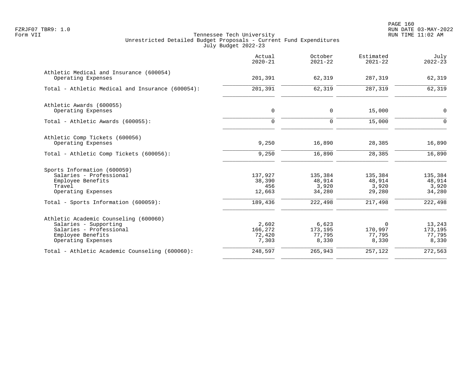|                                                               | Actual<br>$2020 - 21$ | October<br>$2021 - 22$ | Estimated<br>$2021 - 22$ | July<br>$2022 - 23$ |
|---------------------------------------------------------------|-----------------------|------------------------|--------------------------|---------------------|
| Athletic Medical and Insurance (600054)<br>Operating Expenses | 201,391               | 62,319                 | 287,319                  | 62,319              |
| Total - Athletic Medical and Insurance (600054):              | 201,391               | 62,319                 | 287,319                  | 62,319              |
| Athletic Awards (600055)<br>Operating Expenses                | $\mathbf 0$           | $\mathbf 0$            | 15,000                   | 0                   |
|                                                               |                       |                        |                          |                     |
| Total - Athletic Awards (600055):                             | $\Omega$              | $\Omega$               | 15,000                   | $\Omega$            |
| Athletic Comp Tickets (600056)                                |                       |                        |                          |                     |
| Operating Expenses                                            | 9,250                 | 16,890                 | 28,385                   | 16,890              |
| Total - Athletic Comp Tickets (600056):                       | 9,250                 | 16,890                 | 28,385                   | 16,890              |
| Sports Information (600059)                                   |                       |                        |                          |                     |
| Salaries - Professional                                       | 137,927               | 135,384                | 135,384                  | 135,384             |
| Employee Benefits                                             | 38,390                | 48,914                 | 48,914                   | 48,914              |
| Travel<br>Operating Expenses                                  | 456<br>12,663         | 3,920<br>34,280        | 3,920<br>29,280          | 3,920<br>34,280     |
| Total - Sports Information (600059):                          | 189,436               | 222,498                | 217,498                  | 222,498             |
| Athletic Academic Counseling (600060)                         |                       |                        |                          |                     |
| Salaries - Supporting                                         | 2,602                 | 6,623                  | $\Omega$                 | 13,243              |
| Salaries - Professional                                       | 166,272               | 173,195                | 170,997                  | 173,195             |
| Employee Benefits<br>Operating Expenses                       | 72,420<br>7,303       | 77,795<br>8,330        | 77,795<br>8,330          | 77,795<br>8,330     |
| Total - Athletic Academic Counseling (600060):                | 248,597               | 265,943                | 257,122                  | 272,563             |
|                                                               |                       |                        |                          |                     |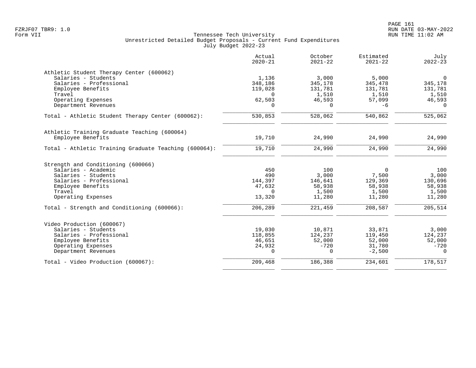|                                                       | Actual<br>$2020 - 21$ | October<br>$2021 - 22$ | Estimated<br>$2021 - 22$ | July<br>$2022 - 23$ |
|-------------------------------------------------------|-----------------------|------------------------|--------------------------|---------------------|
| Athletic Student Therapy Center (600062)              |                       |                        |                          |                     |
| Salaries - Students                                   | 1,136                 | 3,000                  | 5,000                    | $\Omega$            |
| Salaries - Professional                               | 348,186               | 345,178                | 345,478                  | 345,178             |
| Employee Benefits                                     | 119,028               | 131,781                | 131,781                  | 131,781             |
| Travel                                                | $\Omega$              | 1,510                  | 1,510                    | 1,510               |
| Operating Expenses                                    | 62,503                | 46,593                 | 57,099                   | 46,593              |
| Department Revenues                                   | 0                     | $\Omega$               | $-6$                     | $\Omega$            |
| Total - Athletic Student Therapy Center (600062):     | 530,853               | 528,062                | 540,862                  | 525,062             |
| Athletic Training Graduate Teaching (600064)          |                       |                        |                          |                     |
| Employee Benefits                                     | 19,710                | 24,990                 | 24,990                   | 24,990              |
| Total - Athletic Training Graduate Teaching (600064): | 19,710                | 24,990                 | 24,990                   | 24,990              |
| Strength and Conditioning (600066)                    |                       |                        |                          |                     |
| Salaries - Academic                                   | 450                   | 100                    | $\Omega$                 | 100                 |
| Salaries - Students                                   | 490                   | 3,000                  | 7,500                    | 3,000               |
| Salaries - Professional                               | 144,397               | 146,641                | 129,369                  | 130,696             |
| Employee Benefits                                     | 47,632                | 58,938                 | 58,938                   | 58,938              |
| Travel                                                | 0                     | 1,500                  | 1,500                    | 1,500               |
| Operating Expenses                                    | 13,320                | 11,280                 | 11,280                   | 11,280              |
| Total - Strength and Conditioning (600066):           | 206,289               | 221,459                | 208,587                  | 205,514             |
| Video Production (600067)                             |                       |                        |                          |                     |
| Salaries - Students                                   | 19,030                | 10,871                 | 33,871                   | 3,000               |
| Salaries - Professional                               | 118,855               | 124,237                | 119,450                  | 124,237             |
| Employee Benefits                                     | 46,651                | 52,000                 | 52,000                   | 52,000              |
| Operating Expenses                                    | 24,932                | $-720$                 | 31,780                   | $-720$              |
| Department Revenues                                   | $\Omega$              | $\Omega$               | $-2,500$                 | $\Omega$            |
| Total - Video Production (600067):                    | 209,468               | 186,388                | 234,601                  | 178,517             |
|                                                       |                       |                        |                          |                     |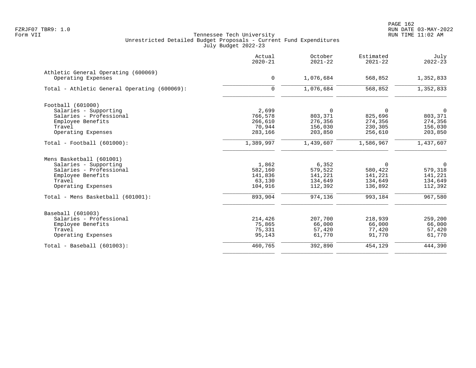|                                                           | Actual<br>$2020 - 21$ | October<br>$2021 - 22$ | Estimated<br>$2021 - 22$ | July<br>$2022 - 23$ |
|-----------------------------------------------------------|-----------------------|------------------------|--------------------------|---------------------|
| Athletic General Operating (600069)<br>Operating Expenses | $\mathbf 0$           | 1,076,684              | 568,852                  | 1,352,833           |
|                                                           |                       |                        |                          |                     |
| Total - Athletic General Operating (600069):              | $\mathbf 0$           | 1,076,684              | 568,852                  | 1,352,833           |
| Football (601000)                                         |                       |                        |                          |                     |
| Salaries - Supporting                                     | 2,699                 | $\mathbf 0$            | $\Omega$                 | 0                   |
| Salaries - Professional                                   | 766,578               | 803,371                | 825,696                  | 803,371             |
| Employee Benefits                                         | 266,610               | 276,356                | 274,356                  | 274,356             |
| Travel                                                    | 70,944                | 156,030                | 230,305                  | 156,030             |
| Operating Expenses                                        | 283,166               | 203,850                | 256,610                  | 203,850             |
| Total - Football (601000):                                | 1,389,997             | 1,439,607              | 1,586,967                | 1,437,607           |
| Mens Basketball (601001)                                  |                       |                        |                          |                     |
| Salaries - Supporting                                     | 1,862                 | 6,352                  | $\Omega$                 | 0                   |
| Salaries - Professional                                   | 582,160               | 579,522                | 580,422                  | 579,318             |
| Employee Benefits                                         | 141,836               | 141,221                | 141,221                  | 141,221             |
| Travel                                                    | 63,130                | 134,649                | 134,649                  | 134,649             |
| Operating Expenses                                        | 104,916               | 112,392                | 136,892                  | 112,392             |
| Total - Mens Basketball (601001):                         | 893,904               | 974,136                | 993,184                  | 967,580             |
| Baseball (601003)                                         |                       |                        |                          |                     |
| Salaries - Professional                                   | 214,426               | 207,700                | 218,939                  | 259,200             |
| Employee Benefits                                         | 75,865                | 66,000                 | 66,000                   | 66,000              |
| Travel                                                    | 75,331                | 57,420                 | 77,420                   | 57,420              |
| Operating Expenses                                        | 95,143                | 61,770                 | 91,770                   | 61,770              |
| Total - Baseball (601003):                                | 460,765               | 392,890                | 454,129                  | 444,390             |
|                                                           |                       |                        |                          |                     |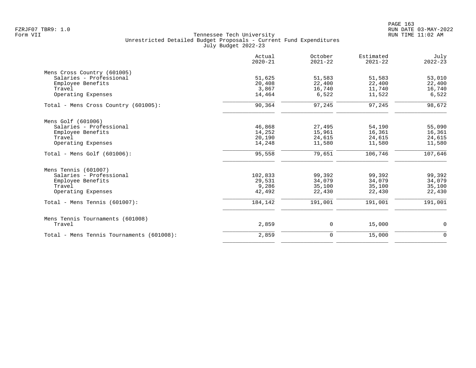|                                           | Actual<br>$2020 - 21$ | October<br>$2021 - 22$ | Estimated<br>$2021 - 22$ | July<br>$2022 - 23$ |
|-------------------------------------------|-----------------------|------------------------|--------------------------|---------------------|
| Mens Cross Country (601005)               |                       |                        |                          |                     |
| Salaries - Professional                   | 51,625                | 51,583                 | 51,583                   | 53,010              |
| Employee Benefits                         | 20,408                | 22,400                 | 22,400                   | 22,400              |
| Travel                                    | 3,867                 | 16,740                 | 11,740                   | 16,740              |
| Operating Expenses                        | 14,464                | 6,522                  | 11,522                   | 6,522               |
| Total - Mens Cross Country (601005):      | 90,364                | 97,245                 | 97,245                   | 98,672              |
| Mens Golf (601006)                        |                       |                        |                          |                     |
| Salaries - Professional                   | 46,868                | 27,495                 | 54,190                   | 55,090              |
| Employee Benefits                         | 14,252                | 15,961                 | 16,361                   | 16,361              |
| Travel                                    | 20,190                | 24,615                 | 24,615                   | 24,615              |
| Operating Expenses                        | 14,248                | 11,580                 | 11,580                   | 11,580              |
| Total - Mens Golf $(601006)$ :            | 95,558                | 79,651                 | 106,746                  | 107,646             |
| Mens Tennis (601007)                      |                       |                        |                          |                     |
| Salaries - Professional                   | 102,833               | 99,392                 | 99,392                   | 99,392              |
| Employee Benefits                         | 29,531                | 34,079                 | 34,079                   | 34,079              |
| Travel                                    | 9,286                 | 35,100                 | 35,100                   | 35,100              |
| Operating Expenses                        | 42,492                | 22,430                 | 22,430                   | 22,430              |
| Total - Mens Tennis $(601007)$ :          | 184,142               | 191,001                | 191,001                  | 191,001             |
| Mens Tennis Tournaments (601008)          |                       |                        |                          |                     |
| Travel                                    | 2,859                 | 0                      | 15,000                   | $\mathbf 0$         |
| Total - Mens Tennis Tournaments (601008): | 2,859                 | $\mathbf 0$            | 15,000                   | $\mathbf 0$         |
|                                           |                       |                        |                          |                     |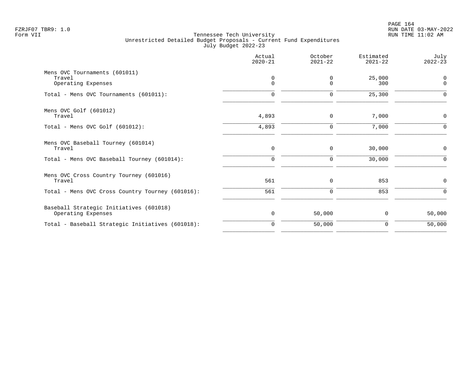|                                                   | Actual<br>$2020 - 21$ | October<br>$2021 - 22$ | Estimated<br>$2021 - 22$ | July<br>$2022 - 23$ |
|---------------------------------------------------|-----------------------|------------------------|--------------------------|---------------------|
| Mens OVC Tournaments (601011)<br>Travel           | $\mathbf 0$           | 0                      | 25,000                   | $\mathbf 0$         |
| Operating Expenses                                | $\mathbf 0$           | $\Omega$               | 300                      | $\mathbf 0$         |
| Total - Mens OVC Tournaments (601011):            | $\Omega$              | 0                      | 25,300                   | $\Omega$            |
| Mens OVC Golf (601012)                            |                       |                        |                          |                     |
| Travel                                            | 4,893                 | $\mathbf 0$            | 7,000                    | 0                   |
| Total - Mens OVC Golf $(601012)$ :                | 4,893                 | $\mathbf 0$            | 7,000                    | $\Omega$            |
| Mens OVC Baseball Tourney (601014)<br>Travel      | $\mathbf 0$           | 0                      | 30,000                   | $\mathbf 0$         |
|                                                   |                       |                        |                          |                     |
| Total - Mens OVC Baseball Tourney (601014):       | $\mathbf 0$           | 0                      | 30,000                   | $\Omega$            |
| Mens OVC Cross Country Tourney (601016)<br>Travel | 561                   | 0                      | 853                      | 0                   |
| Total - Mens OVC Cross Country Tourney (601016):  | 561                   | $\mathbf 0$            | 853                      | $\Omega$            |
| Baseball Strategic Initiatives (601018)           |                       |                        |                          |                     |
| Operating Expenses                                | 0                     | 50,000                 | 0                        | 50,000              |
| Total - Baseball Strategic Initiatives (601018):  | $\mathbf 0$           | 50,000                 | 0                        | 50,000              |
|                                                   |                       |                        |                          |                     |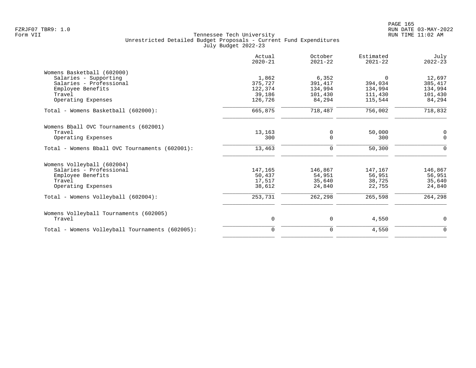|                                                 | Actual<br>$2020 - 21$ | October<br>$2021 - 22$ | Estimated<br>$2021 - 22$ | July<br>$2022 - 23$ |
|-------------------------------------------------|-----------------------|------------------------|--------------------------|---------------------|
| Womens Basketball (602000)                      |                       |                        |                          |                     |
| Salaries - Supporting                           | 1,862                 | 6,352                  | $\Omega$                 | 12,697              |
| Salaries - Professional                         | 375,727               | 391,417                | 394,034                  | 385, 417            |
| Employee Benefits                               | 122,374               | 134,994                | 134,994                  | 134,994             |
| Travel                                          | 39,186                | 101,430                | 111,430                  | 101,430             |
| Operating Expenses                              | 126,726               | 84,294                 | 115,544                  | 84,294              |
| Total - Womens Basketball (602000):             | 665,875               | 718,487                | 756,002                  | 718,832             |
| Womens Bball OVC Tournaments (602001)           |                       |                        |                          |                     |
| Travel                                          | 13,163                | 0                      | 50,000                   | 0                   |
| Operating Expenses                              | 300                   | $\Omega$               | 300                      | $\Omega$            |
| Total - Womens Bball OVC Tournaments (602001):  | 13,463                | 0                      | 50,300                   | $\Omega$            |
| Womens Volleyball (602004)                      |                       |                        |                          |                     |
| Salaries - Professional                         | 147,165               | 146,867                | 147,167                  | 146,867             |
| Employee Benefits                               | 50,437                | 54,951                 | 56,951                   | 56,951              |
| Travel                                          | 17,517                | 35,640                 | 38,725                   | 35,640              |
| Operating Expenses                              | 38,612                | 24,840                 | 22,755                   | 24,840              |
| Total - Womens Volleyball (602004):             | 253,731               | 262,298                | 265,598                  | 264,298             |
| Womens Volleyball Tournaments (602005)          |                       |                        |                          |                     |
| Travel                                          | 0                     | 0                      | 4,550                    | $\mathbf 0$         |
| Total - Womens Volleyball Tournaments (602005): | $\mathbf 0$           | 0                      | 4,550                    | $\mathbf 0$         |
|                                                 |                       |                        |                          |                     |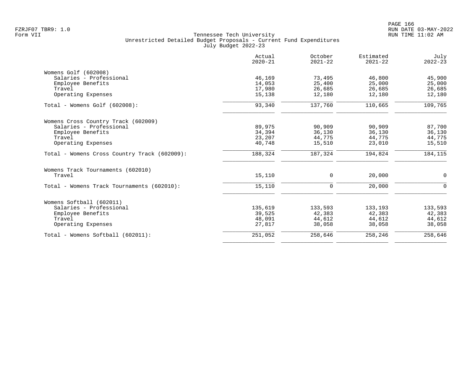|                                              | Actual<br>$2020 - 21$ | October<br>$2021 - 22$ | Estimated<br>$2021 - 22$ | July<br>$2022 - 23$ |
|----------------------------------------------|-----------------------|------------------------|--------------------------|---------------------|
| Womens Golf (602008)                         |                       |                        |                          |                     |
| Salaries - Professional                      | 46,169                | 73,495                 | 46,800                   | 45,900              |
| Employee Benefits                            | 14,053                | 25,400                 | 25,000                   | 25,000              |
| Travel                                       | 17,980                | 26,685                 | 26,685                   | 26,685              |
| Operating Expenses                           | 15,138                | 12,180                 | 12,180                   | 12,180              |
| Total - Womens Golf (602008):                | 93,340                | 137,760                | 110,665                  | 109,765             |
| Womens Cross Country Track (602009)          |                       |                        |                          |                     |
| Salaries - Professional                      | 89,975                | 90,909                 | 90,909                   | 87,700              |
| Employee Benefits                            | 34,394                | 36,130                 | 36,130                   | 36,130              |
| Travel                                       | 23,207                | 44,775                 | 44,775                   | 44,775              |
| Operating Expenses                           | 40,748                | 15,510                 | 23,010                   | 15,510              |
| Total - Womens Cross Country Track (602009): | 188,324               | 187,324                | 194,824                  | 184,115             |
| Womens Track Tournaments (602010)            |                       |                        |                          |                     |
| Travel                                       | 15,110                | $\mathbf 0$            | 20,000                   | $\mathbf 0$         |
| Total - Womens Track Tournaments (602010):   | 15,110                | $\Omega$               | 20,000                   | $\Omega$            |
| Womens Softball (602011)                     |                       |                        |                          |                     |
| Salaries - Professional                      | 135,619               | 133,593                | 133,193                  | 133,593             |
| Employee Benefits                            | 39,525                | 42,383                 | 42,383                   | 42,383              |
| Travel                                       | 48,091                | 44,612                 | 44,612                   | 44,612              |
| Operating Expenses                           | 27,817                | 38,058                 | 38,058                   | 38,058              |
| Total - Womens Softball (602011):            | 251,052               | 258,646                | 258,246                  | 258,646             |
|                                              |                       |                        |                          |                     |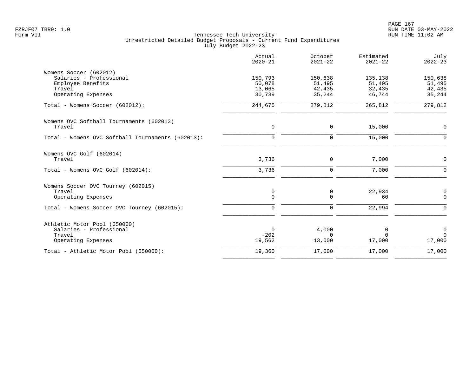|                                                   | Actual<br>$2020 - 21$ | October<br>$2021 - 22$ | Estimated<br>$2021 - 22$ | July<br>$2022 - 23$ |
|---------------------------------------------------|-----------------------|------------------------|--------------------------|---------------------|
| Womens Soccer (602012)                            |                       |                        |                          |                     |
| Salaries - Professional                           | 150,793               | 150,638                | 135,138                  | 150,638             |
| Employee Benefits                                 | 50,078                | 51,495                 | 51,495                   | 51,495              |
| Travel<br>Operating Expenses                      | 13,065<br>30,739      | 42,435<br>35,244       | 32,435<br>46,744         | 42,435<br>35,244    |
| Total - Womens Soccer (602012):                   | 244,675               | 279,812                | 265,812                  | 279,812             |
| Womens OVC Softball Tournaments (602013)          |                       |                        |                          |                     |
| Travel                                            | $\mathbf 0$           | 0                      | 15,000                   | $\mathbf 0$         |
| Total - Womens OVC Softball Tournaments (602013): | $\mathbf 0$           | $\mathbf 0$            | 15,000                   | $\Omega$            |
| Womens OVC Golf (602014)                          |                       |                        |                          |                     |
| Travel                                            | 3,736                 | 0                      | 7,000                    | $\mathbf 0$         |
| Total - Womens OVC Golf (602014):                 | 3,736                 | $\Omega$               | 7,000                    | $\Omega$            |
| Womens Soccer OVC Tourney (602015)                |                       |                        |                          |                     |
| Travel                                            | 0                     | 0                      | 22,934                   | 0                   |
| Operating Expenses                                | $\Omega$              | $\Omega$               | 60                       | $\Omega$            |
| Total - Womens Soccer OVC Tourney (602015):       | $\mathbf 0$           | $\Omega$               | 22,994                   | $\Omega$            |
| Athletic Motor Pool (650000)                      |                       |                        |                          |                     |
| Salaries - Professional                           | $\mathbf 0$           | 4,000                  | 0                        | $\overline{0}$      |
| Travel                                            | $-202$                | $\Omega$               | $\Omega$                 | $\Omega$            |
| Operating Expenses                                | 19,562                | 13,000                 | 17,000                   | 17,000              |
| Total - Athletic Motor Pool (650000):             | 19,360                | 17,000                 | 17,000                   | 17,000              |
|                                                   |                       |                        |                          |                     |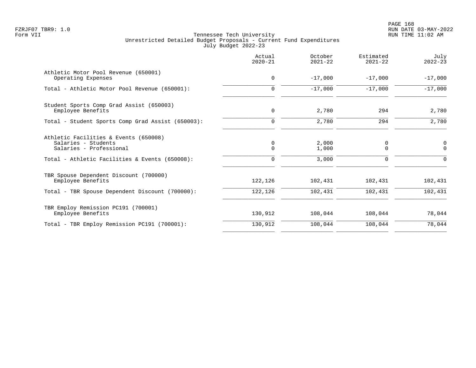|                                                                                         | Actual<br>$2020 - 21$ | October<br>$2021 - 22$ | Estimated<br>$2021 - 22$ | July<br>$2022 - 23$     |
|-----------------------------------------------------------------------------------------|-----------------------|------------------------|--------------------------|-------------------------|
| Athletic Motor Pool Revenue (650001)<br>Operating Expenses                              | $\mathbf 0$           | $-17,000$              | $-17,000$                | $-17,000$               |
| Total - Athletic Motor Pool Revenue (650001):                                           | $\Omega$              | $-17,000$              | $-17,000$                | $-17,000$               |
| Student Sports Comp Grad Assist (650003)<br>Employee Benefits                           | 0                     | 2,780                  | 294                      | 2,780                   |
| Total - Student Sports Comp Grad Assist (650003):                                       | $\Omega$              | 2,780                  | 294                      | 2,780                   |
| Athletic Facilities & Events (650008)<br>Salaries - Students<br>Salaries - Professional | 0<br>$\mathbf 0$      | 2,000<br>1,000         | 0<br>$\mathbf 0$         | $\mathbf 0$<br>$\Omega$ |
| Total - Athletic Facilities & Events (650008):                                          | $\Omega$              | 3,000                  | $\Omega$                 | $\Omega$                |
| TBR Spouse Dependent Discount (700000)<br>Employee Benefits                             | 122,126               | 102,431                | 102,431                  | 102,431                 |
| Total - TBR Spouse Dependent Discount (700000):                                         | 122,126               | 102,431                | 102,431                  | 102,431                 |
| TBR Employ Remission PC191 (700001)<br>Employee Benefits                                | 130,912               | 108,044                | 108,044                  | 78,044                  |
| Total - TBR Employ Remission PC191 (700001):                                            | 130,912               | 108,044                | 108,044                  | 78,044                  |
|                                                                                         |                       |                        |                          |                         |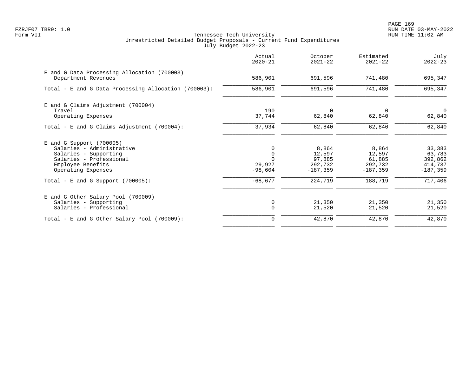|                                                                    | Actual<br>$2020 - 21$   | October<br>$2021 - 22$ | Estimated<br>$2021 - 22$ | July<br>$2022 - 23$      |
|--------------------------------------------------------------------|-------------------------|------------------------|--------------------------|--------------------------|
| E and G Data Processing Allocation (700003)<br>Department Revenues | 586,901                 | 691,596                | 741,480                  | 695,347                  |
| Total - E and G Data Processing Allocation (700003):               | 586,901                 | 691,596                | 741,480                  | 695,347                  |
| E and G Claims Adjustment (700004)                                 |                         |                        |                          |                          |
| Travel<br>Operating Expenses                                       | 190<br>37,744           | 0<br>62,840            | $\Omega$<br>62,840       | $\overline{0}$<br>62,840 |
| Total - E and G Claims Adjustment $(700004)$ :                     | 37,934                  | 62,840                 | 62,840                   | 62,840                   |
| $E$ and G Support (700005)                                         |                         |                        |                          |                          |
| Salaries - Administrative                                          |                         | 8,864                  | 8,864                    | 33,383                   |
| Salaries - Supporting<br>Salaries - Professional                   | $\mathbf 0$<br>$\Omega$ | 12,597<br>97,885       | 12,597<br>61,885         | 63,783<br>392,862        |
| Employee Benefits                                                  | 29,927                  | 292,732                | 292,732                  | 414,737                  |
| Operating Expenses                                                 | $-98,604$               | $-187,359$             | $-187,359$               | $-187.359$               |
| Total - E and G Support $(700005)$ :                               | $-68,677$               | 224,719                | 188,719                  | 717,406                  |
| E and G Other Salary Pool (700009)                                 |                         |                        |                          |                          |
| Salaries - Supporting                                              | 0                       | 21,350                 | 21,350                   | 21,350                   |
| Salaries - Professional                                            | $\Omega$                | 21,520                 | 21,520                   | 21,520                   |
| Total - E and G Other Salary Pool (700009):                        | $\Omega$                | 42,870                 | 42,870                   | 42,870                   |
|                                                                    |                         |                        |                          |                          |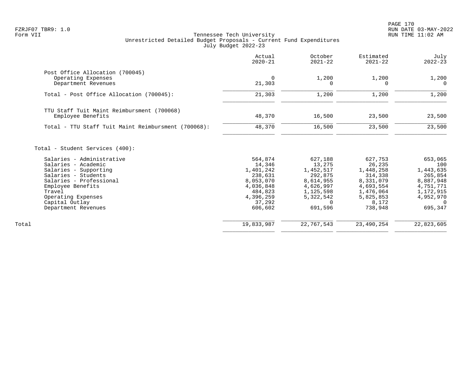|                                                     | Actual<br>$2020 - 21$ | October<br>$2021 - 22$ | Estimated<br>$2021 - 22$ | July<br>$2022 - 23$   |
|-----------------------------------------------------|-----------------------|------------------------|--------------------------|-----------------------|
| Post Office Allocation (700045)                     |                       |                        |                          |                       |
| Operating Expenses<br>Department Revenues           | $\Omega$<br>21,303    | 1,200<br>$\Omega$      | 1,200<br>$\Omega$        | 1,200<br>$\Omega$     |
| Total - Post Office Allocation (700045):            | 21,303                | 1,200                  | 1,200                    | 1,200                 |
| TTU Staff Tuit Maint Reimbursment (700068)          |                       |                        |                          |                       |
| Employee Benefits                                   | 48,370                | 16,500                 | 23,500                   | 23,500                |
| Total - TTU Staff Tuit Maint Reimbursment (700068): | 48,370                | 16,500                 | 23,500                   | 23,500                |
| Total - Student Services (400):                     |                       |                        |                          |                       |
| Salaries - Administrative                           | 564,874               | 627,188                | 627,753                  | 653,065               |
| Salaries - Academic                                 | 14,346                | 13,275                 | 26,235                   | 100                   |
| Salaries - Supporting                               | 1,401,242             | 1,452,517              | 1,448,258                | 1,443,635             |
| Salaries - Students                                 | 238,631               | 292,875                | 314,338                  | 265,854               |
| Salaries - Professional                             | 8,053,070             | 8,614,955              | 8,331,079                | 8,887,948             |
| Employee Benefits                                   | 4,036,848             | 4,626,997              | 4,693,554                | 4,751,771             |
| Travel                                              | 484,823               | 1,125,598              | 1,476,064                | 1,172,915             |
| Operating Expenses<br>Capital Outlay                | 4,396,259<br>37,292   | 5,322,542<br>$\Omega$  | 5,825,853<br>8,172       | 4,952,970<br>$\Omega$ |
| Department Revenues                                 | 606,602               | 691,596                | 738,948                  | 695,347               |
| Total                                               | 19,833,987            | 22,767,543             | 23,490,254               | 22,823,605            |
|                                                     |                       |                        |                          |                       |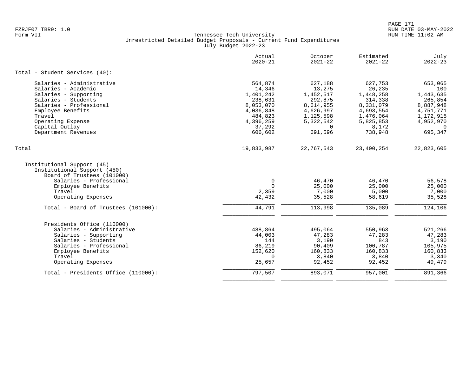| Actual<br>$2020 - 21$                                                                                            | October<br>$2021 - 22$                                                                                               | Estimated<br>$2021 - 22$                                                                                          | July<br>$2022 - 23$                                                                                               |
|------------------------------------------------------------------------------------------------------------------|----------------------------------------------------------------------------------------------------------------------|-------------------------------------------------------------------------------------------------------------------|-------------------------------------------------------------------------------------------------------------------|
|                                                                                                                  |                                                                                                                      |                                                                                                                   |                                                                                                                   |
| 564,874<br>14,346<br>1,401,242<br>238,631<br>8,053,070<br>4,036,848<br>484,823<br>4,396,259<br>37,292<br>606,602 | 627,188<br>13,275<br>1,452,517<br>292,875<br>8,614,955<br>4,626,997<br>1,125,598<br>5,322,542<br>$\Omega$<br>691,596 | 627,753<br>26,235<br>1,448,258<br>314,338<br>8,331,079<br>4,693,554<br>1,476,064<br>5,825,853<br>8,172<br>738,948 | 653,065<br>100<br>1,443,635<br>265,854<br>8,887,948<br>4,751,771<br>1,172,915<br>4,952,970<br>$\Omega$<br>695,347 |
| 19,833,987                                                                                                       | 22,767,543                                                                                                           | 23,490,254                                                                                                        | 22,823,605                                                                                                        |
| $\mathbf 0$<br>$\Omega$<br>2,359<br>42,432                                                                       | 46,470<br>25,000<br>7,000<br>35,528                                                                                  | 46,470<br>25,000<br>5,000<br>58,619                                                                               | 56,578<br>25,000<br>7,000<br>35,528                                                                               |
| 44,791                                                                                                           | 113,998                                                                                                              | 135,089                                                                                                           | 124,106                                                                                                           |
| 488,864<br>44,003<br>144<br>86,219<br>152,620<br>$\Omega$<br>25,657                                              | 495,064<br>47,283<br>3,190<br>90,409<br>160,833<br>3,840<br>92,452                                                   | 550,963<br>47,283<br>843<br>100,787<br>160,833<br>3,840<br>92,452                                                 | 521,266<br>47,283<br>3,190<br>105,975<br>160,833<br>3,340<br>49,479                                               |
| 797,507                                                                                                          | 893,071                                                                                                              | 957,001                                                                                                           | 891,366                                                                                                           |
|                                                                                                                  |                                                                                                                      |                                                                                                                   |                                                                                                                   |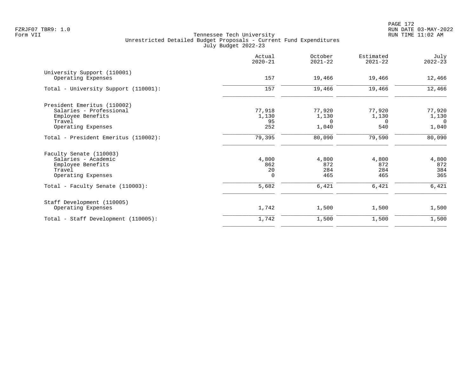PAGE 172 FZRJF07 TBR9: 1.0 RUN DATE 03-MAY-2022

|                                                                                                             | Actual<br>$2020 - 21$             | October<br>$2021 - 22$        | Estimated<br>$2021 - 22$    | July<br>$2022 - 23$                        |
|-------------------------------------------------------------------------------------------------------------|-----------------------------------|-------------------------------|-----------------------------|--------------------------------------------|
| University Support (110001)<br>Operating Expenses                                                           | 157                               | 19,466                        | 19,466                      | 12,466                                     |
| Total - University Support (110001):                                                                        | 157                               | 19,466                        | 19,466                      | 12,466                                     |
| President Emeritus (110002)<br>Salaries - Professional<br>Employee Benefits<br>Travel<br>Operating Expenses | 77,918<br>1,130<br>95<br>252      | 77,920<br>1,130<br>0<br>1,040 | 77,920<br>1,130<br>0<br>540 | 77,920<br>1,130<br>$\overline{0}$<br>1,040 |
| Total - President Emeritus (110002):                                                                        | 79,395                            | 80,090                        | 79,590                      | 80,090                                     |
| Faculty Senate (110003)<br>Salaries - Academic<br>Employee Benefits<br>Travel<br>Operating Expenses         | 4,800<br>862<br>20<br>$\mathbf 0$ | 4,800<br>872<br>284<br>465    | 4,800<br>872<br>284<br>465  | 4,800<br>872<br>384<br>365                 |
| Total - Faculty Senate (110003):                                                                            | 5,682                             | 6,421                         | 6,421                       | 6,421                                      |
| Staff Development (110005)<br>Operating Expenses                                                            | 1,742                             | 1,500                         | 1,500                       | 1,500                                      |
| Total - Staff Development (110005):                                                                         | 1,742                             | 1,500                         | 1,500                       | 1,500                                      |
|                                                                                                             |                                   |                               |                             |                                            |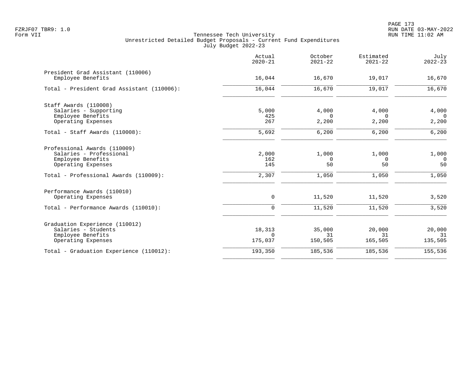|                                                        | Actual<br>$2020 - 21$ | October<br>$2021 - 22$ | Estimated<br>$2021 - 22$ | July<br>$2022 - 23$ |
|--------------------------------------------------------|-----------------------|------------------------|--------------------------|---------------------|
| President Grad Assistant (110006)<br>Employee Benefits | 16,044                | 16,670                 | 19,017                   | 16,670              |
| Total - President Grad Assistant (110006):             | 16,044                | 16,670                 | 19,017                   | 16,670              |
| Staff Awards (110008)                                  |                       |                        |                          |                     |
| Salaries - Supporting                                  | 5,000                 | 4,000                  | 4,000                    | 4,000               |
| Employee Benefits                                      | 425                   | $\Omega$               | $\Omega$                 | $\Omega$            |
| Operating Expenses                                     | 267                   | 2,200                  | 2,200                    | 2,200               |
| Total - Staff Awards (110008):                         | 5,692                 | 6,200                  | 6,200                    | 6,200               |
| Professional Awards (110009)                           |                       |                        |                          |                     |
| Salaries - Professional                                | 2,000                 | 1,000                  | 1,000                    | 1,000               |
| Employee Benefits                                      | 162                   | $\mathbf 0$            | $\mathbf 0$              | $\Omega$            |
| Operating Expenses                                     | 145                   | 50                     | 50                       | 50                  |
| Total - Professional Awards (110009):                  | 2,307                 | 1,050                  | 1,050                    | 1,050               |
| Performance Awards (110010)                            |                       |                        |                          |                     |
| Operating Expenses                                     | 0                     | 11,520                 | 11,520                   | 3,520               |
| Total - Performance Awards (110010):                   | 0                     | 11,520                 | 11,520                   | 3,520               |
| Graduation Experience (110012)                         |                       |                        |                          |                     |
| Salaries - Students                                    | 18,313                | 35,000                 | 20,000                   | 20,000              |
| Employee Benefits                                      | $\Omega$              | 31                     | 31                       | 31                  |
| Operating Expenses                                     | 175,037               | 150,505                | 165,505                  | 135,505             |
| Total - Graduation Experience (110012):                | 193,350               | 185,536                | 185,536                  | 155,536             |
|                                                        |                       |                        |                          |                     |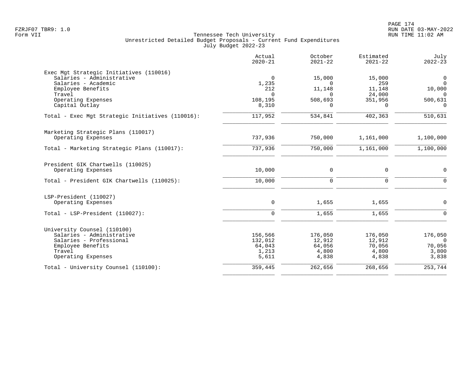|                                                                                                                                                                    | Actual<br>$2020 - 21$                                       | October<br>$2021 - 22$                                   | Estimated<br>$2021 - 22$                                 | July<br>$2022 - 23$                                              |
|--------------------------------------------------------------------------------------------------------------------------------------------------------------------|-------------------------------------------------------------|----------------------------------------------------------|----------------------------------------------------------|------------------------------------------------------------------|
| Exec Mgt Strategic Initiatives (110016)<br>Salaries - Administrative<br>Salaries - Academic<br>Employee Benefits<br>Travel<br>Operating Expenses<br>Capital Outlay | $\mathbf 0$<br>1,235<br>212<br>$\Omega$<br>108,195<br>8,310 | 15,000<br>$\Omega$<br>11,148<br>$\Omega$<br>508,693<br>0 | 15,000<br>259<br>11,148<br>24,000<br>351,956<br>$\Omega$ | $\mathbf 0$<br>$\mathbf 0$<br>10,000<br>0<br>500,631<br>$\Omega$ |
| Total - Exec Mgt Strategic Initiatives (110016):                                                                                                                   | 117,952                                                     | 534,841                                                  | 402,363                                                  | 510,631                                                          |
| Marketing Strategic Plans (110017)<br>Operating Expenses                                                                                                           | 737,936                                                     | 750,000                                                  | 1,161,000                                                | 1,100,000                                                        |
| Total - Marketing Strategic Plans (110017):                                                                                                                        | 737,936                                                     | 750,000                                                  | 1,161,000                                                | 1,100,000                                                        |
| President GIK Chartwells (110025)<br>Operating Expenses                                                                                                            | 10,000                                                      | $\mathbf 0$                                              | $\mathbf 0$                                              | $\mathbf 0$                                                      |
| Total - President GIK Chartwells (110025):                                                                                                                         | 10,000                                                      | $\mathbf 0$                                              | $\mathbf 0$                                              | $\Omega$                                                         |
| LSP-President (110027)<br>Operating Expenses                                                                                                                       | 0                                                           | 1,655                                                    | 1,655                                                    | 0                                                                |
| Total - LSP-President (110027):                                                                                                                                    | $\mathbf 0$                                                 | 1,655                                                    | 1,655                                                    | $\mathbf 0$                                                      |
| University Counsel (110100)<br>Salaries - Administrative<br>Salaries - Professional<br>Employee Benefits<br>Travel<br>Operating Expenses                           | 156,566<br>132,012<br>64,043<br>1,213<br>5,611              | 176,050<br>12,912<br>64,056<br>4,800<br>4,838            | 176,050<br>12,912<br>70,056<br>4,800<br>4,838            | 176,050<br>$\Omega$<br>70,056<br>3,800<br>3,838                  |
| Total - University Counsel (110100):                                                                                                                               | 359,445                                                     | 262,656                                                  | 268,656                                                  | 253,744                                                          |
|                                                                                                                                                                    |                                                             |                                                          |                                                          |                                                                  |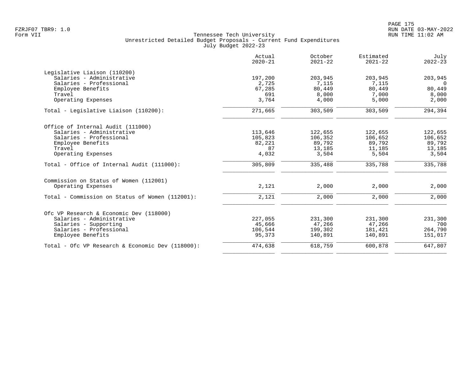|                                                  | Actual<br>$2020 - 21$ | October<br>$2021 - 22$ | Estimated<br>$2021 - 22$ | July<br>$2022 - 23$ |
|--------------------------------------------------|-----------------------|------------------------|--------------------------|---------------------|
| Legislative Liaison (110200)                     |                       |                        |                          |                     |
| Salaries - Administrative                        | 197,200               | 203,945                | 203,945                  | 203,945             |
| Salaries - Professional                          | 2,725                 | 7,115                  | 7,115                    | $\Omega$            |
| Employee Benefits                                | 67,285                | 80,449                 | 80,449                   | 80,449              |
| Travel                                           | 691                   | 8,000                  | 7,000                    | 8,000               |
| Operating Expenses                               | 3,764                 | 4,000                  | 5,000                    | 2,000               |
| Total - Legislative Liaison (110200):            | 271,665               | 303,509                | 303,509                  | 294,394             |
| Office of Internal Audit (111000)                |                       |                        |                          |                     |
| Salaries - Administrative                        | 113,646               | 122,655                | 122,655                  | 122,655             |
| Salaries - Professional                          | 105,823               | 106,352                | 106,652                  | 106,652             |
| Employee Benefits                                | 82,221                | 89,792                 | 89,792                   | 89,792              |
| Travel                                           | 87                    | 13,185                 | 11,185                   | 13,185              |
| Operating Expenses                               | 4,032                 | 3,504                  | 5,504                    | 3,504               |
| Total - Office of Internal Audit (111000):       | 305,809               | 335,488                | 335,788                  | 335,788             |
| Commission on Status of Women (112001)           |                       |                        |                          |                     |
| Operating Expenses                               | 2,121                 | 2,000                  | 2,000                    | 2,000               |
| Total - Commission on Status of Women (112001):  | 2,121                 | 2,000                  | 2,000                    | 2,000               |
|                                                  |                       |                        |                          |                     |
| Ofc VP Research & Economic Dev (118000)          |                       |                        |                          |                     |
| Salaries - Administrative                        | 227,055               | 231,300                | 231,300                  | 231,300             |
| Salaries - Supporting                            | 45,666                | 47,266                 | 47,266                   | 700                 |
| Salaries - Professional                          | 106,544               | 199,302                | 181,421                  | 264,790             |
| Employee Benefits                                | 95,373                | 140,891                | 140,891                  | 151,017             |
| Total - Ofc VP Research & Economic Dev (118000): | 474,638               | 618,759                | 600,878                  | 647,807             |
|                                                  |                       |                        |                          |                     |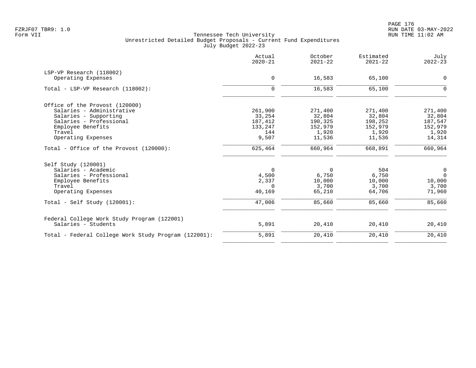|                                                                    | Actual<br>$2020 - 21$ | October<br>$2021 - 22$ | Estimated<br>$2021 - 22$ | July<br>$2022 - 23$ |
|--------------------------------------------------------------------|-----------------------|------------------------|--------------------------|---------------------|
| LSP-VP Research (118002)                                           |                       |                        |                          |                     |
| Operating Expenses                                                 | 0                     | 16,583                 | 65,100                   | 0                   |
| Total - LSP-VP Research (118002):                                  | $\mathbf 0$           | 16,583                 | 65,100                   | $\Omega$            |
| Office of the Provost (120000)                                     |                       |                        |                          |                     |
| Salaries - Administrative                                          | 261,900               | 271,400                | 271,400                  | 271,400             |
| Salaries - Supporting                                              | 33,254                | 32,804                 | 32,804                   | 32,804              |
| Salaries - Professional                                            | 187,412               | 190,325                | 198,252                  | 187,547             |
| Employee Benefits                                                  | 133,247               | 152,979                | 152,979                  | 152,979             |
| Travel                                                             | 144                   | 1,920                  | 1,920                    | 1,920               |
| Operating Expenses                                                 | 9,507                 | 11,536                 | 11,536                   | 14,314              |
| Total - Office of the Provost (120000):                            | 625,464               | 660,964                | 668,891                  | 660,964             |
| Self Study (120001)                                                |                       |                        |                          |                     |
| Salaries - Academic                                                | 0                     | $\mathbf 0$            | 504                      | 0                   |
| Salaries - Professional                                            | 4,500                 | 6,750                  | 6,750                    | $\mathbf 0$         |
| Employee Benefits                                                  | 2,337                 | 10,000                 | 10,000                   | 10,000              |
| Travel                                                             | $\Omega$              | 3,700                  | 3,700                    | 3,700               |
| Operating Expenses                                                 | 40,169                | 65,210                 | 64,706                   | 71,960              |
| $Total - Self Study (120001):$                                     | 47,006                | 85,660                 | 85,660                   | 85,660              |
| Federal College Work Study Program (122001)<br>Salaries - Students | 5,891                 | 20,410                 | 20,410                   | 20,410              |
|                                                                    |                       |                        |                          |                     |
| Total - Federal College Work Study Program (122001):               | 5,891                 | 20,410                 | 20,410                   | 20,410              |
|                                                                    |                       |                        |                          |                     |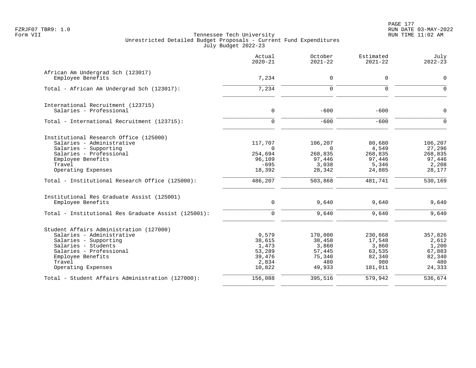PAGE 177 FZRJF07 TBR9: 1.0 RUN DATE 03-MAY-2022

|                                                     | Actual<br>$2020 - 21$ | October<br>$2021 - 22$ | Estimated<br>$2021 - 22$ | July<br>$2022 - 23$ |
|-----------------------------------------------------|-----------------------|------------------------|--------------------------|---------------------|
| African Am Undergrad Sch (123017)                   |                       |                        |                          |                     |
| Employee Benefits                                   | 7,234                 | $\mathbf 0$            | 0                        | $\mathbf 0$         |
| Total - African Am Undergrad Sch (123017):          | 7,234                 | $\mathbf 0$            | 0                        | $\Omega$            |
| International Recruitment (123715)                  |                       |                        |                          |                     |
| Salaries - Professional                             | $\mathbf 0$           | $-600$                 | $-600$                   | $\Omega$            |
| Total - International Recruitment (123715):         | $\mathbf 0$           | $-600$                 | $-600$                   | $\Omega$            |
| Institutional Research Office (125000)              |                       |                        |                          |                     |
| Salaries - Administrative                           | 117,707               | 106,207                | 80,680                   | 106,207             |
| Salaries - Supporting                               | $\Omega$              | $\Omega$               | 4,549                    | 27,296              |
| Salaries - Professional                             | 254,694               | 268,835                | 268,835                  | 268,835             |
| Employee Benefits                                   | 96,109                | 97,446                 | 97,446                   | 97,446              |
| Travel<br>Operating Expenses                        | $-695$<br>18,392      | 3,038<br>28,342        | 5,346<br>24,885          | 2,208<br>28,177     |
| Total - Institutional Research Office (125000):     | 486,207               | 503,868                | 481,741                  | 530,169             |
| Institutional Res Graduate Assist (125001)          |                       |                        |                          |                     |
| Employee Benefits                                   | 0                     | 9,640                  | 9,640                    | 9,640               |
| Total - Institutional Res Graduate Assist (125001): | $\Omega$              | 9,640                  | 9,640                    | 9,640               |
| Student Affairs Administration (127000)             |                       |                        |                          |                     |
| Salaries - Administrative                           | 9,579                 | 170,000                | 230,668                  | 357,826             |
| Salaries - Supporting                               | 38,615                | 38,458                 | 17,548                   | 2,612               |
| Salaries - Students                                 | 1,473                 | 3,860                  | 3,860                    | 1,200               |
| Salaries - Professional                             | 53,289                | 57,445                 | 63,535                   | 67,883              |
| Employee Benefits                                   | 39,476                | 75,340                 | 82,340                   | 82,340              |
| Travel                                              | 2,834                 | 480                    | 980                      | 480                 |
| Operating Expenses                                  | 10,822                | 49,933                 | 181,011                  | 24,333              |
| Total - Student Affairs Administration (127000):    | 156,088               | 395,516                | 579,942                  | 536,674             |
|                                                     |                       |                        |                          |                     |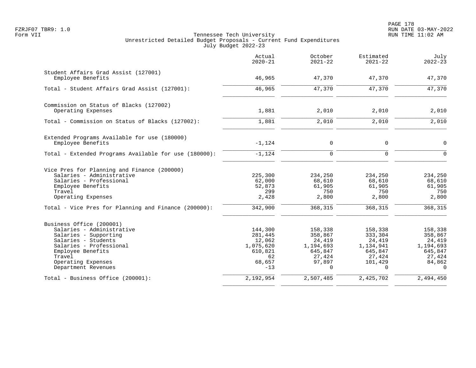|                                                                                                                                                                                                              | Actual<br>$2020 - 21$                                                         | October<br>$2021 - 22$                                                               | Estimated<br>$2021 - 22$                                                            | July<br>$2022 - 23$                                                                |
|--------------------------------------------------------------------------------------------------------------------------------------------------------------------------------------------------------------|-------------------------------------------------------------------------------|--------------------------------------------------------------------------------------|-------------------------------------------------------------------------------------|------------------------------------------------------------------------------------|
| Student Affairs Grad Assist (127001)<br>Employee Benefits                                                                                                                                                    | 46,965                                                                        | 47,370                                                                               | 47,370                                                                              | 47,370                                                                             |
| Total - Student Affairs Grad Assist (127001):                                                                                                                                                                | 46,965                                                                        | 47,370                                                                               | 47,370                                                                              | 47,370                                                                             |
| Commission on Status of Blacks (127002)<br>Operating Expenses                                                                                                                                                | 1,881                                                                         | 2,010                                                                                | 2,010                                                                               | 2,010                                                                              |
| Total - Commission on Status of Blacks (127002):                                                                                                                                                             | 1,881                                                                         | 2,010                                                                                | 2,010                                                                               | 2,010                                                                              |
| Extended Programs Available for use (180000)<br>Employee Benefits                                                                                                                                            | $-1,124$                                                                      | 0                                                                                    | 0                                                                                   | $\mathbf 0$                                                                        |
| Total - Extended Programs Available for use (180000):                                                                                                                                                        | $-1,124$                                                                      | $\Omega$                                                                             | $\Omega$                                                                            | $\Omega$                                                                           |
| Vice Pres for Planning and Finance (200000)<br>Salaries - Administrative<br>Salaries - Professional<br>Employee Benefits<br>Travel<br>Operating Expenses                                                     | 225,300<br>62,000<br>52,873<br>299<br>2,428                                   | 234,250<br>68,610<br>61,905<br>750<br>2,800                                          | 234,250<br>68,610<br>61,905<br>750<br>2,800                                         | 234,250<br>68,610<br>61,905<br>750<br>2,800                                        |
| Total - Vice Pres for Planning and Finance (200000):                                                                                                                                                         | 342,900                                                                       | 368,315                                                                              | 368,315                                                                             | 368,315                                                                            |
| Business Office (200001)<br>Salaries - Administrative<br>Salaries - Supporting<br>Salaries - Students<br>Salaries - Professional<br>Employee Benefits<br>Travel<br>Operating Expenses<br>Department Revenues | 144,300<br>281,445<br>12,062<br>1,075,620<br>610,821<br>62<br>68,657<br>$-13$ | 158,338<br>358,867<br>24,419<br>1,194,693<br>645,847<br>27,424<br>97,897<br>$\Omega$ | 158,338<br>333,304<br>24,419<br>1,134,941<br>645,847<br>27,424<br>101,429<br>$\cap$ | 158,338<br>358,867<br>24,419<br>1,194,693<br>645,847<br>27,424<br>84,862<br>$\cap$ |
| Total - Business Office (200001):                                                                                                                                                                            | 2,192,954                                                                     | 2,507,485                                                                            | 2,425,702                                                                           | 2,494,450                                                                          |
|                                                                                                                                                                                                              |                                                                               |                                                                                      |                                                                                     |                                                                                    |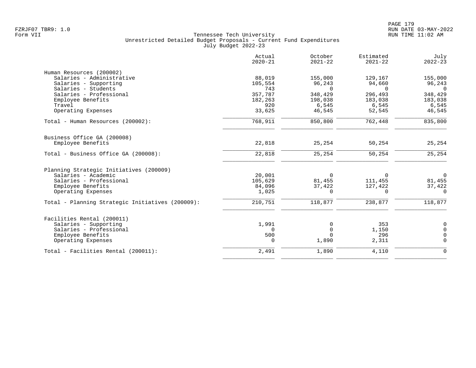|                                                  | Actual<br>$2020 - 21$ | October<br>$2021 - 22$ | Estimated<br>$2021 - 22$ | July<br>$2022 - 23$ |
|--------------------------------------------------|-----------------------|------------------------|--------------------------|---------------------|
| Human Resources (200002)                         |                       |                        |                          |                     |
| Salaries - Administrative                        | 88,019                | 155,000                | 129,167                  | 155,000             |
| Salaries - Supporting                            | 105,554               | 96,243                 | 94,660                   | 96,243              |
| Salaries - Students                              | 743                   | $\Omega$               | $\Omega$                 | $\Omega$            |
| Salaries - Professional                          | 357,787               | 348,429                | 296,493                  | 348,429             |
| Employee Benefits                                | 182,263               | 198,038                | 183,038                  | 183,038             |
| Travel                                           | 920                   | 6,545                  | 6,545                    | 6,545               |
| Operating Expenses                               | 33,625                | 46,545                 | 52,545                   | 46,545              |
| Total - Human Resources (200002):                | 768,911               | 850,800                | 762,448                  | 835,800             |
| Business Office GA (200008)                      |                       |                        |                          |                     |
| Employee Benefits                                | 22,818                | 25,254                 | 50,254                   | 25,254              |
| Total - Business Office GA (200008):             | 22,818                | 25,254                 | 50,254                   | 25,254              |
| Planning Strategic Initiatives (200009)          |                       |                        |                          |                     |
| Salaries - Academic                              | 20,001                | 0                      | $\Omega$                 | $\overline{0}$      |
| Salaries - Professional                          | 105,629               | 81,455                 | 111,455                  | 81,455              |
| Employee Benefits                                | 84,096                | 37,422                 | 127,422                  | 37,422              |
| Operating Expenses                               | 1,025                 | $\Omega$               | $\Omega$                 | $\Omega$            |
| Total - Planning Strategic Initiatives (200009): | 210,751               | 118,877                | 238,877                  | 118,877             |
| Facilities Rental (200011)                       |                       |                        |                          |                     |
| Salaries - Supporting                            | 1,991                 | 0                      | 353                      | $\mathbf 0$         |
| Salaries - Professional                          | 0                     | $\mathbf 0$            | 1,150                    | $\Omega$            |
| Employee Benefits                                | 500                   | $\Omega$               | 296                      | $\Omega$            |
| Operating Expenses                               | 0                     | 1,890                  | 2,311                    | $\Omega$            |
| Total - Facilities Rental (200011):              | 2,491                 | 1,890                  | 4,110                    | $\Omega$            |
|                                                  |                       |                        |                          |                     |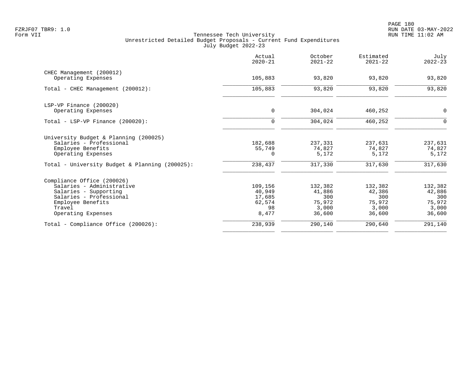|                                                | Actual<br>$2020 - 21$ | October<br>$2021 - 22$ | Estimated<br>$2021 - 22$ | July<br>$2022 - 23$ |
|------------------------------------------------|-----------------------|------------------------|--------------------------|---------------------|
| CHEC Management (200012)                       |                       |                        |                          |                     |
| Operating Expenses                             | 105,883               | 93,820                 | 93,820                   | 93,820              |
| Total - CHEC Management (200012):              | 105,883               | 93,820                 | 93,820                   | 93,820              |
| LSP-VP Finance (200020)                        |                       |                        |                          |                     |
| Operating Expenses                             | 0                     | 304,024                | 460,252                  | 0                   |
| Total - LSP-VP Finance (200020):               | $\mathbf 0$           | 304,024                | 460,252                  | $\mathbf 0$         |
| University Budget & Planning (200025)          |                       |                        |                          |                     |
| Salaries - Professional                        | 182,688               | 237,331                | 237,631                  | 237,631             |
| Employee Benefits<br>Operating Expenses        | 55,749<br>$\Omega$    | 74,827<br>5,172        | 74,827<br>5,172          | 74,827<br>5,172     |
| Total - University Budget & Planning (200025): | 238,437               | 317,330                | 317,630                  | 317,630             |
| Compliance Office (200026)                     |                       |                        |                          |                     |
| Salaries - Administrative                      | 109,156               | 132,382                | 132,382                  | 132,382             |
| Salaries - Supporting                          | 40,949                | 41,886                 | 42,386                   | 42,886              |
| Salaries - Professional                        | 17,685                | 300                    | 300                      | 300                 |
| Employee Benefits<br>Travel                    | 62,574<br>98          | 75,972<br>3,000        | 75,972<br>3,000          | 75,972<br>3,000     |
| Operating Expenses                             | 8,477                 | 36,600                 | 36,600                   | 36,600              |
| Total - Compliance Office (200026):            | 238,939               | 290,140                | 290,640                  | 291,140             |
|                                                |                       |                        |                          |                     |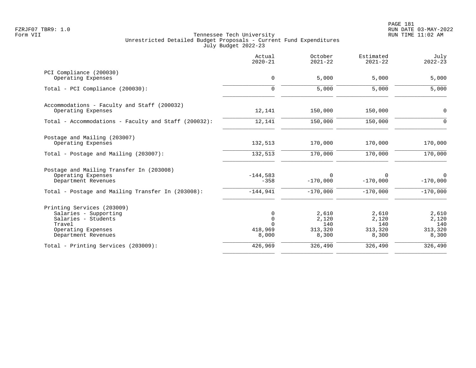PAGE 181 FZRJF07 TBR9: 1.0 RUN DATE 03-MAY-2022

|                                                                                                                                   | Actual<br>$2020 - 21$                            | October<br>$2021 - 22$                    | Estimated<br>$2021 - 22$                  | July<br>$2022 - 23$                       |
|-----------------------------------------------------------------------------------------------------------------------------------|--------------------------------------------------|-------------------------------------------|-------------------------------------------|-------------------------------------------|
| PCI Compliance (200030)<br>Operating Expenses                                                                                     | $\mathbf 0$                                      | 5,000                                     | 5,000                                     | 5,000                                     |
| Total - PCI Compliance (200030):                                                                                                  | 0                                                | 5,000                                     | 5,000                                     | 5,000                                     |
| Accommodations - Faculty and Staff (200032)<br>Operating Expenses                                                                 | 12,141                                           | 150,000                                   | 150,000                                   | 0                                         |
| Total - Accommodations - Faculty and Staff (200032):                                                                              | 12,141                                           | 150,000                                   | 150,000                                   | $\mathbf 0$                               |
| Postage and Mailing (203007)<br>Operating Expenses                                                                                | 132,513                                          | 170,000                                   | 170,000                                   | 170,000                                   |
| Total - Postage and Mailing (203007):                                                                                             | 132,513                                          | 170,000                                   | 170,000                                   | 170,000                                   |
| Postage and Mailing Transfer In (203008)<br>Operating Expenses<br>Department Revenues                                             | $-144,583$<br>$-358$                             | $\Omega$<br>$-170,000$                    | 0<br>$-170,000$                           | $\mathbf 0$<br>$-170,000$                 |
| Total - Postage and Mailing Transfer In (203008):                                                                                 | $-144,941$                                       | $-170,000$                                | $-170,000$                                | $-170,000$                                |
| Printing Services (203009)<br>Salaries - Supporting<br>Salaries - Students<br>Travel<br>Operating Expenses<br>Department Revenues | 0<br>$\mathbf 0$<br>$\Omega$<br>418,969<br>8,000 | 2,610<br>2,120<br>140<br>313,320<br>8,300 | 2,610<br>2,120<br>140<br>313,320<br>8,300 | 2,610<br>2,120<br>140<br>313,320<br>8,300 |
| Total - Printing Services (203009):                                                                                               | 426,969                                          | 326,490                                   | 326,490                                   | 326,490                                   |
|                                                                                                                                   |                                                  |                                           |                                           |                                           |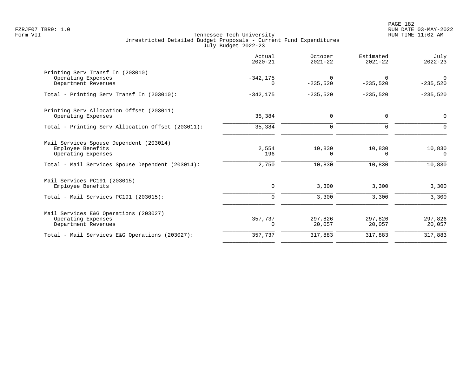|                                                                                              | Actual<br>$2020 - 21$   | October<br>$2021 - 22$ | Estimated<br>$2021 - 22$ | July<br>$2022 - 23$    |
|----------------------------------------------------------------------------------------------|-------------------------|------------------------|--------------------------|------------------------|
| Printing Serv Transf In (203010)<br>Operating Expenses<br>Department Revenues                | $-342, 175$<br>$\Omega$ | $\Omega$<br>$-235,520$ | $\Omega$<br>$-235,520$   | $\Omega$<br>$-235,520$ |
| Total - Printing Serv Transf In (203010):                                                    | $-342, 175$             | $-235,520$             | $-235,520$               | $-235,520$             |
| Printing Serv Allocation Offset (203011)<br>Operating Expenses                               | 35,384                  | 0                      | 0                        | $\mathbf 0$            |
| Total - Printing Serv Allocation Offset (203011):                                            | 35,384                  | $\Omega$               | $\Omega$                 |                        |
| Mail Services Spouse Dependent (203014)<br>Employee Benefits<br>Operating Expenses           | 2,554<br>196            | 10,830<br>0            | 10,830<br>$\Omega$       | 10,830<br>$\Omega$     |
| Total - Mail Services Spouse Dependent (203014):                                             | 2,750                   | 10,830                 | 10,830                   | 10,830                 |
| Mail Services PC191 (203015)<br>Employee Benefits<br>$Total - Mail$ Services PC191 (203015): | 0<br>$\Omega$           | 3,300<br>3,300         | 3,300<br>3,300           | 3,300<br>3,300         |
|                                                                                              |                         |                        |                          |                        |
| Mail Services E&G Operations (203027)<br>Operating Expenses<br>Department Revenues           | 357,737<br>0            | 297,826<br>20,057      | 297,826<br>20,057        | 297,826<br>20,057      |
| Total - Mail Services E&G Operations (203027):                                               | 357,737                 | 317,883                | 317,883                  | 317,883                |
|                                                                                              |                         |                        |                          |                        |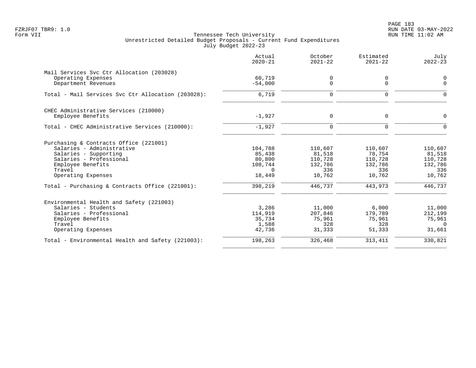PAGE 183 FZRJF07 TBR9: 1.0 RUN DATE 03-MAY-2022

|                                                    | Actual<br>$2020 - 21$ | October<br>$2021 - 22$ | Estimated<br>$2021 - 22$ | July<br>$2022 - 23$ |
|----------------------------------------------------|-----------------------|------------------------|--------------------------|---------------------|
| Mail Services Svc Ctr Allocation (203028)          |                       |                        |                          |                     |
| Operating Expenses                                 | 60,719                | $\mathbf 0$            | 0                        | $\mathbf 0$         |
| Department Revenues                                | $-54,000$             | $\mathbf 0$            | $\mathbf 0$              | $\mathbf 0$         |
| Total - Mail Services Svc Ctr Allocation (203028): | 6,719                 | $\mathbf 0$            | $\mathbf 0$              | $\Omega$            |
| CHEC Administrative Services (210000)              |                       |                        |                          |                     |
| Employee Benefits                                  | $-1,927$              | $\Omega$               | $\mathbf 0$              | $\Omega$            |
| Total - CHEC Administrative Services (210000):     | $-1,927$              | $\Omega$               | $\Omega$                 | $\Omega$            |
| Purchasing & Contracts Office (221001)             |                       |                        |                          |                     |
| Salaries - Administrative                          | 104,788               | 110,607                | 110,607                  | 110,607             |
| Salaries - Supporting                              | 85,438                | 81,518                 | 78,754                   | 81,518              |
| Salaries - Professional                            | 80,800                | 110,728                | 110,728                  | 110,728             |
| Employee Benefits<br>Travel                        | 108,744<br>$\Omega$   | 132,786<br>336         | 132,786<br>336           | 132,786<br>336      |
| Operating Expenses                                 | 18,449                | 10,762                 | 10,762                   | 10,762              |
| Total - Purchasing & Contracts Office (221001):    | 398,219               | 446,737                | 443,973                  | 446,737             |
| Environmental Health and Safety (221003)           |                       |                        |                          |                     |
| Salaries - Students                                | 3,286                 | 11,000                 | 6,000                    | 11,000              |
| Salaries - Professional                            | 114,919               | 207,846                | 179,789                  | 212,199             |
| Employee Benefits                                  | 35,734                | 75,961                 | 75,961                   | 75,961              |
| Travel<br>Operating Expenses                       | 1,588<br>42,736       | 328<br>31,333          | 328<br>51,333            | $\Omega$<br>31,661  |
|                                                    |                       |                        |                          |                     |
| Total - Environmental Health and Safety (221003):  | 198,263               | 326,468                | 313,411                  | 330,821             |
|                                                    |                       |                        |                          |                     |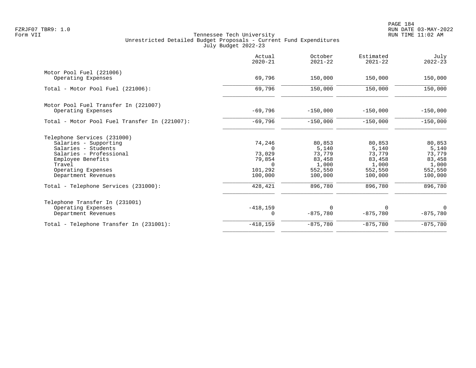|                                               | Actual<br>$2020 - 21$ | October<br>$2021 - 22$ | Estimated<br>$2021 - 22$ | July<br>$2022 - 23$ |
|-----------------------------------------------|-----------------------|------------------------|--------------------------|---------------------|
| Motor Pool Fuel (221006)                      |                       |                        |                          |                     |
| Operating Expenses                            | 69,796                | 150,000                | 150,000                  | 150,000             |
| Total - Motor Pool Fuel (221006):             | 69,796                | 150,000                | 150,000                  | 150,000             |
| Motor Pool Fuel Transfer In (221007)          |                       |                        |                          |                     |
| Operating Expenses                            | $-69,796$             | $-150,000$             | $-150,000$               | $-150,000$          |
| Total - Motor Pool Fuel Transfer In (221007): | $-69,796$             | $-150,000$             | $-150,000$               | $-150,000$          |
| Telephone Services (231000)                   |                       |                        |                          |                     |
| Salaries - Supporting                         | 74,246                | 80,853                 | 80,853                   | 80,853              |
| Salaries - Students                           | $\Omega$              | 5,140                  | 5,140                    | 5,140               |
| Salaries - Professional                       | 73,029                | 73,779                 | 73,779                   | 73,779              |
| Employee Benefits                             | 79,854                | 83,458                 | 83,458                   | 83,458              |
| Travel                                        | $\Omega$              | 1,000                  | 1,000                    | 1,000               |
| Operating Expenses<br>Department Revenues     | 101,292<br>100,000    | 552,550<br>100,000     | 552,550<br>100,000       | 552,550<br>100,000  |
| Total - Telephone Services (231000):          | 428,421               | 896,780                | 896,780                  | 896,780             |
| Telephone Transfer In (231001)                |                       |                        |                          |                     |
| Operating Expenses                            | $-418,159$            | $\Omega$               | $\Omega$                 | 0                   |
| Department Revenues                           | $\Omega$              | $-875,780$             | $-875,780$               | $-875,780$          |
| Total - Telephone Transfer In (231001):       | $-418, 159$           | $-875,780$             | $-875,780$               | $-875,780$          |
|                                               |                       |                        |                          |                     |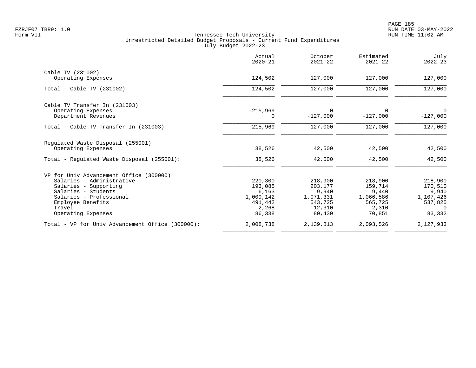|                                                  | Actual<br>$2020 - 21$ | October<br>$2021 - 22$ | Estimated<br>$2021 - 22$ | July<br>$2022 - 23$ |
|--------------------------------------------------|-----------------------|------------------------|--------------------------|---------------------|
| Cable TV (231002)                                |                       |                        |                          |                     |
| Operating Expenses                               | 124,502               | 127,000                | 127,000                  | 127,000             |
| Total - Cable TV (231002):                       | 124,502               | 127,000                | 127,000                  | 127,000             |
| Cable TV Transfer In (231003)                    |                       |                        |                          |                     |
| Operating Expenses                               | $-215,969$            | $\Omega$               | 0                        | $\Omega$            |
| Department Revenues                              | $\Omega$              | $-127,000$             | $-127,000$               | $-127,000$          |
| Total - Cable TV Transfer In (231003):           | $-215,969$            | $-127,000$             | $-127,000$               | $-127,000$          |
| Regulated Waste Disposal (255001)                |                       |                        |                          |                     |
| Operating Expenses                               | 38,526                | 42,500                 | 42,500                   | 42,500              |
| Total - Regulated Waste Disposal (255001):       | 38,526                | 42,500                 | 42,500                   | 42,500              |
| VP for Univ Advancement Office (300000)          |                       |                        |                          |                     |
| Salaries - Administrative                        | 220,300               | 218,900                | 218,900                  | 218,900             |
| Salaries - Supporting                            | 193,085               | 203,177                | 159,714                  | 170,510             |
| Salaries - Students                              | 6,163                 | 9,940                  | 9,440                    | 9,940               |
| Salaries - Professional                          | 1,009,142             | 1,071,331              | 1,066,586                | 1,107,426           |
| Employee Benefits                                | 491,442               | 543,725                | 565,725                  | 537,825             |
| Travel                                           | 2,268                 | 12,310                 | 2,310                    | $\Omega$            |
| Operating Expenses                               | 86,338                | 80,430                 | 70,851                   | 83,332              |
| Total - VP for Univ Advancement Office (300000): | 2,008,738             | 2,139,813              | 2,093,526                | 2,127,933           |
|                                                  |                       |                        |                          |                     |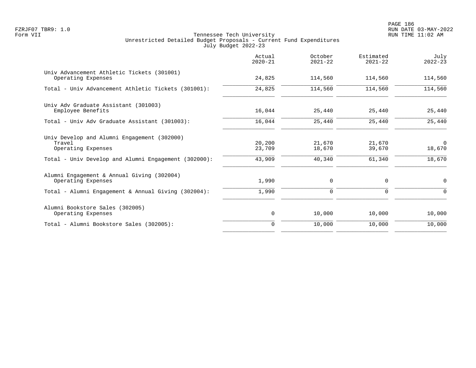PAGE 186 FZRJF07 TBR9: 1.0 RUN DATE 03-MAY-2022

|                                                                             | Actual<br>$2020 - 21$ | October<br>$2021 - 22$ | Estimated<br>$2021 - 22$ | July<br>$2022 - 23$ |
|-----------------------------------------------------------------------------|-----------------------|------------------------|--------------------------|---------------------|
| Univ Advancement Athletic Tickets (301001)<br>Operating Expenses            | 24,825                | 114,560                | 114,560                  | 114,560             |
| Total - Univ Advancement Athletic Tickets (301001):                         | 24,825                | 114,560                | 114,560                  | 114,560             |
| Univ Adv Graduate Assistant (301003)<br>Employee Benefits                   | 16,044                | 25,440                 | 25,440                   | 25,440              |
| Total - Univ Adv Graduate Assistant (301003):                               | 16,044                | 25,440                 | 25,440                   | 25,440              |
| Univ Develop and Alumni Engagement (302000)<br>Travel<br>Operating Expenses | 20,200<br>23,709      | 21,670<br>18,670       | 21,670<br>39,670         | $\Omega$<br>18,670  |
| Total - Univ Develop and Alumni Engagement (302000):                        | 43,909                | 40,340                 | 61,340                   | 18,670              |
| Alumni Engagement & Annual Giving (302004)<br>Operating Expenses            | 1,990                 | 0                      | 0                        | 0                   |
| Total - Alumni Engagement & Annual Giving (302004):                         | 1,990                 | $\mathbf 0$            | 0                        | $\Omega$            |
| Alumni Bookstore Sales (302005)<br>Operating Expenses                       | 0                     | 10,000                 | 10,000                   | 10,000              |
| Total - Alumni Bookstore Sales (302005):                                    | $\Omega$              | 10,000                 | 10,000                   | 10,000              |
|                                                                             |                       |                        |                          |                     |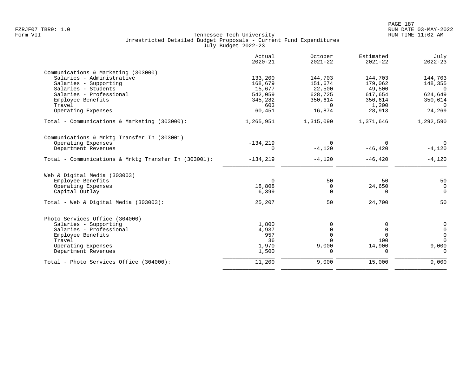|                                                      | Actual<br>$2020 - 21$ | October<br>$2021 - 22$ | Estimated<br>$2021 - 22$ | July<br>$2022 - 23$ |
|------------------------------------------------------|-----------------------|------------------------|--------------------------|---------------------|
| Communications & Marketing (303000)                  |                       |                        |                          |                     |
| Salaries - Administrative                            | 133,200               | 144,703                | 144,703                  | 144,703             |
| Salaries - Supporting                                | 168,679               | 151,674                | 179,062                  | 148,355             |
| Salaries - Students                                  | 15,677                | 22,500                 | 49,500                   | $\bigcirc$          |
| Salaries - Professional                              | 542,059               | 628,725                | 617,654                  | 624,649             |
| Employee Benefits                                    | 345,282               | 350,614                | 350,614                  | 350,614             |
| Travel                                               | 603                   | $\Omega$               | 1,200                    | $\Omega$            |
| Operating Expenses                                   | 60,451                | 16,874                 | 28,913                   | 24,269              |
| Total - Communications & Marketing (303000):         | 1,265,951             | 1,315,090              | 1,371,646                | 1,292,590           |
| Communications & Mrktg Transfer In (303001)          |                       |                        |                          |                     |
| Operating Expenses                                   | $-134, 219$           | $\Omega$               |                          | $\Omega$            |
| Department Revenues                                  | 0                     | $-4,120$               | $-46, 420$               | $-4,120$            |
| Total - Communications & Mrktq Transfer In (303001): | $-134, 219$           | $-4,120$               | $-46, 420$               | $-4,120$            |
| Web & Digital Media (303003)                         |                       |                        |                          |                     |
| Employee Benefits                                    | $\Omega$              | 50                     | 50                       | 50                  |
| Operating Expenses                                   | 18,808                | $\mathbf 0$            | 24,650                   | $\mathbf 0$         |
| Capital Outlay                                       | 6,399                 | $\mathbf 0$            | $\mathbf 0$              | $\mathsf 0$         |
| Total - Web & Digital Media (303003):                | 25,207                | 50                     | 24,700                   | 50                  |
| Photo Services Office (304000)                       |                       |                        |                          |                     |
| Salaries - Supporting                                | 1,800                 | 0                      | 0                        | $\pmb{0}$           |
| Salaries - Professional                              | 4,937                 | 0                      | $\mathbf 0$              | $\mathsf{O}\xspace$ |
| Employee Benefits                                    | 957                   | $\Omega$               | $\Omega$                 | $\mathsf{O}$        |
| Travel                                               | 36                    | $\Omega$               | 100                      | $\Omega$            |
| Operating Expenses                                   | 1,970                 | 9,000                  | 14,900                   | 9,000               |
| Department Revenues                                  | 1,500                 | $\Omega$               | $\cap$                   | $\Omega$            |
| Total - Photo Services Office (304000):              | 11,200                | 9,000                  | 15,000                   | 9,000               |
|                                                      |                       |                        |                          |                     |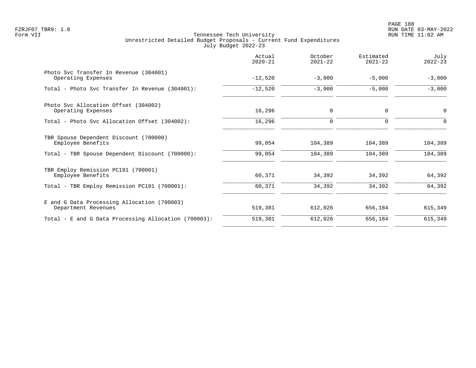|                                                                    | Actual<br>$2020 - 21$ | October<br>$2021 - 22$ | Estimated<br>$2021 - 22$ | July<br>$2022 - 23$ |
|--------------------------------------------------------------------|-----------------------|------------------------|--------------------------|---------------------|
| Photo Svc Transfer In Revenue (304001)<br>Operating Expenses       | $-12,520$             | $-3,000$               | $-5,000$                 | $-3,000$            |
| Total - Photo Svc Transfer In Revenue (304001):                    | $-12,520$             | $-3,000$               | $-5,000$                 | $-3,000$            |
| Photo Svc Allocation Offset (304002)<br>Operating Expenses         | 16,296                | $\mathbf 0$            | 0                        | $\mathbf 0$         |
| Total - Photo Svc Allocation Offset (304002):                      | 16,296                | $\mathbf 0$            | $\Omega$                 | $\Omega$            |
| TBR Spouse Dependent Discount (700000)<br>Employee Benefits        | 99,054                | 104,389                | 104,389                  | 104,389             |
| Total - TBR Spouse Dependent Discount (700000):                    | 99,054                | 104,389                | 104,389                  | 104,389             |
| TBR Employ Remission PC191 (700001)<br>Employee Benefits           | 60,371                | 34,392                 | 34,392                   | 64,392              |
| Total - TBR Employ Remission PC191 (700001):                       | 60,371                | 34,392                 | 34,392                   | 64,392              |
| E and G Data Processing Allocation (700003)<br>Department Revenues | 519,381               | 612,026                | 656,184                  | 615,349             |
| Total - E and G Data Processing Allocation (700003):               | 519,381               | 612,026                | 656,184                  | 615,349             |
|                                                                    |                       |                        |                          |                     |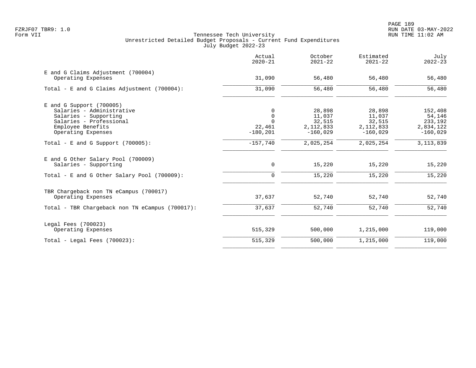|                                                             | Actual<br>$2020 - 21$ | October<br>$2021 - 22$    | Estimated<br>$2021 - 22$  | July<br>$2022 - 23$     |
|-------------------------------------------------------------|-----------------------|---------------------------|---------------------------|-------------------------|
| E and G Claims Adjustment (700004)<br>Operating Expenses    | 31,090                | 56,480                    | 56,480                    | 56,480                  |
| Total - E and G Claims Adjustment $(700004)$ :              | 31,090                | 56,480                    | 56,480                    | 56,480                  |
| $E$ and G Support (700005)                                  |                       |                           |                           |                         |
| Salaries - Administrative                                   | 0                     | 28,898                    | 28,898                    | 152,408                 |
| Salaries - Supporting                                       | $\mathbf 0$           | 11,037                    | 11,037                    | 54,146                  |
| Salaries - Professional                                     | $\Omega$              | 32,515                    | 32,515                    | 233,192                 |
| Employee Benefits<br>Operating Expenses                     | 22,461<br>$-180, 201$ | 2, 112, 833<br>$-160,029$ | 2, 112, 833<br>$-160,029$ | 2,834,122<br>$-160,029$ |
| Total - E and G Support $(700005)$ :                        | $-157,740$            | 2,025,254                 | 2,025,254                 | 3, 113, 839             |
| E and G Other Salary Pool (700009)<br>Salaries - Supporting | 0                     | 15,220                    | 15,220                    | 15,220                  |
| Total - E and G Other Salary Pool (700009):                 | $\mathbf 0$           | 15,220                    | 15,220                    | 15,220                  |
| TBR Chargeback non TN eCampus (700017)                      |                       |                           |                           |                         |
| Operating Expenses                                          | 37,637                | 52,740                    | 52,740                    | 52,740                  |
| Total - TBR Chargeback non TN eCampus (700017):             | 37,637                | 52,740                    | 52,740                    | 52,740                  |
| Legal Fees (700023)                                         |                       |                           |                           |                         |
| Operating Expenses                                          | 515,329               | 500,000                   | 1,215,000                 | 119,000                 |
| Total - Legal Fees $(700023)$ :                             | 515,329               | 500,000                   | 1,215,000                 | 119,000                 |
|                                                             |                       |                           |                           |                         |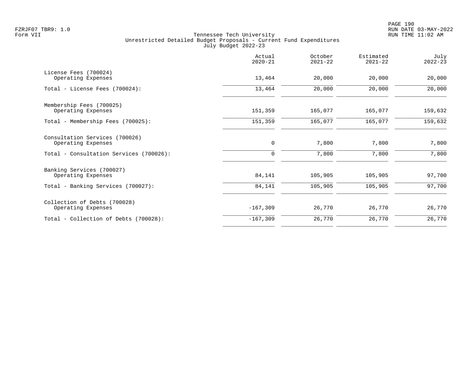|                                                         | Actual<br>$2020 - 21$ | October<br>$2021 - 22$ | Estimated<br>$2021 - 22$ | July<br>$2022 - 23$ |
|---------------------------------------------------------|-----------------------|------------------------|--------------------------|---------------------|
| License Fees (700024)<br>Operating Expenses             | 13,464                | 20,000                 | 20,000                   | 20,000              |
| Total - License Fees (700024):                          | 13,464                | 20,000                 | 20,000                   | 20,000              |
| Membership Fees (700025)                                | 151,359               | 165,077                | 165,077                  |                     |
| Operating Expenses<br>Total - Membership Fees (700025): | 151,359               | 165,077                | 165,077                  | 159,632<br>159,632  |
|                                                         |                       |                        |                          |                     |
| Consultation Services (700026)<br>Operating Expenses    | 0                     | 7,800                  | 7,800                    | 7,800               |
| Total - Consultation Services (700026):                 | 0                     | 7,800                  | 7,800                    | 7,800               |
| Banking Services (700027)<br>Operating Expenses         | 84,141                | 105,905                | 105,905                  | 97,700              |
| Total - Banking Services (700027):                      | 84,141                | 105,905                | 105,905                  | 97,700              |
| Collection of Debts (700028)                            |                       |                        |                          |                     |
| Operating Expenses                                      | $-167,309$            | 26,770                 | 26,770                   | 26,770              |
| Total - Collection of Debts (700028):                   | $-167, 309$           | 26,770                 | 26,770                   | 26,770              |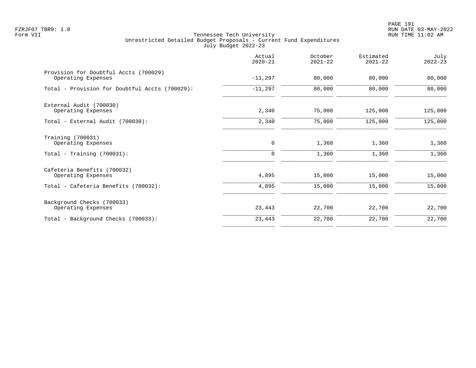PAGE 191 FZRJF07 TBR9: 1.0 RUN DATE 03-MAY-2022

|                                                             | Actual<br>$2020 - 21$ | October<br>$2021 - 22$ | Estimated<br>$2021 - 22$ | July<br>$2022 - 23$ |
|-------------------------------------------------------------|-----------------------|------------------------|--------------------------|---------------------|
| Provision for Doubtful Accts (700029)<br>Operating Expenses | $-11,297$             | 80,000                 | 80,000                   | 80,000              |
| Total - Provision for Doubtful Accts (700029):              | $-11,297$             | 80,000                 | 80,000                   | 80,000              |
| External Audit (700030)<br>Operating Expenses               | 2,340                 | 75,000                 | 125,000                  | 125,000             |
| Total - External Audit (700030):                            | 2,340                 | 75,000                 | 125,000                  | 125,000             |
| Training (700031)<br>Operating Expenses                     | 0                     | 1,360                  | 1,360                    | 1,360               |
| Total - Training (700031):                                  | $\Omega$              | 1,360                  | 1,360                    | 1,360               |
| Cafeteria Benefits (700032)<br>Operating Expenses           | 4,895                 | 15,000                 | 15,000                   | 15,000              |
| Total - Cafeteria Benefits (700032):                        | 4,895                 | 15,000                 | 15,000                   | 15,000              |
| Background Checks (700033)<br>Operating Expenses            | 23,443                | 22,700                 | 22,700                   | 22,700              |
| Total - Background Checks (700033):                         | 23,443                | 22,700                 | 22,700                   | 22,700              |
|                                                             |                       |                        |                          |                     |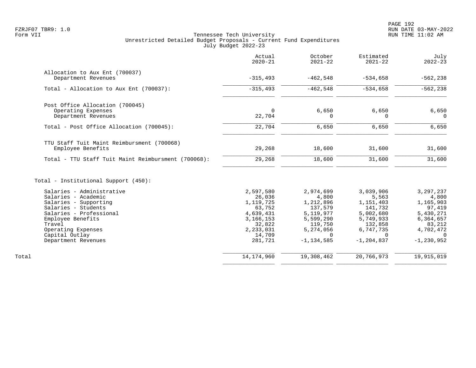| Actual<br>$2020 - 21$ | October<br>$2021 - 22$                                                                                                    | Estimated<br>$2021 - 22$                                                                                              | July<br>$2022 - 23$                                                                                            |
|-----------------------|---------------------------------------------------------------------------------------------------------------------------|-----------------------------------------------------------------------------------------------------------------------|----------------------------------------------------------------------------------------------------------------|
|                       |                                                                                                                           |                                                                                                                       |                                                                                                                |
|                       |                                                                                                                           |                                                                                                                       | $-562, 238$                                                                                                    |
| $-315, 493$           | $-462,548$                                                                                                                | $-534,658$                                                                                                            | $-562, 238$                                                                                                    |
|                       |                                                                                                                           |                                                                                                                       |                                                                                                                |
| $\mathbf 0$           | 6,650                                                                                                                     | 6,650                                                                                                                 | 6,650<br>$\Omega$                                                                                              |
|                       |                                                                                                                           |                                                                                                                       |                                                                                                                |
| 22,704                | 6,650                                                                                                                     | 6,650                                                                                                                 | 6,650                                                                                                          |
|                       |                                                                                                                           |                                                                                                                       |                                                                                                                |
| 29,268                | 18,600                                                                                                                    | 31,600                                                                                                                | 31,600                                                                                                         |
| 29,268                | 18,600                                                                                                                    | 31,600                                                                                                                | 31,600                                                                                                         |
|                       |                                                                                                                           |                                                                                                                       |                                                                                                                |
|                       |                                                                                                                           |                                                                                                                       | 3,297,237                                                                                                      |
| 26,036                | 4,800                                                                                                                     | 5,563                                                                                                                 | 4,800                                                                                                          |
| 1,119,725             | 1,212,896                                                                                                                 | 1,151,403                                                                                                             | 1,165,903                                                                                                      |
|                       |                                                                                                                           |                                                                                                                       | 97,419                                                                                                         |
|                       |                                                                                                                           |                                                                                                                       | 5,430,271                                                                                                      |
|                       |                                                                                                                           |                                                                                                                       | 6,364,657                                                                                                      |
|                       |                                                                                                                           |                                                                                                                       | 83,212                                                                                                         |
|                       |                                                                                                                           |                                                                                                                       | 4,702,472                                                                                                      |
| 281,721               | $-1, 134, 585$                                                                                                            | $-1, 204, 837$                                                                                                        | $-1, 230, 952$                                                                                                 |
|                       |                                                                                                                           |                                                                                                                       | 19,915,019                                                                                                     |
|                       | $-315, 493$<br>22,704<br>2,597,580<br>63,752<br>4,639,431<br>3, 166, 153<br>32,822<br>2,233,031<br>14,709<br>14, 174, 960 | $-462,548$<br>0<br>2,974,699<br>137,579<br>5, 119, 977<br>5,599,290<br>119,750<br>5,274,056<br>$\Omega$<br>19,308,462 | $-534,658$<br>3,039,906<br>141,732<br>5,002,680<br>5,749,933<br>132,858<br>6,747,735<br>$\Omega$<br>20,766,973 |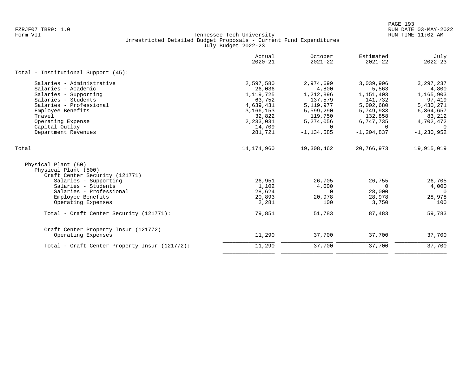|                                                                                                                                                                                                                          | Actual<br>$2020 - 21$                                                                                              | October<br>$2021 - 22$                                                                                                       | Estimated<br>$2021 - 22$                                                                                                   | July<br>$2022 - 23$                                                                                                        |
|--------------------------------------------------------------------------------------------------------------------------------------------------------------------------------------------------------------------------|--------------------------------------------------------------------------------------------------------------------|------------------------------------------------------------------------------------------------------------------------------|----------------------------------------------------------------------------------------------------------------------------|----------------------------------------------------------------------------------------------------------------------------|
| Total - Institutional Support (45):                                                                                                                                                                                      |                                                                                                                    |                                                                                                                              |                                                                                                                            |                                                                                                                            |
| Salaries - Administrative<br>Salaries - Academic<br>Salaries - Supporting<br>Salaries - Students<br>Salaries - Professional<br>Employee Benefits<br>Travel<br>Operating Expense<br>Capital Outlay<br>Department Revenues | 2,597,580<br>26,036<br>1,119,725<br>63,752<br>4,639,431<br>3, 166, 153<br>32,822<br>2,233,031<br>14,709<br>281,721 | 2,974,699<br>4,800<br>1,212,896<br>137,579<br>5, 119, 977<br>5,599,290<br>119,750<br>5,274,056<br>$\Omega$<br>$-1, 134, 585$ | 3,039,906<br>5,563<br>1,151,403<br>141,732<br>5,002,680<br>5,749,933<br>132,858<br>6,747,735<br>$\Omega$<br>$-1, 204, 837$ | 3, 297, 237<br>4,800<br>1,165,903<br>97,419<br>5,430,271<br>6,364,657<br>83,212<br>4,702,472<br>$\Omega$<br>$-1, 230, 952$ |
| Total                                                                                                                                                                                                                    | 14, 174, 960                                                                                                       | 19,308,462                                                                                                                   | 20,766,973                                                                                                                 | 19,915,019                                                                                                                 |
| Physical Plant (50)<br>Physical Plant (500)<br>Craft Center Security (121771)<br>Salaries - Supporting<br>Salaries - Students<br>Salaries - Professional                                                                 | 26,951<br>1,102<br>28,624                                                                                          | 26,705<br>4,000<br>$\Omega$                                                                                                  | 26,755<br>$\overline{0}$<br>28,000                                                                                         | 26,705<br>4,000<br>$\Omega$                                                                                                |
| Employee Benefits<br>Operating Expenses                                                                                                                                                                                  | 20,893<br>2,281                                                                                                    | 20,978<br>100                                                                                                                | 28,978<br>3,750                                                                                                            | 28,978<br>100                                                                                                              |
| Total - Craft Center Security (121771):                                                                                                                                                                                  | 79,851                                                                                                             | 51,783                                                                                                                       | 87,483                                                                                                                     | 59,783                                                                                                                     |
| Craft Center Property Insur (121772)<br>Operating Expenses                                                                                                                                                               | 11,290                                                                                                             | 37,700                                                                                                                       | 37,700                                                                                                                     | 37,700                                                                                                                     |
| Total - Craft Center Property Insur (121772):                                                                                                                                                                            | 11,290                                                                                                             | 37,700                                                                                                                       | 37,700                                                                                                                     | 37,700                                                                                                                     |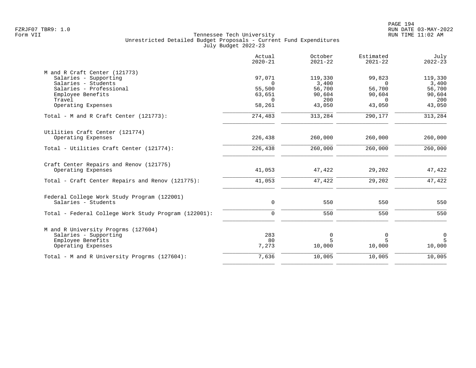|                                                      | Actual<br>$2020 - 21$ | October<br>$2021 - 22$ | Estimated<br>$2021 - 22$ | July<br>$2022 - 23$ |
|------------------------------------------------------|-----------------------|------------------------|--------------------------|---------------------|
| M and R Craft Center (121773)                        |                       |                        |                          |                     |
| Salaries - Supporting                                | 97,071                | 119,330                | 99,823                   | 119,330             |
| Salaries - Students<br>Salaries - Professional       | $\Omega$              | 3,400                  | $\Omega$                 | 3,400               |
| Employee Benefits                                    | 55,500<br>63,651      | 56,700<br>90,604       | 56,700<br>90,604         | 56,700<br>90,604    |
| Travel                                               | $\Omega$              | 200                    | $\Omega$                 | 200                 |
| Operating Expenses                                   | 58,261                | 43,050                 | 43,050                   | 43,050              |
| Total - M and R Craft Center (121773):               | 274,483               | 313,284                | 290,177                  | 313,284             |
| Utilities Craft Center (121774)                      |                       |                        |                          |                     |
| Operating Expenses                                   | 226,438               | 260,000                | 260,000                  | 260,000             |
| Total - Utilities Craft Center (121774):             | 226,438               | 260,000                | 260,000                  | 260,000             |
| Craft Center Repairs and Renov (121775)              |                       |                        |                          |                     |
| Operating Expenses                                   | 41,053                | 47,422                 | 29,202                   | 47,422              |
| Total - Craft Center Repairs and Renov (121775):     | 41,053                | 47,422                 | 29,202                   | 47,422              |
| Federal College Work Study Program (122001)          |                       |                        |                          |                     |
| Salaries - Students                                  | $\mathbf 0$           | 550                    | 550                      | 550                 |
| Total - Federal College Work Study Program (122001): | $\mathbf 0$           | 550                    | 550                      | 550                 |
| M and R University Progrms (127604)                  |                       |                        |                          |                     |
| Salaries - Supporting                                | 283                   | 0                      | 0                        | $\mathsf{O}\xspace$ |
| Employee Benefits                                    | 80                    | 5                      | 5                        | 5                   |
| Operating Expenses                                   | 7,273                 | 10,000                 | 10,000                   | 10,000              |
| Total - M and R University Progrms (127604):         | 7,636                 | 10,005                 | 10,005                   | 10,005              |
|                                                      |                       |                        |                          |                     |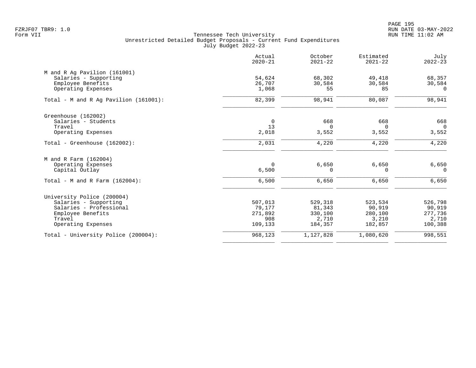|                                          | Actual<br>$2020 - 21$ | October<br>$2021 - 22$ | Estimated<br>$2021 - 22$ | July<br>$2022 - 23$ |
|------------------------------------------|-----------------------|------------------------|--------------------------|---------------------|
| M and R Ag Pavilion (161001)             |                       |                        |                          |                     |
| Salaries - Supporting                    | 54,624                | 68,302                 | 49,418                   | 68,357              |
| Employee Benefits                        | 26,707                | 30,584                 | 30,584                   | 30,584              |
| Operating Expenses                       | 1,068                 | 55                     | 85                       | $\Omega$            |
| Total - M and R Aq Pavilion $(161001)$ : | 82,399                | 98,941                 | 80,087                   | 98,941              |
| Greenhouse (162002)                      |                       |                        |                          |                     |
| Salaries - Students                      | $\mathbf 0$           | 668                    | 668                      | 668                 |
| Travel                                   | 13                    | $\Omega$               | $\Omega$                 | $\overline{0}$      |
| Operating Expenses                       | 2,018                 | 3,552                  | 3,552                    | 3,552               |
| Total - Greenhouse $(162002)$ :          | 2,031                 | 4,220                  | 4,220                    | 4,220               |
| M and R Farm (162004)                    |                       |                        |                          |                     |
| Operating Expenses                       | $\Omega$              | 6,650                  | 6,650                    | 6,650               |
| Capital Outlay                           | 6,500                 | $\Omega$               | $\Omega$                 | $\Omega$            |
| Total - M and R Farm $(162004)$ :        | 6,500                 | 6,650                  | 6,650                    | 6,650               |
| University Police (200004)               |                       |                        |                          |                     |
| Salaries - Supporting                    | 507,013               | 529,318                | 523,534                  | 526,798             |
| Salaries - Professional                  | 79,177                | 81,343                 | 90,919                   | 90,919              |
| Employee Benefits                        | 271,892               | 330,100                | 280,100                  | 277,736             |
| Travel                                   | 908                   | 2,710                  | 3,210                    | 2,710               |
| Operating Expenses                       | 109,133               | 184,357                | 182,857                  | 100,388             |
| Total - University Police (200004):      | 968,123               | 1,127,828              | 1,080,620                | 998,551             |
|                                          |                       |                        |                          |                     |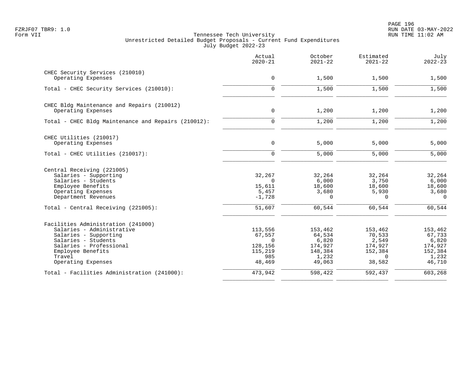| Actual<br>$2020 - 21$ | October<br>$2021 - 22$                                   | Estimated<br>$2021 - 22$                                                     | July<br>$2022 - 23$                                                             |
|-----------------------|----------------------------------------------------------|------------------------------------------------------------------------------|---------------------------------------------------------------------------------|
|                       |                                                          |                                                                              |                                                                                 |
| $\mathbf 0$           | 1,500                                                    | 1,500                                                                        | 1,500                                                                           |
| $\mathbf 0$           | 1,500                                                    | 1,500                                                                        | 1,500                                                                           |
|                       |                                                          |                                                                              |                                                                                 |
| $\mathsf{O}$          | 1,200                                                    | 1,200                                                                        | 1,200                                                                           |
| $\mathbf 0$           | 1,200                                                    | 1,200                                                                        | 1,200                                                                           |
|                       |                                                          |                                                                              |                                                                                 |
| $\mathbf 0$           | 5,000                                                    | 5,000                                                                        | 5,000                                                                           |
| $\mathbf 0$           | 5,000                                                    | 5,000                                                                        | 5,000                                                                           |
|                       |                                                          |                                                                              |                                                                                 |
| 32,267                | 32,264                                                   | 32,264                                                                       | 32,264                                                                          |
| $\Omega$              |                                                          |                                                                              | 6,000                                                                           |
|                       |                                                          |                                                                              | 18,600                                                                          |
|                       |                                                          |                                                                              | 3,680                                                                           |
|                       |                                                          |                                                                              | $\mathbf 0$                                                                     |
| 51,607                | 60,544                                                   | 60,544                                                                       | 60,544                                                                          |
|                       |                                                          |                                                                              |                                                                                 |
| 113,556               | 153,462                                                  | 153,462                                                                      | 153,462                                                                         |
| 67,557                | 64,534                                                   | 70,533                                                                       | 67,733                                                                          |
| $\Omega$              |                                                          |                                                                              | 6,820                                                                           |
|                       |                                                          |                                                                              | 174,927                                                                         |
|                       |                                                          |                                                                              | 152,384                                                                         |
| 48,469                | 49,063                                                   | 38,582                                                                       | 1,232<br>46,710                                                                 |
| 473,942               | 598,422                                                  | 592,437                                                                      | 603,268                                                                         |
|                       | 15,611<br>5,457<br>$-1,728$<br>128,156<br>115,219<br>985 | 6,000<br>18,600<br>3,680<br>$\Omega$<br>6,820<br>174,927<br>148,384<br>1,232 | 3,750<br>18,600<br>5,930<br>$\Omega$<br>2,549<br>174,927<br>152,384<br>$\Omega$ |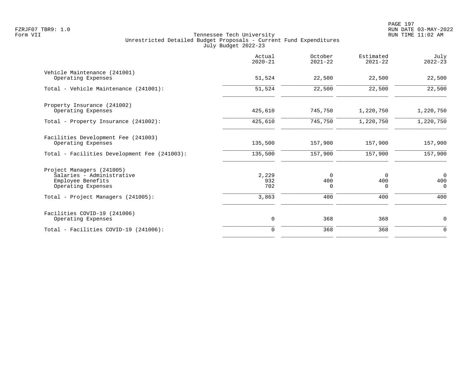|                                                                                                   | Actual<br>$2020 - 21$ | October<br>$2021 - 22$         | Estimated<br>$2021 - 22$ | July<br>$2022 - 23$               |
|---------------------------------------------------------------------------------------------------|-----------------------|--------------------------------|--------------------------|-----------------------------------|
| Vehicle Maintenance (241001)<br>Operating Expenses                                                | 51,524                | 22,500                         | 22,500                   | 22,500                            |
| Total - Vehicle Maintenance (241001):                                                             | 51,524                | 22,500                         | 22,500                   | 22,500                            |
| Property Insurance (241002)<br>Operating Expenses                                                 | 425,610               | 745,750                        | 1,220,750                | 1,220,750                         |
| Total - Property Insurance (241002):                                                              | 425,610               | 745,750                        | 1,220,750                | 1,220,750                         |
| Facilities Development Fee (241003)<br>Operating Expenses                                         | 135,500               | 157,900                        | 157,900                  | 157,900                           |
| Total - Facilities Development Fee (241003):                                                      | 135,500               | 157,900                        | 157,900                  | 157,900                           |
| Project Managers (241005)<br>Salaries - Administrative<br>Employee Benefits<br>Operating Expenses | 2,229<br>932<br>702   | $\mathbf 0$<br>400<br>$\Omega$ | 0<br>400<br>$\Omega$     | $\overline{0}$<br>400<br>$\Omega$ |
| Total - Project Managers (241005):                                                                | 3,863                 | 400                            | 400                      | 400                               |
| Facilities COVID-19 (241006)<br>Operating Expenses                                                | 0                     | 368                            | 368                      | $\mathbf 0$                       |
| Total - Facilities COVID-19 (241006):                                                             | $\mathbf 0$           | 368                            | 368                      | $\mathbf 0$                       |
|                                                                                                   |                       |                                |                          |                                   |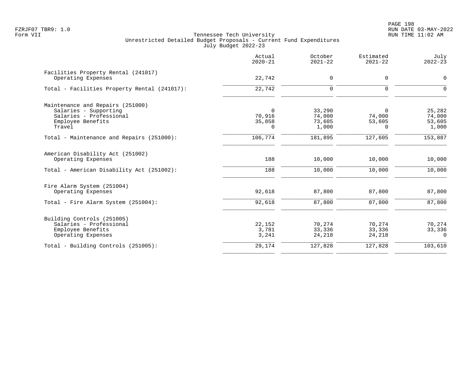PAGE 198 FZRJF07 TBR9: 1.0 RUN DATE 03-MAY-2022

|                                                                                                                     | Actual<br>$2020 - 21$             | October<br>$2021 - 22$              | Estimated<br>$2021 - 22$          | July<br>$2022 - 23$                 |
|---------------------------------------------------------------------------------------------------------------------|-----------------------------------|-------------------------------------|-----------------------------------|-------------------------------------|
| Facilities Property Rental (241017)<br>Operating Expenses                                                           | 22,742                            | 0                                   | 0                                 | $\mathbf 0$                         |
| Total - Facilities Property Rental (241017):                                                                        | 22,742                            | $\mathbf 0$                         | $\Omega$                          | $\Omega$                            |
| Maintenance and Repairs (251000)<br>Salaries - Supporting<br>Salaries - Professional<br>Employee Benefits<br>Travel | $\Omega$<br>70,916<br>35,858<br>0 | 33,290<br>74,000<br>73,605<br>1,000 | $\Omega$<br>74,000<br>53,605<br>0 | 25,282<br>74,000<br>53,605<br>1,000 |
| Total - Maintenance and Repairs (251000):                                                                           | 106,774                           | 181,895                             | 127,605                           | 153,887                             |
| American Disability Act (251002)<br>Operating Expenses                                                              | 188                               | 10,000                              | 10,000                            | 10,000                              |
| Total - American Disability Act (251002):                                                                           | 188                               | 10,000                              | 10,000                            | 10,000                              |
| Fire Alarm System (251004)<br>Operating Expenses                                                                    | 92,618                            | 87,800                              | 87,800                            | 87,800                              |
| Total - Fire Alarm System (251004):                                                                                 | 92,618                            | 87,800                              | 87,800                            | 87,800                              |
| Building Controls (251005)<br>Salaries - Professional<br>Employee Benefits<br>Operating Expenses                    | 22,152<br>3,781<br>3,241          | 70,274<br>33,336<br>24,218          | 70,274<br>33,336<br>24,218        | 70,274<br>33,336<br>$\Omega$        |
| Total - Building Controls (251005):                                                                                 | 29,174                            | 127,828                             | 127,828                           | 103,610                             |
|                                                                                                                     |                                   |                                     |                                   |                                     |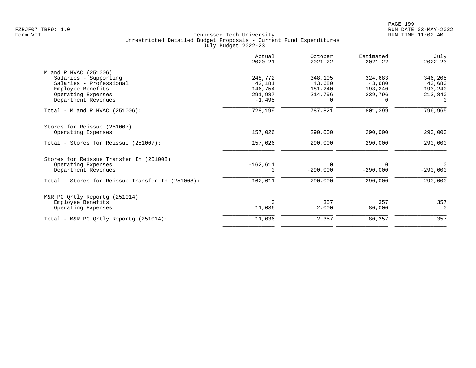| Actual<br>$2020 - 21$ | October<br>$2021 - 22$           | Estimated<br>$2021 - 22$ | July<br>$2022 - 23$ |
|-----------------------|----------------------------------|--------------------------|---------------------|
|                       |                                  |                          |                     |
| 248,772               | 348,105                          | 324,683                  | 346,205             |
| 42,181                | 43,680                           | 43,680                   | 43,680              |
| 146,754               | 181,240                          | 193,240                  | 193,240             |
| 291,987               | 214,796                          | 239,796                  | 213,840             |
| $-1,495$              | $\Omega$                         | 0                        | $\Omega$            |
| 728,199               | 787,821                          | 801,399                  | 796,965             |
|                       |                                  |                          |                     |
| 157,026               | 290,000                          | 290,000                  | 290,000             |
| 157,026               | 290,000                          | 290,000                  | 290,000             |
|                       |                                  |                          |                     |
|                       | $\Omega$                         | 0                        | $\Omega$            |
| $\Omega$              | $-290,000$                       | $-290,000$               | $-290,000$          |
| $-162,611$            | $-290,000$                       | $-290,000$               | $-290,000$          |
|                       |                                  |                          |                     |
|                       |                                  |                          | 357                 |
| 11,036                | 2,000                            | 80,000                   | $\Omega$            |
|                       |                                  |                          | 357                 |
|                       | $-162,611$<br>$\Omega$<br>11,036 | 357<br>2,357             | 357<br>80,357       |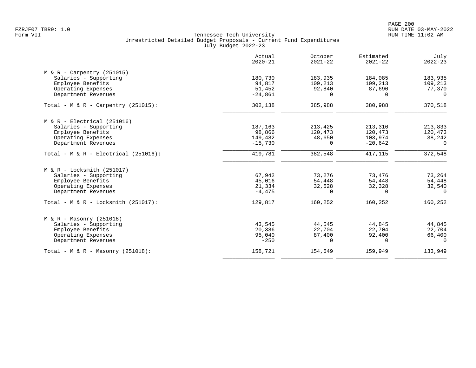|                                         | Actual<br>$2020 - 21$ | October<br>$2021 - 22$ | Estimated<br>$2021 - 22$ | July<br>$2022 - 23$ |
|-----------------------------------------|-----------------------|------------------------|--------------------------|---------------------|
| $M & R - Carpentry (251015)$            |                       |                        |                          |                     |
| Salaries - Supporting                   | 180,730               | 183,935                | 184,085                  | 183,935             |
| Employee Benefits                       | 94,817                | 109,213                | 109,213                  | 109,213             |
| Operating Expenses                      | 51,452                | 92,840                 | 87,690                   | 77,370              |
| Department Revenues                     | $-24,861$             | $\Omega$               | $\Omega$                 | $\Omega$            |
| Total - M & R - Carpentry (251015):     | 302,138               | 385,988                | 380,988                  | 370,518             |
| $M & R - Electrical (251016)$           |                       |                        |                          |                     |
| Salaries - Supporting                   | 187,163               | 213,425                | 213,310                  | 213,833             |
| Employee Benefits                       | 98,866                | 120,473                | 120,473                  | 120,473             |
| Operating Expenses                      | 149,482               | 48,650                 | 103,974                  | 38,242              |
| Department Revenues                     | $-15,730$             | $\Omega$               | $-20,642$                | $\Omega$            |
| Total - $M & R - Electrical (251016)$ : | 419,781               | 382,548                | 417,115                  | 372,548             |
| $M & R - Locksmith (251017)$            |                       |                        |                          |                     |
| Salaries - Supporting                   | 67,942                | 73,276                 | 73,476                   | 73,264              |
| Employee Benefits                       | 45,016                | 54,448                 | 54,448                   | 54,448              |
| Operating Expenses                      | 21,334                | 32,528                 | 32,328                   | 32,540              |
| Department Revenues                     | $-4,475$              | $\Omega$               | $\Omega$                 | $\cap$              |
| Total - M & R - Locksmith $(251017)$ :  | 129,817               | 160,252                | 160,252                  | 160,252             |
| $M & R - Massonry (251018)$             |                       |                        |                          |                     |
| Salaries - Supporting                   | 43,545                | 44,545                 | 44,845                   | 44,845              |
| Employee Benefits                       | 20,386                | 22,704                 | 22,704                   | 22,704              |
| Operating Expenses                      | 95,040                | 87,400                 | 92,400                   | 66,400              |
| Department Revenues                     | $-250$                | $\Omega$               | $\Omega$                 | $\Omega$            |
| Total - M & R - Masonry $(251018)$ :    | 158,721               | 154,649                | 159,949                  | 133,949             |
|                                         |                       |                        |                          |                     |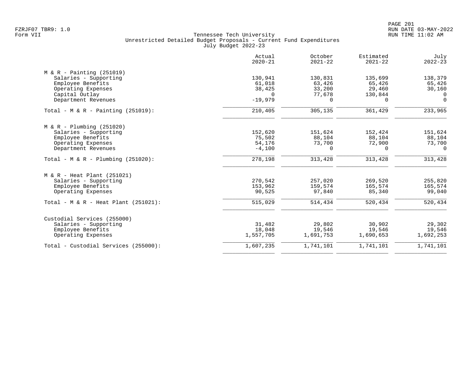|                                        | Actual<br>$2020 - 21$ | October<br>$2021 - 22$ | Estimated<br>$2021 - 22$ | July<br>$2022 - 23$ |
|----------------------------------------|-----------------------|------------------------|--------------------------|---------------------|
| $M & R -$ Painting (251019)            |                       |                        |                          |                     |
| Salaries - Supporting                  | 130,941               | 130,831                | 135,699                  | 138,379             |
| Employee Benefits                      | 61,018                | 63,426                 | 65,426                   | 65,426              |
| Operating Expenses                     | 38,425                | 33,200                 | 29,460                   | 30,160              |
| Capital Outlay                         | $\Omega$              | 77,678                 | 130,844                  | $\overline{0}$      |
| Department Revenues                    | $-19,979$             | $\Omega$               | $\Omega$                 | $\mathbf 0$         |
| Total - M & R - Painting $(251019)$ :  | 210,405               | 305,135                | 361,429                  | 233,965             |
| $M & R - Plumbing (251020)$            |                       |                        |                          |                     |
| Salaries - Supporting                  | 152,620               | 151,624                | 152,424                  | 151,624             |
| Employee Benefits                      | 75,502                | 88,104                 | 88,104                   | 88,104              |
| Operating Expenses                     | 54,176                | 73,700                 | 72,900                   | 73,700              |
| Department Revenues                    | $-4,100$              | 0                      | 0                        | 0                   |
| Total - M & R - Plumbing $(251020)$ :  | 278,198               | 313,428                | 313,428                  | 313,428             |
| M & R - Heat Plant (251021)            |                       |                        |                          |                     |
| Salaries - Supporting                  | 270,542               | 257,020                | 269,520                  | 255,820             |
| Employee Benefits                      | 153,962               | 159,574                | 165,574                  | 165,574             |
| Operating Expenses                     | 90,525                | 97,840                 | 85,340                   | 99,040              |
| Total - $M & R$ - Heat Plant (251021): | 515,029               | 514,434                | 520,434                  | 520,434             |
| Custodial Services (255000)            |                       |                        |                          |                     |
| Salaries - Supporting                  | 31,482                | 29,802                 | 30,902                   | 29,302              |
| Employee Benefits                      | 18,048                | 19,546                 | 19,546                   | 19,546              |
| Operating Expenses                     | 1,557,705             | 1,691,753              | 1,690,653                | 1,692,253           |
| Total - Custodial Services (255000):   | 1,607,235             | 1,741,101              | 1,741,101                | 1,741,101           |
|                                        |                       |                        |                          |                     |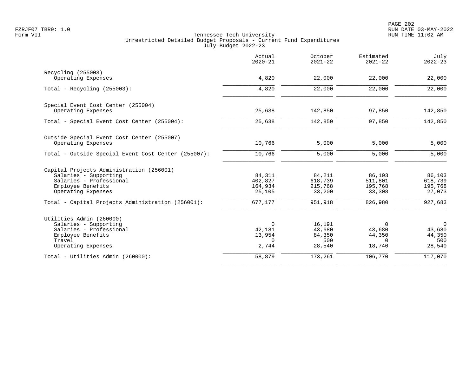|                                                     | Actual<br>$2020 - 21$ | October<br>$2021 - 22$ | Estimated<br>$2021 - 22$ | July<br>$2022 - 23$ |
|-----------------------------------------------------|-----------------------|------------------------|--------------------------|---------------------|
| Recycling (255003)                                  |                       |                        |                          |                     |
| Operating Expenses                                  | 4,820                 | 22,000                 | 22,000                   | 22,000              |
| Total - Recycling $(255003)$ :                      | 4,820                 | 22,000                 | 22,000                   | 22,000              |
| Special Event Cost Center (255004)                  |                       |                        |                          |                     |
| Operating Expenses                                  | 25,638                | 142,850                | 97,850                   | 142,850             |
| Total - Special Event Cost Center (255004):         | 25,638                | 142,850                | 97,850                   | 142,850             |
| Outside Special Event Cost Center (255007)          |                       |                        |                          |                     |
| Operating Expenses                                  | 10,766                | 5,000                  | 5,000                    | 5,000               |
| Total - Outside Special Event Cost Center (255007): | 10,766                | 5,000                  | 5,000                    | 5,000               |
| Capital Projects Administration (256001)            |                       |                        |                          |                     |
| Salaries - Supporting                               | 84,311                | 84,211                 | 86,103                   | 86,103              |
| Salaries - Professional<br>Employee Benefits        | 402,827<br>164,934    | 618,739<br>215,768     | 511,801<br>195,768       | 618,739<br>195,768  |
| Operating Expenses                                  | 25,105                | 33,200                 | 33,308                   | 27,073              |
| Total - Capital Projects Administration (256001):   | 677,177               | 951,918                | 826,980                  | 927,683             |
| Utilities Admin (260000)                            |                       |                        |                          |                     |
| Salaries - Supporting                               | 0                     | 16,191                 | 0                        | $\overline{0}$      |
| Salaries - Professional                             | 42,181                | 43,680                 | 43,680                   | 43,680              |
| Employee Benefits                                   | 13,954                | 84,350                 | 44,350                   | 44,350              |
| Travel<br>Operating Expenses                        | $\Omega$<br>2,744     | 500<br>28,540          | $\Omega$<br>18,740       | 500<br>28,540       |
| Total - Utilities Admin (260000):                   | 58,879                | 173,261                | 106,770                  | 117,070             |
|                                                     |                       |                        |                          |                     |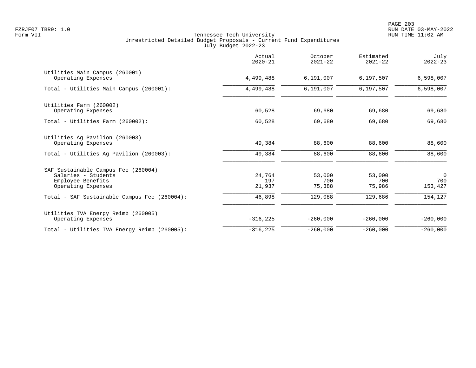|                                                                                                       | Actual<br>$2020 - 21$   | October<br>$2021 - 22$  | Estimated<br>$2021 - 22$ | July<br>$2022 - 23$              |
|-------------------------------------------------------------------------------------------------------|-------------------------|-------------------------|--------------------------|----------------------------------|
| Utilities Main Campus (260001)<br>Operating Expenses                                                  | 4,499,488               | 6,191,007               | 6,197,507                | 6,598,007                        |
| Total - Utilities Main Campus (260001):                                                               | 4,499,488               | 6,191,007               | 6,197,507                | 6,598,007                        |
| Utilities Farm (260002)<br>Operating Expenses                                                         | 60,528                  | 69,680                  | 69,680                   | 69,680                           |
| Total - Utilities Farm (260002):                                                                      | 60,528                  | 69,680                  | 69,680                   | 69,680                           |
| Utilities Ag Pavilion (260003)<br>Operating Expenses                                                  | 49,384                  | 88,600                  | 88,600                   | 88,600                           |
| Total - Utilities Aq Pavilion (260003):                                                               | 49,384                  | 88,600                  | 88,600                   | 88,600                           |
| SAF Sustainable Campus Fee (260004)<br>Salaries - Students<br>Employee Benefits<br>Operating Expenses | 24,764<br>197<br>21,937 | 53,000<br>700<br>75,388 | 53,000<br>700<br>75,986  | $\overline{0}$<br>700<br>153,427 |
| Total - SAF Sustainable Campus Fee (260004):                                                          | 46,898                  | 129,088                 | 129,686                  | 154,127                          |
| Utilities TVA Energy Reimb (260005)<br>Operating Expenses                                             | $-316, 225$             | $-260,000$              | $-260,000$               | $-260,000$                       |
| Total - Utilities TVA Energy Reimb (260005):                                                          | $-316, 225$             | $-260,000$              | $-260,000$               | $-260,000$                       |
|                                                                                                       |                         |                         |                          |                                  |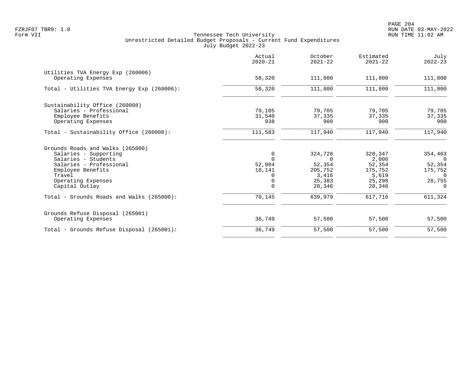PAGE 204 FZRJF07 TBR9: 1.0 RUN DATE 03-MAY-2022

|                                            | Actual<br>$2020 - 21$ | October<br>$2021 - 22$ | Estimated<br>$2021 - 22$ | July<br>$2022 - 23$ |
|--------------------------------------------|-----------------------|------------------------|--------------------------|---------------------|
| Utilities TVA Energy Exp (260006)          |                       |                        |                          |                     |
| Operating Expenses                         | 58,320                | 111,800                | 111,800                  | 111,800             |
| Total - Utilities TVA Energy Exp (260006): | 58,320                | 111,800                | 111,800                  | 111,800             |
| Sustainability Office (260008)             |                       |                        |                          |                     |
| Salaries - Professional                    | 79,105                | 79,705                 | 79,705                   | 79,705              |
| Employee Benefits                          | 31,540                | 37,335                 | 37,335                   | 37,335              |
| Operating Expenses                         | 938                   | 900                    | 900                      | 900                 |
| Total - Sustainability Office (260008):    | 111,583               | 117,940                | 117,940                  | 117,940             |
| Grounds Roads and Walks (265000)           |                       |                        |                          |                     |
| Salaries - Supporting                      | $\mathbf 0$           | 324,728                | 328,347                  | 354,463             |
| Salaries - Students                        | $\Omega$              | $\Omega$               | 2,000                    | $\cap$              |
| Salaries - Professional                    | 52,004                | 52,354                 | 52,354                   | 52,354              |
| Employee Benefits                          | 18,141                | 205,752                | 175,752                  | 175,752             |
| Travel                                     | 0                     | 3,416                  | 5,619                    | $\overline{0}$      |
| Operating Expenses                         | $\mathbf 0$           | 25,383                 | 25,298                   | 28,755              |
| Capital Outlay                             | $\Omega$              | 28,346                 | 28,346                   | $\Omega$            |
| Total - Grounds Roads and Walks (265000):  | 70,145                | 639,979                | 617,716                  | 611,324             |
| Grounds Refuse Disposal (265001)           |                       |                        |                          |                     |
| Operating Expenses                         | 36,749                | 57,500                 | 57,500                   | 57,500              |
| Total - Grounds Refuse Disposal (265001):  | 36,749                | 57,500                 | 57,500                   | 57,500              |
|                                            |                       |                        |                          |                     |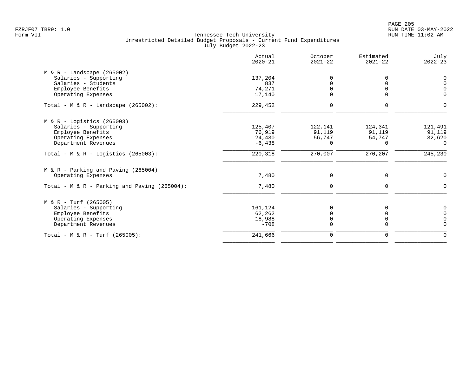|                                              | Actual<br>$2020 - 21$ | October<br>$2021 - 22$ | Estimated<br>$2021 - 22$ | July<br>$2022 - 23$ |
|----------------------------------------------|-----------------------|------------------------|--------------------------|---------------------|
| $M & R -$ Landscape (265002)                 |                       |                        |                          |                     |
| Salaries - Supporting                        | 137,204               |                        | O                        | $\Omega$            |
| Salaries - Students                          | 837                   |                        | U                        | $\Omega$            |
| Employee Benefits                            | 74,271                |                        |                          |                     |
| Operating Expenses                           | 17,140                | $\Omega$               | $\Omega$                 | $\Omega$            |
| Total - M & R - Landscape $(265002)$ :       | 229,452               | $\mathbf 0$            | $\mathbf 0$              |                     |
| $M & R -$ Logistics (265003)                 |                       |                        |                          |                     |
| Salaries - Supporting                        | 125,407               | 122,141                | 124,341                  | 121,491             |
| Employee Benefits                            | 76,919                | 91,119                 | 91,119                   | 91,119              |
| Operating Expenses                           | 24,430                | 56,747                 | 54,747                   | 32,620              |
| Department Revenues                          | $-6,438$              | $\Omega$               | $\Omega$                 | $\Omega$            |
| Total - M & R - Logistics (265003):          | 220,318               | 270,007                | 270,207                  | 245,230             |
| $M & R - Parking$ and Paving (265004)        |                       |                        |                          |                     |
| Operating Expenses                           | 7,480                 | 0                      | 0                        | $\Omega$            |
| Total - M & R - Parking and Paving (265004): | 7,480                 | $\Omega$               | $\Omega$                 | $\Omega$            |
| $M & R - Turf (265005)$                      |                       |                        |                          |                     |
| Salaries - Supporting                        | 161,124               |                        |                          |                     |
| Employee Benefits                            | 62,262                |                        |                          |                     |
| Operating Expenses                           | 18,988                | $\Omega$               | $\Omega$                 | $\cap$              |
| Department Revenues                          | $-708$                | $\Omega$               | $\Omega$                 | $\Omega$            |
| Total - M & R - Turf (265005):               | 241,666               | $\mathbf 0$            | $\mathbf 0$              | $\Omega$            |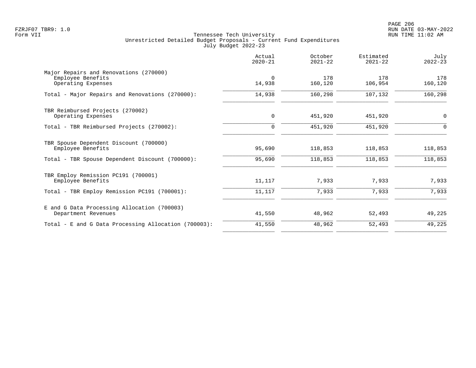PAGE 206 FZRJF07 TBR9: 1.0 RUN DATE 03-MAY-2022

|                                                                                   | Actual<br>$2020 - 21$ | October<br>$2021 - 22$ | Estimated<br>$2021 - 22$ | July<br>$2022 - 23$ |
|-----------------------------------------------------------------------------------|-----------------------|------------------------|--------------------------|---------------------|
| Major Repairs and Renovations (270000)<br>Employee Benefits<br>Operating Expenses | $\Omega$<br>14,938    | 178<br>160,120         | 178<br>106,954           | 178<br>160,120      |
| Total - Major Repairs and Renovations (270000):                                   | 14,938                | 160,298                | 107,132                  | 160,298             |
| TBR Reimbursed Projects (270002)<br>Operating Expenses                            | 0                     | 451,920                | 451,920                  | 0                   |
| Total - TBR Reimbursed Projects (270002):                                         | $\Omega$              | 451,920                | 451,920                  | ∩                   |
| TBR Spouse Dependent Discount (700000)<br>Employee Benefits                       | 95,690                | 118,853                | 118,853                  | 118,853             |
| Total - TBR Spouse Dependent Discount (700000):                                   | 95,690                | 118,853                | 118,853                  | 118,853             |
| TBR Employ Remission PC191 (700001)<br>Employee Benefits                          | 11,117                | 7,933                  | 7,933                    | 7,933               |
| Total - TBR Employ Remission PC191 (700001):                                      | 11,117                | 7,933                  | 7,933                    | 7,933               |
| E and G Data Processing Allocation (700003)<br>Department Revenues                | 41,550                | 48,962                 | 52,493                   | 49,225              |
| Total - E and G Data Processing Allocation (700003):                              | 41,550                | 48,962                 | 52,493                   | 49,225              |
|                                                                                   |                       |                        |                          |                     |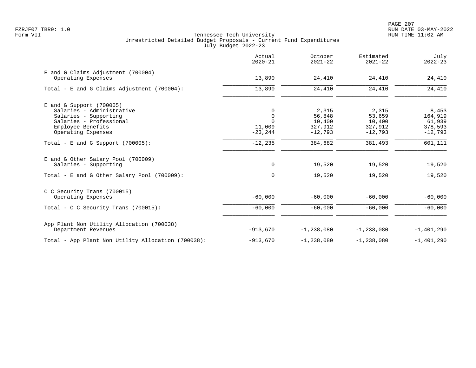|                                                                                                                                                        | Actual<br>$2020 - 21$                                | October<br>$2021 - 22$                            | Estimated<br>$2021 - 22$                          | July<br>$2022 - 23$                                |
|--------------------------------------------------------------------------------------------------------------------------------------------------------|------------------------------------------------------|---------------------------------------------------|---------------------------------------------------|----------------------------------------------------|
| E and G Claims Adjustment (700004)<br>Operating Expenses                                                                                               | 13,890                                               | 24,410                                            | 24,410                                            | 24,410                                             |
| Total - E and G Claims Adjustment (700004):                                                                                                            | 13,890                                               | 24,410                                            | 24,410                                            | 24,410                                             |
| $E$ and G Support (700005)<br>Salaries - Administrative<br>Salaries - Supporting<br>Salaries - Professional<br>Employee Benefits<br>Operating Expenses | 0<br>$\mathbf 0$<br>$\Omega$<br>11,009<br>$-23, 244$ | 2,315<br>56,848<br>10,400<br>327,912<br>$-12,793$ | 2,315<br>53,659<br>10,400<br>327,912<br>$-12,793$ | 8,453<br>164,919<br>61,939<br>378,593<br>$-12,793$ |
| Total - E and G Support $(700005)$ :                                                                                                                   | $-12, 235$                                           | 384,682                                           | 381,493                                           | 601,111                                            |
| E and G Other Salary Pool (700009)<br>Salaries - Supporting<br>Total - E and G Other Salary Pool (700009):                                             | 0<br>$\mathbf 0$                                     | 19,520<br>19,520                                  | 19,520<br>19,520                                  | 19,520<br>19,520                                   |
| C C Security Trans (700015)<br>Operating Expenses                                                                                                      | $-60,000$                                            | $-60,000$                                         | $-60,000$                                         | $-60,000$                                          |
| Total - C C Security Trans $(700015)$ :                                                                                                                | $-60,000$                                            | $-60,000$                                         | $-60,000$                                         | $-60,000$                                          |
| App Plant Non Utility Allocation (700038)<br>Department Revenues                                                                                       | $-913,670$                                           | $-1, 238, 080$                                    | $-1,238,080$                                      | $-1,401,290$                                       |
| Total - App Plant Non Utility Allocation (700038):                                                                                                     | $-913,670$                                           | $-1, 238, 080$                                    | $-1, 238, 080$                                    | $-1,401,290$                                       |
|                                                                                                                                                        |                                                      |                                                   |                                                   |                                                    |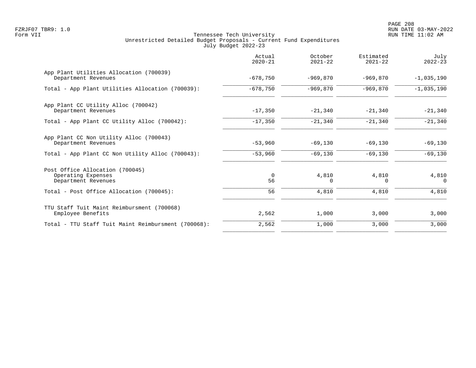PAGE 208 FZRJF07 TBR9: 1.0 RUN DATE 03-MAY-2022

|                                                                              | Actual<br>$2020 - 21$ | October<br>$2021 - 22$ | Estimated<br>$2021 - 22$ | July<br>$2022 - 23$ |
|------------------------------------------------------------------------------|-----------------------|------------------------|--------------------------|---------------------|
| App Plant Utilities Allocation (700039)<br>Department Revenues               | $-678,750$            | $-969.870$             | $-969.870$               | $-1,035,190$        |
| Total - App Plant Utilities Allocation (700039):                             | $-678,750$            | $-969.870$             | $-969.870$               | $-1,035,190$        |
| App Plant CC Utility Alloc (700042)<br>Department Revenues                   | $-17,350$             | $-21,340$              | $-21,340$                | $-21,340$           |
| Total - App Plant CC Utility Alloc (700042):                                 | $-17,350$             | $-21,340$              | $-21,340$                | $-21,340$           |
| App Plant CC Non Utility Alloc (700043)<br>Department Revenues               | $-53,960$             | $-69,130$              | $-69,130$                | $-69,130$           |
| Total - App Plant CC Non Utility Alloc (700043):                             | $-53,960$             | $-69,130$              | $-69,130$                | $-69,130$           |
| Post Office Allocation (700045)<br>Operating Expenses<br>Department Revenues | 0<br>56               | 4,810<br>0             | 4,810<br>0               | 4,810<br>0          |
| Total - Post Office Allocation (700045):                                     | 56                    | 4,810                  | 4,810                    | 4,810               |
| TTU Staff Tuit Maint Reimbursment (700068)<br>Employee Benefits              | 2,562                 | 1,000                  | 3,000                    | 3,000               |
| Total - TTU Staff Tuit Maint Reimbursment (700068):                          | 2,562                 | 1,000                  | 3,000                    | 3,000               |
|                                                                              |                       |                        |                          |                     |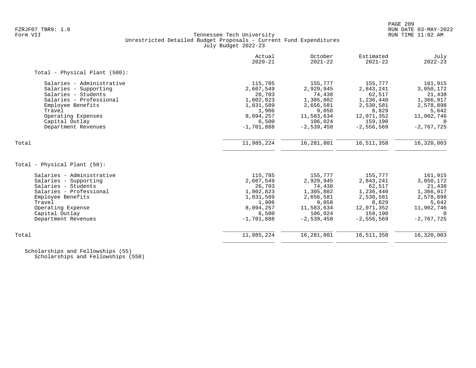# FZRJF07 TBR9: 1.0 RUN DATE 03-MAY-2022 Tennessee Tech University Unrestricted Detailed Budget Proposals - Current Fund Expenditures July Budget 2022-23

|                               | Actual<br>$2020 - 21$ | October<br>$2021 - 22$ | Estimated<br>$2021 - 22$ | July<br>$2022 - 23$ |
|-------------------------------|-----------------------|------------------------|--------------------------|---------------------|
| Total - Physical Plant (500): |                       |                        |                          |                     |
| Salaries - Administrative     | 115,785               | 155,777                | 155,777                  | 161,915             |
| Salaries - Supporting         | 2,607,549             | 2,929,945              | 2,843,241                | 3,050,172           |
| Salaries - Students           | 26,703                | 74,438                 | 62,517                   | 21,438              |
| Salaries - Professional       | 1,002,823             | 1,305,802              | 1,236,440                | 1,366,917           |
| Employee Benefits             | 1,831,589             | 2,656,581              | 2,530,581                | 2,578,898           |
| Travel                        | 1,906                 | 9,058                  | 8,829                    | 5,642               |
| Operating Expenses            | 8,094,257             | 11,583,634             | 12,071,352               | 11,902,746          |
| Capital Outlay                | 6,500                 | 106,024                | 159,190                  | $\Omega$            |
| Department Revenues           | $-1,701,888$          | $-2,539,458$           | $-2,556,569$             | $-2,767,725$        |
| Total                         | 11,985,224            | 16,281,801             | 16,511,358               | 16,320,003          |
|                               |                       |                        |                          |                     |
| Total - Physical Plant (50):  |                       |                        |                          |                     |
| Salaries - Administrative     | 115,785               | 155,777                | 155,777                  | 161,915             |
| Salaries - Supporting         | 2,607,549             | 2,929,945              | 2,843,241                | 3,050,172           |
| Salaries - Students           | 26,703                | 74,438                 | 62,517                   | 21,438              |
| Salaries - Professional       | 1,002,823             | 1,305,802              | 1,236,440                | 1,366,917           |
| Employee Benefits             | 1,831,589             | 2,656,581              | 2,530,581                | 2,578,898           |
| Travel                        | 1,906                 | 9,058                  | 8,829                    | 5,642               |
| Operating Expense             | 8,094,257             | 11,583,634             | 12,071,352               | 11,902,746          |
| Capital Outlay                | 6,500                 | 106,024                | 159,190                  | $\Omega$            |
| Department Revenues           | $-1,701,888$          | $-2,539,458$           | $-2,556,569$             | $-2,767,725$        |
| Total                         | 11,985,224            | 16,281,801             | 16,511,358               | 16,320,003          |
|                               |                       |                        |                          |                     |

 Scholarships and Fellowships (55) Scholarships and Fellowships (550)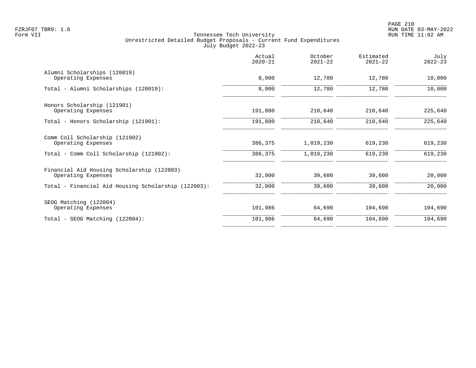|                                                                  | Actual<br>$2020 - 21$ | October<br>$2021 - 22$ | Estimated<br>$2021 - 22$ | July<br>$2022 - 23$ |
|------------------------------------------------------------------|-----------------------|------------------------|--------------------------|---------------------|
| Alumni Scholarships (120019)<br>Operating Expenses               | 8,000                 | 12,780                 | 12,780                   | 10,000              |
| Total - Alumni Scholarships (120019):                            | 8,000                 | 12,780                 | 12,780                   | 10,000              |
| Honors Scholarship (121901)<br>Operating Expenses                | 191,880               | 210,640                | 210,640                  | 225,640             |
| Total - Honors Scholarship (121901):                             | 191,880               | 210,640                | 210,640                  | 225,640             |
| Comm Coll Scholarship (121902)<br>Operating Expenses             | 386,375               | 1,019,230              | 619,230                  | 619,230             |
| Total - Comm Coll Scholarship (121902):                          | 386,375               | 1,019,230              | 619,230                  | 619,230             |
| Financial Aid Housing Scholarship (122003)<br>Operating Expenses | 32,000                | 39,600                 | 39,600                   | 20,000              |
| Total - Financial Aid Housing Scholarship (122003):              | 32,000                | 39,600                 | 39,600                   | 20,000              |
| SEOG Matching (122004)<br>Operating Expenses                     | 101,986               | 64,690                 | 104,690                  | 104,690             |
| Total - SEOG Matching (122004):                                  | 101,986               | 64,690                 | 104,690                  | 104,690             |
|                                                                  |                       |                        |                          |                     |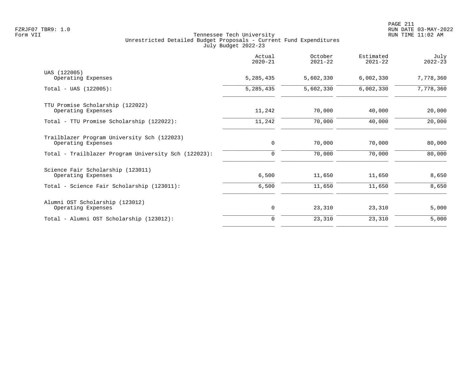|                                                      | Actual<br>$2020 - 21$ | October<br>$2021 - 22$ | Estimated<br>$2021 - 22$ | July<br>$2022 - 23$ |
|------------------------------------------------------|-----------------------|------------------------|--------------------------|---------------------|
| UAS (122005)                                         |                       |                        |                          |                     |
| Operating Expenses                                   | 5,285,435             | 5,602,330              | 6,002,330                | 7,778,360           |
| $Total - UAS (122005):$                              | 5, 285, 435           | 5,602,330              | 6,002,330                | 7,778,360           |
| TTU Promise Scholarship (122022)                     |                       |                        |                          |                     |
| Operating Expenses                                   | 11,242                | 70,000                 | 40,000                   | 20,000              |
| Total - TTU Promise Scholarship (122022):            | 11,242                | 70,000                 | 40,000                   | 20,000              |
| Trailblazer Program University Sch (122023)          |                       |                        |                          |                     |
| Operating Expenses                                   | 0                     | 70,000                 | 70,000                   | 80,000              |
| Total - Trailblazer Program University Sch (122023): | 0                     | 70,000                 | 70,000                   | 80,000              |
| Science Fair Scholarship (123011)                    |                       |                        |                          |                     |
| Operating Expenses                                   | 6,500                 | 11,650                 | 11,650                   | 8,650               |
| Total - Science Fair Scholarship (123011):           | 6,500                 | 11,650                 | 11,650                   | 8,650               |
| Alumni OST Scholarship (123012)                      |                       |                        |                          |                     |
| Operating Expenses                                   | 0                     | 23,310                 | 23,310                   | 5,000               |
| Total - Alumni OST Scholarship (123012):             | $\Omega$              | 23,310                 | 23,310                   | 5,000               |
|                                                      |                       |                        |                          |                     |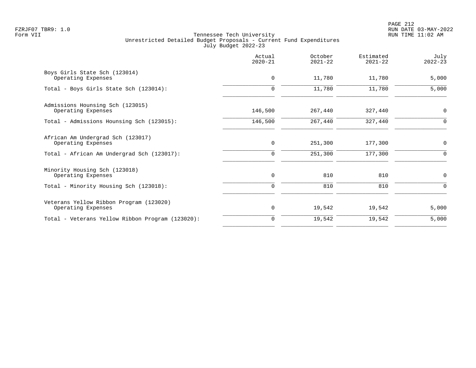PAGE 212 FZRJF07 TBR9: 1.0 RUN DATE 03-MAY-2022

|                                                               | Actual<br>$2020 - 21$ | October<br>$2021 - 22$ | Estimated<br>$2021 - 22$ | July<br>$2022 - 23$ |
|---------------------------------------------------------------|-----------------------|------------------------|--------------------------|---------------------|
| Boys Girls State Sch (123014)<br>Operating Expenses           | $\mathbf 0$           | 11,780                 | 11,780                   | 5,000               |
| Total - Boys Girls State Sch (123014):                        | $\mathbf 0$           | 11,780                 | 11,780                   | 5,000               |
| Admissions Hounsing Sch (123015)<br>Operating Expenses        | 146,500               | 267,440                | 327,440                  | $\mathbf 0$         |
| Total - Admissions Hounsing Sch (123015):                     | 146,500               | 267,440                | 327,440                  | 0                   |
| African Am Undergrad Sch (123017)<br>Operating Expenses       | $\mathbf 0$           | 251,300                | 177,300                  | $\mathbf 0$         |
| Total - African Am Undergrad Sch (123017):                    | 0                     | 251,300                | 177,300                  | 0                   |
| Minority Housing Sch (123018)<br>Operating Expenses           | 0                     | 810                    | 810                      | 0                   |
| Total - Minority Housing Sch (123018):                        | $\Omega$              | 810                    | 810                      | $\Omega$            |
| Veterans Yellow Ribbon Program (123020)<br>Operating Expenses | 0                     | 19,542                 | 19,542                   | 5,000               |
| Total - Veterans Yellow Ribbon Program (123020):              | $\Omega$              | 19,542                 | 19,542                   | 5,000               |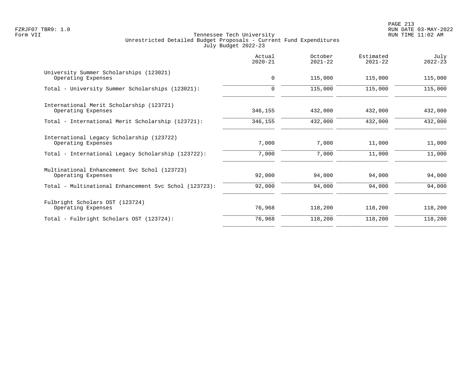PAGE 213 FZRJF07 TBR9: 1.0 RUN DATE 03-MAY-2022

|                                                                    | Actual<br>$2020 - 21$ | October<br>$2021 - 22$ | Estimated<br>$2021 - 22$ | July<br>$2022 - 23$ |
|--------------------------------------------------------------------|-----------------------|------------------------|--------------------------|---------------------|
| University Summer Scholarships (123021)<br>Operating Expenses      | $\mathbf 0$           | 115,000                | 115,000                  | 115,000             |
| Total - University Summer Scholarships (123021):                   | $\mathbf 0$           | 115,000                | 115,000                  | 115,000             |
| International Merit Scholarship (123721)<br>Operating Expenses     | 346,155               | 432,000                | 432,000                  | 432,000             |
| Total - International Merit Scholarship (123721):                  | 346,155               | 432,000                | 432,000                  | 432,000             |
| International Legacy Scholarship (123722)<br>Operating Expenses    | 7,000                 | 7,000                  | 11,000                   | 11,000              |
| Total - International Legacy Scholarship (123722):                 | 7,000                 | 7,000                  | 11,000                   | 11,000              |
| Multinational Enhancement Svc Schol (123723)<br>Operating Expenses | 92,000                | 94,000                 | 94,000                   | 94,000              |
| Total - Multinational Enhancement Svc Schol (123723):              | 92,000                | 94,000                 | 94,000                   | 94,000              |
| Fulbright Scholars OST (123724)<br>Operating Expenses              | 76,968                | 118,200                | 118,200                  | 118,200             |
| Total - Fulbright Scholars OST (123724):                           | 76,968                | 118,200                | 118,200                  | 118,200             |
|                                                                    |                       |                        |                          |                     |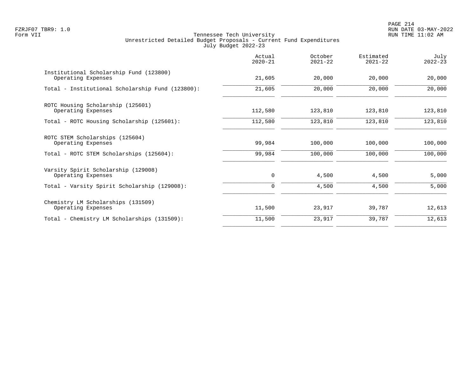PAGE 214 FZRJF07 TBR9: 1.0 RUN DATE 03-MAY-2022

|                                                               | Actual<br>$2020 - 21$ | October<br>$2021 - 22$ | Estimated<br>$2021 - 22$ | July<br>$2022 - 23$ |
|---------------------------------------------------------------|-----------------------|------------------------|--------------------------|---------------------|
| Institutional Scholarship Fund (123800)<br>Operating Expenses | 21,605                | 20,000                 | 20,000                   | 20,000              |
| Total - Institutional Scholarship Fund (123800):              | 21,605                | 20,000                 | 20,000                   | 20,000              |
| ROTC Housing Scholarship (125601)<br>Operating Expenses       | 112,580               | 123,810                | 123,810                  | 123,810             |
| Total - ROTC Housing Scholarship (125601):                    | 112,580               | 123,810                | 123,810                  | 123,810             |
| ROTC STEM Scholarships (125604)<br>Operating Expenses         | 99,984                | 100,000                | 100,000                  | 100,000             |
| Total - ROTC STEM Scholarships (125604):                      | 99,984                | 100,000                | 100,000                  | 100,000             |
| Varsity Spirit Scholarship (129008)<br>Operating Expenses     | $\mathbf 0$           | 4,500                  | 4,500                    | 5,000               |
| Total - Varsity Spirit Scholarship (129008):                  | 0                     | 4,500                  | 4,500                    | 5,000               |
| Chemistry LM Scholarships (131509)<br>Operating Expenses      | 11,500                | 23,917                 | 39,787                   | 12,613              |
| Total - Chemistry LM Scholarships (131509):                   | 11,500                | 23,917                 | 39,787                   | 12,613              |
|                                                               |                       |                        |                          |                     |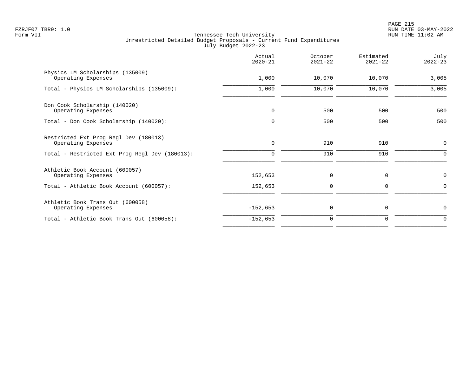| Actual<br>$2020 - 21$ | October<br>$2021 - 22$ | Estimated<br>$2021 - 22$ | July<br>$2022 - 23$ |
|-----------------------|------------------------|--------------------------|---------------------|
| 1,000                 | 10,070                 | 10,070                   | 3,005               |
| 1,000                 | 10,070                 | 10,070                   | 3,005               |
| $\mathbf 0$           | 500                    | 500                      | 500                 |
| $\mathbf 0$           | 500                    | 500                      | 500                 |
| $\mathbf 0$           | 910                    | 910                      | $\mathbf 0$         |
| 0                     | 910                    | 910                      | 0                   |
| 152,653               | 0                      | 0                        | $\mathbf 0$         |
| 152,653               | 0                      | 0                        | $\Omega$            |
| $-152,653$            | 0                      | 0                        | $\mathbf 0$         |
| $-152,653$            | 0                      | 0                        | $\Omega$            |
|                       |                        |                          |                     |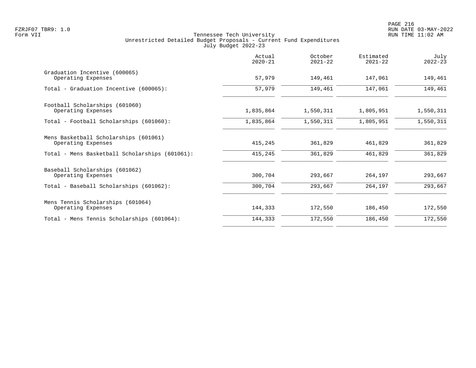|                                                             | Actual<br>$2020 - 21$ | October<br>$2021 - 22$ | Estimated<br>$2021 - 22$ | July<br>$2022 - 23$ |
|-------------------------------------------------------------|-----------------------|------------------------|--------------------------|---------------------|
| Graduation Incentive (600065)<br>Operating Expenses         | 57,979                | 149,461                | 147,061                  | 149,461             |
| Total - Graduation Incentive (600065):                      | 57,979                | 149,461                | 147,061                  | 149,461             |
| Football Scholarships (601060)                              |                       |                        |                          |                     |
| Operating Expenses                                          | 1,835,864             | 1,550,311              | 1,805,951                | 1,550,311           |
| Total - Football Scholarships (601060):                     | 1,835,864             | 1,550,311              | 1,805,951                | 1,550,311           |
| Mens Basketball Scholarships (601061)<br>Operating Expenses | 415,245               | 361,829                | 461,829                  | 361,829             |
| Total - Mens Basketball Scholarships (601061):              | 415,245               | 361,829                | 461,829                  | 361,829             |
| Baseball Scholarships (601062)                              |                       |                        |                          |                     |
| Operating Expenses                                          | 300,704               | 293,667                | 264,197                  | 293,667             |
| Total - Baseball Scholarships (601062):                     | 300,704               | 293,667                | 264,197                  | 293,667             |
| Mens Tennis Scholarships (601064)                           |                       |                        |                          |                     |
| Operating Expenses                                          | 144,333               | 172,550                | 186,450                  | 172,550             |
| Total - Mens Tennis Scholarships (601064):                  | 144,333               | 172,550                | 186,450                  | 172,550             |
|                                                             |                       |                        |                          |                     |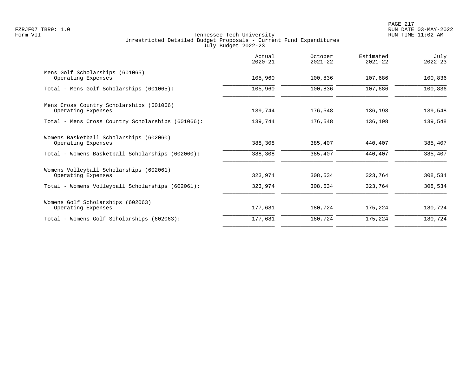|                                                                | Actual<br>$2020 - 21$ | October<br>$2021 - 22$ | Estimated<br>$2021 - 22$ | July<br>$2022 - 23$ |
|----------------------------------------------------------------|-----------------------|------------------------|--------------------------|---------------------|
| Mens Golf Scholarships (601065)<br>Operating Expenses          | 105,960               | 100,836                | 107,686                  | 100,836             |
| Total - Mens Golf Scholarships (601065):                       | 105,960               | 100,836                | 107,686                  | 100,836             |
| Mens Cross Country Scholarships (601066)<br>Operating Expenses | 139,744               | 176,548                | 136,198                  | 139,548             |
| Total - Mens Cross Country Scholarships (601066):              | 139,744               | 176,548                | 136,198                  | 139,548             |
| Womens Basketball Scholarships (602060)<br>Operating Expenses  | 388,308               | 385,407                | 440,407                  | 385,407             |
| Total - Womens Basketball Scholarships (602060):               | 388,308               | 385,407                | 440,407                  | 385,407             |
| Womens Volleyball Scholarships (602061)<br>Operating Expenses  | 323,974               | 308,534                | 323,764                  | 308,534             |
| Total - Womens Volleyball Scholarships (602061):               | 323,974               | 308,534                | 323,764                  | 308,534             |
| Womens Golf Scholarships (602063)<br>Operating Expenses        | 177,681               | 180,724                | 175,224                  | 180,724             |
| Total - Womens Golf Scholarships (602063):                     | 177,681               | 180,724                | 175,224                  | 180,724             |
|                                                                |                       |                        |                          |                     |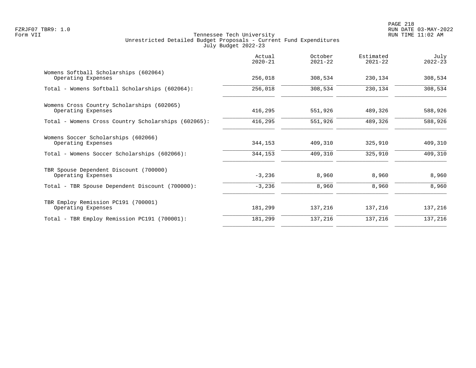| Actual<br>$2020 - 21$ | October<br>$2021 - 22$ | Estimated<br>$2021 - 22$ | July<br>$2022 - 23$ |
|-----------------------|------------------------|--------------------------|---------------------|
| 256,018               | 308,534                | 230,134                  | 308,534             |
| 256,018               | 308,534                | 230,134                  | 308,534             |
| 416,295               | 551,926                | 489,326                  | 588,926             |
| 416,295               | 551,926                | 489,326                  | 588,926             |
| 344,153               | 409,310                | 325,910                  | 409,310             |
| 344,153               | 409,310                | 325,910                  | 409,310             |
| $-3,236$              | 8,960                  | 8,960                    | 8,960               |
|                       |                        |                          | 8,960               |
| 181,299               | 137,216                | 137,216                  | 137,216             |
| 181,299               | 137,216                | 137,216                  | 137,216             |
|                       | $-3,236$               | 8,960                    | 8,960               |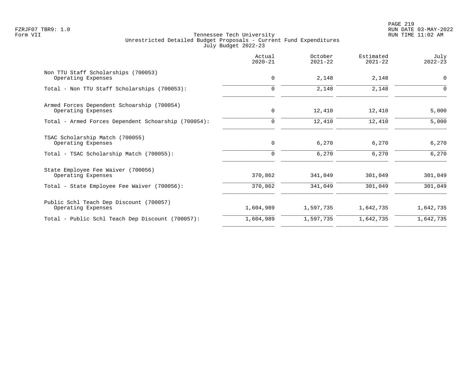|                                                                  | Actual<br>$2020 - 21$ | October<br>$2021 - 22$ | Estimated<br>$2021 - 22$ | July<br>$2022 - 23$ |
|------------------------------------------------------------------|-----------------------|------------------------|--------------------------|---------------------|
| Non TTU Staff Scholarships (700053)<br>Operating Expenses        | $\mathbf 0$           | 2,148                  | 2,148                    | $\mathbf 0$         |
| Total - Non TTU Staff Scholarships (700053):                     | 0                     | 2,148                  | 2,148                    | $\Omega$            |
| Armed Forces Dependent Schoarship (700054)<br>Operating Expenses | $\mathbf 0$           | 12,410                 | 12,410                   | 5,000               |
| Total - Armed Forces Dependent Schoarship (700054):              | 0                     | 12,410                 | 12,410                   | 5,000               |
| TSAC Scholarship Match (700055)<br>Operating Expenses            | 0                     | 6,270                  | 6,270                    | 6,270               |
| Total - TSAC Scholarship Match (700055):                         | 0                     | 6,270                  | 6,270                    | 6,270               |
| State Employee Fee Waiver (700056)<br>Operating Expenses         | 370,862               | 341,049                | 301,049                  | 301,049             |
| Total - State Employee Fee Waiver (700056):                      | 370,862               | 341,049                | 301,049                  | 301,049             |
| Public Schl Teach Dep Discount (700057)<br>Operating Expenses    | 1,604,989             | 1,597,735              | 1,642,735                | 1,642,735           |
| Total - Public Schl Teach Dep Discount (700057):                 | 1,604,989             | 1,597,735              | 1,642,735                | 1,642,735           |
|                                                                  |                       |                        |                          |                     |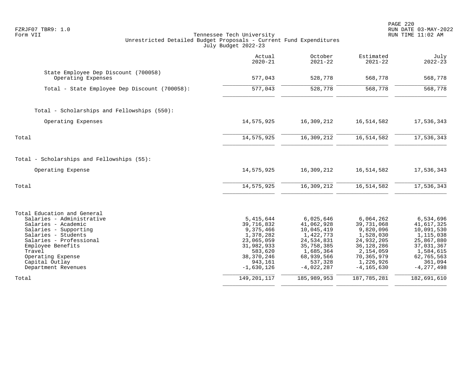| FZRJF07 TBR9: 1.0<br>Form VII<br>Unrestricted Detailed Budget Proposals - Current Fund Expenditures                                                                                                                                                     | Tennessee Tech University<br>July Budget 2022-23                                                                                      |                                                                                                                                      |                                                                                                                                         | RUN DATE 03-MAY-2022<br>RUN TIME 11:02 AM                                                                                              |
|---------------------------------------------------------------------------------------------------------------------------------------------------------------------------------------------------------------------------------------------------------|---------------------------------------------------------------------------------------------------------------------------------------|--------------------------------------------------------------------------------------------------------------------------------------|-----------------------------------------------------------------------------------------------------------------------------------------|----------------------------------------------------------------------------------------------------------------------------------------|
|                                                                                                                                                                                                                                                         | Actual<br>$2020 - 21$                                                                                                                 | October<br>$2021 - 22$                                                                                                               | Estimated<br>$2021 - 22$                                                                                                                | July<br>$2022 - 23$                                                                                                                    |
| State Employee Dep Discount (700058)<br>Operating Expenses                                                                                                                                                                                              | 577,043                                                                                                                               | 528,778                                                                                                                              | 568,778                                                                                                                                 | 568,778                                                                                                                                |
| Total - State Employee Dep Discount (700058):                                                                                                                                                                                                           | 577,043                                                                                                                               | 528,778                                                                                                                              | 568,778                                                                                                                                 | 568,778                                                                                                                                |
| Total - Scholarships and Fellowships (550):                                                                                                                                                                                                             |                                                                                                                                       |                                                                                                                                      |                                                                                                                                         |                                                                                                                                        |
| Operating Expenses                                                                                                                                                                                                                                      | 14,575,925                                                                                                                            | 16,309,212                                                                                                                           | 16,514,582                                                                                                                              | 17,536,343                                                                                                                             |
| Total                                                                                                                                                                                                                                                   | 14,575,925                                                                                                                            | 16,309,212                                                                                                                           | 16,514,582                                                                                                                              | 17,536,343                                                                                                                             |
| Total - Scholarships and Fellowships (55):                                                                                                                                                                                                              |                                                                                                                                       |                                                                                                                                      |                                                                                                                                         |                                                                                                                                        |
| Operating Expense                                                                                                                                                                                                                                       | 14,575,925                                                                                                                            | 16,309,212                                                                                                                           | 16,514,582                                                                                                                              | 17,536,343                                                                                                                             |
| Total                                                                                                                                                                                                                                                   | 14,575,925                                                                                                                            | 16,309,212                                                                                                                           | 16,514,582                                                                                                                              | 17,536,343                                                                                                                             |
| Total Education and General<br>Salaries - Administrative<br>Salaries - Academic<br>Salaries - Supporting<br>Salaries - Students<br>Salaries - Professional<br>Employee Benefits<br>Travel<br>Operating Expense<br>Capital Outlay<br>Department Revenues | 5, 415, 644<br>39,716,832<br>9,375,466<br>1,378,282<br>23,065,059<br>31,982,933<br>583,620<br>38, 370, 246<br>943,161<br>$-1,630,126$ | 6,025,646<br>41,062,928<br>10,045,419<br>1,422,773<br>24,534,831<br>35,758,385<br>1,685,364<br>68,939,566<br>537,328<br>$-4,022,287$ | 6,064,262<br>39,731,068<br>9,820,096<br>1,528,030<br>24,932,205<br>36,128,286<br>2,154,059<br>70,365,979<br>1,226,926<br>$-4, 165, 630$ | 6,534,696<br>41,617,325<br>10,091,530<br>1,115,038<br>25,867,880<br>37,031,367<br>1,584,615<br>62,765,563<br>361,094<br>$-4, 277, 498$ |
| Total                                                                                                                                                                                                                                                   | 149, 201, 117                                                                                                                         | 185,989,953                                                                                                                          | 187, 785, 281                                                                                                                           | 182,691,610                                                                                                                            |

PAGE 220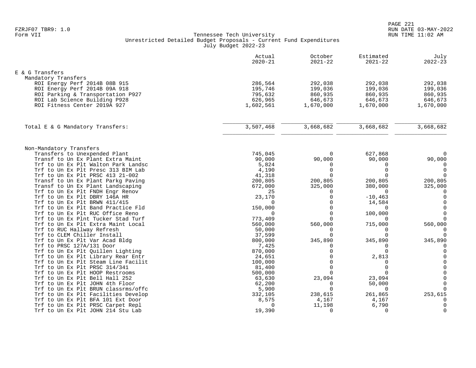|                                                          | Actual<br>$2020 - 21$ | October<br>$2021 - 22$ | Estimated<br>$2021 - 22$ | July<br>$2022 - 23$ |
|----------------------------------------------------------|-----------------------|------------------------|--------------------------|---------------------|
| E & G Transfers                                          |                       |                        |                          |                     |
| Mandatory Transfers                                      |                       |                        |                          |                     |
| ROI Energy Perf 2014B 08B 915                            | 286,564               | 292,038                | 292,038                  | 292,038             |
| ROI Energy Perf 2014B 09A 918                            | 195,746               | 199,036                | 199,036                  | 199,036             |
| ROI Parking & Transportation P927                        | 795,632               | 860,935                | 860,935                  | 860,935             |
| ROI Lab Science Building P928                            | 626,965               | 646,673                | 646,673                  | 646,673             |
| ROI Fitness Center 2019A 927                             | 1,602,561             | 1,670,000              | 1,670,000                | 1,670,000           |
|                                                          |                       |                        |                          |                     |
| Total E & G Mandatory Transfers:                         | 3,507,468             | 3,668,682              | 3,668,682                | 3,668,682           |
|                                                          |                       |                        |                          |                     |
| Non-Mandatory Transfers<br>Transfers to Unexpended Plant | 745,045               | $\Omega$               | 627,868                  | $\mathbf 0$         |
| Transf to Un Ex Plant Extra Maint                        | 90,000                | 90,000                 | 90,000                   | 90,000              |
| Trf to Un Ex Plt Walton Park Landsc                      | 5,824                 | $\Omega$               | $\Omega$                 | 0                   |
| Trf to Un Ex Plt Presc 313 BIM Lab                       | 4,190                 | $\Omega$               | $\Omega$                 | $\mathbf 0$         |
| Trf to Un Ex Plt PRSC 413 21-002                         | 41,318                |                        | $\Omega$                 | $\mathbf 0$         |
| Transf to Un Ex Plant Parkg Paving                       | 200,805               | 200,805                | 200,805                  | 200,805             |
| Transf to Un Ex Plant Landscaping                        | 672,000               | 325,000                | 380,000                  | 325,000             |
| Trf to Un Ex Plt FNDH Engr Renov                         | 25                    | $\Omega$               | $\Omega$                 | $\Omega$            |
| Trf to Un Ex Plt DBRY 146A HR                            | 23,170                | $\Omega$               | $-10, 463$               | $\mathbf 0$         |
| Trf to Un Ex Plt BRWN 411/415                            | $\Omega$              | $\Omega$               | 14,584                   | $\mathbf 0$         |
| Trf to Un Ex Plt Band Practice Fld                       | 150,000               | $\cap$                 | $\Omega$                 | $\mathbf 0$         |
| Trf to Un Ex Plt RUC Office Reno                         | $\Omega$              | $\Omega$               | 100,000                  | $\mathbf 0$         |
| Trf to Un Ex Plnt Tucker Stad Turf                       | 773,409               | $\Omega$               | $\Omega$                 | $\mathbf 0$         |
| Trf to Un Ex Plt Extra Maint Local                       | 560,000               | 560,000                | 715,000                  | 560,000             |
| Trf to RUC Hallway Refresh                               | 50,000                | $\Omega$               | $\Omega$                 | $\Omega$            |
| Trf to CLEM Chiller Install                              | 37,599                | $\Omega$               | $\Omega$                 | $\Omega$            |
| Trf to Un Ex Plt Var Acad Bldg                           | 800,000               | 345,890                | 345,890                  | 345,890             |
| Trf to PRSC 127A/131 Door                                | 7,425                 | $\Omega$               | $\Omega$                 | $\mathbf 0$         |
| Trf to Un Ex Plt Quillen Lighting                        | 870,000               | $\Omega$               | $\Omega$                 | $\Omega$            |
| Trf to Un Ex Plt Library Rear Entr                       | 24,651                | $\Omega$               | 2,813                    | $\Omega$            |
| Trf to Un Ex Plt Steam Line Facilit                      | 100,000               | $\Omega$               | $\Omega$                 | $\mathbf 0$         |
| Trf to Un Ex Plt PRSC 314/341                            | 81,400                | $\Omega$               | $\Omega$                 | $\mathbf 0$         |
| Trf to Un Ex Plt HOOP Restrooms                          | 500,000               | $\Omega$               | $\Omega$                 | $\mathbf 0$         |
| Trf to Un Ex Plt Bell Hall 252                           | 63,630                | 23,094                 | 23,094                   | $\mathbf 0$         |
| Trf to Un Ex Plt JOHN 4th Floor                          | 62,200                | $\Omega$               | 50,000                   | $\mathbf 0$         |
| Trf to Un Ex Plt BRUN classrms/offc                      | 5,900                 | $\Omega$               | $\mathbf 0$              | $\mathbf 0$         |
| Trf to Un Ex Plt Facilities Develop                      | 332,105               | 238,615                | 261,865                  | 253,615             |
| Trf to Un Ex Plt BFA 101 Ext Door                        | 8,575                 | 4,167                  | 4,167                    | $\Omega$            |
| Trf to Un Ex Plt PRSC Carpet Repl                        | $\Omega$              | 11,198                 | 6,790                    | $\mathbf 0$         |
| Trf to Un Ex Plt JOHN 214 Stu Lab                        | 19,390                | $\Omega$               | $\Omega$                 | $\Omega$            |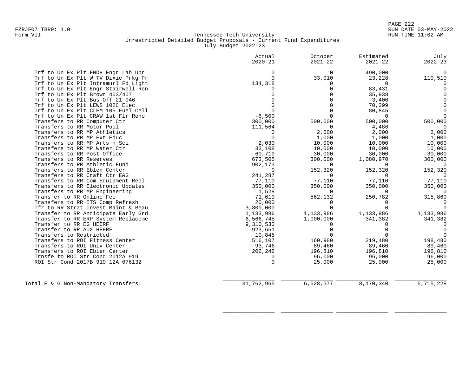| $2020 - 21$ | $2021 - 22$                                                                                                                                                                                                            | $2021 - 22$                                                                                                                                                              | July<br>$2022 - 23$                                                                                                                                                                            |
|-------------|------------------------------------------------------------------------------------------------------------------------------------------------------------------------------------------------------------------------|--------------------------------------------------------------------------------------------------------------------------------------------------------------------------|------------------------------------------------------------------------------------------------------------------------------------------------------------------------------------------------|
|             |                                                                                                                                                                                                                        |                                                                                                                                                                          | $\Omega$                                                                                                                                                                                       |
| $\Omega$    |                                                                                                                                                                                                                        |                                                                                                                                                                          | 110,510                                                                                                                                                                                        |
|             | $\Omega$                                                                                                                                                                                                               | $\Omega$                                                                                                                                                                 | $\Omega$                                                                                                                                                                                       |
|             | $\Omega$                                                                                                                                                                                                               |                                                                                                                                                                          | $\Omega$                                                                                                                                                                                       |
|             | $\cap$                                                                                                                                                                                                                 |                                                                                                                                                                          | $\Omega$                                                                                                                                                                                       |
|             | $\Omega$                                                                                                                                                                                                               |                                                                                                                                                                          | $\Omega$                                                                                                                                                                                       |
|             | $\Omega$                                                                                                                                                                                                               |                                                                                                                                                                          | $\Omega$                                                                                                                                                                                       |
|             | $\Omega$                                                                                                                                                                                                               |                                                                                                                                                                          | $\Omega$                                                                                                                                                                                       |
|             | $\Omega$                                                                                                                                                                                                               | $\Omega$                                                                                                                                                                 | $\Omega$                                                                                                                                                                                       |
|             |                                                                                                                                                                                                                        |                                                                                                                                                                          | 500,000                                                                                                                                                                                        |
|             | $\Omega$                                                                                                                                                                                                               |                                                                                                                                                                          | $\Omega$                                                                                                                                                                                       |
| $\mathbf 0$ |                                                                                                                                                                                                                        |                                                                                                                                                                          | 2,000                                                                                                                                                                                          |
| $\Omega$    |                                                                                                                                                                                                                        |                                                                                                                                                                          | 1,000                                                                                                                                                                                          |
|             |                                                                                                                                                                                                                        |                                                                                                                                                                          | 10,000                                                                                                                                                                                         |
|             |                                                                                                                                                                                                                        | 10,000                                                                                                                                                                   | 10,000                                                                                                                                                                                         |
|             | 30,000                                                                                                                                                                                                                 | 30,000                                                                                                                                                                   | 30,000                                                                                                                                                                                         |
| 673,505     | 300,000                                                                                                                                                                                                                | 1,080,970                                                                                                                                                                | 300,000                                                                                                                                                                                        |
| 902,173     | $\Omega$                                                                                                                                                                                                               | $\Omega$                                                                                                                                                                 | $\overline{0}$                                                                                                                                                                                 |
| $\Omega$    | 152,320                                                                                                                                                                                                                | 152,320                                                                                                                                                                  | 152,320                                                                                                                                                                                        |
| 241,287     | $\Omega$                                                                                                                                                                                                               | $\Omega$                                                                                                                                                                 | $\Omega$                                                                                                                                                                                       |
| 77,110      | 77,110                                                                                                                                                                                                                 | 77,110                                                                                                                                                                   | 77,110                                                                                                                                                                                         |
| 350,000     |                                                                                                                                                                                                                        | 350,000                                                                                                                                                                  | 350,000                                                                                                                                                                                        |
| 1,528       | $\Omega$                                                                                                                                                                                                               | $\Omega$                                                                                                                                                                 | $\Omega$                                                                                                                                                                                       |
| 71,610      | 562,132                                                                                                                                                                                                                | 250,782                                                                                                                                                                  | 315,860                                                                                                                                                                                        |
|             | 0                                                                                                                                                                                                                      | $\Omega$                                                                                                                                                                 | $\Omega$                                                                                                                                                                                       |
|             | $\Omega$                                                                                                                                                                                                               | $\cap$                                                                                                                                                                   | $\cap$                                                                                                                                                                                         |
|             |                                                                                                                                                                                                                        |                                                                                                                                                                          | 1,133,986                                                                                                                                                                                      |
|             |                                                                                                                                                                                                                        |                                                                                                                                                                          | 341,382                                                                                                                                                                                        |
|             | $\Omega$                                                                                                                                                                                                               |                                                                                                                                                                          | $\Omega$                                                                                                                                                                                       |
|             |                                                                                                                                                                                                                        |                                                                                                                                                                          | $\Omega$                                                                                                                                                                                       |
|             |                                                                                                                                                                                                                        |                                                                                                                                                                          | $\Omega$                                                                                                                                                                                       |
|             |                                                                                                                                                                                                                        |                                                                                                                                                                          | 198,480                                                                                                                                                                                        |
|             |                                                                                                                                                                                                                        |                                                                                                                                                                          | 89,460                                                                                                                                                                                         |
|             |                                                                                                                                                                                                                        |                                                                                                                                                                          | 196,810                                                                                                                                                                                        |
|             |                                                                                                                                                                                                                        |                                                                                                                                                                          | 96,000                                                                                                                                                                                         |
|             |                                                                                                                                                                                                                        |                                                                                                                                                                          | 25,000                                                                                                                                                                                         |
| 31,762,965  | 6,528,577                                                                                                                                                                                                              | 8,170,340                                                                                                                                                                | 5,715,228                                                                                                                                                                                      |
|             | $\Omega$<br>134,318<br>$-6,500$<br>300,000<br>111,564<br>2,030<br>33,108<br>60,719<br>20,000<br>3,800,000<br>1,133,986<br>6,566,745<br>9,310,530<br>923,651<br>10,845<br>516,107<br>93,746<br>206,242<br>0<br>$\Omega$ | $\Omega$<br>33,010<br>500,000<br>2,000<br>1,000<br>10,000<br>10,000<br>350,000<br>1,133,986<br>1,000,000<br>$\Omega$<br>160,980<br>89,460<br>196,810<br>96,000<br>25,000 | 490,000<br>23,228<br>83,431<br>35,938<br>3,400<br>70,299<br>80,845<br>500,000<br>4,486<br>2,000<br>1,000<br>10,000<br>1,133,986<br>341,382<br>219,480<br>89,460<br>196,810<br>96,000<br>25,000 |

\_\_\_\_\_\_\_\_\_\_\_\_\_\_\_\_ \_\_\_\_\_\_\_\_\_\_\_\_\_\_\_\_ \_\_\_\_\_\_\_\_\_\_\_\_\_\_\_\_ \_\_\_\_\_\_\_\_\_\_\_\_\_\_\_\_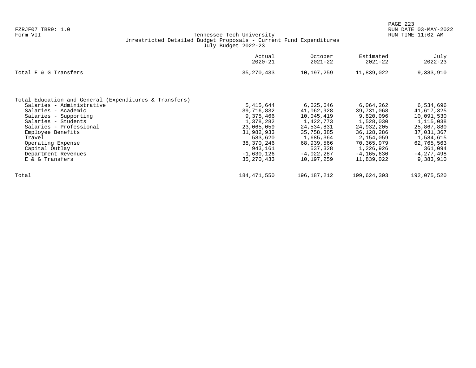|                                                                                     | Actual<br>$2020 - 21$ | October<br>$2021 - 22$ | Estimated<br>$2021 - 22$ | July<br>$2022 - 23$ |
|-------------------------------------------------------------------------------------|-----------------------|------------------------|--------------------------|---------------------|
| Total E & G Transfers                                                               | 35, 270, 433          | 10,197,259             | 11,839,022               | 9,383,910           |
|                                                                                     |                       |                        |                          |                     |
| Total Education and General (Expenditures & Transfers)<br>Salaries - Administrative | 5,415,644             | 6,025,646              | 6,064,262                | 6,534,696           |
| Salaries - Academic                                                                 | 39,716,832            | 41,062,928             | 39,731,068               | 41,617,325          |
| Salaries -<br>Supporting                                                            | 9,375,466             | 10,045,419             | 9,820,096                | 10,091,530          |
| Salaries - Students                                                                 | 1,378,282             | 1,422,773              | 1,528,030                | 1,115,038           |
| Salaries - Professional                                                             | 23,065,059            | 24,534,831             | 24,932,205               | 25,867,880          |
| Employee Benefits                                                                   | 31,982,933            | 35,758,385             | 36,128,286               | 37,031,367          |
| Travel                                                                              | 583,620               | 1,685,364              | 2,154,059                | 1,584,615           |
| Operating Expense                                                                   | 38,370,246            | 68,939,566             | 70,365,979               | 62,765,563          |
| Capital Outlay                                                                      | 943,161               | 537,328                | 1,226,926                | 361,094             |
| Department Revenues                                                                 | $-1,630,126$          | $-4,022,287$           | $-4.165.630$             | $-4, 277, 498$      |
| E & G Transfers                                                                     | 35, 270, 433          | 10,197,259             | 11,839,022               | 9,383,910           |
| Total                                                                               | 184,471,550           | 196,187,212            | 199,624,303              | 192,075,520         |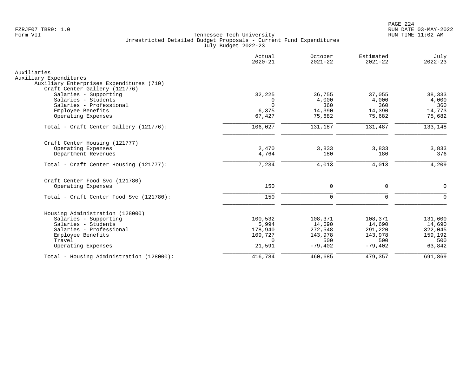|                                                                    | Actual<br>$2020 - 21$ | October<br>$2021 - 22$ | Estimated<br>$2021 - 22$ | July<br>$2022 - 23$ |
|--------------------------------------------------------------------|-----------------------|------------------------|--------------------------|---------------------|
| Auxiliaries                                                        |                       |                        |                          |                     |
| Auxiliary Expenditures<br>Auxiliary Enterprises Expenditures (710) |                       |                        |                          |                     |
| Craft Center Gallery (121776)                                      |                       |                        |                          |                     |
| Salaries - Supporting                                              | 32,225                | 36,755                 | 37,055                   | 38,333              |
| Salaries - Students                                                | $\Omega$              | 4,000                  | 4,000                    | 4,000               |
| Salaries - Professional                                            | $\Omega$              | 360                    | 360                      | 360                 |
| Employee Benefits                                                  | 6,375                 | 14,390                 | 14,390                   | 14,773              |
| Operating Expenses                                                 | 67,427                | 75,682                 | 75,682                   | 75,682              |
| Total - Craft Center Gallery (121776):                             | 106,027               | 131,187                | 131,487                  | 133,148             |
| Craft Center Housing (121777)                                      |                       |                        |                          |                     |
| Operating Expenses                                                 | 2,470                 | 3,833                  | 3,833                    | 3,833               |
| Department Revenues                                                | 4,764                 | 180                    | 180                      | 376                 |
| Total - Craft Center Housing (121777):                             | 7,234                 | 4,013                  | 4,013                    | 4,209               |
| Craft Center Food Svc (121780)                                     |                       |                        |                          |                     |
| Operating Expenses                                                 | 150                   | $\mathbf 0$            | $\mathbf 0$              | $\Omega$            |
|                                                                    |                       |                        |                          |                     |
| Total - Craft Center Food Svc (121780):                            | 150                   | $\mathbf 0$            | $\mathbf 0$              | $\Omega$            |
| Housing Administration (128000)                                    |                       |                        |                          |                     |
| Salaries - Supporting                                              | 100,532               | 108,371                | 108,371                  | 131,600             |
| Salaries - Students                                                | 5,994                 | 14,690                 | 14,690                   | 14,690              |
| Salaries - Professional                                            | 178,940               | 272,548                | 291,220                  | 322,045             |
| Employee Benefits                                                  | 109,727               | 143,978                | 143,978                  | 159,192             |
| Travel                                                             | $\Omega$              | 500                    | 500                      | 500                 |
| Operating Expenses                                                 | 21,591                | $-79,402$              | $-79,402$                | 63,842              |
| Total - Housing Administration (128000):                           | 416,784               | 460,685                | 479,357                  | 691,869             |
|                                                                    |                       |                        |                          |                     |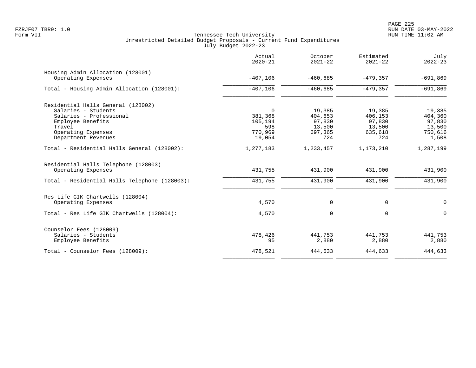|                                                            | Actual<br>$2020 - 21$ | October<br>$2021 - 22$ | Estimated<br>$2021 - 22$ | July<br>$2022 - 23$ |
|------------------------------------------------------------|-----------------------|------------------------|--------------------------|---------------------|
| Housing Admin Allocation (128001)<br>Operating Expenses    | $-407,106$            | $-460,685$             | $-479,357$               | $-691,869$          |
| Total - Housing Admin Allocation (128001):                 | $-407,106$            | $-460,685$             | $-479, 357$              | $-691,869$          |
| Residential Halls General (128002)                         |                       |                        |                          |                     |
| Salaries - Students                                        | $\Omega$              | 19,385                 | 19,385                   | 19,385              |
| Salaries - Professional                                    | 381,368               | 404,653                | 406,153                  | 404,360             |
| Employee Benefits                                          | 105,194               | 97,830                 | 97,830                   | 97,830              |
| Travel                                                     | 598                   | 13,500                 | 13,500                   | 13,500              |
| Operating Expenses                                         | 770,969               | 697,365                | 635,618                  | 750,616             |
| Department Revenues                                        | 19,054                | 724                    | 724                      | 1,508               |
| Total - Residential Halls General (128002):                | 1,277,183             | 1,233,457              | 1,173,210                | 1,287,199           |
| Residential Halls Telephone (128003)<br>Operating Expenses | 431,755               | 431,900                | 431,900                  | 431,900             |
| Total - Residential Halls Telephone (128003):              | 431,755               | 431,900                | 431,900                  | 431,900             |
| Res Life GIK Chartwells (128004)                           |                       |                        |                          |                     |
| Operating Expenses                                         | 4,570                 | 0                      | $\mathbf 0$              | $\Omega$            |
| Total - Res Life GIK Chartwells (128004):                  | 4,570                 | $\mathbf 0$            | $\mathbf 0$              | $\Omega$            |
| Counselor Fees (128009)                                    |                       |                        |                          |                     |
| Salaries - Students                                        | 478,426               | 441,753                | 441,753                  | 441,753             |
| Employee Benefits                                          | 95                    | 2,880                  | 2,880                    | 2,880               |
| Total - Counselor Fees (128009):                           | 478,521               | 444,633                | 444,633                  | 444,633             |
|                                                            |                       |                        |                          |                     |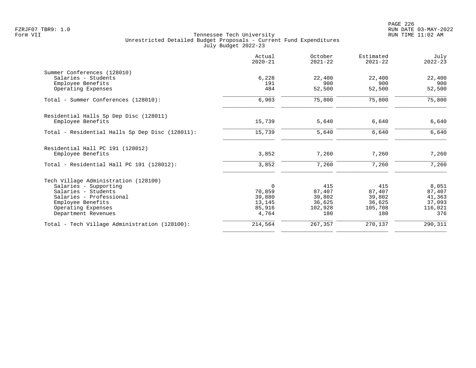|                                                 | Actual<br>$2020 - 21$ | October<br>$2021 - 22$ | Estimated<br>$2021 - 22$ | July<br>$2022 - 23$ |
|-------------------------------------------------|-----------------------|------------------------|--------------------------|---------------------|
| Summer Conferences (128010)                     |                       |                        |                          |                     |
| Salaries - Students                             | 6,228                 | 22,400                 | 22,400                   | 22,400              |
| Employee Benefits                               | 191                   | 900                    | 900                      | 900                 |
| Operating Expenses                              | 484                   | 52,500                 | 52,500                   | 52,500              |
| Total - Summer Conferences (128010):            | 6,903                 | 75,800                 | 75,800                   | 75,800              |
| Residential Halls Sp Dep Disc (128011)          |                       |                        |                          |                     |
| Employee Benefits                               | 15,739                | 5,640                  | 6,640                    | 6,640               |
| Total - Residential Halls Sp Dep Disc (128011): | 15,739                | 5,640                  | 6,640                    | 6,640               |
| Residential Hall PC 191 (128012)                |                       |                        |                          |                     |
| Employee Benefits                               | 3,852                 | 7,260                  | 7,260                    | 7,260               |
| Total - Residential Hall PC 191 (128012):       | 3,852                 | 7,260                  | 7,260                    | 7,260               |
| Tech Village Administration (128100)            |                       |                        |                          |                     |
| Salaries - Supporting                           | $\mathbf 0$           | 415                    | 415                      | 8,051               |
| Salaries - Students                             | 70,859                | 87,407                 | 87,407                   | 87,407              |
| Salaries - Professional                         | 39,880                | 39,802                 | 39,802                   | 41,363              |
| Employee Benefits                               | 13,145                | 36,625                 | 36,625                   | 37,093              |
| Operating Expenses                              | 85,916                | 102,928                | 105,708                  | 116,021             |
| Department Revenues                             | 4,764                 | 180                    | 180                      | 376                 |
| Total - Tech Village Administration (128100):   | 214,564               | 267,357                | 270,137                  | 290,311             |
|                                                 |                       |                        |                          |                     |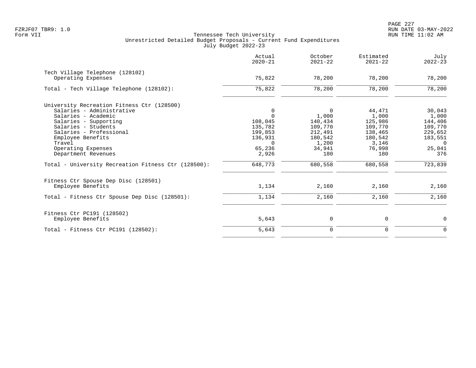|                                                     | Actual<br>$2020 - 21$ | October<br>$2021 - 22$ | Estimated<br>$2021 - 22$ | July<br>$2022 - 23$ |
|-----------------------------------------------------|-----------------------|------------------------|--------------------------|---------------------|
| Tech Village Telephone (128102)                     |                       |                        |                          |                     |
| Operating Expenses                                  | 75,822                | 78,200                 | 78,200                   | 78,200              |
| Total - Tech Village Telephone (128102):            | 75,822                | 78,200                 | 78,200                   | 78,200              |
| University Recreation Fitness Ctr (128500)          |                       |                        |                          |                     |
| Salaries - Administrative                           | 0                     | $\mathbf 0$            | 44,471                   | 30,043              |
| Salaries - Academic                                 | $\Omega$              | 1,000                  | 1,000                    | 1,000               |
| Salaries - Supporting                               | 108,045               | 140,434                | 125,986                  | 144,406             |
| Salaries - Students                                 | 135,782               | 109,770                | 109,770                  | 109,770             |
| Salaries - Professional                             | 199,853               | 212,491                | 138,465                  | 229,652             |
| Employee Benefits                                   | 136,931               | 180,542                | 180,542                  | 183,551             |
| Travel                                              | $\Omega$              | 1,200                  | 3,146                    | $\Omega$            |
| Operating Expenses                                  | 65,236                | 34,941                 | 76,998                   | 25,041              |
| Department Revenues                                 | 2,926                 | 180                    | 180                      | 376                 |
| Total - University Recreation Fitness Ctr (128500): | 648,773               | 680,558                | 680,558                  | 723,839             |
| Fitness Ctr Spouse Dep Disc (128501)                |                       |                        |                          |                     |
| Employee Benefits                                   | 1,134                 | 2,160                  | 2,160                    | 2,160               |
| Total - Fitness Ctr Spouse Dep Disc (128501):       | 1,134                 | 2,160                  | 2,160                    | 2,160               |
| Fitness Ctr PC191 (128502)                          |                       |                        |                          |                     |
| Employee Benefits                                   | 5,643                 | 0                      | 0                        | $\mathbf 0$         |
| Total - Fitness Ctr PC191 $(128502)$ :              | 5,643                 | $\mathbf 0$            | $\mathbf 0$              | $\mathbf 0$         |
|                                                     |                       |                        |                          |                     |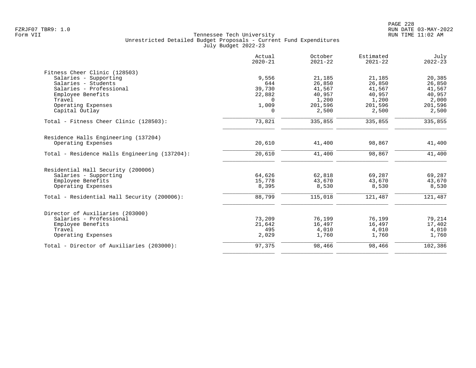| Actual<br>$2020 - 21$ | October<br>$2021 - 22$                                                          | Estimated<br>$2021 - 22$                                                             | July<br>$2022 - 23$                                                                  |
|-----------------------|---------------------------------------------------------------------------------|--------------------------------------------------------------------------------------|--------------------------------------------------------------------------------------|
|                       |                                                                                 |                                                                                      |                                                                                      |
| 9,556                 | 21,185                                                                          | 21,185                                                                               | 20,385                                                                               |
| 644                   | 26,850                                                                          | 26,850                                                                               | 26,850                                                                               |
|                       |                                                                                 |                                                                                      | 41,567                                                                               |
|                       |                                                                                 |                                                                                      | 40,957                                                                               |
|                       |                                                                                 |                                                                                      | 2,000                                                                                |
|                       |                                                                                 |                                                                                      | 201,596                                                                              |
|                       |                                                                                 |                                                                                      | 2,500                                                                                |
| 73,821                | 335,855                                                                         | 335,855                                                                              | 335,855                                                                              |
|                       |                                                                                 |                                                                                      |                                                                                      |
| 20,610                | 41,400                                                                          | 98,867                                                                               | 41,400                                                                               |
|                       |                                                                                 |                                                                                      | 41,400                                                                               |
|                       |                                                                                 |                                                                                      |                                                                                      |
|                       |                                                                                 |                                                                                      |                                                                                      |
| 64,626                | 62,818                                                                          | 69,287                                                                               | 69,287                                                                               |
| 15,778                | 43,670                                                                          | 43,670                                                                               | 43,670                                                                               |
| 8,395                 | 8,530                                                                           | 8,530                                                                                | 8,530                                                                                |
| 88,799                | 115,018                                                                         | 121,487                                                                              | 121,487                                                                              |
|                       |                                                                                 |                                                                                      |                                                                                      |
|                       |                                                                                 |                                                                                      | 79,214                                                                               |
|                       |                                                                                 |                                                                                      | 17,402                                                                               |
|                       |                                                                                 |                                                                                      | 4,010                                                                                |
| 2,029                 | 1,760                                                                           | 1,760                                                                                | 1,760                                                                                |
| 97,375                | 98,466                                                                          | 98,466                                                                               | 102,386                                                                              |
|                       | 39,730<br>22,882<br>$\Omega$<br>1,009<br>0<br>20,610<br>73,209<br>21,642<br>495 | 41,567<br>40,957<br>1,200<br>201,596<br>2,500<br>41,400<br>76,199<br>16,497<br>4,010 | 41,567<br>40,957<br>1,200<br>201,596<br>2,500<br>98,867<br>76,199<br>16,497<br>4,010 |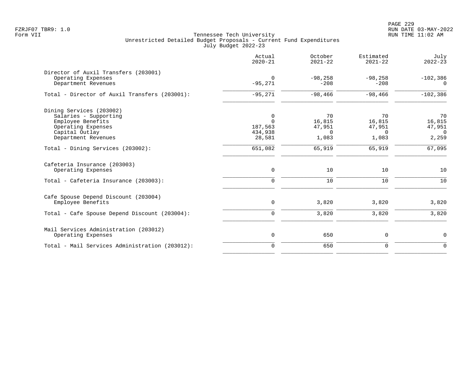PAGE 229 FZRJF07 TBR9: 1.0 RUN DATE 03-MAY-2022

|                                                                                                                                       | Actual<br>$2020 - 21$                         | October<br>$2021 - 22$                      | Estimated<br>$2021 - 22$                    | July<br>$2022 - 23$                         |
|---------------------------------------------------------------------------------------------------------------------------------------|-----------------------------------------------|---------------------------------------------|---------------------------------------------|---------------------------------------------|
| Director of Auxil Transfers (203001)<br>Operating Expenses<br>Department Revenues                                                     | $\Omega$<br>$-95,271$                         | $-98, 258$<br>$-208$                        | $-98, 258$<br>$-208$                        | $-102,386$<br>$\Omega$                      |
| Total - Director of Auxil Transfers (203001):                                                                                         | $-95,271$                                     | $-98,466$                                   | $-98,466$                                   | $-102,386$                                  |
| Dining Services (203002)<br>Salaries - Supporting<br>Employee Benefits<br>Operating Expenses<br>Capital Outlay<br>Department Revenues | 0<br>$\Omega$<br>187,563<br>434,938<br>28,581 | 70<br>16,815<br>47,951<br>$\Omega$<br>1,083 | 70<br>16,815<br>47,951<br>$\Omega$<br>1,083 | 70<br>16,815<br>47,951<br>$\Omega$<br>2,259 |
| Total - Dining Services (203002):                                                                                                     | 651,082                                       | 65,919                                      | 65,919                                      | 67,095                                      |
| Cafeteria Insurance (203003)<br>Operating Expenses<br>Total - Cafeteria Insurance (203003):                                           | $\mathsf{O}$<br>$\mathbf 0$                   | 10<br>10                                    | 10<br>10                                    | 10<br>10                                    |
| Cafe Spouse Depend Discount (203004)<br>Employee Benefits<br>Total - Cafe Spouse Depend Discount (203004):                            | $\mathsf{O}$<br>$\overline{0}$                | 3,820<br>3,820                              | 3,820<br>3,820                              | 3,820<br>3,820                              |
| Mail Services Administration (203012)<br>Operating Expenses                                                                           | $\mathsf{O}$                                  | 650                                         | 0                                           | $\mathbf 0$                                 |
| Total - Mail Services Administration (203012):                                                                                        | $\overline{0}$                                | 650                                         | 0                                           | $\overline{0}$                              |
|                                                                                                                                       |                                               |                                             |                                             |                                             |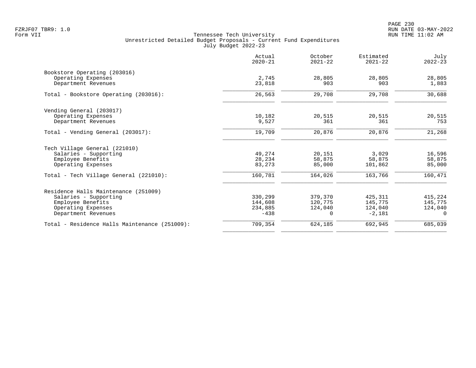PAGE 230 FZRJF07 TBR9: 1.0 RUN DATE 03-MAY-2022

|                                               | Actual<br>$2020 - 21$ | October<br>$2021 - 22$ | Estimated<br>$2021 - 22$ | July<br>$2022 - 23$ |
|-----------------------------------------------|-----------------------|------------------------|--------------------------|---------------------|
| Bookstore Operating (203016)                  |                       |                        |                          |                     |
| Operating Expenses<br>Department Revenues     | 2,745<br>23,818       | 28,805<br>903          | 28,805<br>903            | 28,805<br>1,883     |
| Total - Bookstore Operating (203016):         | 26,563                | 29,708                 | 29,708                   | 30,688              |
| Vending General (203017)                      |                       |                        |                          |                     |
| Operating Expenses<br>Department Revenues     | 10,182<br>9,527       | 20,515<br>361          | 20,515<br>361            | 20,515<br>753       |
|                                               |                       |                        |                          |                     |
| Total - Vending General (203017):             | 19,709                | 20,876                 | 20,876                   | 21,268              |
| Tech Village General (221010)                 |                       |                        |                          |                     |
| Salaries - Supporting                         | 49,274                | 20,151                 | 3,029                    | 16,596              |
| Employee Benefits                             | 28,234                | 58,875                 | 58,875                   | 58,875              |
| Operating Expenses                            | 83,273                | 85,000                 | 101,862                  | 85,000              |
| Total - Tech Village General (221010):        | 160,781               | 164,026                | 163,766                  | 160,471             |
| Residence Halls Maintenance (251009)          |                       |                        |                          |                     |
| Salaries - Supporting                         | 330,299               | 379,370                | 425,311                  | 415,224             |
| Employee Benefits                             | 144,608               | 120,775                | 145,775                  | 145,775             |
| Operating Expenses                            | 234,885               | 124,040                | 124,040                  | 124,040             |
| Department Revenues                           | $-438$                | $\Omega$               | $-2,181$                 | $\Omega$            |
| Total - Residence Halls Maintenance (251009): | 709,354               | 624,185                | 692,945                  | 685,039             |
|                                               |                       |                        |                          |                     |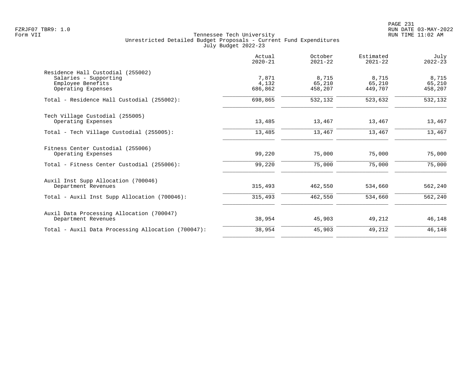|                                                    | Actual<br>$2020 - 21$ | October<br>$2021 - 22$ | Estimated<br>$2021 - 22$ | July<br>$2022 - 23$ |
|----------------------------------------------------|-----------------------|------------------------|--------------------------|---------------------|
| Residence Hall Custodial (255002)                  |                       |                        |                          |                     |
| Salaries - Supporting                              | 7,871                 | 8,715                  | 8,715                    | 8,715               |
| Employee Benefits<br>Operating Expenses            | 4,132<br>686,862      | 65,210<br>458,207      | 65,210<br>449,707        | 65,210<br>458,207   |
|                                                    |                       |                        |                          |                     |
| Total - Residence Hall Custodial (255002):         | 698,865               | 532,132                | 523,632                  | 532,132             |
| Tech Village Custodial (255005)                    |                       |                        |                          |                     |
| Operating Expenses                                 | 13,485                | 13,467                 | 13,467                   | 13,467              |
| Total - Tech Village Custodial (255005):           | 13,485                | 13,467                 | 13,467                   | 13,467              |
| Fitness Center Custodial (255006)                  |                       |                        |                          |                     |
| Operating Expenses                                 | 99,220                | 75,000                 | 75,000                   | 75,000              |
| Total - Fitness Center Custodial (255006):         | 99,220                | 75,000                 | 75,000                   | 75,000              |
| Auxil Inst Supp Allocation (700046)                |                       |                        |                          |                     |
| Department Revenues                                | 315,493               | 462,550                | 534,660                  | 562,240             |
| Total - Auxil Inst Supp Allocation (700046):       | 315,493               | 462,550                | 534,660                  | 562,240             |
| Auxil Data Processing Allocation (700047)          |                       |                        |                          |                     |
| Department Revenues                                | 38,954                | 45,903                 | 49,212                   | 46,148              |
| Total - Auxil Data Processing Allocation (700047): | 38,954                | 45,903                 | 49,212                   | 46,148              |
|                                                    |                       |                        |                          |                     |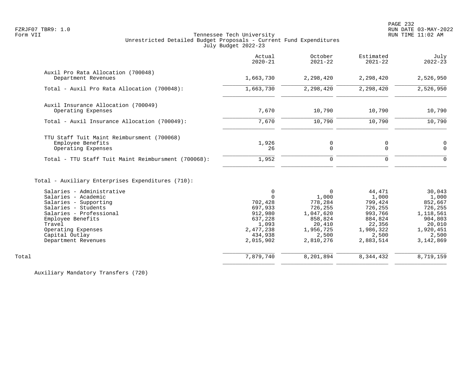# FZRJF07 TBR9: 1.0 RUN DATE 03-MAY-2022 Tennessee Tech University Unrestricted Detailed Budget Proposals - Current Fund Expenditures July Budget 2022-23

|                                                                                                                                                                                                                           | Actual<br>$2020 - 21$                                                                                   | October<br>$2021 - 22$                                                                                          | Estimated<br>$2021 - 22$                                                                                 | July<br>$2022 - 23$                                                                                          |
|---------------------------------------------------------------------------------------------------------------------------------------------------------------------------------------------------------------------------|---------------------------------------------------------------------------------------------------------|-----------------------------------------------------------------------------------------------------------------|----------------------------------------------------------------------------------------------------------|--------------------------------------------------------------------------------------------------------------|
| Auxil Pro Rata Allocation (700048)<br>Department Revenues                                                                                                                                                                 | 1,663,730                                                                                               | 2,298,420                                                                                                       | 2,298,420                                                                                                | 2,526,950                                                                                                    |
| Total - Auxil Pro Rata Allocation (700048):                                                                                                                                                                               | 1,663,730                                                                                               | 2,298,420                                                                                                       | 2,298,420                                                                                                | 2,526,950                                                                                                    |
| Auxil Insurance Allocation (700049)<br>Operating Expenses                                                                                                                                                                 | 7,670                                                                                                   | 10,790                                                                                                          | 10,790                                                                                                   | 10,790                                                                                                       |
| Total - Auxil Insurance Allocation (700049):                                                                                                                                                                              | 7,670                                                                                                   | 10,790                                                                                                          | 10,790                                                                                                   | 10,790                                                                                                       |
| TTU Staff Tuit Maint Reimbursment (700068)<br>Employee Benefits<br>Operating Expenses<br>Total - TTU Staff Tuit Maint Reimbursment (700068):                                                                              | 1,926<br>26<br>1,952                                                                                    | 0<br>$\Omega$<br>0                                                                                              | 0<br>$\Omega$<br>$\Omega$                                                                                | 0<br>$\Omega$<br>$\Omega$                                                                                    |
| Total - Auxiliary Enterprises Expenditures (710):                                                                                                                                                                         |                                                                                                         |                                                                                                                 |                                                                                                          |                                                                                                              |
| Salaries - Administrative<br>Salaries - Academic<br>Salaries - Supporting<br>Salaries - Students<br>Salaries - Professional<br>Employee Benefits<br>Travel<br>Operating Expenses<br>Capital Outlay<br>Department Revenues | 0<br>$\Omega$<br>702,428<br>697,933<br>912,980<br>637,228<br>1,093<br>2,477,238<br>434,938<br>2,015,902 | $\mathbf 0$<br>1,000<br>778,284<br>726,255<br>1,047,620<br>858,824<br>20,410<br>1,956,725<br>2,500<br>2,810,276 | 44,471<br>1,000<br>799,424<br>726,255<br>993,766<br>884,824<br>22,356<br>1,986,322<br>2,500<br>2,883,514 | 30,043<br>1,000<br>852,667<br>726,255<br>1,118,561<br>904,803<br>20,010<br>1,920,451<br>2,500<br>3, 142, 869 |

\_\_\_\_\_\_\_\_\_\_\_\_\_\_\_\_ \_\_\_\_\_\_\_\_\_\_\_\_\_\_\_\_ \_\_\_\_\_\_\_\_\_\_\_\_\_\_\_\_ \_\_\_\_\_\_\_\_\_\_\_\_\_\_\_\_

 \_\_\_\_\_\_\_\_\_\_\_\_\_\_\_\_ \_\_\_\_\_\_\_\_\_\_\_\_\_\_\_\_ \_\_\_\_\_\_\_\_\_\_\_\_\_\_\_\_ \_\_\_\_\_\_\_\_\_\_\_\_\_\_\_\_ Total 7,879,740 8,201,894 8,344,432 8,719,159

Auxiliary Mandatory Transfers (720)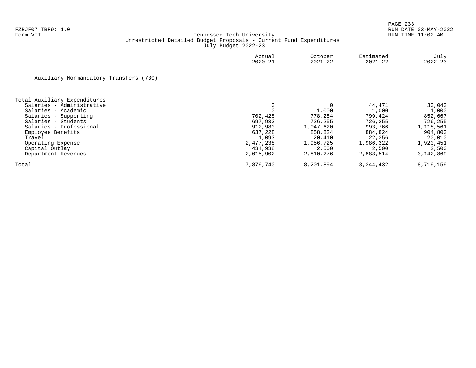|                                        | Actual<br>$2020 - 21$ | October<br>$2021 - 22$ | Estimated<br>$2021 - 22$ | July<br>$2022 - 23$ |
|----------------------------------------|-----------------------|------------------------|--------------------------|---------------------|
| Auxiliary Nonmandatory Transfers (730) |                       |                        |                          |                     |
| Total Auxiliary Expenditures           |                       |                        |                          |                     |
| Salaries - Administrative              | 0                     | 0                      | 44,471                   | 30,043              |
| Salaries - Academic                    |                       | 1,000                  | 1,000                    | 1,000               |
| Salaries - Supporting                  | 702,428               | 778,284                | 799,424                  | 852,667             |
| Salaries - Students                    | 697,933               | 726,255                | 726,255                  | 726,255             |
| Salaries - Professional                | 912,980               | 1,047,620              | 993,766                  | 1,118,561           |
| Employee Benefits                      | 637,228               | 858,824                | 884,824                  | 904,803             |
| Travel                                 | 1,093                 | 20,410                 | 22,356                   | 20,010              |
| Operating Expense                      | 2,477,238             | 1,956,725              | 1,986,322                | 1,920,451           |
| Capital Outlay                         | 434,938               | 2,500                  | 2,500                    | 2,500               |
| Department Revenues                    | 2,015,902             | 2,810,276              | 2,883,514                | 3,142,869           |
| Total                                  | 7,879,740             | 8,201,894              | 8,344,432                | 8,719,159           |
|                                        |                       |                        |                          |                     |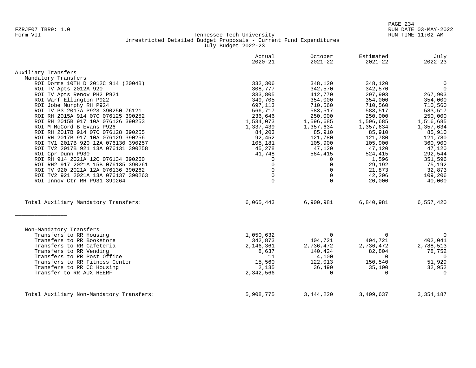|                                                                           | Actual<br>$2020 - 21$ | October<br>$2021 - 22$ | Estimated<br>$2021 - 22$ | July<br>$2022 - 23$ |
|---------------------------------------------------------------------------|-----------------------|------------------------|--------------------------|---------------------|
| Auxiliary Transfers                                                       |                       |                        |                          |                     |
| Mandatory Transfers                                                       |                       |                        |                          |                     |
| ROI Dorms 10TH D 2012C 914 (2004B)                                        | 332,306               | 348,120                | 348,120                  | $\mathsf{O}$        |
| ROI TV Apts 2012A 920                                                     | 308,777               | 342,570                | 342,570                  | $\mathsf{O}$        |
| ROI TV Apts Renov PH2 P921                                                | 333,805               | 412,770                | 297,903                  | 267,903             |
| ROI Warf Ellington P922                                                   | 349,705               | 354,000                | 354,000                  | 354,000             |
| ROI Jobe Murphy RH P924                                                   | 697,113               | 710,560                | 710,560                  | 710,560             |
| ROI TV P3 2017A P923 390250 76121                                         | 566,717               | 583,517                | 583,517                  | 583,517             |
| ROI RH 2015A 914 07C 076125 390252                                        | 236,646               | 250,000                | 250,000                  | 250,000             |
| ROI RH 2015B 917 10A 076126 390253                                        | 1,534,073             | 1,596,685              | 1,596,685                | 1,516,685           |
| ROI M McCord B Evans P926                                                 | 1,337,439             | 1,357,634              | 1,357,634                | 1,357,634           |
| ROI RH 2017B 914 07C 076128 390255                                        | 84,203                | 85,910                 | 85,910                   | 85,910              |
| ROI RH 2017B 917 10A 076129 390256                                        | 92,452                | 121,780                | 121,780                  | 121,780             |
| ROI TV1 2017B 920 12A 076130 390257                                       | 105,181               | 105,900                | 105,900                  | 360,900             |
| ROI TV2 2017B 921 13A 076131 390258                                       | 45,278                | 47,120                 | 47,120                   | 47,120              |
| ROI Cpr Dunn P930                                                         | 41,748                | 584,415                | 524,415                  | 292,544             |
| ROI RH 914 2021A 12C 076134 390260                                        | 0                     | $\Omega$               | 1,596                    | 351,596             |
| ROI RH2 917 2021A 15B 076135 390261                                       | $\Omega$              | $\Omega$               | 29,192                   | 75,192              |
| ROI TV 920 2021A 12A 076136 390262<br>ROI TV2 921 2021A 13A 076137 390263 | $\Omega$<br>$\Omega$  | $\Omega$<br>$\Omega$   | 21,873                   | 32,873              |
| ROI Innov Ctr RH P931 390264                                              | $\Omega$              | $\Omega$               | 42,206<br>20,000         | 109,206<br>40,000   |
|                                                                           |                       |                        |                          |                     |
| Total Auxiliary Mandatory Transfers:                                      | 6,065,443             | 6,900,981              | 6,840,981                | 6,557,420           |
|                                                                           |                       |                        |                          |                     |
| Non-Mandatory Transfers                                                   |                       |                        |                          |                     |
| Transfers to RR Housing                                                   | 1,050,632             | $\Omega$               | $\mathbf 0$              | 0                   |
| Transfers to RR Bookstore                                                 | 342,873               | 404,721                | 404,721                  | 402,041             |
| Transfers to RR Cafeteria                                                 | 2,146,361             | 2,736,472              | 2,736,472                | 2,788,513           |
| Transfers to RR Vending<br>Transfers to RR Post Office                    | 8,637                 | 140,424                | 82,804<br>$\Omega$       | 78,752<br>$\Omega$  |
| Transfers to RR Fitness Center                                            | 11<br>15,560          | 4,100<br>122,013       | 150,540                  | 51,929              |
| Transfers to RR CC Housing                                                | 2,135                 | 36,490                 | 35,100                   | 32,952              |
| Transfer to RR AUX HEERF                                                  | 2,342,566             | $\Omega$               | $\mathbf 0$              | $\Omega$            |
|                                                                           |                       |                        |                          |                     |
| Total Auxiliary Non-Mandatory Transfers:                                  | 5,908,775             | 3,444,220              | 3,409,637                | 3, 354, 187         |
|                                                                           |                       |                        |                          |                     |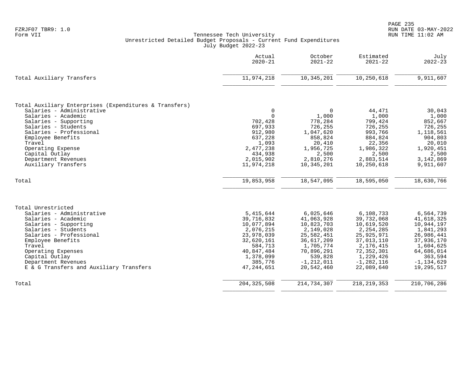|                                                        | Actual<br>$2020 - 21$   | October<br>$2021 - 22$ | Estimated<br>$2021 - 22$  | July<br>$2022 - 23$   |
|--------------------------------------------------------|-------------------------|------------------------|---------------------------|-----------------------|
| Total Auxiliary Transfers                              | 11,974,218              | 10, 345, 201           | 10,250,618                | 9,911,607             |
| Total Auxiliary Enterprises (Expenditures & Transfers) |                         |                        |                           |                       |
| Salaries - Administrative                              | 0                       | $\mathbf 0$            | 44,471                    | 30,043                |
| Salaries - Academic                                    | $\Omega$                | 1,000                  | 1,000                     | 1,000                 |
| Salaries - Supporting                                  | 702,428                 | 778,284                | 799,424                   | 852,667               |
| Salaries - Students<br>Salaries - Professional         | 697,933<br>912,980      | 726,255<br>1,047,620   | 726,255<br>993,766        | 726,255<br>1,118,561  |
| Employee Benefits                                      | 637,228                 | 858,824                | 884,824                   | 904,803               |
| Travel                                                 | 1,093                   | 20,410                 | 22,356                    | 20,010                |
| Operating Expense                                      | 2,477,238               | 1,956,725              | 1,986,322                 | 1,920,451             |
| Capital Outlay                                         | 434,938                 | 2,500                  | 2,500                     | 2,500                 |
| Department Revenues                                    | 2,015,902               | 2,810,276              | 2,883,514                 | 3,142,869             |
| Auxiliary Transfers                                    | 11,974,218              | 10,345,201             | 10,250,618                | 9,911,607             |
| Total                                                  | 19,853,958              | 18,547,095             | 18,595,050                | 18,630,766            |
| Total Unrestricted                                     |                         |                        |                           |                       |
| Salaries - Administrative                              | 5,415,644               | 6,025,646              | 6,108,733                 | 6,564,739             |
| Salaries - Academic                                    | 39,716,832              | 41,063,928             | 39,732,068                | 41,618,325            |
| Salaries - Supporting                                  | 10,077,894              | 10,823,703             | 10,619,520                | 10,944,197            |
| Salaries - Students                                    | 2,076,215               | 2,149,028              | 2, 254, 285               | 1,841,293             |
| Salaries - Professional                                | 23,978,039              | 25,582,451             | 25,925,971                | 26,986,441            |
| Employee Benefits                                      | 32,620,161              | 36,617,209             | 37,013,110                | 37,936,170            |
| Travel                                                 | 584,713                 | 1,705,774              | 2,176,415                 | 1,604,625             |
| Operating Expenses<br>Capital Outlay                   | 40,847,484<br>1,378,099 | 70,896,291<br>539,828  | 72, 352, 301<br>1,229,426 | 64,686,014<br>363,594 |
| Department Revenues                                    | 385,776                 | $-1, 212, 011$         | $-1, 282, 116$            | $-1, 134, 629$        |
| E & G Transfers and Auxiliary Transfers                | 47, 244, 651            | 20,542,460             | 22,089,640                | 19,295,517            |
| Total                                                  | 204, 325, 508           | 214,734,307            | 218, 219, 353             | 210,706,286           |
|                                                        |                         |                        |                           |                       |